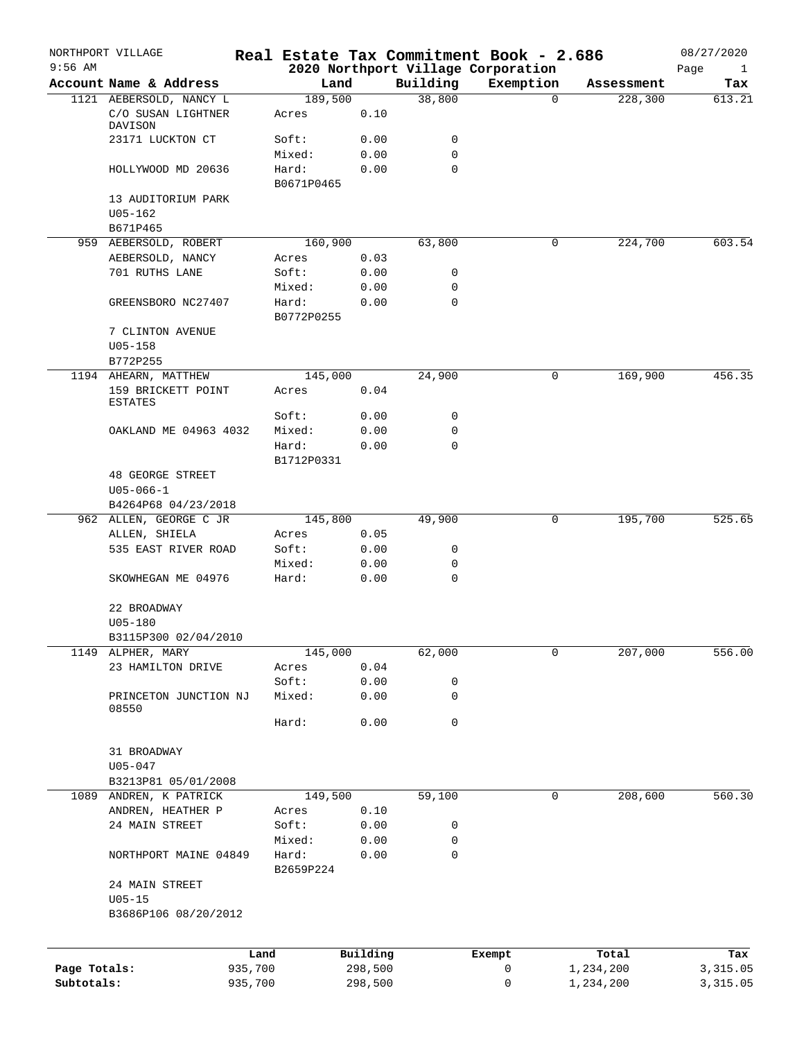| $9:56$ AM    | NORTHPORT VILLAGE                    |         |                     |          |             | Real Estate Tax Commitment Book - 2.686<br>2020 Northport Village Corporation |            | 08/27/2020<br>$\mathbf{1}$ |
|--------------|--------------------------------------|---------|---------------------|----------|-------------|-------------------------------------------------------------------------------|------------|----------------------------|
|              | Account Name & Address               |         | Land                |          | Building    | Exemption                                                                     | Assessment | Page<br>Tax                |
|              | 1121 AEBERSOLD, NANCY L              |         | 189,500             |          | 38,800      |                                                                               | $\Omega$   | 228,300<br>613.21          |
|              | C/O SUSAN LIGHTNER<br>DAVISON        |         | Acres               | 0.10     |             |                                                                               |            |                            |
|              | 23171 LUCKTON CT                     |         | Soft:               | 0.00     | 0           |                                                                               |            |                            |
|              |                                      |         | Mixed:              | 0.00     | $\mathbf 0$ |                                                                               |            |                            |
|              | HOLLYWOOD MD 20636                   |         | Hard:<br>B0671P0465 | 0.00     | $\mathbf 0$ |                                                                               |            |                            |
|              | 13 AUDITORIUM PARK                   |         |                     |          |             |                                                                               |            |                            |
|              | $U05 - 162$                          |         |                     |          |             |                                                                               |            |                            |
|              | B671P465<br>959 AEBERSOLD, ROBERT    |         | 160,900             |          | 63,800      |                                                                               | 0          | 603.54<br>224,700          |
|              | AEBERSOLD, NANCY                     |         | Acres               | 0.03     |             |                                                                               |            |                            |
|              | 701 RUTHS LANE                       |         | Soft:               | 0.00     | 0           |                                                                               |            |                            |
|              |                                      |         | Mixed:              | 0.00     | $\mathbf 0$ |                                                                               |            |                            |
|              | GREENSBORO NC27407                   |         | Hard:               | 0.00     | $\mathbf 0$ |                                                                               |            |                            |
|              |                                      |         | B0772P0255          |          |             |                                                                               |            |                            |
|              | 7 CLINTON AVENUE                     |         |                     |          |             |                                                                               |            |                            |
|              | $U05 - 158$                          |         |                     |          |             |                                                                               |            |                            |
|              | B772P255                             |         |                     |          |             |                                                                               |            |                            |
|              | 1194 AHEARN, MATTHEW                 |         | 145,000             |          | 24,900      |                                                                               | 0          | 169,900<br>456.35          |
|              | 159 BRICKETT POINT<br><b>ESTATES</b> |         | Acres               | 0.04     |             |                                                                               |            |                            |
|              |                                      |         | Soft:               | 0.00     | 0           |                                                                               |            |                            |
|              | OAKLAND ME 04963 4032                |         | Mixed:              | 0.00     | $\mathbf 0$ |                                                                               |            |                            |
|              |                                      |         | Hard:               | 0.00     | $\mathbf 0$ |                                                                               |            |                            |
|              |                                      |         | B1712P0331          |          |             |                                                                               |            |                            |
|              | <b>48 GEORGE STREET</b>              |         |                     |          |             |                                                                               |            |                            |
|              | $U05 - 066 - 1$                      |         |                     |          |             |                                                                               |            |                            |
|              | B4264P68 04/23/2018                  |         |                     |          |             |                                                                               |            |                            |
|              | 962 ALLEN, GEORGE C JR               |         | 145,800             |          | 49,900      |                                                                               | 0          | 525.65<br>195,700          |
|              | ALLEN, SHIELA                        |         | Acres               | 0.05     |             |                                                                               |            |                            |
|              | 535 EAST RIVER ROAD                  |         | Soft:               | 0.00     | 0           |                                                                               |            |                            |
|              |                                      |         | Mixed:              | 0.00     | 0           |                                                                               |            |                            |
|              | SKOWHEGAN ME 04976                   |         | Hard:               | 0.00     | $\mathbf 0$ |                                                                               |            |                            |
|              | 22 BROADWAY                          |         |                     |          |             |                                                                               |            |                            |
|              | U05-180                              |         |                     |          |             |                                                                               |            |                            |
|              | B3115P300 02/04/2010                 |         |                     |          |             |                                                                               |            |                            |
| 1149         | ALPHER, MARY                         |         | 145,000             |          | 62,000      |                                                                               | 0          | 207,000<br>556.00          |
|              | 23 HAMILTON DRIVE                    |         | Acres               | 0.04     |             |                                                                               |            |                            |
|              |                                      |         | Soft:               | 0.00     | 0           |                                                                               |            |                            |
|              | PRINCETON JUNCTION NJ<br>08550       |         | Mixed:              | 0.00     | $\mathbf 0$ |                                                                               |            |                            |
|              |                                      |         | Hard:               | 0.00     | $\mathbf 0$ |                                                                               |            |                            |
|              | 31 BROADWAY                          |         |                     |          |             |                                                                               |            |                            |
|              | $U05 - 047$                          |         |                     |          |             |                                                                               |            |                            |
|              | B3213P81 05/01/2008                  |         |                     |          |             |                                                                               |            |                            |
| 1089         | ANDREN, K PATRICK                    |         | 149,500             |          | 59,100      |                                                                               | 0          | 208,600<br>560.30          |
|              | ANDREN, HEATHER P                    |         | Acres               | 0.10     |             |                                                                               |            |                            |
|              | 24 MAIN STREET                       |         | Soft:               | 0.00     | 0           |                                                                               |            |                            |
|              |                                      |         | Mixed:              | 0.00     | 0           |                                                                               |            |                            |
|              | NORTHPORT MAINE 04849                |         | Hard:<br>B2659P224  | 0.00     | $\mathbf 0$ |                                                                               |            |                            |
|              | 24 MAIN STREET                       |         |                     |          |             |                                                                               |            |                            |
|              | $U05 - 15$                           |         |                     |          |             |                                                                               |            |                            |
|              | B3686P106 08/20/2012                 |         |                     |          |             |                                                                               |            |                            |
|              |                                      | Land    |                     | Building |             |                                                                               | Total      |                            |
| Page Totals: |                                      | 935,700 |                     | 298,500  |             | Exempt<br>0                                                                   | 1,234,200  | Tax<br>3,315.05            |
| Subtotals:   |                                      | 935,700 |                     | 298,500  |             | 0                                                                             | 1,234,200  | 3,315.05                   |
|              |                                      |         |                     |          |             |                                                                               |            |                            |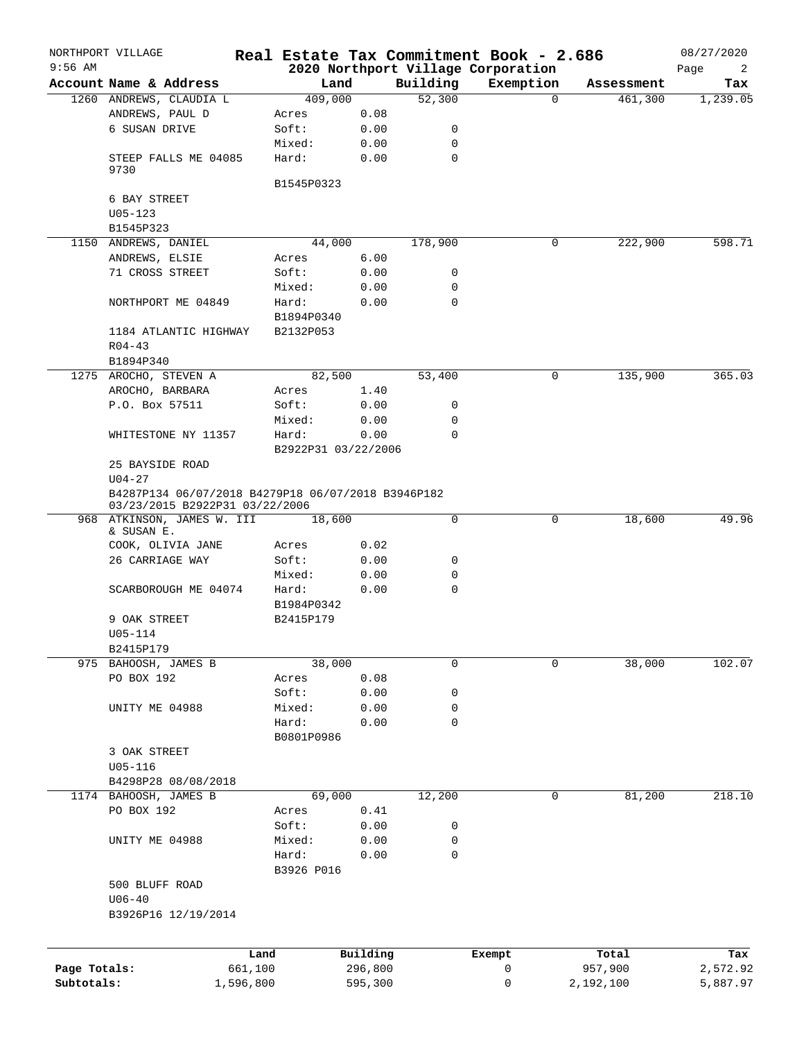|              | NORTHPORT VILLAGE                                                                    |            |          |             | Real Estate Tax Commitment Book - 2.686 |            | 08/27/2020 |  |  |
|--------------|--------------------------------------------------------------------------------------|------------|----------|-------------|-----------------------------------------|------------|------------|--|--|
| $9:56$ AM    |                                                                                      |            |          |             | 2020 Northport Village Corporation      |            | Page<br>2  |  |  |
|              | Account Name & Address                                                               | Land       |          | Building    | Exemption                               | Assessment | Tax        |  |  |
|              | 1260 ANDREWS, CLAUDIA L                                                              | 409,000    |          | 52,300      | $\Omega$                                | 461,300    | 1,239.05   |  |  |
|              | ANDREWS, PAUL D                                                                      | Acres      | 0.08     |             |                                         |            |            |  |  |
|              | 6 SUSAN DRIVE                                                                        | Soft:      | 0.00     | 0           |                                         |            |            |  |  |
|              |                                                                                      | Mixed:     | 0.00     | 0           |                                         |            |            |  |  |
|              | STEEP FALLS ME 04085<br>9730                                                         | Hard:      | 0.00     | $\mathbf 0$ |                                         |            |            |  |  |
|              | 6 BAY STREET                                                                         | B1545P0323 |          |             |                                         |            |            |  |  |
|              | $U05 - 123$                                                                          |            |          |             |                                         |            |            |  |  |
|              | B1545P323                                                                            |            |          |             |                                         |            |            |  |  |
|              | 1150 ANDREWS, DANIEL                                                                 | 44,000     |          | 178,900     | 0                                       | 222,900    | 598.71     |  |  |
|              | ANDREWS, ELSIE                                                                       |            | 6.00     |             |                                         |            |            |  |  |
|              |                                                                                      | Acres      |          |             |                                         |            |            |  |  |
|              | 71 CROSS STREET                                                                      | Soft:      | 0.00     | 0           |                                         |            |            |  |  |
|              |                                                                                      | Mixed:     | 0.00     | 0           |                                         |            |            |  |  |
|              | NORTHPORT ME 04849                                                                   | Hard:      | 0.00     | 0           |                                         |            |            |  |  |
|              |                                                                                      | B1894P0340 |          |             |                                         |            |            |  |  |
|              | 1184 ATLANTIC HIGHWAY                                                                | B2132P053  |          |             |                                         |            |            |  |  |
|              | $R04 - 43$                                                                           |            |          |             |                                         |            |            |  |  |
|              | B1894P340                                                                            |            |          |             |                                         |            |            |  |  |
|              | 1275 AROCHO, STEVEN A                                                                | 82,500     |          | 53,400      | 0                                       | 135,900    | 365.03     |  |  |
|              | AROCHO, BARBARA                                                                      | Acres      | 1.40     |             |                                         |            |            |  |  |
|              | P.O. Box 57511                                                                       | Soft:      | 0.00     | 0           |                                         |            |            |  |  |
|              |                                                                                      | Mixed:     | 0.00     | 0           |                                         |            |            |  |  |
|              | WHITESTONE NY 11357                                                                  | Hard:      | 0.00     | $\Omega$    |                                         |            |            |  |  |
|              |                                                                                      |            |          |             |                                         |            |            |  |  |
|              | B2922P31 03/22/2006<br>25 BAYSIDE ROAD                                               |            |          |             |                                         |            |            |  |  |
|              | $U04 - 27$                                                                           |            |          |             |                                         |            |            |  |  |
|              | B4287P134 06/07/2018 B4279P18 06/07/2018 B3946P182<br>03/23/2015 B2922P31 03/22/2006 |            |          |             |                                         |            |            |  |  |
|              | 968 ATKINSON, JAMES W. III                                                           | 18,600     |          | $\mathbf 0$ | 0                                       | 18,600     | 49.96      |  |  |
|              | & SUSAN E.                                                                           |            |          |             |                                         |            |            |  |  |
|              | COOK, OLIVIA JANE                                                                    | Acres      | 0.02     |             |                                         |            |            |  |  |
|              | 26 CARRIAGE WAY                                                                      | Soft:      | 0.00     | 0           |                                         |            |            |  |  |
|              |                                                                                      | Mixed:     | 0.00     | 0           |                                         |            |            |  |  |
|              | SCARBOROUGH ME 04074                                                                 | Hard:      | 0.00     | $\mathbf 0$ |                                         |            |            |  |  |
|              |                                                                                      | B1984P0342 |          |             |                                         |            |            |  |  |
|              | 9 OAK STREET                                                                         | B2415P179  |          |             |                                         |            |            |  |  |
|              | U05-114                                                                              |            |          |             |                                         |            |            |  |  |
|              | B2415P179                                                                            |            |          |             |                                         |            |            |  |  |
|              | 975 BAHOOSH, JAMES B                                                                 | 38,000     |          | 0           | 0                                       | 38,000     | 102.07     |  |  |
|              | PO BOX 192                                                                           | Acres      | 0.08     |             |                                         |            |            |  |  |
|              |                                                                                      | Soft:      | 0.00     | 0           |                                         |            |            |  |  |
|              | UNITY ME 04988                                                                       | Mixed:     | 0.00     | 0           |                                         |            |            |  |  |
|              |                                                                                      | Hard:      | 0.00     | $\mathbf 0$ |                                         |            |            |  |  |
|              |                                                                                      | B0801P0986 |          |             |                                         |            |            |  |  |
|              | 3 OAK STREET                                                                         |            |          |             |                                         |            |            |  |  |
|              | $U05 - 116$                                                                          |            |          |             |                                         |            |            |  |  |
|              |                                                                                      |            |          |             |                                         |            |            |  |  |
|              | B4298P28 08/08/2018                                                                  |            |          |             |                                         |            |            |  |  |
|              | 1174 BAHOOSH, JAMES B                                                                | 69,000     |          | 12,200      | 0                                       | 81,200     | 218.10     |  |  |
|              | PO BOX 192                                                                           | Acres      | 0.41     |             |                                         |            |            |  |  |
|              |                                                                                      | Soft:      | 0.00     | 0           |                                         |            |            |  |  |
|              | UNITY ME 04988                                                                       | Mixed:     | 0.00     | 0           |                                         |            |            |  |  |
|              |                                                                                      | Hard:      | 0.00     | 0           |                                         |            |            |  |  |
|              |                                                                                      | B3926 P016 |          |             |                                         |            |            |  |  |
|              | 500 BLUFF ROAD                                                                       |            |          |             |                                         |            |            |  |  |
|              | $U06 - 40$                                                                           |            |          |             |                                         |            |            |  |  |
|              | B3926P16 12/19/2014                                                                  |            |          |             |                                         |            |            |  |  |
|              |                                                                                      |            |          |             |                                         |            |            |  |  |
|              |                                                                                      | Land       | Building |             | Exempt                                  | Total      | Tax        |  |  |
| Page Totals: | 661,100                                                                              |            | 296,800  |             | 0                                       | 957,900    | 2,572.92   |  |  |
| Subtotals:   | 1,596,800                                                                            |            | 595,300  |             | 0                                       | 2,192,100  | 5,887.97   |  |  |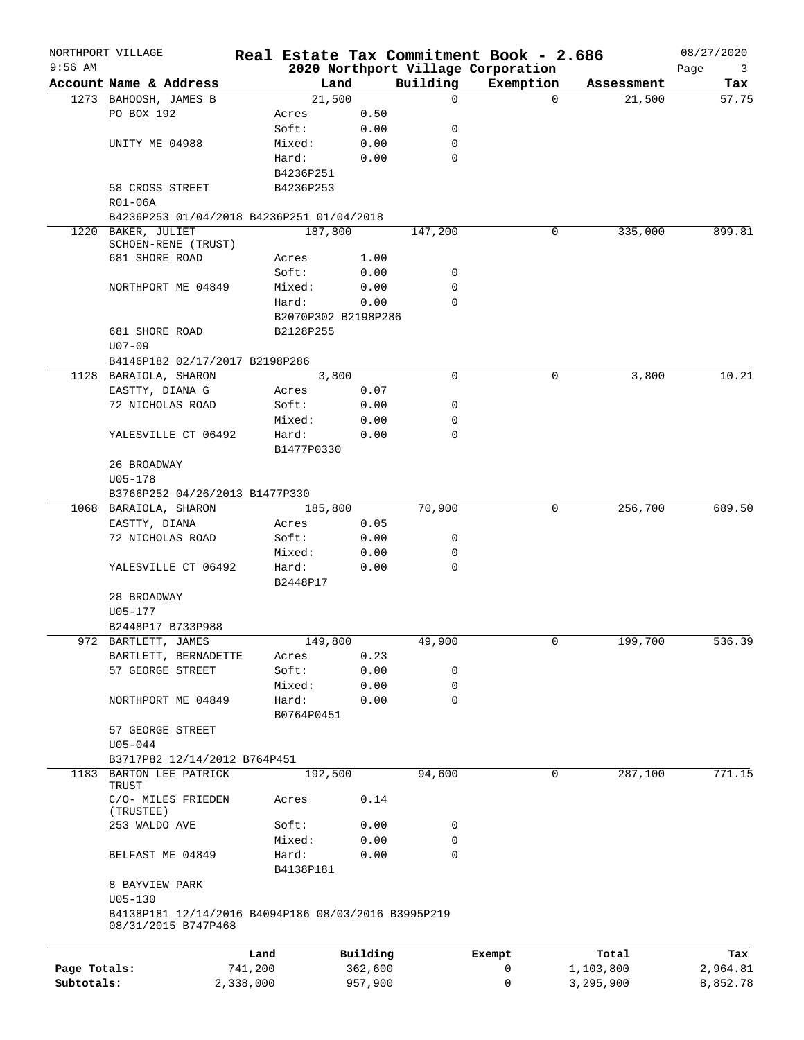|              | NORTHPORT VILLAGE                                                          |           |                     |          |             | Real Estate Tax Commitment Book - 2.686 |          |            | 08/27/2020 |
|--------------|----------------------------------------------------------------------------|-----------|---------------------|----------|-------------|-----------------------------------------|----------|------------|------------|
| $9:56$ AM    |                                                                            |           |                     |          |             | 2020 Northport Village Corporation      |          |            | Page<br>3  |
|              | Account Name & Address                                                     |           |                     | Land     | Building    | Exemption                               |          | Assessment | Tax        |
|              | 1273 BAHOOSH, JAMES B                                                      |           | 21,500              |          | $\mathbf 0$ |                                         | $\Omega$ | 21,500     | 57.75      |
|              | PO BOX 192                                                                 |           | Acres               | 0.50     |             |                                         |          |            |            |
|              |                                                                            |           | Soft:               | 0.00     | 0           |                                         |          |            |            |
|              | UNITY ME 04988                                                             |           | Mixed:              | 0.00     | 0           |                                         |          |            |            |
|              |                                                                            |           | Hard:               | 0.00     | $\mathbf 0$ |                                         |          |            |            |
|              |                                                                            |           | B4236P251           |          |             |                                         |          |            |            |
|              | 58 CROSS STREET                                                            |           | B4236P253           |          |             |                                         |          |            |            |
|              | R01-06A                                                                    |           |                     |          |             |                                         |          |            |            |
|              | B4236P253 01/04/2018 B4236P251 01/04/2018                                  |           |                     |          |             |                                         |          |            |            |
|              | 1220 BAKER, JULIET<br>SCHOEN-RENE (TRUST)                                  |           | 187,800             |          | 147,200     |                                         | 0        | 335,000    | 899.81     |
|              | 681 SHORE ROAD                                                             |           | Acres               | 1.00     |             |                                         |          |            |            |
|              |                                                                            |           | Soft:               | 0.00     | 0           |                                         |          |            |            |
|              | NORTHPORT ME 04849                                                         |           | Mixed:              | 0.00     | $\mathbf 0$ |                                         |          |            |            |
|              |                                                                            |           | Hard:               | 0.00     | $\mathbf 0$ |                                         |          |            |            |
|              |                                                                            |           |                     |          |             |                                         |          |            |            |
|              |                                                                            |           | B2070P302 B2198P286 |          |             |                                         |          |            |            |
|              | 681 SHORE ROAD                                                             |           | B2128P255           |          |             |                                         |          |            |            |
|              | $U07 - 09$                                                                 |           |                     |          |             |                                         |          |            |            |
|              | B4146P182 02/17/2017 B2198P286                                             |           |                     |          |             |                                         |          |            |            |
|              | 1128 BARAIOLA, SHARON                                                      |           | 3,800               |          | $\mathbf 0$ |                                         | 0        | 3,800      | 10.21      |
|              | EASTTY, DIANA G                                                            |           | Acres               | 0.07     |             |                                         |          |            |            |
|              | 72 NICHOLAS ROAD                                                           |           | Soft:               | 0.00     | 0           |                                         |          |            |            |
|              |                                                                            |           | Mixed:              | 0.00     | 0           |                                         |          |            |            |
|              | YALESVILLE CT 06492                                                        |           | Hard:               | 0.00     | 0           |                                         |          |            |            |
|              |                                                                            |           | B1477P0330          |          |             |                                         |          |            |            |
|              | 26 BROADWAY                                                                |           |                     |          |             |                                         |          |            |            |
|              | U05-178                                                                    |           |                     |          |             |                                         |          |            |            |
|              | B3766P252 04/26/2013 B1477P330                                             |           |                     |          |             |                                         |          |            |            |
|              | 1068 BARAIOLA, SHARON                                                      |           | 185,800             |          | 70,900      |                                         | 0        | 256,700    | 689.50     |
|              | EASTTY, DIANA                                                              |           | Acres               | 0.05     |             |                                         |          |            |            |
|              | 72 NICHOLAS ROAD                                                           |           | Soft:               | 0.00     | 0           |                                         |          |            |            |
|              |                                                                            |           | Mixed:              | 0.00     | 0           |                                         |          |            |            |
|              | YALESVILLE CT 06492                                                        |           | Hard:               | 0.00     | $\mathbf 0$ |                                         |          |            |            |
|              |                                                                            |           | B2448P17            |          |             |                                         |          |            |            |
|              | 28 BROADWAY                                                                |           |                     |          |             |                                         |          |            |            |
|              | U05-177                                                                    |           |                     |          |             |                                         |          |            |            |
|              | B2448P17 B733P988                                                          |           |                     |          |             |                                         |          |            |            |
|              | 972 BARTLETT, JAMES                                                        |           | 149,800             |          | 49,900      |                                         | 0        | 199,700    | 536.39     |
|              | BARTLETT, BERNADETTE                                                       |           | Acres               | 0.23     |             |                                         |          |            |            |
|              | 57 GEORGE STREET                                                           |           | Soft:               | 0.00     | 0           |                                         |          |            |            |
|              |                                                                            |           | Mixed:              | 0.00     | 0           |                                         |          |            |            |
|              | NORTHPORT ME 04849                                                         |           | Hard:               | 0.00     | $\mathbf 0$ |                                         |          |            |            |
|              |                                                                            |           | B0764P0451          |          |             |                                         |          |            |            |
|              |                                                                            |           |                     |          |             |                                         |          |            |            |
|              | 57 GEORGE STREET                                                           |           |                     |          |             |                                         |          |            |            |
|              | $U05 - 044$                                                                |           |                     |          |             |                                         |          |            |            |
|              | B3717P82 12/14/2012 B764P451                                               |           |                     |          |             |                                         |          |            |            |
|              | 1183 BARTON LEE PATRICK<br>TRUST                                           |           | 192,500             |          | 94,600      |                                         | 0        | 287,100    | 771.15     |
|              | C/O- MILES FRIEDEN<br>(TRUSTEE)                                            |           | Acres               | 0.14     |             |                                         |          |            |            |
|              | 253 WALDO AVE                                                              |           | Soft:               | 0.00     | 0           |                                         |          |            |            |
|              |                                                                            |           | Mixed:              | 0.00     | $\mathbf 0$ |                                         |          |            |            |
|              |                                                                            |           |                     |          |             |                                         |          |            |            |
|              | BELFAST ME 04849                                                           |           | Hard:               | 0.00     | $\mathbf 0$ |                                         |          |            |            |
|              |                                                                            |           | B4138P181           |          |             |                                         |          |            |            |
|              | 8 BAYVIEW PARK                                                             |           |                     |          |             |                                         |          |            |            |
|              | $U05 - 130$                                                                |           |                     |          |             |                                         |          |            |            |
|              | B4138P181 12/14/2016 B4094P186 08/03/2016 B3995P219<br>08/31/2015 B747P468 |           |                     |          |             |                                         |          |            |            |
|              |                                                                            | Land      |                     | Building |             | Exempt                                  |          | Total      | Tax        |
| Page Totals: |                                                                            | 741,200   |                     | 362,600  |             | 0                                       |          | 1,103,800  | 2,964.81   |
| Subtotals:   |                                                                            | 2,338,000 |                     | 957,900  |             | 0                                       |          | 3,295,900  | 8,852.78   |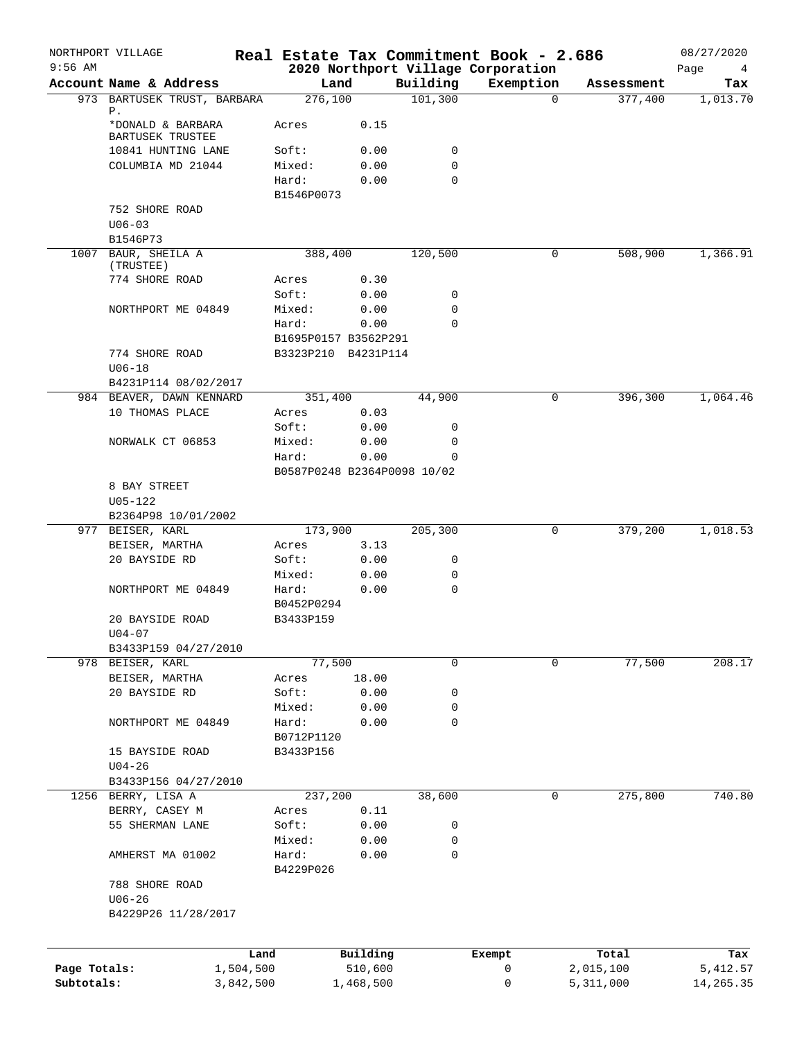| $9:56$ AM    | NORTHPORT VILLAGE                           |           |                             |           |             | Real Estate Tax Commitment Book - 2.686         |          |            | 08/27/2020       |
|--------------|---------------------------------------------|-----------|-----------------------------|-----------|-------------|-------------------------------------------------|----------|------------|------------------|
|              | Account Name & Address                      |           | Land                        |           | Building    | 2020 Northport Village Corporation<br>Exemption |          | Assessment | Page<br>4<br>Tax |
|              | 973 BARTUSEK TRUST, BARBARA                 |           | 276,100                     |           | 101,300     |                                                 | $\Omega$ | 377,400    | 1,013.70         |
|              | Ρ.<br>*DONALD & BARBARA<br>BARTUSEK TRUSTEE |           | Acres                       | 0.15      |             |                                                 |          |            |                  |
|              | 10841 HUNTING LANE                          |           | Soft:                       | 0.00      | 0           |                                                 |          |            |                  |
|              | COLUMBIA MD 21044                           |           | Mixed:                      | 0.00      | 0           |                                                 |          |            |                  |
|              |                                             |           | Hard:                       | 0.00      | $\mathbf 0$ |                                                 |          |            |                  |
|              |                                             |           | B1546P0073                  |           |             |                                                 |          |            |                  |
|              | 752 SHORE ROAD                              |           |                             |           |             |                                                 |          |            |                  |
|              | $U06 - 03$                                  |           |                             |           |             |                                                 |          |            |                  |
|              | B1546P73                                    |           |                             |           |             |                                                 |          |            |                  |
|              | 1007 BAUR, SHEILA A<br>(TRUSTEE)            |           | 388,400                     |           | 120,500     |                                                 | 0        | 508,900    | 1,366.91         |
|              | 774 SHORE ROAD                              |           | Acres                       | 0.30      |             |                                                 |          |            |                  |
|              |                                             |           | Soft:                       | 0.00      | 0           |                                                 |          |            |                  |
|              | NORTHPORT ME 04849                          |           | Mixed:                      | 0.00      | 0           |                                                 |          |            |                  |
|              |                                             |           | Hard:                       | 0.00      | $\Omega$    |                                                 |          |            |                  |
|              |                                             |           | B1695P0157 B3562P291        |           |             |                                                 |          |            |                  |
|              | 774 SHORE ROAD                              |           | B3323P210 B4231P114         |           |             |                                                 |          |            |                  |
|              | $U06 - 18$                                  |           |                             |           |             |                                                 |          |            |                  |
|              | B4231P114 08/02/2017                        |           |                             |           |             |                                                 |          |            |                  |
|              | 984 BEAVER, DAWN KENNARD<br>10 THOMAS PLACE |           | 351,400                     | 0.03      | 44,900      |                                                 | 0        | 396,300    | 1,064.46         |
|              |                                             |           | Acres<br>Soft:              | 0.00      | 0           |                                                 |          |            |                  |
|              | NORWALK CT 06853                            |           | Mixed:                      | 0.00      | 0           |                                                 |          |            |                  |
|              |                                             |           | Hard:                       | 0.00      | 0           |                                                 |          |            |                  |
|              |                                             |           | B0587P0248 B2364P0098 10/02 |           |             |                                                 |          |            |                  |
|              | 8 BAY STREET                                |           |                             |           |             |                                                 |          |            |                  |
|              | $U05 - 122$                                 |           |                             |           |             |                                                 |          |            |                  |
|              | B2364P98 10/01/2002                         |           |                             |           |             |                                                 |          |            |                  |
|              | 977 BEISER, KARL                            |           | 173,900                     |           | 205,300     |                                                 | 0        | 379,200    | 1,018.53         |
|              | BEISER, MARTHA                              |           | Acres                       | 3.13      |             |                                                 |          |            |                  |
|              | 20 BAYSIDE RD                               |           | Soft:                       | 0.00      | 0           |                                                 |          |            |                  |
|              |                                             |           | Mixed:                      | 0.00      | 0           |                                                 |          |            |                  |
|              | NORTHPORT ME 04849                          |           | Hard:                       | 0.00      | $\mathbf 0$ |                                                 |          |            |                  |
|              | 20 BAYSIDE ROAD                             |           | B0452P0294<br>B3433P159     |           |             |                                                 |          |            |                  |
|              | $U04 - 07$                                  |           |                             |           |             |                                                 |          |            |                  |
|              | B3433P159 04/27/2010                        |           |                             |           |             |                                                 |          |            |                  |
|              | 978 BEISER, KARL                            |           | 77,500                      |           | 0           |                                                 | 0        | 77,500     | 208.17           |
|              | BEISER, MARTHA                              |           | Acres                       | 18.00     |             |                                                 |          |            |                  |
|              | 20 BAYSIDE RD                               |           | Soft:                       | 0.00      | 0           |                                                 |          |            |                  |
|              |                                             |           | Mixed:                      | 0.00      | 0           |                                                 |          |            |                  |
|              | NORTHPORT ME 04849                          |           | Hard:                       | 0.00      | 0           |                                                 |          |            |                  |
|              |                                             |           | B0712P1120                  |           |             |                                                 |          |            |                  |
|              | 15 BAYSIDE ROAD                             |           | B3433P156                   |           |             |                                                 |          |            |                  |
|              | $U04 - 26$                                  |           |                             |           |             |                                                 |          |            |                  |
|              | B3433P156 04/27/2010                        |           |                             |           |             |                                                 |          |            |                  |
|              | 1256 BERRY, LISA A                          |           | 237,200                     | 0.11      | 38,600      |                                                 | 0        | 275,800    | 740.80           |
|              | BERRY, CASEY M<br>55 SHERMAN LANE           |           | Acres<br>Soft:              | 0.00      | 0           |                                                 |          |            |                  |
|              |                                             |           | Mixed:                      | 0.00      | 0           |                                                 |          |            |                  |
|              | AMHERST MA 01002                            |           | Hard:                       | 0.00      | 0           |                                                 |          |            |                  |
|              |                                             |           | B4229P026                   |           |             |                                                 |          |            |                  |
|              | 788 SHORE ROAD                              |           |                             |           |             |                                                 |          |            |                  |
|              | $U06 - 26$                                  |           |                             |           |             |                                                 |          |            |                  |
|              | B4229P26 11/28/2017                         |           |                             |           |             |                                                 |          |            |                  |
|              |                                             |           |                             |           |             |                                                 |          |            |                  |
|              |                                             | Land      |                             | Building  |             | Exempt                                          |          | Total      | Tax              |
| Page Totals: |                                             | 1,504,500 |                             | 510,600   |             | 0                                               |          | 2,015,100  | 5, 412.57        |
| Subtotals:   |                                             | 3,842,500 |                             | 1,468,500 |             | 0                                               |          | 5,311,000  | 14,265.35        |
|              |                                             |           |                             |           |             |                                                 |          |            |                  |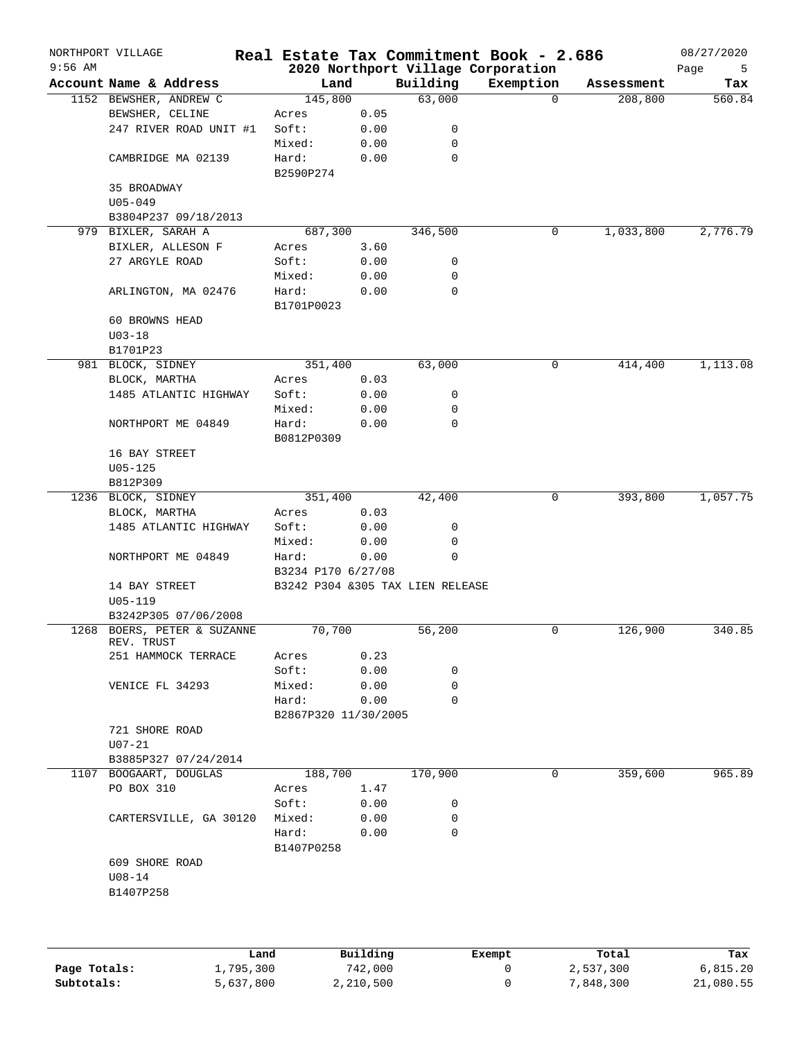|           | NORTHPORT VILLAGE           |                                  |          |             | Real Estate Tax Commitment Book - 2.686 |            | 08/27/2020 |
|-----------|-----------------------------|----------------------------------|----------|-------------|-----------------------------------------|------------|------------|
| $9:56$ AM |                             |                                  |          |             | 2020 Northport Village Corporation      |            | Page<br>5  |
|           | Account Name & Address      | Land                             |          | Building    | Exemption                               | Assessment | Tax        |
|           | 1152 BEWSHER, ANDREW C      | 145,800                          |          | 63,000      | $\Omega$                                | 208,800    | 560.84     |
|           | BEWSHER, CELINE             | Acres                            | 0.05     |             |                                         |            |            |
|           | 247 RIVER ROAD UNIT #1      | Soft:                            | 0.00     | 0           |                                         |            |            |
|           |                             | Mixed:                           | 0.00     | $\mathbf 0$ |                                         |            |            |
|           | CAMBRIDGE MA 02139          | Hard:                            | 0.00     | $\mathbf 0$ |                                         |            |            |
|           |                             | B2590P274                        |          |             |                                         |            |            |
|           | 35 BROADWAY                 |                                  |          |             |                                         |            |            |
|           | $U05 - 049$                 |                                  |          |             |                                         |            |            |
|           | B3804P237 09/18/2013        |                                  |          |             |                                         |            |            |
|           | 979 BIXLER, SARAH A         | 687,300                          |          | 346,500     | 0                                       | 1,033,800  | 2,776.79   |
|           | BIXLER, ALLESON F           | Acres                            | 3.60     |             |                                         |            |            |
|           | 27 ARGYLE ROAD              | Soft:                            | 0.00     | 0           |                                         |            |            |
|           |                             | Mixed:                           | 0.00     | 0           |                                         |            |            |
|           | ARLINGTON, MA 02476         | Hard:                            | 0.00     | $\mathbf 0$ |                                         |            |            |
|           |                             | B1701P0023                       |          |             |                                         |            |            |
|           | 60 BROWNS HEAD              |                                  |          |             |                                         |            |            |
|           | $U03 - 18$                  |                                  |          |             |                                         |            |            |
|           | B1701P23                    |                                  |          |             |                                         |            |            |
|           | 981 BLOCK, SIDNEY           | 351,400                          |          | 63,000      | 0                                       | 414,400    | 1,113.08   |
|           | BLOCK, MARTHA               | Acres                            | 0.03     |             |                                         |            |            |
|           | 1485 ATLANTIC HIGHWAY       | Soft:                            | 0.00     | 0           |                                         |            |            |
|           |                             | Mixed:                           | 0.00     | 0           |                                         |            |            |
|           | NORTHPORT ME 04849          | Hard:                            | 0.00     | $\mathbf 0$ |                                         |            |            |
|           |                             | B0812P0309                       |          |             |                                         |            |            |
|           | 16 BAY STREET               |                                  |          |             |                                         |            |            |
|           | $U05 - 125$                 |                                  |          |             |                                         |            |            |
|           | B812P309                    |                                  |          |             |                                         |            |            |
|           | 1236 BLOCK, SIDNEY          | 351,400                          |          | 42,400      | 0                                       | 393,800    | 1,057.75   |
|           | BLOCK, MARTHA               | Acres                            | 0.03     |             |                                         |            |            |
|           | 1485 ATLANTIC HIGHWAY       | Soft:                            | 0.00     | 0           |                                         |            |            |
|           |                             | Mixed:                           | 0.00     | 0           |                                         |            |            |
|           | NORTHPORT ME 04849          | Hard:                            | 0.00     | $\mathbf 0$ |                                         |            |            |
|           |                             | B3234 P170 6/27/08               |          |             |                                         |            |            |
|           | 14 BAY STREET               | B3242 P304 &305 TAX LIEN RELEASE |          |             |                                         |            |            |
|           | $U05 - 119$                 |                                  |          |             |                                         |            |            |
|           | B3242P305 07/06/2008        |                                  |          |             |                                         |            |            |
|           | 1268 BOERS, PETER & SUZANNE | 70,700                           |          | 56,200      | 0                                       | 126,900    | 340.85     |
|           | REV. TRUST                  |                                  |          |             |                                         |            |            |
|           | 251 HAMMOCK TERRACE         | Acres                            | 0.23     |             |                                         |            |            |
|           |                             | Soft:                            | 0.00     | 0           |                                         |            |            |
|           | VENICE FL 34293             | Mixed:                           | 0.00     | 0           |                                         |            |            |
|           |                             | Hard:                            | 0.00     | $\mathbf 0$ |                                         |            |            |
|           |                             | B2867P320 11/30/2005             |          |             |                                         |            |            |
|           | 721 SHORE ROAD              |                                  |          |             |                                         |            |            |
|           | $U07 - 21$                  |                                  |          |             |                                         |            |            |
|           | B3885P327 07/24/2014        |                                  |          |             |                                         |            |            |
|           | 1107 BOOGAART, DOUGLAS      | 188,700                          |          | 170,900     | 0                                       | 359,600    | 965.89     |
|           | PO BOX 310                  | Acres                            | 1.47     |             |                                         |            |            |
|           |                             | Soft:                            | 0.00     | 0           |                                         |            |            |
|           | CARTERSVILLE, GA 30120      | Mixed:                           | 0.00     | 0           |                                         |            |            |
|           |                             | Hard:                            | 0.00     | $\mathbf 0$ |                                         |            |            |
|           |                             | B1407P0258                       |          |             |                                         |            |            |
|           | 609 SHORE ROAD              |                                  |          |             |                                         |            |            |
|           | $U08 - 14$                  |                                  |          |             |                                         |            |            |
|           | B1407P258                   |                                  |          |             |                                         |            |            |
|           |                             |                                  |          |             |                                         |            |            |
|           |                             |                                  |          |             |                                         |            |            |
|           |                             |                                  |          |             |                                         |            |            |
|           |                             | Land                             | Building |             | Exempt                                  | Total      | Tax        |
|           |                             |                                  |          |             |                                         |            |            |

|              | ------    | --------- | -------- | -----     | ----      |
|--------------|-----------|-----------|----------|-----------|-----------|
| Page Totals: | 1,795,300 | 742,000   |          | 2,537,300 | 6.815.20  |
| Subtotals:   | 5,637,800 | 2,210,500 |          | ,848,300  | 21,080.55 |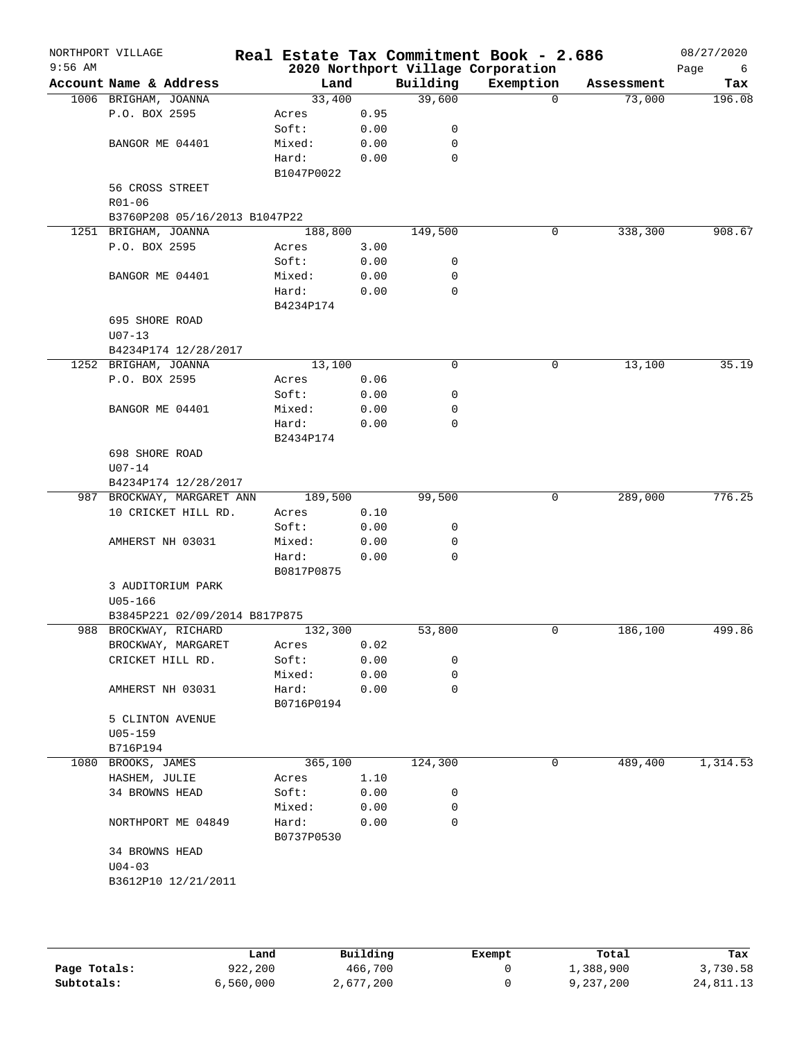| $9:56$ AM | NORTHPORT VILLAGE             | Real Estate Tax Commitment Book - 2.686 |              |             | 2020 Northport Village Corporation |            | 08/27/2020<br>Page<br>6 |
|-----------|-------------------------------|-----------------------------------------|--------------|-------------|------------------------------------|------------|-------------------------|
|           | Account Name & Address        | Land                                    |              | Building    | Exemption                          | Assessment | Tax                     |
|           | 1006 BRIGHAM, JOANNA          | 33,400                                  |              | 39,600      | $\Omega$                           | 73,000     | 196.08                  |
|           | P.O. BOX 2595                 | Acres                                   | 0.95         |             |                                    |            |                         |
|           |                               | Soft:                                   | 0.00         | 0           |                                    |            |                         |
|           | BANGOR ME 04401               | Mixed:                                  | 0.00         | 0           |                                    |            |                         |
|           |                               | Hard:                                   | 0.00         | 0           |                                    |            |                         |
|           |                               | B1047P0022                              |              |             |                                    |            |                         |
|           | 56 CROSS STREET               |                                         |              |             |                                    |            |                         |
|           | $R01 - 06$                    |                                         |              |             |                                    |            |                         |
|           | B3760P208 05/16/2013 B1047P22 |                                         |              |             |                                    |            |                         |
|           | 1251 BRIGHAM, JOANNA          | 188,800                                 |              | 149,500     | 0                                  | 338,300    | 908.67                  |
|           | P.O. BOX 2595                 | Acres                                   | 3.00         |             |                                    |            |                         |
|           |                               | Soft:                                   | 0.00         | 0           |                                    |            |                         |
|           | BANGOR ME 04401               | Mixed:                                  | 0.00         | 0           |                                    |            |                         |
|           |                               | Hard:                                   | 0.00         | 0           |                                    |            |                         |
|           |                               | B4234P174                               |              |             |                                    |            |                         |
|           | 695 SHORE ROAD                |                                         |              |             |                                    |            |                         |
|           | $U07 - 13$                    |                                         |              |             |                                    |            |                         |
|           | B4234P174 12/28/2017          |                                         |              |             |                                    |            |                         |
|           | 1252 BRIGHAM, JOANNA          | 13,100                                  |              | 0           | 0                                  | 13,100     | 35.19                   |
|           | P.O. BOX 2595                 | Acres                                   | 0.06         |             |                                    |            |                         |
|           |                               | Soft:                                   | 0.00         | 0           |                                    |            |                         |
|           | BANGOR ME 04401               | Mixed:                                  | 0.00         | 0           |                                    |            |                         |
|           |                               | Hard:                                   | 0.00         | $\mathbf 0$ |                                    |            |                         |
|           |                               | B2434P174                               |              |             |                                    |            |                         |
|           | 698 SHORE ROAD                |                                         |              |             |                                    |            |                         |
|           | $U07 - 14$                    |                                         |              |             |                                    |            |                         |
|           | B4234P174 12/28/2017          |                                         |              |             |                                    |            |                         |
|           | 987 BROCKWAY, MARGARET ANN    | 189,500                                 |              | 99,500      | 0                                  | 289,000    | 776.25                  |
|           | 10 CRICKET HILL RD.           | Acres                                   | 0.10         |             |                                    |            |                         |
|           |                               | Soft:                                   | 0.00         | 0           |                                    |            |                         |
|           | AMHERST NH 03031              | Mixed:                                  | 0.00         | 0           |                                    |            |                         |
|           |                               | Hard:                                   | 0.00         | 0           |                                    |            |                         |
|           |                               | B0817P0875                              |              |             |                                    |            |                         |
|           | 3 AUDITORIUM PARK             |                                         |              |             |                                    |            |                         |
|           | $U05 - 166$                   |                                         |              |             |                                    |            |                         |
|           | B3845P221 02/09/2014 B817P875 |                                         |              |             | $\mathbf 0$                        |            | 499.86                  |
|           | 988 BROCKWAY, RICHARD         | 132,300                                 |              | 53,800      |                                    | 186,100    |                         |
|           | BROCKWAY, MARGARET            | Acres                                   | 0.02         |             |                                    |            |                         |
|           | CRICKET HILL RD.              | Soft:<br>Mixed:                         | 0.00<br>0.00 | 0<br>0      |                                    |            |                         |
|           | AMHERST NH 03031              | Hard:                                   | 0.00         | 0           |                                    |            |                         |
|           |                               | B0716P0194                              |              |             |                                    |            |                         |
|           | 5 CLINTON AVENUE              |                                         |              |             |                                    |            |                         |
|           | U05-159                       |                                         |              |             |                                    |            |                         |
|           | B716P194                      |                                         |              |             |                                    |            |                         |
|           | 1080 BROOKS, JAMES            | 365,100                                 |              | 124,300     | 0                                  | 489,400    | 1,314.53                |
|           | HASHEM, JULIE                 | Acres                                   | 1.10         |             |                                    |            |                         |
|           | 34 BROWNS HEAD                | Soft:                                   | 0.00         | 0           |                                    |            |                         |
|           |                               | Mixed:                                  | 0.00         | 0           |                                    |            |                         |
|           | NORTHPORT ME 04849            | Hard:                                   | 0.00         | 0           |                                    |            |                         |
|           |                               | B0737P0530                              |              |             |                                    |            |                         |
|           | 34 BROWNS HEAD                |                                         |              |             |                                    |            |                         |
|           | $U04 - 03$                    |                                         |              |             |                                    |            |                         |
|           | B3612P10 12/21/2011           |                                         |              |             |                                    |            |                         |
|           |                               |                                         |              |             |                                    |            |                         |
|           |                               |                                         |              |             |                                    |            |                         |
|           |                               |                                         |              |             |                                    |            |                         |

|              | Land      | Building  | Exempt | Total     | Tax       |
|--------------|-----------|-----------|--------|-----------|-----------|
| Page Totals: | 922,200   | 466,700   |        | 1,388,900 | 3,730.58  |
| Subtotals:   | 6,560,000 | 2,677,200 |        | 9,237,200 | 24,811.13 |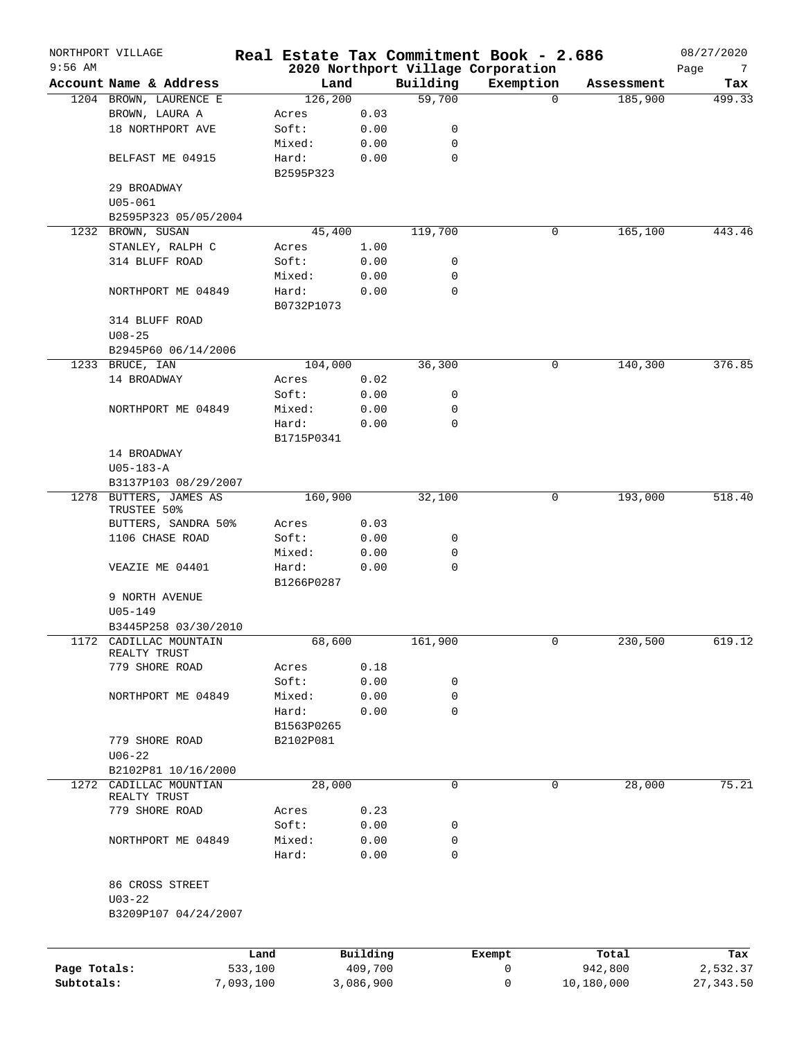|              | NORTHPORT VILLAGE                     |                 |                    |                     |             | Real Estate Tax Commitment Book - 2.686 |                  | 08/27/2020      |
|--------------|---------------------------------------|-----------------|--------------------|---------------------|-------------|-----------------------------------------|------------------|-----------------|
| $9:56$ AM    |                                       |                 |                    |                     |             | 2020 Northport Village Corporation      |                  | Page<br>7       |
|              | Account Name & Address                |                 | Land               |                     | Building    | Exemption                               | Assessment       | Tax             |
|              | 1204 BROWN, LAURENCE E                |                 | 126, 200           |                     | 59,700      | $\Omega$                                | 185,900          | 499.33          |
|              | BROWN, LAURA A                        |                 | Acres              | 0.03                |             |                                         |                  |                 |
|              | 18 NORTHPORT AVE                      |                 | Soft:              | 0.00                | 0           |                                         |                  |                 |
|              |                                       |                 | Mixed:             | 0.00                | 0           |                                         |                  |                 |
|              | BELFAST ME 04915                      |                 | Hard:<br>B2595P323 | 0.00                | $\mathbf 0$ |                                         |                  |                 |
|              | 29 BROADWAY                           |                 |                    |                     |             |                                         |                  |                 |
|              | $U05 - 061$                           |                 |                    |                     |             |                                         |                  |                 |
|              | B2595P323 05/05/2004                  |                 |                    |                     |             |                                         |                  |                 |
|              | 1232 BROWN, SUSAN                     |                 | 45,400             |                     | 119,700     | 0                                       | 165,100          | 443.46          |
|              | STANLEY, RALPH C                      |                 | Acres              | 1.00                |             |                                         |                  |                 |
|              | 314 BLUFF ROAD                        |                 | Soft:              | 0.00                | 0           |                                         |                  |                 |
|              |                                       |                 | Mixed:             | 0.00                | 0           |                                         |                  |                 |
|              | NORTHPORT ME 04849                    |                 | Hard:              | 0.00                | 0           |                                         |                  |                 |
|              |                                       |                 | B0732P1073         |                     |             |                                         |                  |                 |
|              | 314 BLUFF ROAD                        |                 |                    |                     |             |                                         |                  |                 |
|              | $U08 - 25$                            |                 |                    |                     |             |                                         |                  |                 |
|              | B2945P60 06/14/2006                   |                 |                    |                     |             |                                         |                  |                 |
|              | 1233 BRUCE, IAN                       |                 | 104,000            |                     | 36,300      | 0                                       | 140,300          | 376.85          |
|              | 14 BROADWAY                           |                 | Acres              | 0.02                |             |                                         |                  |                 |
|              |                                       |                 | Soft:              | 0.00                | 0           |                                         |                  |                 |
|              | NORTHPORT ME 04849                    |                 | Mixed:             | 0.00                | 0           |                                         |                  |                 |
|              |                                       |                 | Hard:              | 0.00                | $\mathbf 0$ |                                         |                  |                 |
|              |                                       |                 | B1715P0341         |                     |             |                                         |                  |                 |
|              | 14 BROADWAY                           |                 |                    |                     |             |                                         |                  |                 |
|              | $U05 - 183 - A$                       |                 |                    |                     |             |                                         |                  |                 |
|              | B3137P103 08/29/2007                  |                 |                    |                     |             |                                         |                  |                 |
|              |                                       |                 |                    |                     |             | 0                                       |                  | 518.40          |
|              | 1278 BUTTERS, JAMES AS<br>TRUSTEE 50% |                 | 160,900            |                     | 32,100      |                                         | 193,000          |                 |
|              | BUTTERS, SANDRA 50%                   |                 | Acres              | 0.03                |             |                                         |                  |                 |
|              | 1106 CHASE ROAD                       |                 | Soft:              | 0.00                | 0           |                                         |                  |                 |
|              |                                       |                 | Mixed:             | 0.00                | 0           |                                         |                  |                 |
|              | VEAZIE ME 04401                       |                 | Hard:              | 0.00                | $\mathbf 0$ |                                         |                  |                 |
|              |                                       |                 | B1266P0287         |                     |             |                                         |                  |                 |
|              | 9 NORTH AVENUE                        |                 |                    |                     |             |                                         |                  |                 |
|              | $U05 - 149$                           |                 |                    |                     |             |                                         |                  |                 |
|              | B3445P258 03/30/2010                  |                 |                    |                     |             |                                         |                  |                 |
| 1172         | CADILLAC MOUNTAIN                     |                 | 68,600             |                     | 161,900     | 0                                       | 230,500          | 619.12          |
|              | REALTY TRUST                          |                 |                    |                     |             |                                         |                  |                 |
|              | 779 SHORE ROAD                        |                 | Acres              | 0.18                |             |                                         |                  |                 |
|              |                                       |                 | Soft:              | 0.00                | 0           |                                         |                  |                 |
|              | NORTHPORT ME 04849                    |                 | Mixed:             | 0.00                | 0           |                                         |                  |                 |
|              |                                       |                 | Hard:              | 0.00                | 0           |                                         |                  |                 |
|              |                                       |                 | B1563P0265         |                     |             |                                         |                  |                 |
|              | 779 SHORE ROAD                        |                 | B2102P081          |                     |             |                                         |                  |                 |
|              | $U06 - 22$                            |                 |                    |                     |             |                                         |                  |                 |
|              | B2102P81 10/16/2000                   |                 |                    |                     |             |                                         |                  |                 |
|              | 1272 CADILLAC MOUNTIAN                |                 | 28,000             |                     | $\mathbf 0$ | $\mathbf 0$                             | 28,000           | 75.21           |
|              | REALTY TRUST                          |                 |                    |                     |             |                                         |                  |                 |
|              | 779 SHORE ROAD                        |                 | Acres              | 0.23                |             |                                         |                  |                 |
|              |                                       |                 | Soft:              | 0.00                | 0           |                                         |                  |                 |
|              | NORTHPORT ME 04849                    |                 | Mixed:             | 0.00                | 0           |                                         |                  |                 |
|              |                                       |                 | Hard:              | 0.00                | 0           |                                         |                  |                 |
|              |                                       |                 |                    |                     |             |                                         |                  |                 |
|              | 86 CROSS STREET                       |                 |                    |                     |             |                                         |                  |                 |
|              | $U03 - 22$<br>B3209P107 04/24/2007    |                 |                    |                     |             |                                         |                  |                 |
|              |                                       |                 |                    |                     |             |                                         |                  |                 |
|              |                                       |                 |                    |                     |             |                                         |                  |                 |
| Page Totals: |                                       | Land<br>533,100 |                    | Building<br>409,700 |             | Exempt<br>0                             | Total<br>942,800 | Tax<br>2,532.37 |
| Subtotals:   |                                       | 7,093,100       |                    | 3,086,900           |             | 0                                       | 10,180,000       | 27, 343.50      |
|              |                                       |                 |                    |                     |             |                                         |                  |                 |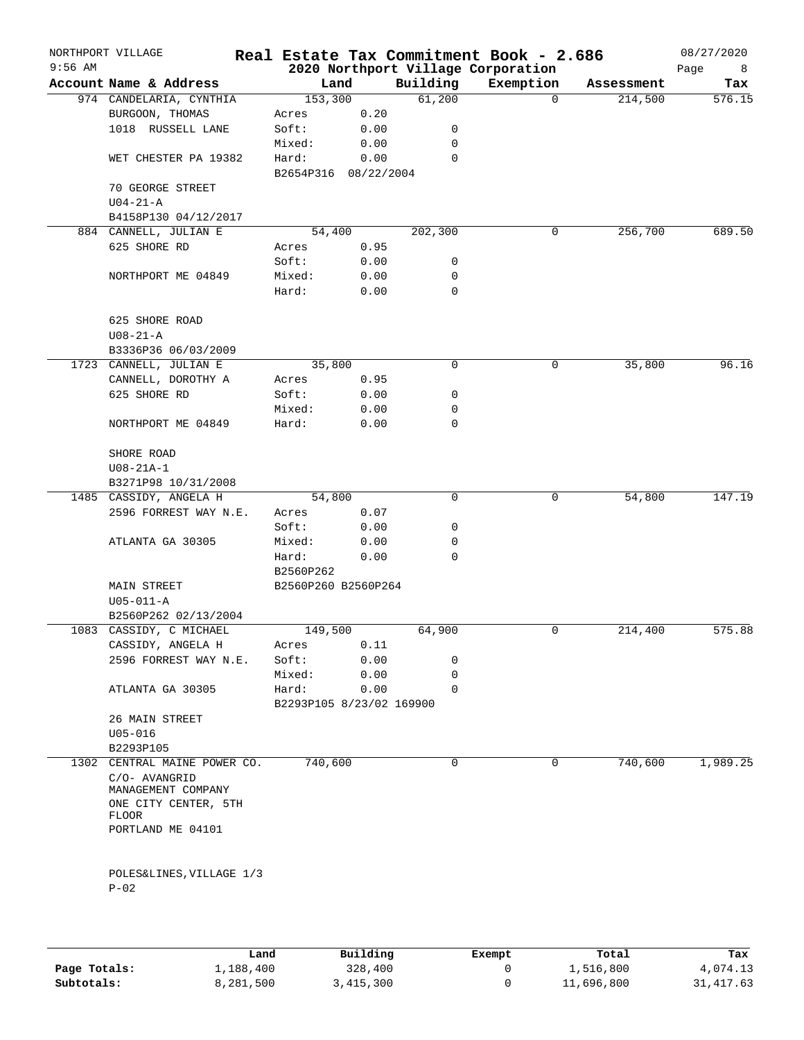| $9:56$ AM | NORTHPORT VILLAGE            |                          |      |          | Real Estate Tax Commitment Book - 2.686<br>2020 Northport Village Corporation |            | 08/27/2020<br>Page<br>8 |
|-----------|------------------------------|--------------------------|------|----------|-------------------------------------------------------------------------------|------------|-------------------------|
|           | Account Name & Address       | Land                     |      | Building | Exemption                                                                     | Assessment | Tax                     |
|           | 974 CANDELARIA, CYNTHIA      | 153,300                  |      | 61,200   | $\mathbf 0$                                                                   | 214,500    | 576.15                  |
|           | BURGOON, THOMAS              | Acres                    | 0.20 |          |                                                                               |            |                         |
|           | 1018 RUSSELL LANE            | Soft:                    | 0.00 | 0        |                                                                               |            |                         |
|           |                              | Mixed:                   | 0.00 | 0        |                                                                               |            |                         |
|           | WET CHESTER PA 19382         | Hard:                    | 0.00 | 0        |                                                                               |            |                         |
|           |                              | B2654P316 08/22/2004     |      |          |                                                                               |            |                         |
|           | 70 GEORGE STREET             |                          |      |          |                                                                               |            |                         |
|           | $U04-21-A$                   |                          |      |          |                                                                               |            |                         |
|           | B4158P130 04/12/2017         |                          |      |          |                                                                               |            |                         |
|           | 884 CANNELL, JULIAN E        | 54,400                   |      | 202,300  | 0                                                                             | 256,700    | 689.50                  |
|           | 625 SHORE RD                 | Acres                    | 0.95 |          |                                                                               |            |                         |
|           |                              | Soft:                    | 0.00 | 0        |                                                                               |            |                         |
|           | NORTHPORT ME 04849           | Mixed:                   | 0.00 | 0        |                                                                               |            |                         |
|           |                              | Hard:                    | 0.00 | 0        |                                                                               |            |                         |
|           |                              |                          |      |          |                                                                               |            |                         |
|           | 625 SHORE ROAD               |                          |      |          |                                                                               |            |                         |
|           | $U08 - 21 - A$               |                          |      |          |                                                                               |            |                         |
|           | B3336P36 06/03/2009          |                          |      |          |                                                                               |            |                         |
|           | 1723 CANNELL, JULIAN E       | 35,800                   |      | 0        | 0                                                                             | 35,800     | 96.16                   |
|           |                              |                          |      |          |                                                                               |            |                         |
|           | CANNELL, DOROTHY A           | Acres                    | 0.95 |          |                                                                               |            |                         |
|           | 625 SHORE RD                 | Soft:                    | 0.00 | 0        |                                                                               |            |                         |
|           |                              | Mixed:                   | 0.00 | 0        |                                                                               |            |                         |
|           | NORTHPORT ME 04849           | Hard:                    | 0.00 | 0        |                                                                               |            |                         |
|           |                              |                          |      |          |                                                                               |            |                         |
|           | SHORE ROAD                   |                          |      |          |                                                                               |            |                         |
|           | $U08 - 21A - 1$              |                          |      |          |                                                                               |            |                         |
|           | B3271P98 10/31/2008          |                          |      |          |                                                                               |            |                         |
|           | 1485 CASSIDY, ANGELA H       | 54,800                   |      | 0        | 0                                                                             | 54,800     | 147.19                  |
|           | 2596 FORREST WAY N.E.        | Acres                    | 0.07 |          |                                                                               |            |                         |
|           |                              | Soft:                    | 0.00 | 0        |                                                                               |            |                         |
|           | ATLANTA GA 30305             | Mixed:                   | 0.00 | 0        |                                                                               |            |                         |
|           |                              | Hard:                    | 0.00 | 0        |                                                                               |            |                         |
|           |                              | B2560P262                |      |          |                                                                               |            |                         |
|           | MAIN STREET                  | B2560P260 B2560P264      |      |          |                                                                               |            |                         |
|           | $U05 - 011 - A$              |                          |      |          |                                                                               |            |                         |
|           | B2560P262 02/13/2004         |                          |      |          |                                                                               |            |                         |
|           | 1083 CASSIDY, C MICHAEL      | 149,500                  |      | 64,900   | 0                                                                             | 214,400    | 575.88                  |
|           | CASSIDY, ANGELA H            | Acres                    | 0.11 |          |                                                                               |            |                         |
|           | 2596 FORREST WAY N.E.        | Soft:                    | 0.00 | 0        |                                                                               |            |                         |
|           |                              | Mixed:                   | 0.00 | 0        |                                                                               |            |                         |
|           | ATLANTA GA 30305             | Hard:                    | 0.00 | $\Omega$ |                                                                               |            |                         |
|           |                              | B2293P105 8/23/02 169900 |      |          |                                                                               |            |                         |
|           | 26 MAIN STREET               |                          |      |          |                                                                               |            |                         |
|           | $U05 - 016$                  |                          |      |          |                                                                               |            |                         |
|           | B2293P105                    |                          |      |          |                                                                               |            |                         |
|           | 1302 CENTRAL MAINE POWER CO. | 740,600                  |      | 0        | 0                                                                             | 740,600    | 1,989.25                |
|           | C/O- AVANGRID                |                          |      |          |                                                                               |            |                         |
|           | MANAGEMENT COMPANY           |                          |      |          |                                                                               |            |                         |
|           | ONE CITY CENTER, 5TH         |                          |      |          |                                                                               |            |                         |
|           | <b>FLOOR</b>                 |                          |      |          |                                                                               |            |                         |
|           | PORTLAND ME 04101            |                          |      |          |                                                                               |            |                         |
|           |                              |                          |      |          |                                                                               |            |                         |
|           |                              |                          |      |          |                                                                               |            |                         |
|           | POLES&LINES, VILLAGE 1/3     |                          |      |          |                                                                               |            |                         |
|           | $P-02$                       |                          |      |          |                                                                               |            |                         |
|           |                              |                          |      |          |                                                                               |            |                         |
|           |                              |                          |      |          |                                                                               |            |                         |

|              | Land      | Building  | Exempt | Total      | Tax       |
|--------------|-----------|-----------|--------|------------|-----------|
| Page Totals: | 1,188,400 | 328,400   |        | 1,516,800  | 4,074.13  |
| Subtotals:   | 8,281,500 | 3,415,300 |        | 11,696,800 | 31,417.63 |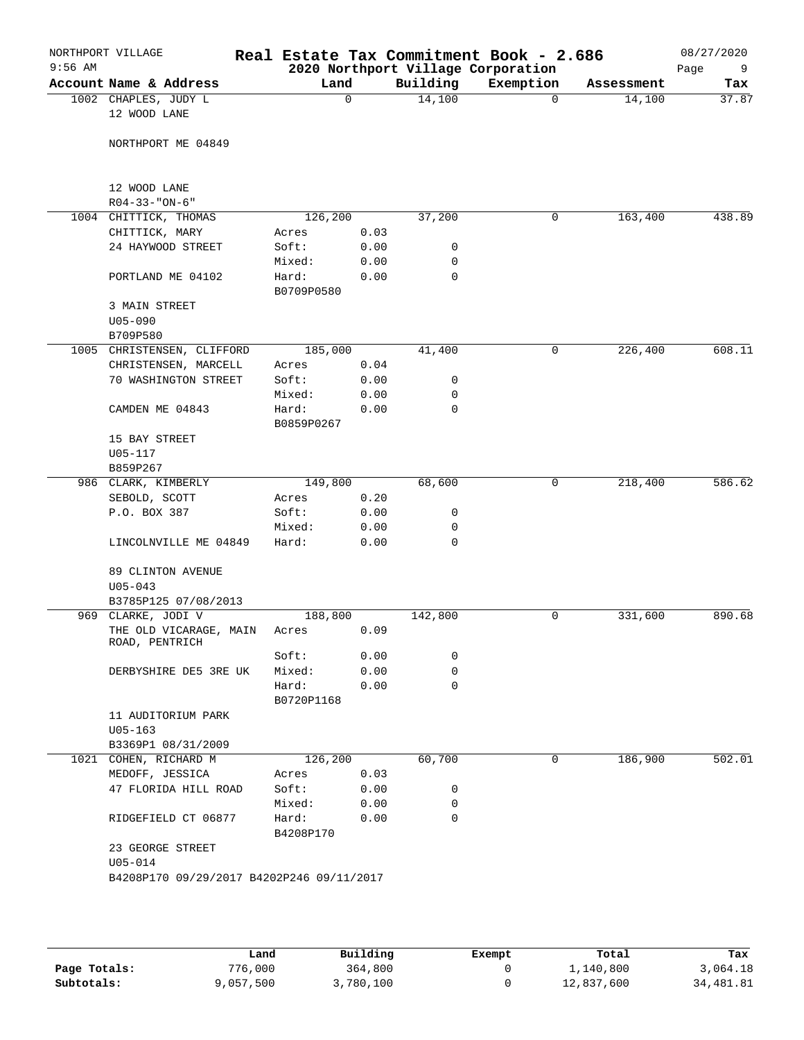| $9:56$ AM | NORTHPORT VILLAGE                    |                                           |                               |              |                  | Real Estate Tax Commitment Book - 2.686<br>2020 Northport Village Corporation |            | 08/27/2020<br>Page<br>9 |
|-----------|--------------------------------------|-------------------------------------------|-------------------------------|--------------|------------------|-------------------------------------------------------------------------------|------------|-------------------------|
|           | Account Name & Address               |                                           | Land                          |              | Building         | Exemption                                                                     | Assessment | Tax                     |
|           | 1002 CHAPLES, JUDY L<br>12 WOOD LANE |                                           | 0                             |              | 14,100           | $\Omega$                                                                      | 14,100     | 37.87                   |
|           |                                      | NORTHPORT ME 04849                        |                               |              |                  |                                                                               |            |                         |
|           | 12 WOOD LANE                         |                                           |                               |              |                  |                                                                               |            |                         |
|           | $R04 - 33 - "ON-6"$                  |                                           |                               |              |                  |                                                                               |            |                         |
|           | 1004 CHITTICK, THOMAS                |                                           | 126,200                       |              | 37,200           | 0                                                                             | 163,400    | 438.89                  |
|           | CHITTICK, MARY                       |                                           | Acres                         | 0.03         |                  |                                                                               |            |                         |
|           |                                      | 24 HAYWOOD STREET                         | Soft:                         | 0.00         | 0                |                                                                               |            |                         |
|           |                                      | PORTLAND ME 04102                         | Mixed:<br>Hard:<br>B0709P0580 | 0.00<br>0.00 | 0<br>0           |                                                                               |            |                         |
|           | 3 MAIN STREET<br>$U05 - 090$         |                                           |                               |              |                  |                                                                               |            |                         |
|           | B709P580                             |                                           |                               |              |                  |                                                                               |            |                         |
|           |                                      | 1005 CHRISTENSEN, CLIFFORD                | 185,000                       |              | 41,400           | 0                                                                             | 226,400    | 608.11                  |
|           |                                      | CHRISTENSEN, MARCELL                      | Acres                         | 0.04         |                  |                                                                               |            |                         |
|           |                                      | 70 WASHINGTON STREET                      | Soft:                         | 0.00         | 0                |                                                                               |            |                         |
|           |                                      |                                           | Mixed:                        | 0.00         | 0                |                                                                               |            |                         |
|           | CAMDEN ME 04843                      |                                           | Hard:<br>B0859P0267           | 0.00         | $\mathbf 0$      |                                                                               |            |                         |
|           | 15 BAY STREET                        |                                           |                               |              |                  |                                                                               |            |                         |
|           | U05-117                              |                                           |                               |              |                  |                                                                               |            |                         |
|           | B859P267                             |                                           |                               |              |                  |                                                                               |            |                         |
|           | 986 CLARK, KIMBERLY                  |                                           | 149,800                       |              | 68,600           | 0                                                                             | 218,400    | 586.62                  |
|           | SEBOLD, SCOTT                        |                                           | Acres                         | 0.20         |                  |                                                                               |            |                         |
|           | P.O. BOX 387                         |                                           | Soft:                         | 0.00         | 0                |                                                                               |            |                         |
|           |                                      | LINCOLNVILLE ME 04849                     | Mixed:<br>Hard:               | 0.00<br>0.00 | 0<br>$\mathbf 0$ |                                                                               |            |                         |
|           |                                      |                                           |                               |              |                  |                                                                               |            |                         |
|           | $U05 - 043$                          | 89 CLINTON AVENUE                         |                               |              |                  |                                                                               |            |                         |
|           |                                      | B3785P125 07/08/2013                      |                               |              |                  |                                                                               |            |                         |
|           | 969 CLARKE, JODI V<br>ROAD, PENTRICH | THE OLD VICARAGE, MAIN                    | 188,800<br>Acres              | 0.09         | 142,800          | 0                                                                             | 331,600    | 890.68                  |
|           |                                      |                                           | Soft:                         | 0.00         | 0                |                                                                               |            |                         |
|           |                                      | DERBYSHIRE DE5 3RE UK                     | Mixed:                        | 0.00         | 0                |                                                                               |            |                         |
|           |                                      |                                           | Hard:<br>B0720P1168           | 0.00         | $\mathbf 0$      |                                                                               |            |                         |
|           | $U05 - 163$                          | 11 AUDITORIUM PARK                        |                               |              |                  |                                                                               |            |                         |
|           |                                      | B3369P1 08/31/2009                        |                               |              |                  |                                                                               |            |                         |
|           | 1021 COHEN, RICHARD M                |                                           | 126,200                       |              | 60,700           | 0                                                                             | 186,900    | 502.01                  |
|           | MEDOFF, JESSICA                      |                                           | Acres                         | 0.03         |                  |                                                                               |            |                         |
|           |                                      | 47 FLORIDA HILL ROAD                      | Soft:                         | 0.00         | 0                |                                                                               |            |                         |
|           |                                      |                                           | Mixed:                        | 0.00         | 0                |                                                                               |            |                         |
|           |                                      | RIDGEFIELD CT 06877                       | Hard:<br>B4208P170            | 0.00         | $\mathbf 0$      |                                                                               |            |                         |
|           | $U05 - 014$                          | 23 GEORGE STREET                          |                               |              |                  |                                                                               |            |                         |
|           |                                      | B4208P170 09/29/2017 B4202P246 09/11/2017 |                               |              |                  |                                                                               |            |                         |
|           |                                      |                                           |                               |              |                  |                                                                               |            |                         |

|              | Land      | Building  | Exempt | Total      | Tax       |
|--------------|-----------|-----------|--------|------------|-----------|
| Page Totals: | 776,000   | 364,800   |        | 1,140,800  | 3,064.18  |
| Subtotals:   | 9,057,500 | 3,780,100 |        | 12,837,600 | 34,481.81 |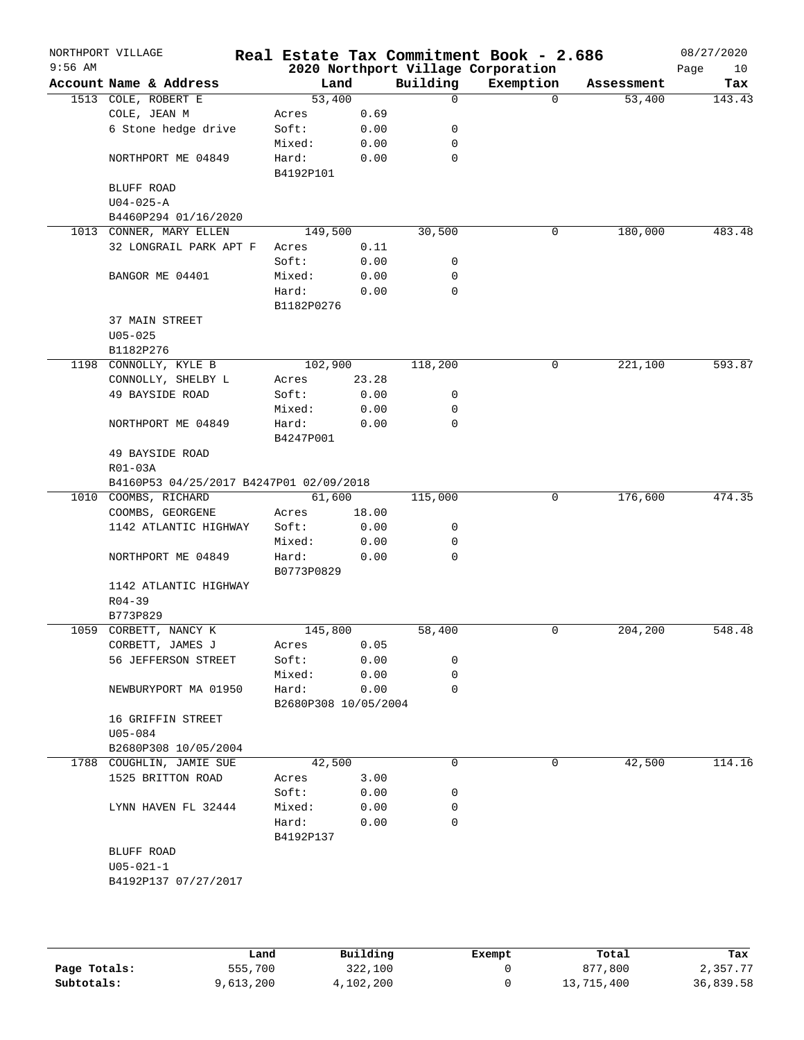| $9:56$ AM | NORTHPORT VILLAGE                                               |                      |       |             | Real Estate Tax Commitment Book - 2.686<br>2020 Northport Village Corporation |            | 08/27/2020<br>Page<br>10 |
|-----------|-----------------------------------------------------------------|----------------------|-------|-------------|-------------------------------------------------------------------------------|------------|--------------------------|
|           | Account Name & Address                                          | Land                 |       | Building    | Exemption                                                                     | Assessment | Tax                      |
|           | 1513 COLE, ROBERT E                                             | 53,400               |       | $\mathbf 0$ | $\Omega$                                                                      | 53,400     | 143.43                   |
|           | COLE, JEAN M                                                    | Acres                | 0.69  |             |                                                                               |            |                          |
|           | 6 Stone hedge drive                                             | Soft:                | 0.00  | 0           |                                                                               |            |                          |
|           |                                                                 | Mixed:               | 0.00  | 0           |                                                                               |            |                          |
|           | NORTHPORT ME 04849                                              | Hard:                | 0.00  | 0           |                                                                               |            |                          |
|           |                                                                 | B4192P101            |       |             |                                                                               |            |                          |
|           | BLUFF ROAD                                                      |                      |       |             |                                                                               |            |                          |
|           | $U04 - 025 - A$                                                 |                      |       |             |                                                                               |            |                          |
|           | B4460P294 01/16/2020                                            |                      |       |             |                                                                               |            |                          |
|           | 1013 CONNER, MARY ELLEN                                         | 149,500              |       | 30,500      | 0                                                                             | 180,000    | 483.48                   |
|           | 32 LONGRAIL PARK APT F                                          | Acres                | 0.11  |             |                                                                               |            |                          |
|           |                                                                 | Soft:                | 0.00  | 0           |                                                                               |            |                          |
|           | BANGOR ME 04401                                                 | Mixed:               | 0.00  | 0           |                                                                               |            |                          |
|           |                                                                 | Hard:                | 0.00  | 0           |                                                                               |            |                          |
|           |                                                                 | B1182P0276           |       |             |                                                                               |            |                          |
|           | 37 MAIN STREET                                                  |                      |       |             |                                                                               |            |                          |
|           | $U05 - 025$                                                     |                      |       |             |                                                                               |            |                          |
|           | B1182P276                                                       |                      |       |             |                                                                               |            |                          |
|           | 1198 CONNOLLY, KYLE B                                           | 102,900              |       | 118,200     | 0                                                                             | 221,100    | 593.87                   |
|           | CONNOLLY, SHELBY L                                              | Acres                | 23.28 |             |                                                                               |            |                          |
|           | 49 BAYSIDE ROAD                                                 | Soft:                | 0.00  | 0           |                                                                               |            |                          |
|           |                                                                 | Mixed:               | 0.00  | 0           |                                                                               |            |                          |
|           | NORTHPORT ME 04849                                              | Hard:                | 0.00  | $\mathbf 0$ |                                                                               |            |                          |
|           |                                                                 | B4247P001            |       |             |                                                                               |            |                          |
|           | 49 BAYSIDE ROAD                                                 |                      |       |             |                                                                               |            |                          |
|           | R01-03A                                                         |                      |       |             |                                                                               |            |                          |
|           | B4160P53 04/25/2017 B4247P01 02/09/2018<br>1010 COOMBS, RICHARD | 61,600               |       | 115,000     | 0                                                                             | 176,600    | 474.35                   |
|           | COOMBS, GEORGENE                                                | Acres                | 18.00 |             |                                                                               |            |                          |
|           | 1142 ATLANTIC HIGHWAY                                           | Soft:                | 0.00  | 0           |                                                                               |            |                          |
|           |                                                                 | Mixed:               | 0.00  | 0           |                                                                               |            |                          |
|           | NORTHPORT ME 04849                                              | Hard:                | 0.00  | 0           |                                                                               |            |                          |
|           |                                                                 | B0773P0829           |       |             |                                                                               |            |                          |
|           | 1142 ATLANTIC HIGHWAY                                           |                      |       |             |                                                                               |            |                          |
|           | $R04 - 39$                                                      |                      |       |             |                                                                               |            |                          |
|           | B773P829                                                        |                      |       |             |                                                                               |            |                          |
| 1059      | CORBETT, NANCY K                                                | 145,800              |       | 58,400      | 0                                                                             | 204, 200   | 548.48                   |
|           | CORBETT, JAMES J                                                | Acres                | 0.05  |             |                                                                               |            |                          |
|           | 56 JEFFERSON STREET                                             | Soft:                | 0.00  | 0           |                                                                               |            |                          |
|           |                                                                 | Mixed:               | 0.00  | 0           |                                                                               |            |                          |
|           | NEWBURYPORT MA 01950                                            | Hard:                | 0.00  | 0           |                                                                               |            |                          |
|           |                                                                 | B2680P308 10/05/2004 |       |             |                                                                               |            |                          |
|           | 16 GRIFFIN STREET                                               |                      |       |             |                                                                               |            |                          |
|           | U05-084                                                         |                      |       |             |                                                                               |            |                          |
|           | B2680P308 10/05/2004                                            |                      |       |             |                                                                               |            |                          |
|           | 1788 COUGHLIN, JAMIE SUE                                        | 42,500               |       | 0           | 0                                                                             | 42,500     | 114.16                   |
|           | 1525 BRITTON ROAD                                               | Acres                | 3.00  |             |                                                                               |            |                          |
|           |                                                                 | Soft:                | 0.00  | 0           |                                                                               |            |                          |
|           | LYNN HAVEN FL 32444                                             | Mixed:               | 0.00  | 0           |                                                                               |            |                          |
|           |                                                                 | Hard:                | 0.00  | 0           |                                                                               |            |                          |
|           |                                                                 | B4192P137            |       |             |                                                                               |            |                          |
|           | BLUFF ROAD                                                      |                      |       |             |                                                                               |            |                          |
|           | $U05 - 021 - 1$                                                 |                      |       |             |                                                                               |            |                          |
|           | B4192P137 07/27/2017                                            |                      |       |             |                                                                               |            |                          |
|           |                                                                 |                      |       |             |                                                                               |            |                          |

|              | Land      | Building  | Exempt | Total      | Tax       |
|--------------|-----------|-----------|--------|------------|-----------|
| Page Totals: | 555,700   | 322,100   |        | 877,800    | 2,357.77  |
| Subtotals:   | 9,613,200 | 4,102,200 |        | 13,715,400 | 36,839.58 |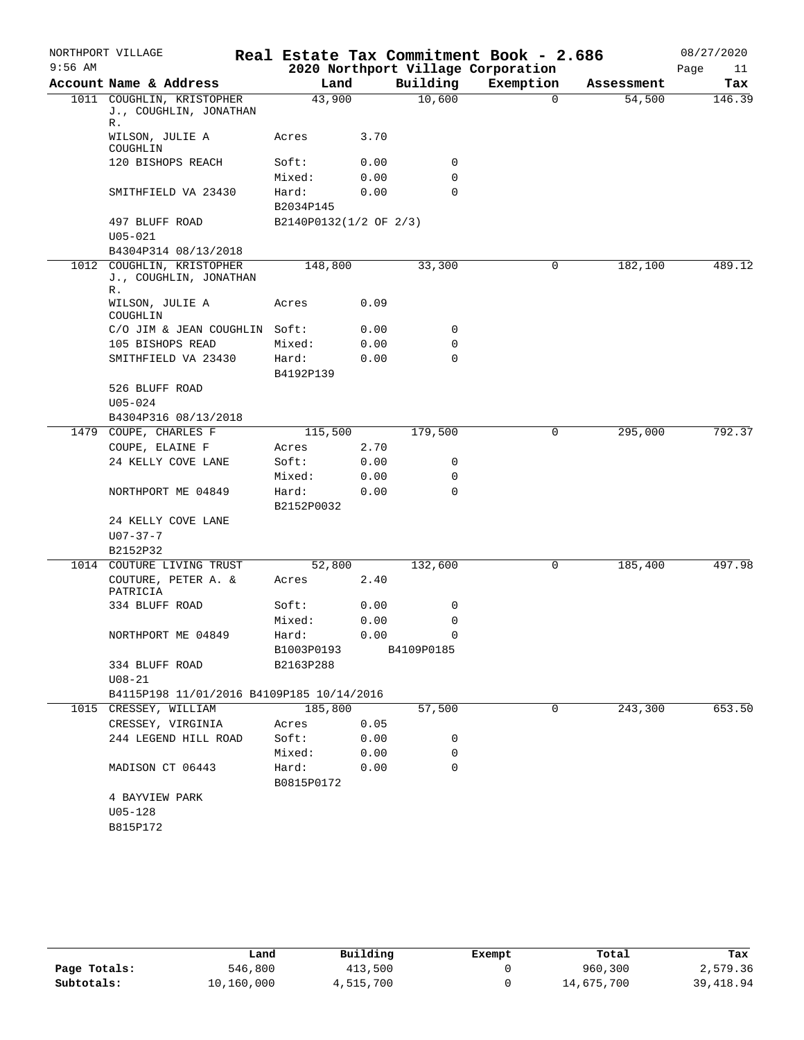|           | NORTHPORT VILLAGE                                         |                        |              |            | Real Estate Tax Commitment Book - 2.686 |            | 08/27/2020 |
|-----------|-----------------------------------------------------------|------------------------|--------------|------------|-----------------------------------------|------------|------------|
| $9:56$ AM |                                                           |                        |              |            | 2020 Northport Village Corporation      |            | Page<br>11 |
|           | Account Name & Address                                    | Land                   |              | Building   | Exemption                               | Assessment | Tax        |
|           | 1011 COUGHLIN, KRISTOPHER<br>J., COUGHLIN, JONATHAN<br>R. | 43,900                 |              | 10,600     | $\Omega$                                | 54,500     | 146.39     |
|           | WILSON, JULIE A<br>COUGHLIN                               | Acres                  | 3.70         |            |                                         |            |            |
|           | 120 BISHOPS REACH                                         | Soft:                  | 0.00         | 0          |                                         |            |            |
|           |                                                           | Mixed:                 | 0.00         | 0          |                                         |            |            |
|           | SMITHFIELD VA 23430                                       | Hard:<br>B2034P145     | 0.00         | 0          |                                         |            |            |
|           | 497 BLUFF ROAD                                            | B2140P0132(1/2 OF 2/3) |              |            |                                         |            |            |
|           | $U05 - 021$                                               |                        |              |            |                                         |            |            |
|           | B4304P314 08/13/2018                                      |                        |              |            |                                         |            |            |
|           | 1012 COUGHLIN, KRISTOPHER<br>J., COUGHLIN, JONATHAN<br>R. | 148,800                |              | 33,300     | 0                                       | 182,100    | 489.12     |
|           | WILSON, JULIE A<br>COUGHLIN                               | Acres                  | 0.09         |            |                                         |            |            |
|           | C/O JIM & JEAN COUGHLIN Soft:                             |                        | 0.00         | 0          |                                         |            |            |
|           | 105 BISHOPS READ                                          | Mixed:                 | 0.00         | 0          |                                         |            |            |
|           | SMITHFIELD VA 23430                                       | Hard:                  | 0.00         | 0          |                                         |            |            |
|           |                                                           | B4192P139              |              |            |                                         |            |            |
|           | 526 BLUFF ROAD                                            |                        |              |            |                                         |            |            |
|           | $U05 - 024$                                               |                        |              |            |                                         |            |            |
|           | B4304P316 08/13/2018                                      |                        |              |            |                                         |            |            |
|           | 1479 COUPE, CHARLES F                                     | 115,500                |              | 179,500    | 0                                       | 295,000    | 792.37     |
|           | COUPE, ELAINE F                                           | Acres                  | 2.70         |            |                                         |            |            |
|           | 24 KELLY COVE LANE                                        | Soft:<br>Mixed:        | 0.00<br>0.00 | 0<br>0     |                                         |            |            |
|           | NORTHPORT ME 04849                                        | Hard:                  | 0.00         | $\Omega$   |                                         |            |            |
|           |                                                           | B2152P0032             |              |            |                                         |            |            |
|           | 24 KELLY COVE LANE                                        |                        |              |            |                                         |            |            |
|           | $U07 - 37 - 7$                                            |                        |              |            |                                         |            |            |
|           | B2152P32                                                  |                        |              |            |                                         |            |            |
|           | 1014 COUTURE LIVING TRUST                                 | 52,800                 |              | 132,600    | 0                                       | 185,400    | 497.98     |
|           | COUTURE, PETER A. &<br>PATRICIA                           | Acres                  | 2.40         |            |                                         |            |            |
|           | 334 BLUFF ROAD                                            | Soft:                  | 0.00         | 0          |                                         |            |            |
|           |                                                           | Mixed:                 | 0.00         | 0          |                                         |            |            |
|           | NORTHPORT ME 04849                                        | Hard:                  | 0.00         | $\Omega$   |                                         |            |            |
|           |                                                           | B1003P0193             |              | B4109P0185 |                                         |            |            |
|           | 334 BLUFF ROAD                                            | B2163P288              |              |            |                                         |            |            |
|           | $U08 - 21$<br>B4115P198 11/01/2016 B4109P185 10/14/2016   |                        |              |            |                                         |            |            |
|           | 1015 CRESSEY, WILLIAM                                     | 185,800                |              | 57,500     | 0                                       | 243,300    | 653.50     |
|           | CRESSEY, VIRGINIA                                         | Acres                  | 0.05         |            |                                         |            |            |
|           | 244 LEGEND HILL ROAD                                      | Soft:                  | 0.00         | 0          |                                         |            |            |
|           |                                                           | Mixed:                 | 0.00         | 0          |                                         |            |            |
|           | MADISON CT 06443                                          | Hard:                  | 0.00         | 0          |                                         |            |            |
|           |                                                           | B0815P0172             |              |            |                                         |            |            |
|           | 4 BAYVIEW PARK                                            |                        |              |            |                                         |            |            |
|           | $U05 - 128$                                               |                        |              |            |                                         |            |            |
|           | B815P172                                                  |                        |              |            |                                         |            |            |
|           |                                                           |                        |              |            |                                         |            |            |

|              | Land       | Building  | Exempt | Total      | Tax       |
|--------------|------------|-----------|--------|------------|-----------|
| Page Totals: | 546,800    | 413,500   |        | 960,300    | 2,579.36  |
| Subtotals:   | 10,160,000 | 4,515,700 |        | 14,675,700 | 39,418.94 |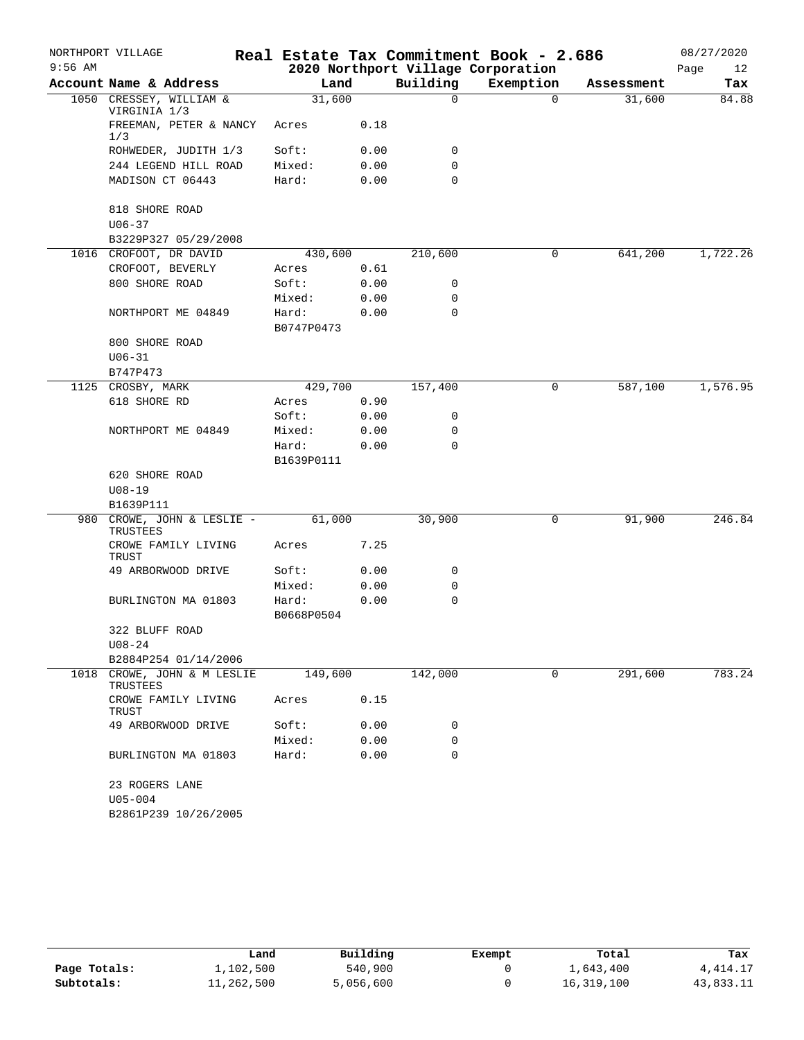|           | NORTHPORT VILLAGE                       |                     |      |          | Real Estate Tax Commitment Book - 2.686 |            | 08/27/2020 |
|-----------|-----------------------------------------|---------------------|------|----------|-----------------------------------------|------------|------------|
| $9:56$ AM |                                         |                     |      |          | 2020 Northport Village Corporation      |            | Page<br>12 |
|           | Account Name & Address                  | Land                |      | Building | Exemption                               | Assessment | Tax        |
|           | 1050 CRESSEY, WILLIAM &<br>VIRGINIA 1/3 | 31,600              |      | $\Omega$ | $\Omega$                                | 31,600     | 84.88      |
|           | FREEMAN, PETER & NANCY<br>1/3           | Acres               | 0.18 |          |                                         |            |            |
|           | ROHWEDER, JUDITH 1/3                    | Soft:               | 0.00 | 0        |                                         |            |            |
|           | 244 LEGEND HILL ROAD                    | Mixed:              | 0.00 | 0        |                                         |            |            |
|           | MADISON CT 06443                        | Hard:               | 0.00 | 0        |                                         |            |            |
|           | 818 SHORE ROAD                          |                     |      |          |                                         |            |            |
|           | $U06 - 37$                              |                     |      |          |                                         |            |            |
|           | B3229P327 05/29/2008                    |                     |      |          |                                         |            |            |
|           | 1016 CROFOOT, DR DAVID                  | 430,600             |      | 210,600  | 0                                       | 641,200    | 1,722.26   |
|           | CROFOOT, BEVERLY                        | Acres               | 0.61 |          |                                         |            |            |
|           | 800 SHORE ROAD                          | Soft:               | 0.00 | 0        |                                         |            |            |
|           |                                         | Mixed:              | 0.00 | 0        |                                         |            |            |
|           | NORTHPORT ME 04849                      | Hard:<br>B0747P0473 | 0.00 | 0        |                                         |            |            |
|           | 800 SHORE ROAD                          |                     |      |          |                                         |            |            |
|           | $U06 - 31$                              |                     |      |          |                                         |            |            |
|           | B747P473                                |                     |      |          |                                         |            |            |
| 1125      | CROSBY, MARK                            | 429,700             |      | 157,400  | 0                                       | 587,100    | 1,576.95   |
|           | 618 SHORE RD                            | Acres               | 0.90 |          |                                         |            |            |
|           |                                         | Soft:               | 0.00 | 0        |                                         |            |            |
|           | NORTHPORT ME 04849                      | Mixed:              | 0.00 | 0        |                                         |            |            |
|           |                                         | Hard:<br>B1639P0111 | 0.00 | 0        |                                         |            |            |
|           | 620 SHORE ROAD                          |                     |      |          |                                         |            |            |
|           | $U08 - 19$                              |                     |      |          |                                         |            |            |
|           | B1639P111                               |                     |      |          |                                         |            |            |
| 980       | CROWE, JOHN & LESLIE -<br>TRUSTEES      | 61,000              |      | 30,900   | 0                                       | 91,900     | 246.84     |
|           | CROWE FAMILY LIVING<br>TRUST            | Acres               | 7.25 |          |                                         |            |            |
|           | 49 ARBORWOOD DRIVE                      | Soft:               | 0.00 | 0        |                                         |            |            |
|           |                                         | Mixed:              | 0.00 | 0        |                                         |            |            |
|           | BURLINGTON MA 01803                     | Hard:               | 0.00 | 0        |                                         |            |            |
|           |                                         | B0668P0504          |      |          |                                         |            |            |
|           | 322 BLUFF ROAD<br>$U08 - 24$            |                     |      |          |                                         |            |            |
|           | B2884P254 01/14/2006                    |                     |      |          |                                         |            |            |
| 1018      | CROWE, JOHN & M LESLIE<br>TRUSTEES      | 149,600             |      | 142,000  | 0                                       | 291,600    | 783.24     |
|           | CROWE FAMILY LIVING<br>TRUST            | Acres               | 0.15 |          |                                         |            |            |
|           | 49 ARBORWOOD DRIVE                      | Soft:               | 0.00 | 0        |                                         |            |            |
|           |                                         | Mixed:              | 0.00 | 0        |                                         |            |            |
|           | BURLINGTON MA 01803                     | Hard:               | 0.00 | 0        |                                         |            |            |
|           | 23 ROGERS LANE<br>$U05 - 004$           |                     |      |          |                                         |            |            |
|           | B2861P239 10/26/2005                    |                     |      |          |                                         |            |            |
|           |                                         |                     |      |          |                                         |            |            |

|              | Land       | Building  | Exempt | Total      | Tax        |
|--------------|------------|-----------|--------|------------|------------|
| Page Totals: | 1,102,500  | 540,900   |        | 1,643,400  | 4, 414. 17 |
| Subtotals:   | 11,262,500 | 5,056,600 |        | 16,319,100 | 43,833.11  |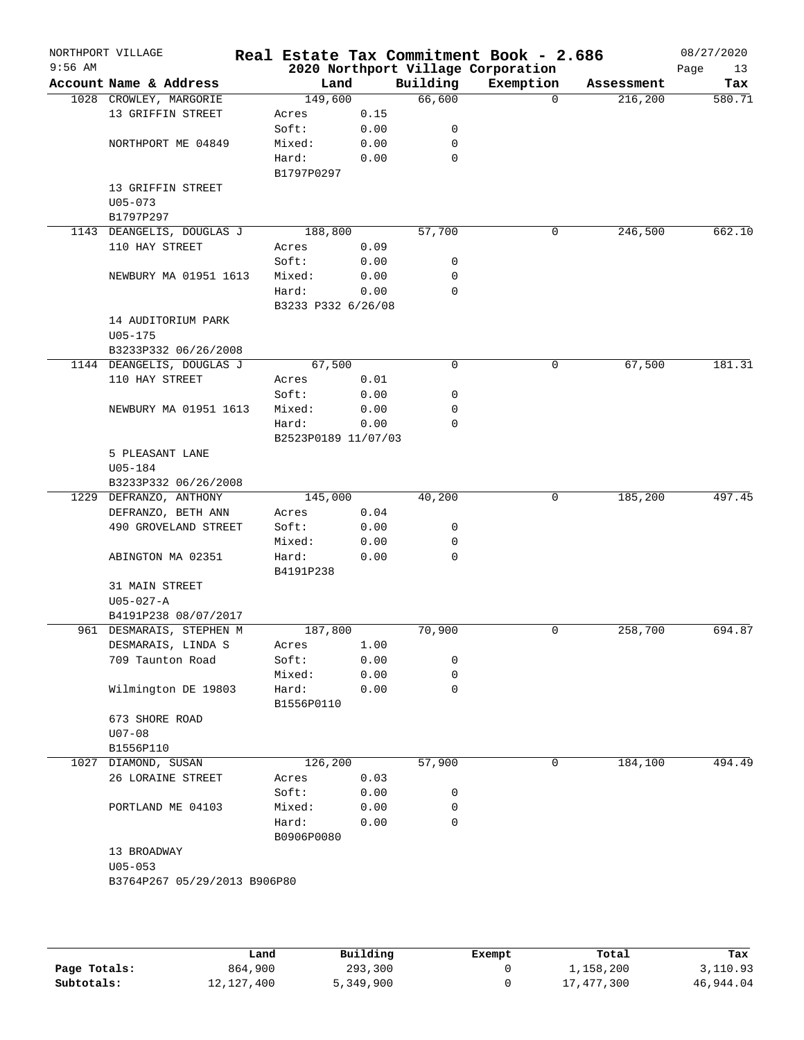| $9:56$ AM | NORTHPORT VILLAGE                                |                     |      |          | Real Estate Tax Commitment Book - 2.686<br>2020 Northport Village Corporation |            | 08/27/2020<br>Page<br>13 |
|-----------|--------------------------------------------------|---------------------|------|----------|-------------------------------------------------------------------------------|------------|--------------------------|
|           | Account Name & Address                           | Land                |      | Building | Exemption                                                                     | Assessment | Tax                      |
|           | 1028 CROWLEY, MARGORIE                           | 149,600             |      | 66,600   | $\Omega$                                                                      | 216,200    | 580.71                   |
|           | 13 GRIFFIN STREET                                | Acres               | 0.15 |          |                                                                               |            |                          |
|           |                                                  | Soft:               | 0.00 | 0        |                                                                               |            |                          |
|           | NORTHPORT ME 04849                               | Mixed:              | 0.00 | 0        |                                                                               |            |                          |
|           |                                                  | Hard:               | 0.00 | 0        |                                                                               |            |                          |
|           |                                                  | B1797P0297          |      |          |                                                                               |            |                          |
|           | 13 GRIFFIN STREET                                |                     |      |          |                                                                               |            |                          |
|           | $U05 - 073$                                      |                     |      |          |                                                                               |            |                          |
|           | B1797P297                                        | 188,800             |      |          |                                                                               | 246,500    |                          |
|           | 1143 DEANGELIS, DOUGLAS J<br>110 HAY STREET      |                     | 0.09 | 57,700   | 0                                                                             |            | 662.10                   |
|           |                                                  | Acres<br>Soft:      | 0.00 | 0        |                                                                               |            |                          |
|           | NEWBURY MA 01951 1613                            | Mixed:              | 0.00 | 0        |                                                                               |            |                          |
|           |                                                  | Hard:               | 0.00 | 0        |                                                                               |            |                          |
|           |                                                  | B3233 P332 6/26/08  |      |          |                                                                               |            |                          |
|           | 14 AUDITORIUM PARK                               |                     |      |          |                                                                               |            |                          |
|           | $U05 - 175$                                      |                     |      |          |                                                                               |            |                          |
|           | B3233P332 06/26/2008                             |                     |      |          |                                                                               |            |                          |
|           | 1144 DEANGELIS, DOUGLAS J                        | 67,500              |      | 0        | 0                                                                             | 67,500     | 181.31                   |
|           | 110 HAY STREET                                   | Acres               | 0.01 |          |                                                                               |            |                          |
|           |                                                  | Soft:               | 0.00 | 0        |                                                                               |            |                          |
|           | NEWBURY MA 01951 1613                            | Mixed:              | 0.00 | 0        |                                                                               |            |                          |
|           |                                                  | Hard:               | 0.00 | 0        |                                                                               |            |                          |
|           |                                                  | B2523P0189 11/07/03 |      |          |                                                                               |            |                          |
|           | 5 PLEASANT LANE                                  |                     |      |          |                                                                               |            |                          |
|           | U05-184                                          |                     |      |          |                                                                               |            |                          |
|           | B3233P332 06/26/2008                             |                     |      |          |                                                                               |            |                          |
|           | 1229 DEFRANZO, ANTHONY                           | 145,000             |      | 40,200   | 0                                                                             | 185,200    | 497.45                   |
|           | DEFRANZO, BETH ANN                               | Acres               | 0.04 |          |                                                                               |            |                          |
|           | 490 GROVELAND STREET                             | Soft:               | 0.00 | 0        |                                                                               |            |                          |
|           |                                                  | Mixed:              | 0.00 | 0        |                                                                               |            |                          |
|           | ABINGTON MA 02351                                | Hard:               | 0.00 | 0        |                                                                               |            |                          |
|           |                                                  | B4191P238           |      |          |                                                                               |            |                          |
|           | 31 MAIN STREET                                   |                     |      |          |                                                                               |            |                          |
|           | $U05 - 027 - A$                                  |                     |      |          |                                                                               |            |                          |
|           | B4191P238 08/07/2017<br>961 DESMARAIS, STEPHEN M | 187,800             |      | 70,900   | 0                                                                             | 258,700    | 694.87                   |
|           | DESMARAIS, LINDA S                               | Acres               | 1.00 |          |                                                                               |            |                          |
|           | 709 Taunton Road                                 | Soft:               | 0.00 | 0        |                                                                               |            |                          |
|           |                                                  | Mixed:              | 0.00 | 0        |                                                                               |            |                          |
|           | Wilmington DE 19803                              | Hard:               | 0.00 | 0        |                                                                               |            |                          |
|           |                                                  | B1556P0110          |      |          |                                                                               |            |                          |
|           | 673 SHORE ROAD                                   |                     |      |          |                                                                               |            |                          |
|           | $U07 - 08$                                       |                     |      |          |                                                                               |            |                          |
|           | B1556P110                                        |                     |      |          |                                                                               |            |                          |
|           | 1027 DIAMOND, SUSAN                              | 126,200             |      | 57,900   | 0                                                                             | 184,100    | 494.49                   |
|           | 26 LORAINE STREET                                | Acres               | 0.03 |          |                                                                               |            |                          |
|           |                                                  | Soft:               | 0.00 | 0        |                                                                               |            |                          |
|           | PORTLAND ME 04103                                | Mixed:              | 0.00 | 0        |                                                                               |            |                          |
|           |                                                  | Hard:               | 0.00 | 0        |                                                                               |            |                          |
|           |                                                  | B0906P0080          |      |          |                                                                               |            |                          |
|           | 13 BROADWAY                                      |                     |      |          |                                                                               |            |                          |
|           | $U05 - 053$                                      |                     |      |          |                                                                               |            |                          |
|           | B3764P267 05/29/2013 B906P80                     |                     |      |          |                                                                               |            |                          |

|              | Land         | Building  | Exempt | Total      | Tax       |
|--------------|--------------|-----------|--------|------------|-----------|
| Page Totals: | 864,900      | 293,300   |        | 1,158,200  | 3,110.93  |
| Subtotals:   | 12, 127, 400 | 5,349,900 |        | 17,477,300 | 46,944.04 |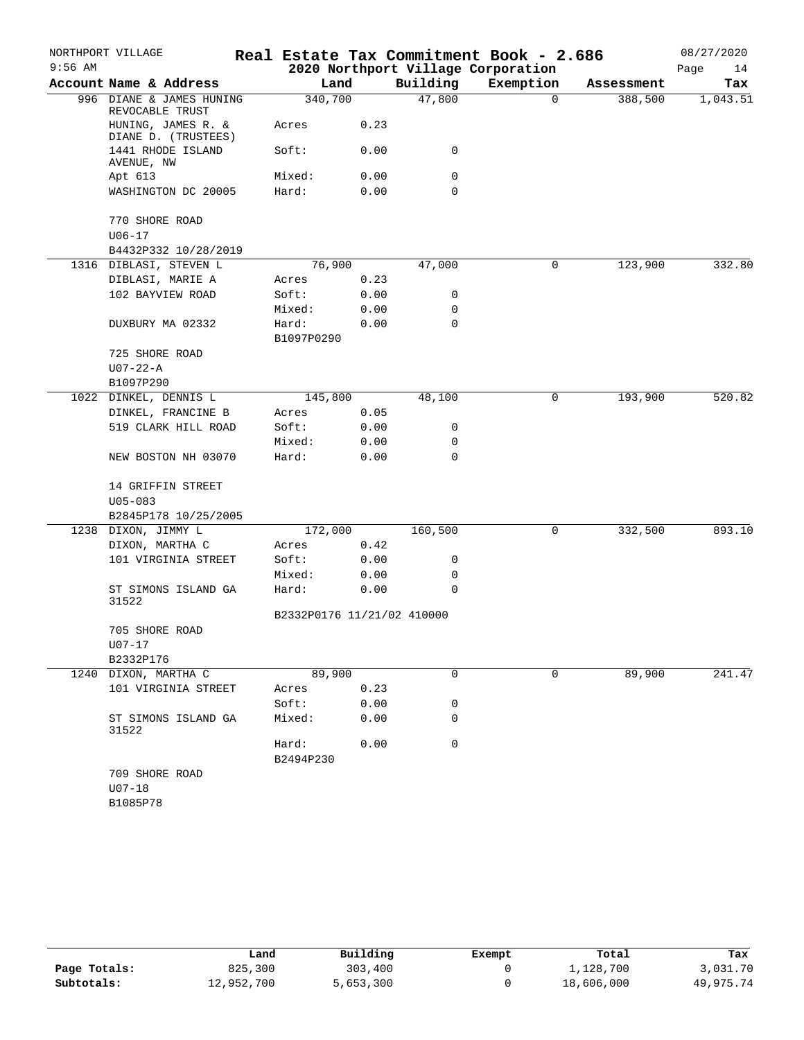|           | NORTHPORT VILLAGE                           |                            |      |             | Real Estate Tax Commitment Book - 2.686 |            | 08/27/2020 |
|-----------|---------------------------------------------|----------------------------|------|-------------|-----------------------------------------|------------|------------|
| $9:56$ AM |                                             |                            |      |             | 2020 Northport Village Corporation      |            | Page<br>14 |
|           | Account Name & Address                      | Land                       |      | Building    | Exemption                               | Assessment | Tax        |
|           | 996 DIANE & JAMES HUNING<br>REVOCABLE TRUST | 340,700                    |      | 47,800      | $\Omega$                                | 388,500    | 1,043.51   |
|           | HUNING, JAMES R. &<br>DIANE D. (TRUSTEES)   | Acres                      | 0.23 |             |                                         |            |            |
|           | 1441 RHODE ISLAND<br>AVENUE, NW             | Soft:                      | 0.00 | 0           |                                         |            |            |
|           | Apt 613                                     | Mixed:                     | 0.00 | 0           |                                         |            |            |
|           | WASHINGTON DC 20005                         | Hard:                      | 0.00 | 0           |                                         |            |            |
|           | 770 SHORE ROAD                              |                            |      |             |                                         |            |            |
|           | $U06 - 17$                                  |                            |      |             |                                         |            |            |
|           | B4432P332 10/28/2019                        |                            |      |             |                                         |            |            |
|           | 1316 DIBLASI, STEVEN L                      | 76,900                     |      | 47,000      | 0                                       | 123,900    | 332.80     |
|           | DIBLASI, MARIE A                            | Acres                      | 0.23 |             |                                         |            |            |
|           | 102 BAYVIEW ROAD                            | Soft:                      | 0.00 | 0           |                                         |            |            |
|           |                                             | Mixed:                     | 0.00 | 0           |                                         |            |            |
|           | DUXBURY MA 02332                            | Hard:<br>B1097P0290        | 0.00 | 0           |                                         |            |            |
|           | 725 SHORE ROAD                              |                            |      |             |                                         |            |            |
|           | $U07 - 22 - A$                              |                            |      |             |                                         |            |            |
|           | B1097P290                                   |                            |      |             |                                         |            |            |
|           | 1022 DINKEL, DENNIS L                       | 145,800                    |      | 48,100      | 0                                       | 193,900    | 520.82     |
|           | DINKEL, FRANCINE B                          | Acres                      | 0.05 |             |                                         |            |            |
|           | 519 CLARK HILL ROAD                         | Soft:                      | 0.00 | 0           |                                         |            |            |
|           |                                             | Mixed:                     | 0.00 | 0           |                                         |            |            |
|           | NEW BOSTON NH 03070                         | Hard:                      | 0.00 | $\mathbf 0$ |                                         |            |            |
|           | 14 GRIFFIN STREET                           |                            |      |             |                                         |            |            |
|           | $U05 - 083$                                 |                            |      |             |                                         |            |            |
|           | B2845P178 10/25/2005                        |                            |      |             |                                         |            |            |
| 1238      | DIXON, JIMMY L                              | 172,000                    |      | 160,500     | 0                                       | 332,500    | 893.10     |
|           | DIXON, MARTHA C                             | Acres                      | 0.42 |             |                                         |            |            |
|           | 101 VIRGINIA STREET                         | Soft:                      | 0.00 | 0           |                                         |            |            |
|           |                                             | Mixed:                     | 0.00 | 0           |                                         |            |            |
|           | ST SIMONS ISLAND GA<br>31522                | Hard:                      | 0.00 | $\mathbf 0$ |                                         |            |            |
|           |                                             | B2332P0176 11/21/02 410000 |      |             |                                         |            |            |
|           | 705 SHORE ROAD                              |                            |      |             |                                         |            |            |
|           | U07-17                                      |                            |      |             |                                         |            |            |
|           | B2332P176                                   |                            |      |             |                                         |            |            |
|           | 1240 DIXON, MARTHA C                        | 89,900                     |      | 0           | 0                                       | 89,900     | 241.47     |
|           | 101 VIRGINIA STREET                         | Acres                      | 0.23 |             |                                         |            |            |
|           |                                             | Soft:                      | 0.00 | 0           |                                         |            |            |
|           | ST SIMONS ISLAND GA<br>31522                | Mixed:                     | 0.00 | 0           |                                         |            |            |
|           |                                             | Hard:                      | 0.00 | 0           |                                         |            |            |
|           |                                             | B2494P230                  |      |             |                                         |            |            |
|           | 709 SHORE ROAD                              |                            |      |             |                                         |            |            |
|           | $U07 - 18$                                  |                            |      |             |                                         |            |            |
|           | B1085P78                                    |                            |      |             |                                         |            |            |

|              | Land       | Building  | Exempt | Total      | Tax       |
|--------------|------------|-----------|--------|------------|-----------|
| Page Totals: | 825,300    | 303,400   |        | 1,128,700  | 3,031.70  |
| Subtotals:   | 12,952,700 | 5,653,300 |        | 18,606,000 | 49,975.74 |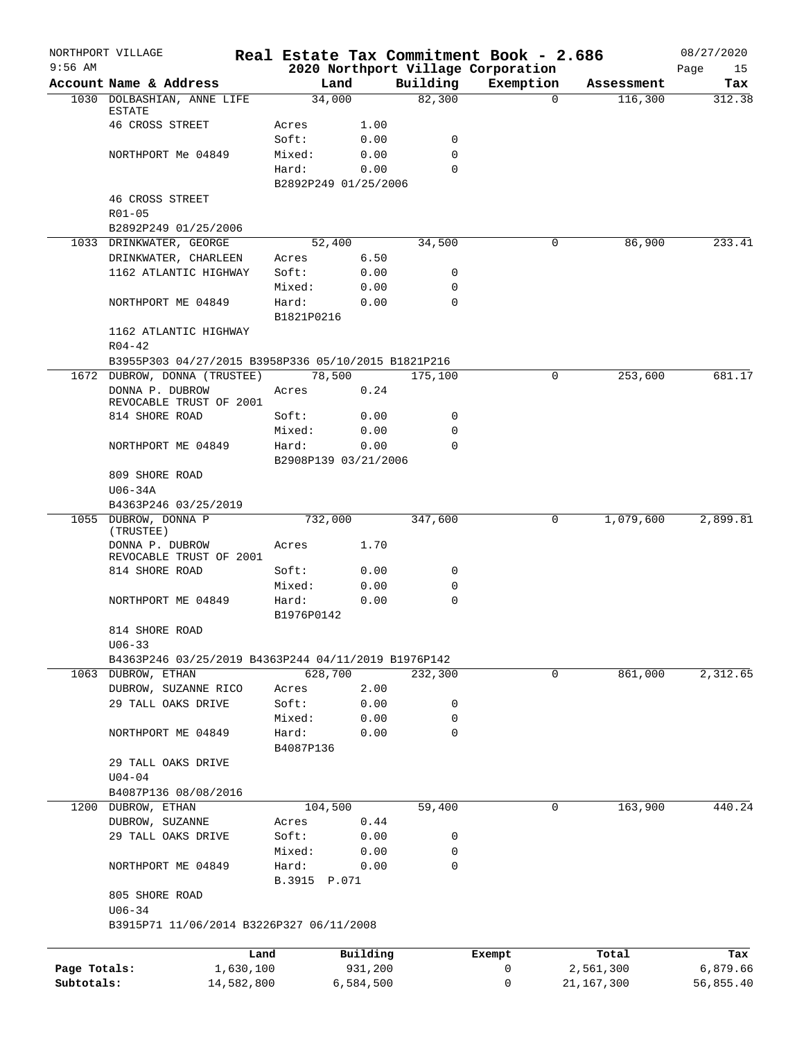|              | NORTHPORT VILLAGE                                   |                 |                      |                    | Real Estate Tax Commitment Book - 2.686 |                        | 08/27/2020 |
|--------------|-----------------------------------------------------|-----------------|----------------------|--------------------|-----------------------------------------|------------------------|------------|
| $9:56$ AM    |                                                     |                 |                      |                    | 2020 Northport Village Corporation      |                        | Page<br>15 |
|              | Account Name & Address                              |                 | Land                 | Building<br>82,300 | Exemption                               | Assessment<br>$\Omega$ | Tax        |
|              | 1030 DOLBASHIAN, ANNE LIFE<br><b>ESTATE</b>         |                 | 34,000               |                    |                                         | 116,300                | 312.38     |
|              | 46 CROSS STREET                                     | Acres           | 1.00                 |                    |                                         |                        |            |
|              |                                                     | Soft:           | 0.00                 | 0                  |                                         |                        |            |
|              | NORTHPORT Me 04849                                  | Mixed:          | 0.00                 | $\mathbf 0$        |                                         |                        |            |
|              |                                                     | Hard:           | 0.00                 | $\Omega$           |                                         |                        |            |
|              |                                                     |                 | B2892P249 01/25/2006 |                    |                                         |                        |            |
|              | <b>46 CROSS STREET</b>                              |                 |                      |                    |                                         |                        |            |
|              | $R01 - 05$                                          |                 |                      |                    |                                         |                        |            |
|              | B2892P249 01/25/2006                                |                 |                      |                    |                                         |                        |            |
|              | 1033 DRINKWATER, GEORGE                             | Acres           | 52,400<br>6.50       | 34,500             |                                         | 86,900<br>0            | 233.41     |
|              | DRINKWATER, CHARLEEN<br>1162 ATLANTIC HIGHWAY       | Soft:           | 0.00                 | 0                  |                                         |                        |            |
|              |                                                     | Mixed:          | 0.00                 | 0                  |                                         |                        |            |
|              | NORTHPORT ME 04849                                  | Hard:           | 0.00                 | 0                  |                                         |                        |            |
|              |                                                     | B1821P0216      |                      |                    |                                         |                        |            |
|              | 1162 ATLANTIC HIGHWAY                               |                 |                      |                    |                                         |                        |            |
|              | $R04 - 42$                                          |                 |                      |                    |                                         |                        |            |
|              | B3955P303 04/27/2015 B3958P336 05/10/2015 B1821P216 |                 |                      |                    |                                         |                        |            |
|              | 1672 DUBROW, DONNA (TRUSTEE)                        |                 | 78,500               | 175,100            |                                         | 0<br>253,600           | 681.17     |
|              | DONNA P. DUBROW                                     | Acres           | 0.24                 |                    |                                         |                        |            |
|              | REVOCABLE TRUST OF 2001                             |                 |                      |                    |                                         |                        |            |
|              | 814 SHORE ROAD                                      | Soft:           | 0.00                 | 0                  |                                         |                        |            |
|              |                                                     | Mixed:          | 0.00                 | 0                  |                                         |                        |            |
|              | NORTHPORT ME 04849                                  | Hard:           | 0.00                 | $\Omega$           |                                         |                        |            |
|              |                                                     |                 | B2908P139 03/21/2006 |                    |                                         |                        |            |
|              | 809 SHORE ROAD                                      |                 |                      |                    |                                         |                        |            |
|              | $U06 - 34A$                                         |                 |                      |                    |                                         |                        |            |
|              | B4363P246 03/25/2019<br>1055 DUBROW, DONNA P        |                 | 732,000              | 347,600            |                                         | 0<br>1,079,600         | 2,899.81   |
|              | (TRUSTEE)                                           |                 |                      |                    |                                         |                        |            |
|              | DONNA P. DUBROW<br>REVOCABLE TRUST OF 2001          | Acres           | 1.70                 |                    |                                         |                        |            |
|              | 814 SHORE ROAD                                      | Soft:           | 0.00                 | 0                  |                                         |                        |            |
|              |                                                     | Mixed:          | 0.00                 | 0                  |                                         |                        |            |
|              | NORTHPORT ME 04849                                  | Hard:           | 0.00                 | 0                  |                                         |                        |            |
|              |                                                     | B1976P0142      |                      |                    |                                         |                        |            |
|              | 814 SHORE ROAD                                      |                 |                      |                    |                                         |                        |            |
|              | $U06 - 33$                                          |                 |                      |                    |                                         |                        |            |
|              | B4363P246 03/25/2019 B4363P244 04/11/2019 B1976P142 |                 |                      |                    |                                         |                        |            |
|              | 1063 DUBROW, ETHAN                                  |                 | 628,700              | 232,300            |                                         | 0<br>861,000           | 2,312.65   |
|              | DUBROW, SUZANNE RICO                                | Acres           | 2.00                 |                    |                                         |                        |            |
|              | 29 TALL OAKS DRIVE                                  | Soft:<br>Mixed: | 0.00                 | 0<br>0             |                                         |                        |            |
|              | NORTHPORT ME 04849                                  | Hard:           | 0.00<br>0.00         | $\mathbf 0$        |                                         |                        |            |
|              |                                                     | B4087P136       |                      |                    |                                         |                        |            |
|              | 29 TALL OAKS DRIVE                                  |                 |                      |                    |                                         |                        |            |
|              | $U04 - 04$                                          |                 |                      |                    |                                         |                        |            |
|              | B4087P136 08/08/2016                                |                 |                      |                    |                                         |                        |            |
| 1200         | DUBROW, ETHAN                                       |                 | 104,500              | 59,400             |                                         | 163,900<br>0           | 440.24     |
|              | DUBROW, SUZANNE                                     | Acres           | 0.44                 |                    |                                         |                        |            |
|              | 29 TALL OAKS DRIVE                                  | Soft:           | 0.00                 | 0                  |                                         |                        |            |
|              |                                                     | Mixed:          | 0.00                 | 0                  |                                         |                        |            |
|              | NORTHPORT ME 04849                                  | Hard:           | 0.00                 | 0                  |                                         |                        |            |
|              |                                                     | B.3915 P.071    |                      |                    |                                         |                        |            |
|              | 805 SHORE ROAD                                      |                 |                      |                    |                                         |                        |            |
|              | $U06 - 34$                                          |                 |                      |                    |                                         |                        |            |
|              | B3915P71 11/06/2014 B3226P327 06/11/2008            |                 |                      |                    |                                         |                        |            |
|              |                                                     | Land            | Building             |                    | Exempt                                  | Total                  | Tax        |
| Page Totals: | 1,630,100                                           |                 | 931,200              |                    | 0                                       | 2,561,300              | 6,879.66   |
| Subtotals:   | 14,582,800                                          |                 | 6,584,500            |                    | 0                                       | 21, 167, 300           | 56,855.40  |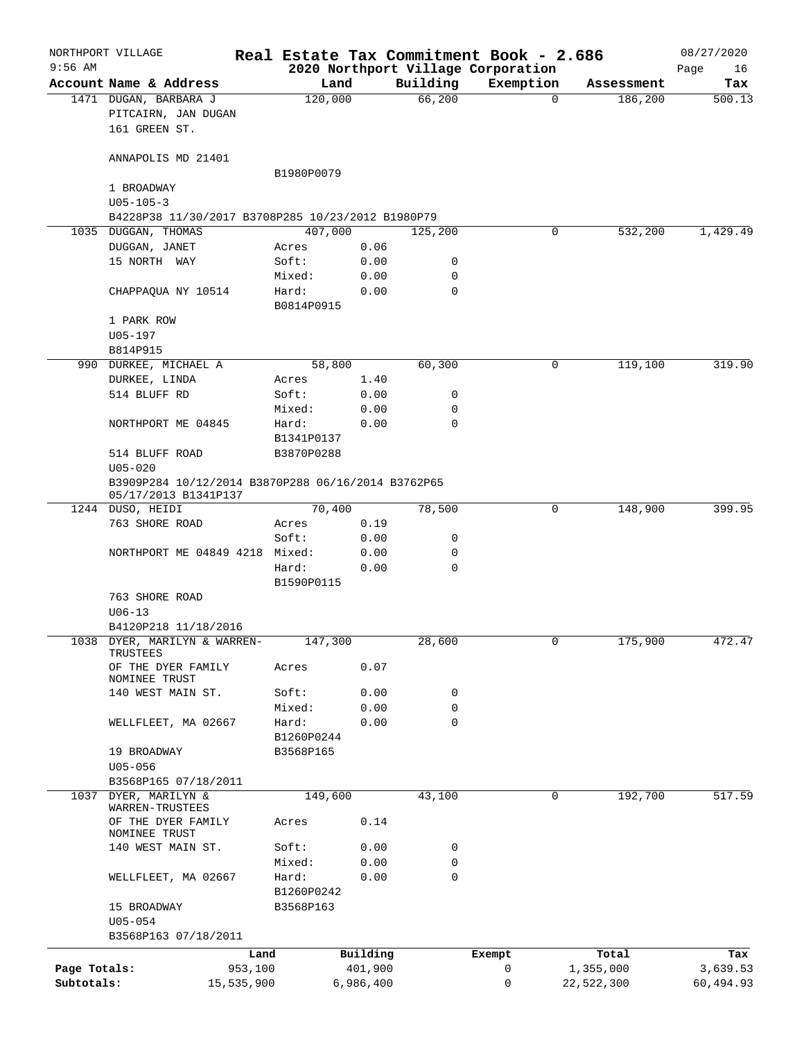| $9:56$ AM    | NORTHPORT VILLAGE                                                          |            |                     |              |                  | Real Estate Tax Commitment Book - 2.686<br>2020 Northport Village Corporation |          |            | 08/27/2020<br>Page<br>16 |
|--------------|----------------------------------------------------------------------------|------------|---------------------|--------------|------------------|-------------------------------------------------------------------------------|----------|------------|--------------------------|
|              | Account Name & Address                                                     |            | Land                |              | Building         | Exemption                                                                     |          | Assessment | Tax                      |
|              | 1471 DUGAN, BARBARA J<br>PITCAIRN, JAN DUGAN<br>161 GREEN ST.              |            | 120,000             |              | 66,200           |                                                                               | $\Omega$ | 186,200    | 500.13                   |
|              | ANNAPOLIS MD 21401                                                         |            |                     |              |                  |                                                                               |          |            |                          |
|              | 1 BROADWAY                                                                 |            | B1980P0079          |              |                  |                                                                               |          |            |                          |
|              | $U05 - 105 - 3$                                                            |            |                     |              |                  |                                                                               |          |            |                          |
|              | B4228P38 11/30/2017 B3708P285 10/23/2012 B1980P79                          |            |                     |              |                  |                                                                               |          |            |                          |
|              | 1035 DUGGAN, THOMAS                                                        |            | 407,000             |              | 125,200          |                                                                               | 0        | 532,200    | 1,429.49                 |
|              | DUGGAN, JANET                                                              |            | Acres               | 0.06         |                  |                                                                               |          |            |                          |
|              | 15 NORTH WAY                                                               |            | Soft:<br>Mixed:     | 0.00<br>0.00 | 0<br>0           |                                                                               |          |            |                          |
|              | CHAPPAQUA NY 10514                                                         |            | Hard:<br>B0814P0915 | 0.00         | $\mathbf 0$      |                                                                               |          |            |                          |
|              | 1 PARK ROW                                                                 |            |                     |              |                  |                                                                               |          |            |                          |
|              | $U05 - 197$                                                                |            |                     |              |                  |                                                                               |          |            |                          |
|              | B814P915                                                                   |            |                     |              |                  |                                                                               |          |            |                          |
|              | 990 DURKEE, MICHAEL A                                                      |            | 58,800              |              | 60,300           |                                                                               | 0        | 119,100    | 319.90                   |
|              | DURKEE, LINDA<br>514 BLUFF RD                                              |            | Acres<br>Soft:      | 1.40<br>0.00 | 0                |                                                                               |          |            |                          |
|              |                                                                            |            | Mixed:              | 0.00         | 0                |                                                                               |          |            |                          |
|              | NORTHPORT ME 04845                                                         |            | Hard:               | 0.00         | 0                |                                                                               |          |            |                          |
|              |                                                                            |            | B1341P0137          |              |                  |                                                                               |          |            |                          |
|              | 514 BLUFF ROAD                                                             |            | B3870P0288          |              |                  |                                                                               |          |            |                          |
|              | $U05 - 020$                                                                |            |                     |              |                  |                                                                               |          |            |                          |
|              | B3909P284 10/12/2014 B3870P288 06/16/2014 B3762P65<br>05/17/2013 B1341P137 |            |                     |              |                  |                                                                               |          |            |                          |
|              | 1244 DUSO, HEIDI                                                           |            | 70,400              |              | 78,500           |                                                                               | 0        | 148,900    | 399.95                   |
|              | 763 SHORE ROAD                                                             |            | Acres               | 0.19         |                  |                                                                               |          |            |                          |
|              |                                                                            |            | Soft:               | 0.00         | 0                |                                                                               |          |            |                          |
|              | NORTHPORT ME 04849 4218                                                    |            | Mixed:              | 0.00         | 0                |                                                                               |          |            |                          |
|              |                                                                            |            | Hard:<br>B1590P0115 | 0.00         | 0                |                                                                               |          |            |                          |
|              | 763 SHORE ROAD                                                             |            |                     |              |                  |                                                                               |          |            |                          |
|              | $U06 - 13$                                                                 |            |                     |              |                  |                                                                               |          |            |                          |
|              | B4120P218 11/18/2016                                                       |            |                     |              |                  |                                                                               |          |            |                          |
|              | 1038 DYER, MARILYN & WARREN-<br>TRUSTEES                                   |            | 147,300             |              | 28,600           |                                                                               | 0        | 175,900    | 472.47                   |
|              | OF THE DYER FAMILY<br>NOMINEE TRUST                                        |            | Acres               | 0.07         |                  |                                                                               |          |            |                          |
|              | 140 WEST MAIN ST.                                                          |            | Soft:               | 0.00         | 0                |                                                                               |          |            |                          |
|              |                                                                            |            | Mixed:<br>Hard:     | 0.00<br>0.00 | 0<br>$\mathbf 0$ |                                                                               |          |            |                          |
|              | WELLFLEET, MA 02667                                                        |            | B1260P0244          |              |                  |                                                                               |          |            |                          |
|              | 19 BROADWAY                                                                |            | B3568P165           |              |                  |                                                                               |          |            |                          |
|              | $U05 - 056$                                                                |            |                     |              |                  |                                                                               |          |            |                          |
|              | B3568P165 07/18/2011                                                       |            |                     |              |                  |                                                                               |          |            |                          |
| 1037         | DYER, MARILYN &<br>WARREN-TRUSTEES                                         |            | 149,600             |              | 43,100           |                                                                               | 0        | 192,700    | 517.59                   |
|              | OF THE DYER FAMILY<br>NOMINEE TRUST                                        |            | Acres               | 0.14         |                  |                                                                               |          |            |                          |
|              | 140 WEST MAIN ST.                                                          |            | Soft:               | 0.00         | 0                |                                                                               |          |            |                          |
|              | WELLFLEET, MA 02667                                                        |            | Mixed:<br>Hard:     | 0.00<br>0.00 | $\mathbf 0$<br>0 |                                                                               |          |            |                          |
|              |                                                                            |            | B1260P0242          |              |                  |                                                                               |          |            |                          |
|              | 15 BROADWAY<br>$U05 - 054$                                                 |            | B3568P163           |              |                  |                                                                               |          |            |                          |
|              | B3568P163 07/18/2011                                                       |            |                     |              |                  |                                                                               |          |            |                          |
|              |                                                                            | Land       |                     | Building     |                  | Exempt                                                                        |          | Total      | Tax                      |
| Page Totals: |                                                                            | 953,100    |                     | 401,900      |                  | 0                                                                             |          | 1,355,000  | 3,639.53                 |
| Subtotals:   |                                                                            | 15,535,900 |                     | 6,986,400    |                  | 0                                                                             |          | 22,522,300 | 60,494.93                |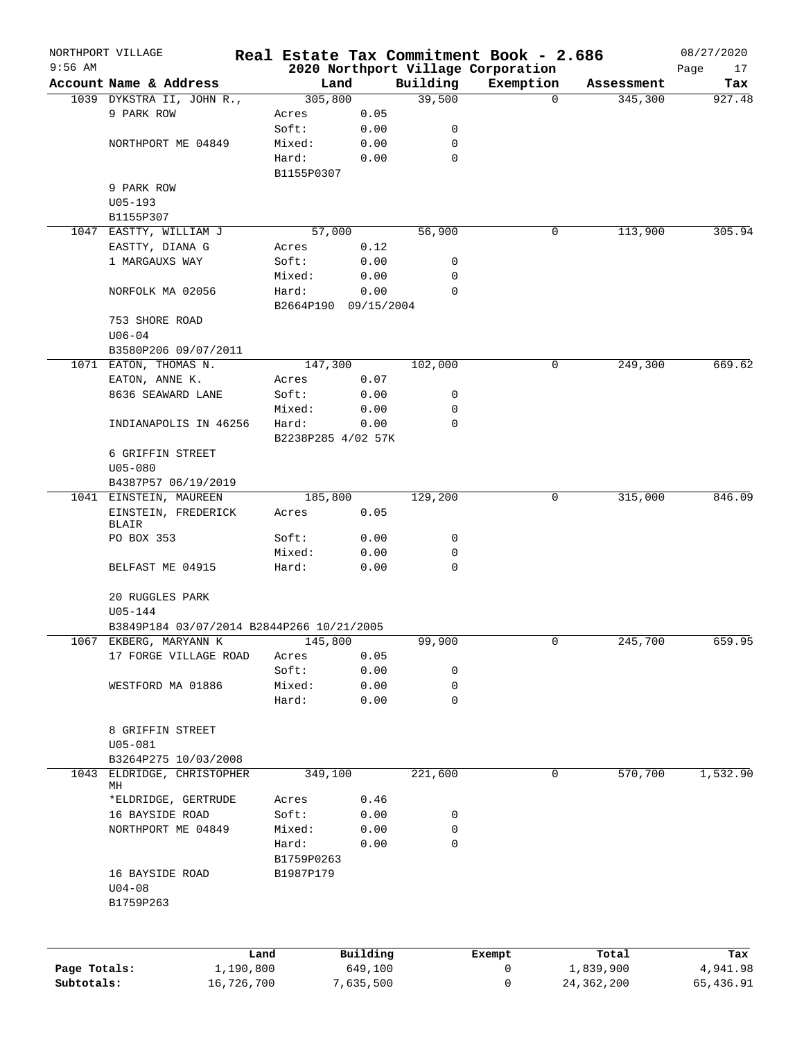|              | NORTHPORT VILLAGE                                    |            |                      |              |          | Real Estate Tax Commitment Book - 2.686         |                     | 08/27/2020        |
|--------------|------------------------------------------------------|------------|----------------------|--------------|----------|-------------------------------------------------|---------------------|-------------------|
| $9:56$ AM    | Account Name & Address                               |            | Land                 |              | Building | 2020 Northport Village Corporation<br>Exemption | Assessment          | Page<br>17<br>Tax |
|              | 1039 DYKSTRA II, JOHN R.,                            |            | 305,800              |              | 39,500   |                                                 | 345,300<br>$\Omega$ | 927.48            |
|              | 9 PARK ROW                                           |            | Acres                | 0.05         |          |                                                 |                     |                   |
|              |                                                      |            | Soft:                | 0.00         | 0        |                                                 |                     |                   |
|              | NORTHPORT ME 04849                                   |            | Mixed:               | 0.00         | 0        |                                                 |                     |                   |
|              |                                                      |            | Hard:                | 0.00         | 0        |                                                 |                     |                   |
|              |                                                      |            | B1155P0307           |              |          |                                                 |                     |                   |
|              | 9 PARK ROW                                           |            |                      |              |          |                                                 |                     |                   |
|              | $U05 - 193$                                          |            |                      |              |          |                                                 |                     |                   |
|              | B1155P307                                            |            |                      |              |          |                                                 |                     |                   |
|              | 1047 EASTTY, WILLIAM J<br>EASTTY, DIANA G            |            | 57,000               |              | 56,900   |                                                 | 113,900<br>0        | 305.94            |
|              | 1 MARGAUXS WAY                                       |            | Acres<br>Soft:       | 0.12<br>0.00 | 0        |                                                 |                     |                   |
|              |                                                      |            | Mixed:               | 0.00         | 0        |                                                 |                     |                   |
|              | NORFOLK MA 02056                                     |            | Hard:                | 0.00         | 0        |                                                 |                     |                   |
|              |                                                      |            | B2664P190 09/15/2004 |              |          |                                                 |                     |                   |
|              | 753 SHORE ROAD                                       |            |                      |              |          |                                                 |                     |                   |
|              | $U06 - 04$                                           |            |                      |              |          |                                                 |                     |                   |
|              | B3580P206 09/07/2011                                 |            |                      |              |          |                                                 |                     |                   |
|              | 1071 EATON, THOMAS N.                                |            | 147,300              |              | 102,000  |                                                 | 0<br>249,300        | 669.62            |
|              | EATON, ANNE K.                                       |            | Acres                | 0.07         |          |                                                 |                     |                   |
|              | 8636 SEAWARD LANE                                    |            | Soft:                | 0.00         | 0        |                                                 |                     |                   |
|              |                                                      |            | Mixed:               | 0.00         | 0        |                                                 |                     |                   |
|              | INDIANAPOLIS IN 46256                                |            | Hard:                | 0.00         | 0        |                                                 |                     |                   |
|              |                                                      |            | B2238P285 4/02 57K   |              |          |                                                 |                     |                   |
|              | 6 GRIFFIN STREET<br>$U05 - 080$                      |            |                      |              |          |                                                 |                     |                   |
|              | B4387P57 06/19/2019                                  |            |                      |              |          |                                                 |                     |                   |
|              | 1041 EINSTEIN, MAUREEN                               |            | 185,800              |              | 129,200  |                                                 | 0<br>315,000        | 846.09            |
|              | EINSTEIN, FREDERICK                                  |            | Acres                | 0.05         |          |                                                 |                     |                   |
|              | BLAIR                                                |            |                      |              |          |                                                 |                     |                   |
|              | PO BOX 353                                           |            | Soft:                | 0.00         | 0        |                                                 |                     |                   |
|              |                                                      |            | Mixed:               | 0.00         | 0        |                                                 |                     |                   |
|              | BELFAST ME 04915                                     |            | Hard:                | 0.00         | 0        |                                                 |                     |                   |
|              |                                                      |            |                      |              |          |                                                 |                     |                   |
|              | 20 RUGGLES PARK                                      |            |                      |              |          |                                                 |                     |                   |
|              | U05-144<br>B3849P184 03/07/2014 B2844P266 10/21/2005 |            |                      |              |          |                                                 |                     |                   |
|              | 1067 EKBERG, MARYANN K                               |            | 145,800              |              | 99,900   |                                                 | 0<br>245,700        | 659.95            |
|              | 17 FORGE VILLAGE ROAD                                |            | Acres                | 0.05         |          |                                                 |                     |                   |
|              |                                                      |            | Soft:                | 0.00         | 0        |                                                 |                     |                   |
|              | WESTFORD MA 01886                                    |            | Mixed:               | 0.00         | 0        |                                                 |                     |                   |
|              |                                                      |            | Hard:                | 0.00         | 0        |                                                 |                     |                   |
|              |                                                      |            |                      |              |          |                                                 |                     |                   |
|              | 8 GRIFFIN STREET                                     |            |                      |              |          |                                                 |                     |                   |
|              | $U05 - 081$                                          |            |                      |              |          |                                                 |                     |                   |
|              | B3264P275 10/03/2008                                 |            |                      |              |          |                                                 |                     |                   |
| 1043         | ELDRIDGE, CHRISTOPHER<br>МH                          |            | 349,100              |              | 221,600  |                                                 | 570,700<br>0        | 1,532.90          |
|              | *ELDRIDGE, GERTRUDE                                  |            | Acres                | 0.46         |          |                                                 |                     |                   |
|              | 16 BAYSIDE ROAD                                      |            | Soft:                | 0.00         | 0        |                                                 |                     |                   |
|              | NORTHPORT ME 04849                                   |            | Mixed:               | 0.00         | 0        |                                                 |                     |                   |
|              |                                                      |            | Hard:                | 0.00         | 0        |                                                 |                     |                   |
|              |                                                      |            | B1759P0263           |              |          |                                                 |                     |                   |
|              | 16 BAYSIDE ROAD                                      |            | B1987P179            |              |          |                                                 |                     |                   |
|              | $U04 - 08$                                           |            |                      |              |          |                                                 |                     |                   |
|              | B1759P263                                            |            |                      |              |          |                                                 |                     |                   |
|              |                                                      |            |                      |              |          |                                                 |                     |                   |
|              |                                                      |            |                      |              |          |                                                 |                     |                   |
|              |                                                      | Land       |                      | Building     |          | Exempt                                          | Total               | Tax               |
| Page Totals: |                                                      | 1,190,800  |                      | 649,100      |          | 0                                               | 1,839,900           | 4,941.98          |
| Subtotals:   |                                                      | 16,726,700 |                      | 7,635,500    |          | 0                                               | 24, 362, 200        | 65,436.91         |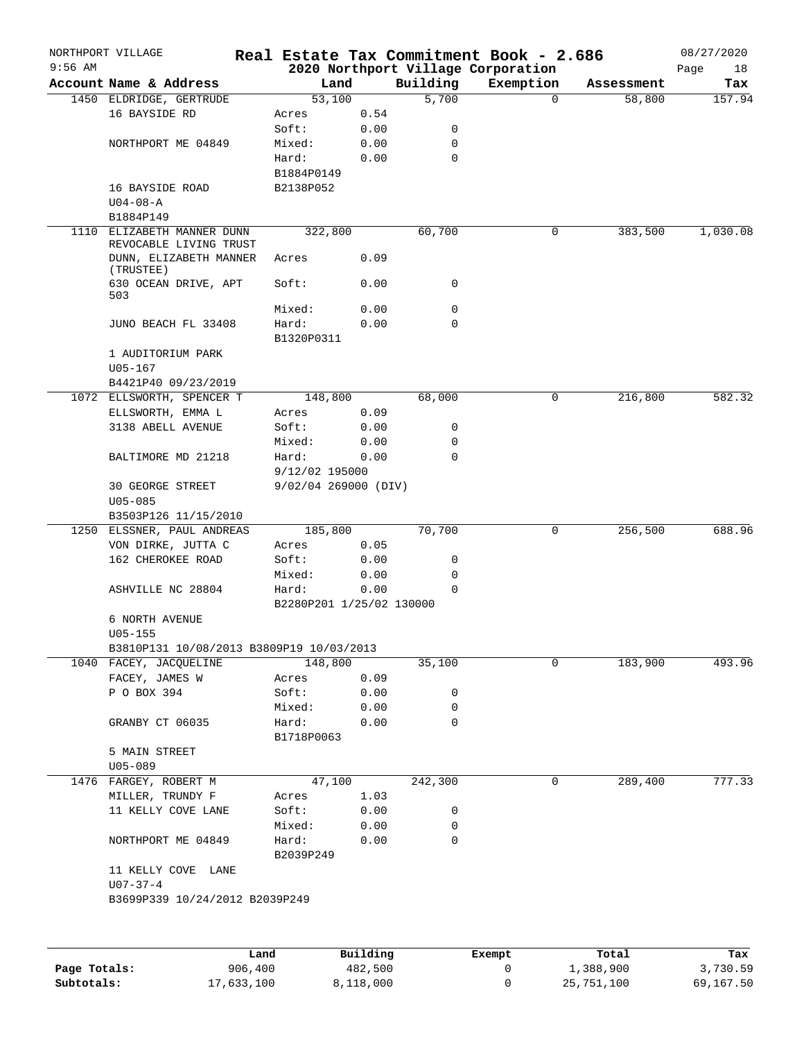|           | NORTHPORT VILLAGE                        |                |                          |              |                  | Real Estate Tax Commitment Book - 2.686 |          |            | 08/27/2020 |
|-----------|------------------------------------------|----------------|--------------------------|--------------|------------------|-----------------------------------------|----------|------------|------------|
| $9:56$ AM |                                          |                |                          |              |                  | 2020 Northport Village Corporation      |          |            | Page<br>18 |
|           | Account Name & Address                   |                | Land                     |              | Building         | Exemption                               |          | Assessment | Tax        |
|           | 1450 ELDRIDGE, GERTRUDE<br>16 BAYSIDE RD |                | 53,100                   |              | 5,700            |                                         | $\Omega$ | 58,800     | 157.94     |
|           |                                          | Acres<br>Soft: |                          | 0.54<br>0.00 | 0                |                                         |          |            |            |
|           | NORTHPORT ME 04849                       |                | Mixed:                   | 0.00         | 0                |                                         |          |            |            |
|           |                                          | Hard:          |                          | 0.00         | $\mathbf 0$      |                                         |          |            |            |
|           |                                          |                | B1884P0149               |              |                  |                                         |          |            |            |
|           | 16 BAYSIDE ROAD                          |                | B2138P052                |              |                  |                                         |          |            |            |
|           | $U04 - 08 - A$                           |                |                          |              |                  |                                         |          |            |            |
|           | B1884P149                                |                |                          |              |                  |                                         |          |            |            |
|           | 1110 ELIZABETH MANNER DUNN               |                | 322,800                  |              | 60,700           |                                         | 0        | 383,500    | 1,030.08   |
|           | REVOCABLE LIVING TRUST                   |                |                          |              |                  |                                         |          |            |            |
|           | DUNN, ELIZABETH MANNER<br>(TRUSTEE)      | Acres          |                          | 0.09         |                  |                                         |          |            |            |
|           | 630 OCEAN DRIVE, APT<br>503              | Soft:          |                          | 0.00         | 0                |                                         |          |            |            |
|           |                                          |                | Mixed:                   | 0.00         | 0                |                                         |          |            |            |
|           | JUNO BEACH FL 33408                      | Hard:          |                          | 0.00         | 0                |                                         |          |            |            |
|           |                                          |                | B1320P0311               |              |                  |                                         |          |            |            |
|           | 1 AUDITORIUM PARK                        |                |                          |              |                  |                                         |          |            |            |
|           | $U05 - 167$<br>B4421P40 09/23/2019       |                |                          |              |                  |                                         |          |            |            |
|           | 1072 ELLSWORTH, SPENCER T                |                | 148,800                  |              | 68,000           |                                         | 0        | 216,800    | 582.32     |
|           | ELLSWORTH, EMMA L                        | Acres          |                          | 0.09         |                  |                                         |          |            |            |
|           | 3138 ABELL AVENUE                        | Soft:          |                          | 0.00         | 0                |                                         |          |            |            |
|           |                                          |                | Mixed:                   | 0.00         | 0                |                                         |          |            |            |
|           | BALTIMORE MD 21218                       | Hard:          |                          | 0.00         | $\mathbf 0$      |                                         |          |            |            |
|           |                                          |                | 9/12/02 195000           |              |                  |                                         |          |            |            |
|           | 30 GEORGE STREET                         |                | 9/02/04 269000 (DIV)     |              |                  |                                         |          |            |            |
|           | $U05 - 085$                              |                |                          |              |                  |                                         |          |            |            |
|           | B3503P126 11/15/2010                     |                |                          |              |                  |                                         |          |            |            |
|           | 1250 ELSSNER, PAUL ANDREAS               |                | 185,800                  |              | 70,700           |                                         | 0        | 256,500    | 688.96     |
|           | VON DIRKE, JUTTA C                       | Acres          |                          | 0.05         |                  |                                         |          |            |            |
|           | 162 CHEROKEE ROAD                        | Soft:          |                          | 0.00         | 0                |                                         |          |            |            |
|           |                                          |                | Mixed:                   | 0.00         | 0<br>$\mathbf 0$ |                                         |          |            |            |
|           | ASHVILLE NC 28804                        | Hard:          | B2280P201 1/25/02 130000 | 0.00         |                  |                                         |          |            |            |
|           | 6 NORTH AVENUE                           |                |                          |              |                  |                                         |          |            |            |
|           | $U05 - 155$                              |                |                          |              |                  |                                         |          |            |            |
|           | B3810P131 10/08/2013 B3809P19 10/03/2013 |                |                          |              |                  |                                         |          |            |            |
|           | 1040 FACEY, JACQUELINE                   |                | 148,800                  |              | 35,100           |                                         | 0        | 183,900    | 493.96     |
|           | FACEY, JAMES W                           | Acres          |                          | 0.09         |                  |                                         |          |            |            |
|           | P O BOX 394                              | Soft:          |                          | 0.00         | 0                |                                         |          |            |            |
|           |                                          |                | Mixed:                   | 0.00         | 0                |                                         |          |            |            |
|           | GRANBY CT 06035                          |                | Hard:                    | 0.00         | 0                |                                         |          |            |            |
|           |                                          |                | B1718P0063               |              |                  |                                         |          |            |            |
|           | 5 MAIN STREET                            |                |                          |              |                  |                                         |          |            |            |
|           | $U05 - 089$                              |                |                          |              |                  |                                         |          |            |            |
|           | 1476 FARGEY, ROBERT M                    |                | 47,100                   |              | 242,300          |                                         | 0        | 289,400    | 777.33     |
|           | MILLER, TRUNDY F                         |                | Acres                    | 1.03         |                  |                                         |          |            |            |
|           | 11 KELLY COVE LANE                       | Soft:          | Mixed:                   | 0.00<br>0.00 | 0<br>0           |                                         |          |            |            |
|           | NORTHPORT ME 04849                       | Hard:          |                          | 0.00         | $\mathbf 0$      |                                         |          |            |            |
|           |                                          |                | B2039P249                |              |                  |                                         |          |            |            |
|           | 11 KELLY COVE LANE                       |                |                          |              |                  |                                         |          |            |            |
|           | $U07 - 37 - 4$                           |                |                          |              |                  |                                         |          |            |            |
|           | B3699P339 10/24/2012 B2039P249           |                |                          |              |                  |                                         |          |            |            |
|           |                                          |                |                          |              |                  |                                         |          |            |            |
|           |                                          | Land           |                          | Building     |                  | Exempt                                  |          | Total      | Tax        |
|           |                                          |                |                          |              |                  |                                         |          |            |            |

|              | Land       | Building  | Exempt | Total      | Tax       |
|--------------|------------|-----------|--------|------------|-----------|
| Page Totals: | 906,400    | 482,500   |        | 1,388,900  | 3,730.59  |
| Subtotals:   | 17,633,100 | 8,118,000 |        | 25,751,100 | 69,167.50 |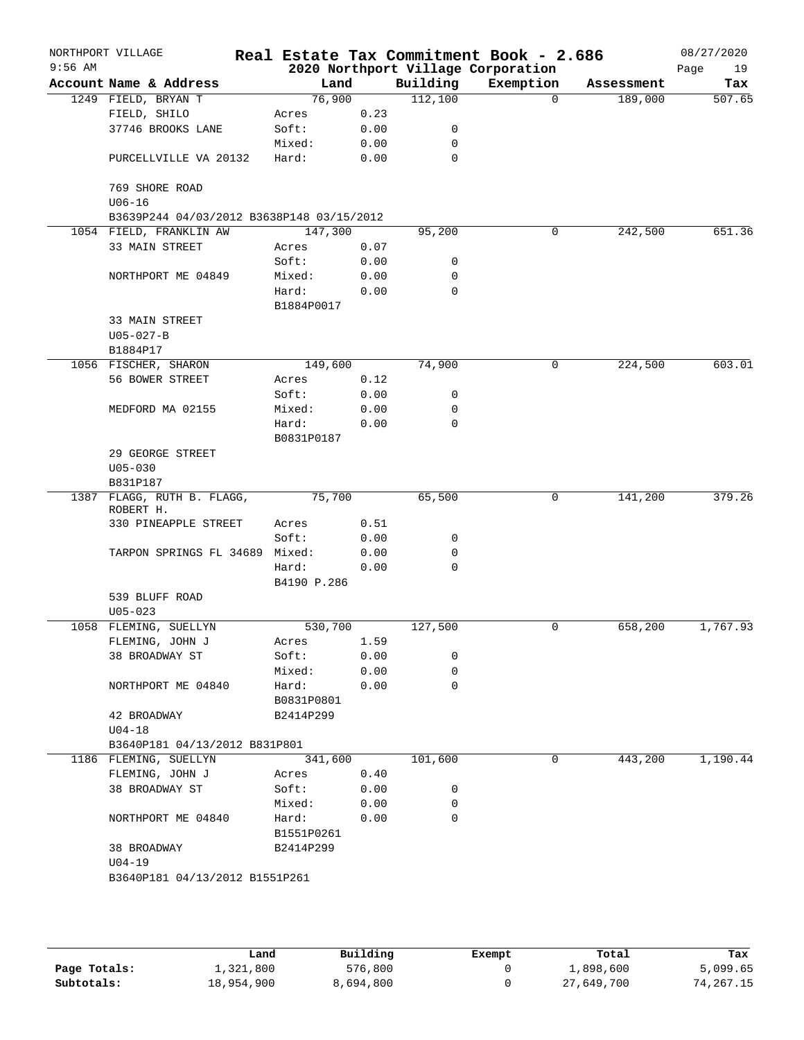| $9:56$ AM | NORTHPORT VILLAGE                         |             |      |             | Real Estate Tax Commitment Book - 2.686<br>2020 Northport Village Corporation |            | 08/27/2020<br>Page<br>19 |
|-----------|-------------------------------------------|-------------|------|-------------|-------------------------------------------------------------------------------|------------|--------------------------|
|           | Account Name & Address                    | Land        |      | Building    | Exemption                                                                     | Assessment | Tax                      |
|           | 1249 FIELD, BRYAN T                       | 76,900      |      | 112,100     | $\Omega$                                                                      | 189,000    | 507.65                   |
|           | FIELD, SHILO                              | Acres       | 0.23 |             |                                                                               |            |                          |
|           | 37746 BROOKS LANE                         | Soft:       | 0.00 | 0           |                                                                               |            |                          |
|           |                                           | Mixed:      | 0.00 | 0           |                                                                               |            |                          |
|           | PURCELLVILLE VA 20132                     | Hard:       | 0.00 | 0           |                                                                               |            |                          |
|           | 769 SHORE ROAD                            |             |      |             |                                                                               |            |                          |
|           | $U06 - 16$                                |             |      |             |                                                                               |            |                          |
|           | B3639P244 04/03/2012 B3638P148 03/15/2012 |             |      |             |                                                                               |            |                          |
|           | 1054 FIELD, FRANKLIN AW                   | 147,300     |      | 95, 200     | 0                                                                             | 242,500    | 651.36                   |
|           | 33 MAIN STREET                            | Acres       | 0.07 |             |                                                                               |            |                          |
|           |                                           | Soft:       | 0.00 | 0           |                                                                               |            |                          |
|           | NORTHPORT ME 04849                        | Mixed:      | 0.00 | 0           |                                                                               |            |                          |
|           |                                           | Hard:       | 0.00 | 0           |                                                                               |            |                          |
|           | 33 MAIN STREET                            | B1884P0017  |      |             |                                                                               |            |                          |
|           | $U05 - 027 - B$                           |             |      |             |                                                                               |            |                          |
|           | B1884P17                                  |             |      |             |                                                                               |            |                          |
|           | 1056 FISCHER, SHARON                      | 149,600     |      | 74,900      | 0                                                                             | 224,500    | 603.01                   |
|           | 56 BOWER STREET                           | Acres       | 0.12 |             |                                                                               |            |                          |
|           |                                           | Soft:       | 0.00 | 0           |                                                                               |            |                          |
|           | MEDFORD MA 02155                          | Mixed:      | 0.00 | 0           |                                                                               |            |                          |
|           |                                           | Hard:       | 0.00 | $\mathbf 0$ |                                                                               |            |                          |
|           |                                           | B0831P0187  |      |             |                                                                               |            |                          |
|           | 29 GEORGE STREET                          |             |      |             |                                                                               |            |                          |
|           | $U05 - 030$                               |             |      |             |                                                                               |            |                          |
|           | B831P187                                  |             |      |             |                                                                               |            |                          |
|           | 1387 FLAGG, RUTH B. FLAGG,<br>ROBERT H.   | 75,700      |      | 65,500      | 0                                                                             | 141,200    | 379.26                   |
|           | 330 PINEAPPLE STREET                      | Acres       | 0.51 |             |                                                                               |            |                          |
|           |                                           | Soft:       | 0.00 | 0           |                                                                               |            |                          |
|           | TARPON SPRINGS FL 34689                   | Mixed:      | 0.00 | 0           |                                                                               |            |                          |
|           |                                           | Hard:       | 0.00 | $\mathbf 0$ |                                                                               |            |                          |
|           |                                           | B4190 P.286 |      |             |                                                                               |            |                          |
|           | 539 BLUFF ROAD                            |             |      |             |                                                                               |            |                          |
|           | $U05 - 023$                               |             |      |             |                                                                               |            |                          |
|           | 1058 FLEMING, SUELLYN                     | 530,700     |      | 127,500     | 0                                                                             | 658,200    | 1,767.93                 |
|           | FLEMING, JOHN J                           | Acres       | 1.59 |             |                                                                               |            |                          |
|           | 38 BROADWAY ST                            | Soft:       | 0.00 | 0           |                                                                               |            |                          |
|           |                                           | Mixed:      | 0.00 | 0           |                                                                               |            |                          |
|           | NORTHPORT ME 04840                        | Hard:       | 0.00 | $\mathbf 0$ |                                                                               |            |                          |
|           |                                           | B0831P0801  |      |             |                                                                               |            |                          |
|           | 42 BROADWAY                               | B2414P299   |      |             |                                                                               |            |                          |
|           | $U04-18$                                  |             |      |             |                                                                               |            |                          |
|           | B3640P181 04/13/2012 B831P801             |             |      |             |                                                                               |            |                          |
|           | 1186 FLEMING, SUELLYN                     | 341,600     |      | 101,600     | 0                                                                             | 443,200    | 1,190.44                 |
|           | FLEMING, JOHN J                           | Acres       | 0.40 |             |                                                                               |            |                          |
|           | 38 BROADWAY ST                            | Soft:       | 0.00 | 0           |                                                                               |            |                          |
|           |                                           | Mixed:      | 0.00 | 0           |                                                                               |            |                          |
|           | NORTHPORT ME 04840                        | Hard:       | 0.00 | 0           |                                                                               |            |                          |
|           |                                           | B1551P0261  |      |             |                                                                               |            |                          |
|           | 38 BROADWAY                               | B2414P299   |      |             |                                                                               |            |                          |
|           | $U04-19$                                  |             |      |             |                                                                               |            |                          |
|           | B3640P181 04/13/2012 B1551P261            |             |      |             |                                                                               |            |                          |
|           |                                           |             |      |             |                                                                               |            |                          |
|           |                                           |             |      |             |                                                                               |            |                          |

|              | Land       | Building  | Exempt | Total      | Tax       |
|--------------|------------|-----------|--------|------------|-----------|
| Page Totals: | 1,321,800  | 576,800   |        | ⊥,898,600  | 5,099.65  |
| Subtotals:   | 18,954,900 | 8,694,800 |        | 27,649,700 | 74,267.15 |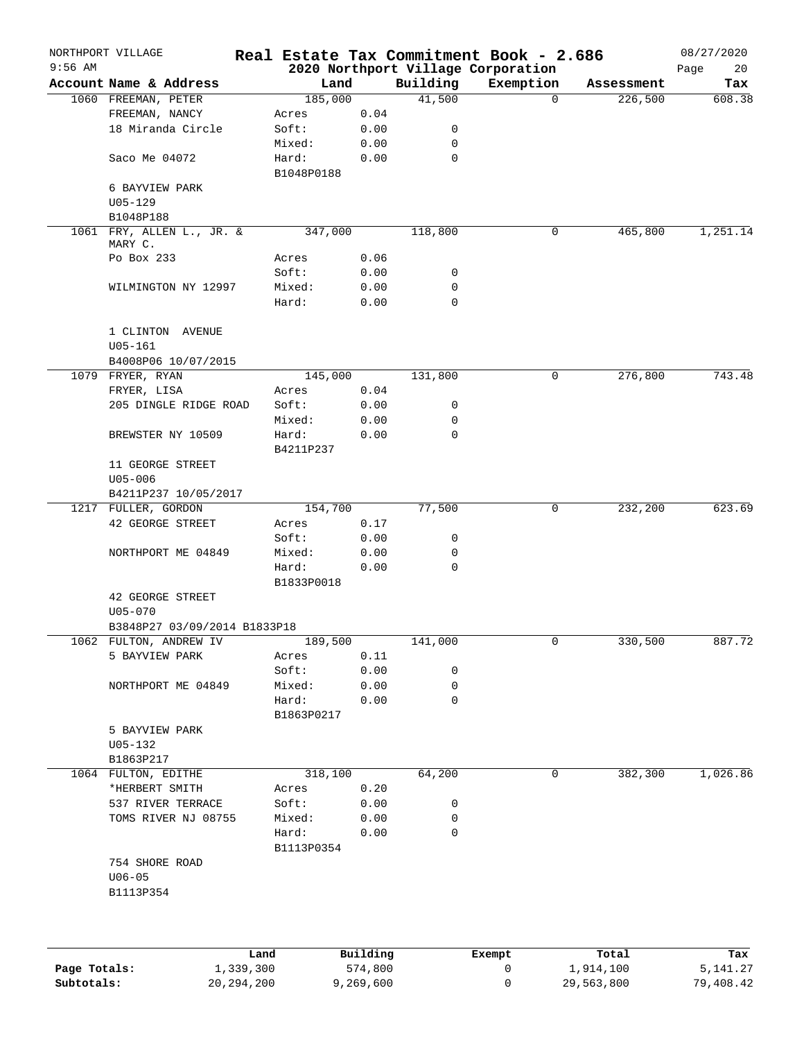|              | NORTHPORT VILLAGE                    |                     |           |          | Real Estate Tax Commitment Book - 2.686         |            | 08/27/2020        |
|--------------|--------------------------------------|---------------------|-----------|----------|-------------------------------------------------|------------|-------------------|
| $9:56$ AM    | Account Name & Address               |                     | Land      | Building | 2020 Northport Village Corporation<br>Exemption | Assessment | Page<br>20<br>Tax |
|              | 1060 FREEMAN, PETER                  |                     | 185,000   | 41,500   | $\Omega$                                        | 226,500    | 608.38            |
|              | FREEMAN, NANCY                       | Acres               | 0.04      |          |                                                 |            |                   |
|              | 18 Miranda Circle                    | Soft:               | 0.00      | 0        |                                                 |            |                   |
|              |                                      | Mixed:              | 0.00      | 0        |                                                 |            |                   |
|              | Saco Me 04072                        | Hard:               | 0.00      | 0        |                                                 |            |                   |
|              | 6 BAYVIEW PARK                       | B1048P0188          |           |          |                                                 |            |                   |
|              | $U05 - 129$                          |                     |           |          |                                                 |            |                   |
|              | B1048P188                            |                     |           |          |                                                 |            |                   |
|              | 1061 FRY, ALLEN L., JR. &<br>MARY C. |                     | 347,000   | 118,800  | 0                                               | 465,800    | 1,251.14          |
|              | Po Box 233                           | Acres               | 0.06      |          |                                                 |            |                   |
|              |                                      | Soft:               | 0.00      | 0        |                                                 |            |                   |
|              | WILMINGTON NY 12997                  | Mixed:              | 0.00      | 0        |                                                 |            |                   |
|              |                                      | Hard:               | 0.00      | 0        |                                                 |            |                   |
|              | 1 CLINTON AVENUE<br>$U05 - 161$      |                     |           |          |                                                 |            |                   |
|              | B4008P06 10/07/2015                  |                     |           |          |                                                 |            |                   |
|              | 1079 FRYER, RYAN                     |                     | 145,000   | 131,800  | 0                                               | 276,800    | 743.48            |
|              | FRYER, LISA                          | Acres               | 0.04      |          |                                                 |            |                   |
|              | 205 DINGLE RIDGE ROAD                | Soft:               | 0.00      | 0        |                                                 |            |                   |
|              |                                      | Mixed:              | 0.00      | 0        |                                                 |            |                   |
|              | BREWSTER NY 10509                    | Hard:               | 0.00      | 0        |                                                 |            |                   |
|              |                                      |                     |           |          |                                                 |            |                   |
|              | 11 GEORGE STREET                     | B4211P237           |           |          |                                                 |            |                   |
|              | $U05 - 006$                          |                     |           |          |                                                 |            |                   |
|              | B4211P237 10/05/2017                 |                     |           |          |                                                 |            |                   |
|              | 1217 FULLER, GORDON                  |                     | 154,700   | 77,500   | $\mathbf 0$                                     | 232,200    | 623.69            |
|              | 42 GEORGE STREET                     | Acres               | 0.17      |          |                                                 |            |                   |
|              |                                      | Soft:               | 0.00      | 0        |                                                 |            |                   |
|              | NORTHPORT ME 04849                   | Mixed:              | 0.00      | 0        |                                                 |            |                   |
|              |                                      | Hard:<br>B1833P0018 | 0.00      | 0        |                                                 |            |                   |
|              | 42 GEORGE STREET<br>$U05 - 070$      |                     |           |          |                                                 |            |                   |
|              | B3848P27 03/09/2014 B1833P18         |                     |           |          |                                                 |            |                   |
|              | 1062 FULTON, ANDREW IV               |                     | 189,500   | 141,000  | 0                                               | 330,500    | 887.72            |
|              | 5 BAYVIEW PARK                       | Acres               | 0.11      |          |                                                 |            |                   |
|              |                                      | Soft:               | 0.00      | 0        |                                                 |            |                   |
|              | NORTHPORT ME 04849                   | Mixed:              | 0.00      | 0        |                                                 |            |                   |
|              |                                      | Hard:               | 0.00      | 0        |                                                 |            |                   |
|              |                                      | B1863P0217          |           |          |                                                 |            |                   |
|              | 5 BAYVIEW PARK                       |                     |           |          |                                                 |            |                   |
|              | $U05 - 132$                          |                     |           |          |                                                 |            |                   |
|              | B1863P217                            |                     |           |          |                                                 |            |                   |
|              | 1064 FULTON, EDITHE                  |                     | 318,100   | 64,200   | 0                                               | 382,300    | 1,026.86          |
|              | *HERBERT SMITH                       | Acres               | 0.20      |          |                                                 |            |                   |
|              | 537 RIVER TERRACE                    | Soft:               | 0.00      | 0        |                                                 |            |                   |
|              | TOMS RIVER NJ 08755                  | Mixed:              | 0.00      | 0        |                                                 |            |                   |
|              |                                      | Hard:               | 0.00      | 0        |                                                 |            |                   |
|              |                                      | B1113P0354          |           |          |                                                 |            |                   |
|              | 754 SHORE ROAD                       |                     |           |          |                                                 |            |                   |
|              | $U06 - 05$                           |                     |           |          |                                                 |            |                   |
|              | B1113P354                            |                     |           |          |                                                 |            |                   |
|              |                                      |                     |           |          |                                                 |            |                   |
|              |                                      | Land                | Building  |          | Exempt                                          | Total      | Tax               |
| Page Totals: |                                      | 1,339,300           | 574,800   |          | 0                                               | 1,914,100  | 5,141.27          |
| Subtotals:   | 20, 294, 200                         |                     | 9,269,600 |          | 0                                               | 29,563,800 | 79,408.42         |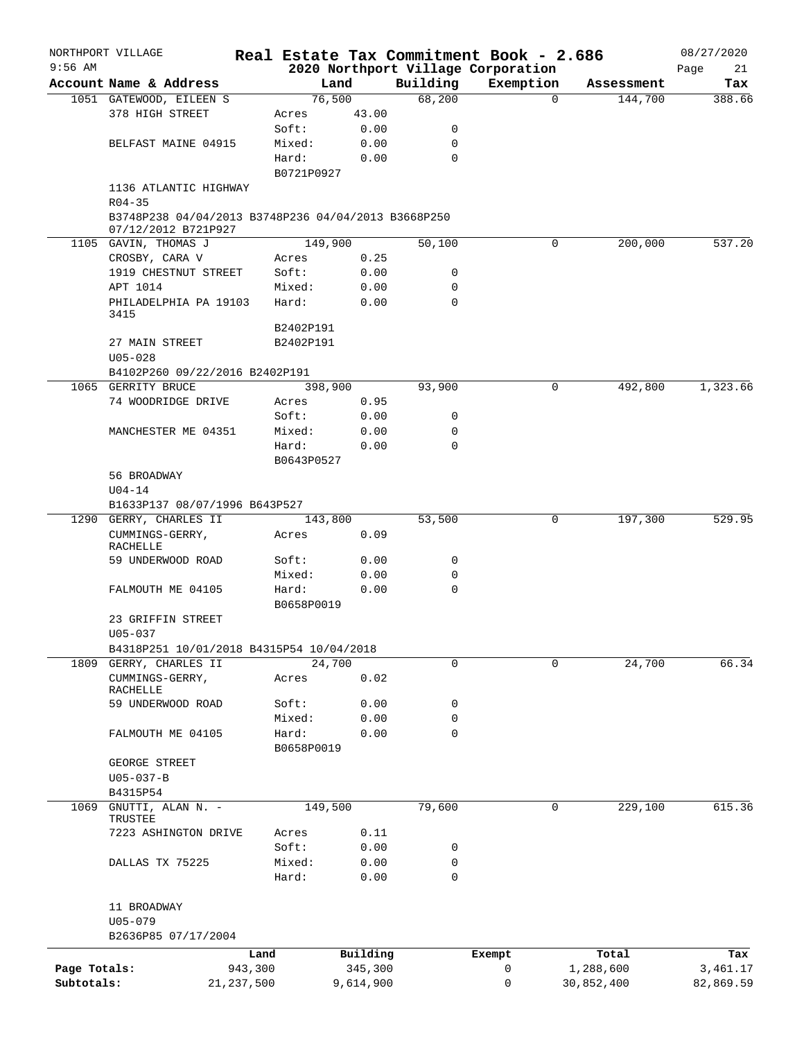|              | NORTHPORT VILLAGE                                    |              |                 |               |             | Real Estate Tax Commitment Book - 2.686 |                     | 08/27/2020 |
|--------------|------------------------------------------------------|--------------|-----------------|---------------|-------------|-----------------------------------------|---------------------|------------|
| $9:56$ AM    |                                                      |              |                 |               |             | 2020 Northport Village Corporation      |                     | Page<br>21 |
|              | Account Name & Address                               |              | Land            |               | Building    | Exemption                               | Assessment          | Tax        |
|              | 1051 GATEWOOD, EILEEN S                              |              | 76,500          |               | 68,200      |                                         | $\Omega$<br>144,700 | 388.66     |
|              | 378 HIGH STREET                                      |              | Acres<br>Soft:  | 43.00<br>0.00 | 0           |                                         |                     |            |
|              |                                                      |              |                 |               | 0           |                                         |                     |            |
|              | BELFAST MAINE 04915                                  |              | Mixed:<br>Hard: | 0.00<br>0.00  | 0           |                                         |                     |            |
|              |                                                      |              | B0721P0927      |               |             |                                         |                     |            |
|              | 1136 ATLANTIC HIGHWAY                                |              |                 |               |             |                                         |                     |            |
|              | $R04 - 35$                                           |              |                 |               |             |                                         |                     |            |
|              | B3748P238 04/04/2013 B3748P236 04/04/2013 B3668P250  |              |                 |               |             |                                         |                     |            |
|              | 07/12/2012 B721P927                                  |              |                 |               |             |                                         |                     |            |
|              | 1105 GAVIN, THOMAS J                                 |              | 149,900         |               | 50,100      |                                         | 0<br>200,000        | 537.20     |
|              | CROSBY, CARA V                                       |              | Acres           | 0.25          |             |                                         |                     |            |
|              | 1919 CHESTNUT STREET                                 |              | Soft:           | 0.00          | 0           |                                         |                     |            |
|              | APT 1014                                             |              | Mixed:          | 0.00          | 0           |                                         |                     |            |
|              | PHILADELPHIA PA 19103                                |              | Hard:           | 0.00          | 0           |                                         |                     |            |
|              | 3415                                                 |              |                 |               |             |                                         |                     |            |
|              |                                                      |              | B2402P191       |               |             |                                         |                     |            |
|              | 27 MAIN STREET                                       |              | B2402P191       |               |             |                                         |                     |            |
|              | $U05 - 028$                                          |              |                 |               |             |                                         |                     |            |
|              | B4102P260 09/22/2016 B2402P191<br>1065 GERRITY BRUCE |              |                 |               |             |                                         | 0                   | 1,323.66   |
|              | 74 WOODRIDGE DRIVE                                   |              | 398,900         |               | 93,900      |                                         | 492,800             |            |
|              |                                                      |              | Acres<br>Soft:  | 0.95<br>0.00  | 0           |                                         |                     |            |
|              | MANCHESTER ME 04351                                  |              | Mixed:          | 0.00          | 0           |                                         |                     |            |
|              |                                                      |              | Hard:           | 0.00          | $\mathbf 0$ |                                         |                     |            |
|              |                                                      |              | B0643P0527      |               |             |                                         |                     |            |
|              | 56 BROADWAY                                          |              |                 |               |             |                                         |                     |            |
|              | $U04 - 14$                                           |              |                 |               |             |                                         |                     |            |
|              | B1633P137 08/07/1996 B643P527                        |              |                 |               |             |                                         |                     |            |
|              | 1290 GERRY, CHARLES II                               |              | 143,800         |               | 53,500      |                                         | 0<br>197,300        | 529.95     |
|              | CUMMINGS-GERRY,                                      |              | Acres           | 0.09          |             |                                         |                     |            |
|              | <b>RACHELLE</b>                                      |              |                 |               |             |                                         |                     |            |
|              | 59 UNDERWOOD ROAD                                    |              | Soft:           | 0.00          | 0           |                                         |                     |            |
|              |                                                      |              | Mixed:          | 0.00          | 0           |                                         |                     |            |
|              | FALMOUTH ME 04105                                    |              | Hard:           | 0.00          | $\mathbf 0$ |                                         |                     |            |
|              |                                                      |              | B0658P0019      |               |             |                                         |                     |            |
|              | 23 GRIFFIN STREET                                    |              |                 |               |             |                                         |                     |            |
|              | U05-037                                              |              |                 |               |             |                                         |                     |            |
|              | B4318P251 10/01/2018 B4315P54 10/04/2018             |              |                 |               |             |                                         |                     |            |
|              | 1809 GERRY, CHARLES II                               |              | 24,700          |               | 0           |                                         | 0<br>24,700         | 66.34      |
|              | CUMMINGS-GERRY,                                      |              | Acres           | 0.02          |             |                                         |                     |            |
|              | RACHELLE<br>59 UNDERWOOD ROAD                        |              | Soft:           | 0.00          | 0           |                                         |                     |            |
|              |                                                      |              | Mixed:          | 0.00          | 0           |                                         |                     |            |
|              | FALMOUTH ME 04105                                    |              | Hard:           | 0.00          | $\mathbf 0$ |                                         |                     |            |
|              |                                                      |              | B0658P0019      |               |             |                                         |                     |            |
|              | GEORGE STREET                                        |              |                 |               |             |                                         |                     |            |
|              | $U05 - 037 - B$                                      |              |                 |               |             |                                         |                     |            |
|              | B4315P54                                             |              |                 |               |             |                                         |                     |            |
| 1069         | GNUTTI, ALAN N. -                                    |              | 149,500         |               | 79,600      |                                         | 0<br>229,100        | 615.36     |
|              | TRUSTEE                                              |              |                 |               |             |                                         |                     |            |
|              | 7223 ASHINGTON DRIVE                                 |              | Acres           | 0.11          |             |                                         |                     |            |
|              |                                                      |              | Soft:           | 0.00          | 0           |                                         |                     |            |
|              | DALLAS TX 75225                                      |              | Mixed:          | 0.00          | 0           |                                         |                     |            |
|              |                                                      |              | Hard:           | 0.00          | 0           |                                         |                     |            |
|              |                                                      |              |                 |               |             |                                         |                     |            |
|              | 11 BROADWAY                                          |              |                 |               |             |                                         |                     |            |
|              | $U05 - 079$                                          |              |                 |               |             |                                         |                     |            |
|              | B2636P85 07/17/2004                                  |              |                 |               |             |                                         |                     |            |
|              |                                                      | Land         |                 | Building      |             | Exempt                                  | Total               | Tax        |
| Page Totals: |                                                      | 943,300      |                 | 345,300       |             | 0                                       | 1,288,600           | 3,461.17   |
| Subtotals:   |                                                      | 21, 237, 500 |                 | 9,614,900     |             | 0                                       | 30,852,400          | 82,869.59  |
|              |                                                      |              |                 |               |             |                                         |                     |            |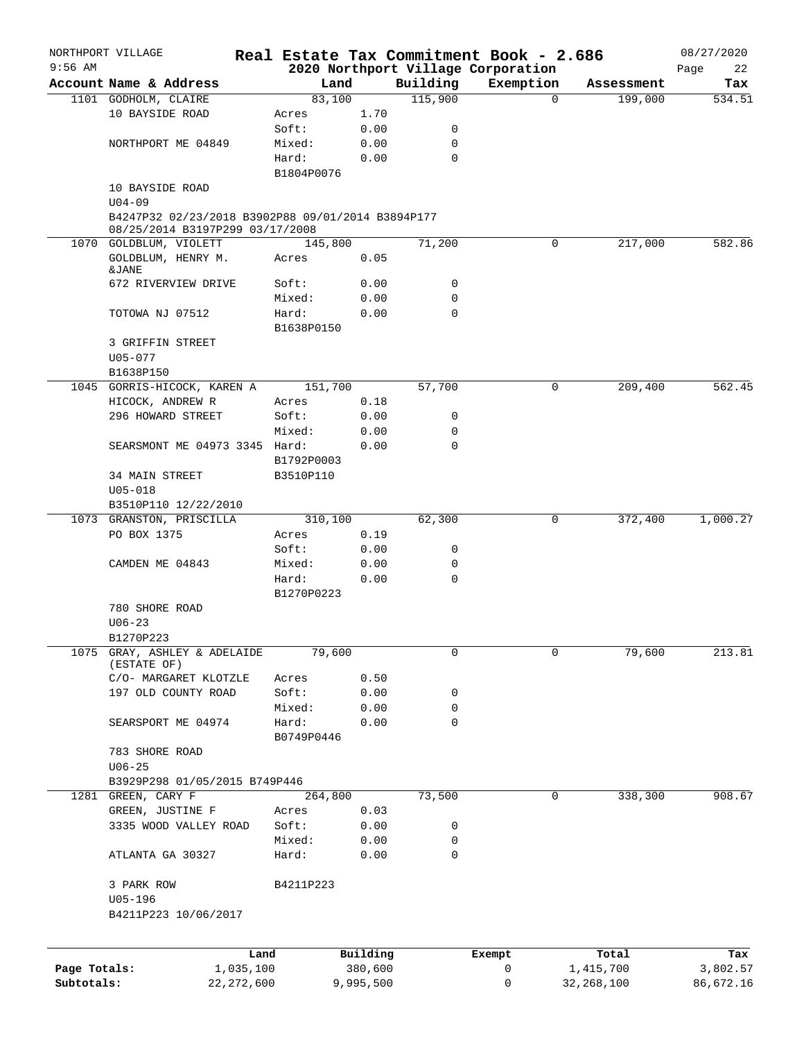|              | NORTHPORT VILLAGE                                         |            |           |             | Real Estate Tax Commitment Book - 2.686 |              | 08/27/2020 |
|--------------|-----------------------------------------------------------|------------|-----------|-------------|-----------------------------------------|--------------|------------|
| $9:56$ AM    |                                                           |            |           |             | 2020 Northport Village Corporation      |              | Page<br>22 |
|              | Account Name & Address                                    | Land       |           | Building    | Exemption                               | Assessment   | Tax        |
|              | 1101 GODHOLM, CLAIRE                                      | 83,100     |           | 115,900     | $\Omega$                                | 199,000      | 534.51     |
|              | 10 BAYSIDE ROAD                                           | Acres      | 1.70      |             |                                         |              |            |
|              |                                                           | Soft:      | 0.00      | 0           |                                         |              |            |
|              | NORTHPORT ME 04849                                        | Mixed:     | 0.00      | 0           |                                         |              |            |
|              |                                                           | Hard:      | 0.00      | $\mathbf 0$ |                                         |              |            |
|              |                                                           | B1804P0076 |           |             |                                         |              |            |
|              | 10 BAYSIDE ROAD                                           |            |           |             |                                         |              |            |
|              | $U04 - 09$                                                |            |           |             |                                         |              |            |
|              | B4247P32 02/23/2018 B3902P88 09/01/2014 B3894P177         |            |           |             |                                         |              |            |
|              | 08/25/2014 B3197P299 03/17/2008<br>1070 GOLDBLUM, VIOLETT | 145,800    |           | 71,200      | 0                                       | 217,000      | 582.86     |
|              | GOLDBLUM, HENRY M.                                        | Acres      | 0.05      |             |                                         |              |            |
|              | &JANE                                                     |            |           |             |                                         |              |            |
|              | 672 RIVERVIEW DRIVE                                       | Soft:      | 0.00      | 0           |                                         |              |            |
|              |                                                           | Mixed:     | 0.00      | $\mathbf 0$ |                                         |              |            |
|              | TOTOWA NJ 07512                                           | Hard:      | 0.00      | $\mathbf 0$ |                                         |              |            |
|              |                                                           | B1638P0150 |           |             |                                         |              |            |
|              | 3 GRIFFIN STREET                                          |            |           |             |                                         |              |            |
|              | $U05 - 077$                                               |            |           |             |                                         |              |            |
|              | B1638P150                                                 |            |           |             |                                         |              |            |
|              | 1045 GORRIS-HICOCK, KAREN A                               | 151,700    |           | 57,700      | 0                                       | 209,400      | 562.45     |
|              | HICOCK, ANDREW R                                          | Acres      | 0.18      |             |                                         |              |            |
|              | 296 HOWARD STREET                                         | Soft:      | 0.00      | 0           |                                         |              |            |
|              |                                                           | Mixed:     | 0.00      | $\mathbf 0$ |                                         |              |            |
|              | SEARSMONT ME 04973 3345 Hard:                             |            | 0.00      | $\Omega$    |                                         |              |            |
|              |                                                           | B1792P0003 |           |             |                                         |              |            |
|              | 34 MAIN STREET                                            | B3510P110  |           |             |                                         |              |            |
|              | $U05 - 018$                                               |            |           |             |                                         |              |            |
|              | B3510P110 12/22/2010                                      |            |           |             |                                         |              |            |
|              | 1073 GRANSTON, PRISCILLA                                  | 310,100    |           | 62,300      | 0                                       | 372,400      | 1,000.27   |
|              | PO BOX 1375                                               | Acres      | 0.19      |             |                                         |              |            |
|              |                                                           | Soft:      | 0.00      | 0           |                                         |              |            |
|              | CAMDEN ME 04843                                           | Mixed:     | 0.00      | 0           |                                         |              |            |
|              |                                                           | Hard:      | 0.00      | $\mathbf 0$ |                                         |              |            |
|              |                                                           | B1270P0223 |           |             |                                         |              |            |
|              | 780 SHORE ROAD                                            |            |           |             |                                         |              |            |
|              | $U06 - 23$                                                |            |           |             |                                         |              |            |
|              | B1270P223                                                 |            |           |             |                                         |              |            |
| 1075         | GRAY, ASHLEY & ADELAIDE                                   | 79,600     |           | 0           | 0                                       | 79,600       | 213.81     |
|              | (ESTATE OF)                                               |            |           |             |                                         |              |            |
|              | C/O- MARGARET KLOTZLE                                     | Acres      | 0.50      |             |                                         |              |            |
|              | 197 OLD COUNTY ROAD                                       | Soft:      | 0.00      | 0           |                                         |              |            |
|              |                                                           | Mixed:     | 0.00      | 0           |                                         |              |            |
|              | SEARSPORT ME 04974                                        | Hard:      | 0.00      | $\mathbf 0$ |                                         |              |            |
|              |                                                           | B0749P0446 |           |             |                                         |              |            |
|              | 783 SHORE ROAD                                            |            |           |             |                                         |              |            |
|              | $U06 - 25$                                                |            |           |             |                                         |              |            |
|              | B3929P298 01/05/2015 B749P446                             |            |           |             |                                         |              |            |
|              | 1281 GREEN, CARY F                                        | 264,800    |           | 73,500      | 0                                       | 338,300      | 908.67     |
|              | GREEN, JUSTINE F                                          | Acres      | 0.03      |             |                                         |              |            |
|              | 3335 WOOD VALLEY ROAD                                     | Soft:      | 0.00      | 0           |                                         |              |            |
|              |                                                           | Mixed:     | 0.00      | 0           |                                         |              |            |
|              | ATLANTA GA 30327                                          | Hard:      | 0.00      | $\mathbf 0$ |                                         |              |            |
|              |                                                           |            |           |             |                                         |              |            |
|              | 3 PARK ROW                                                | B4211P223  |           |             |                                         |              |            |
|              | $U05 - 196$                                               |            |           |             |                                         |              |            |
|              | B4211P223 10/06/2017                                      |            |           |             |                                         |              |            |
|              |                                                           |            |           |             |                                         |              |            |
|              | Land                                                      |            | Building  |             | Exempt                                  | Total        | Tax        |
| Page Totals: | 1,035,100                                                 |            | 380,600   |             | 0                                       | 1,415,700    | 3,802.57   |
| Subtotals:   | 22, 272, 600                                              |            | 9,995,500 |             | 0                                       | 32, 268, 100 | 86,672.16  |
|              |                                                           |            |           |             |                                         |              |            |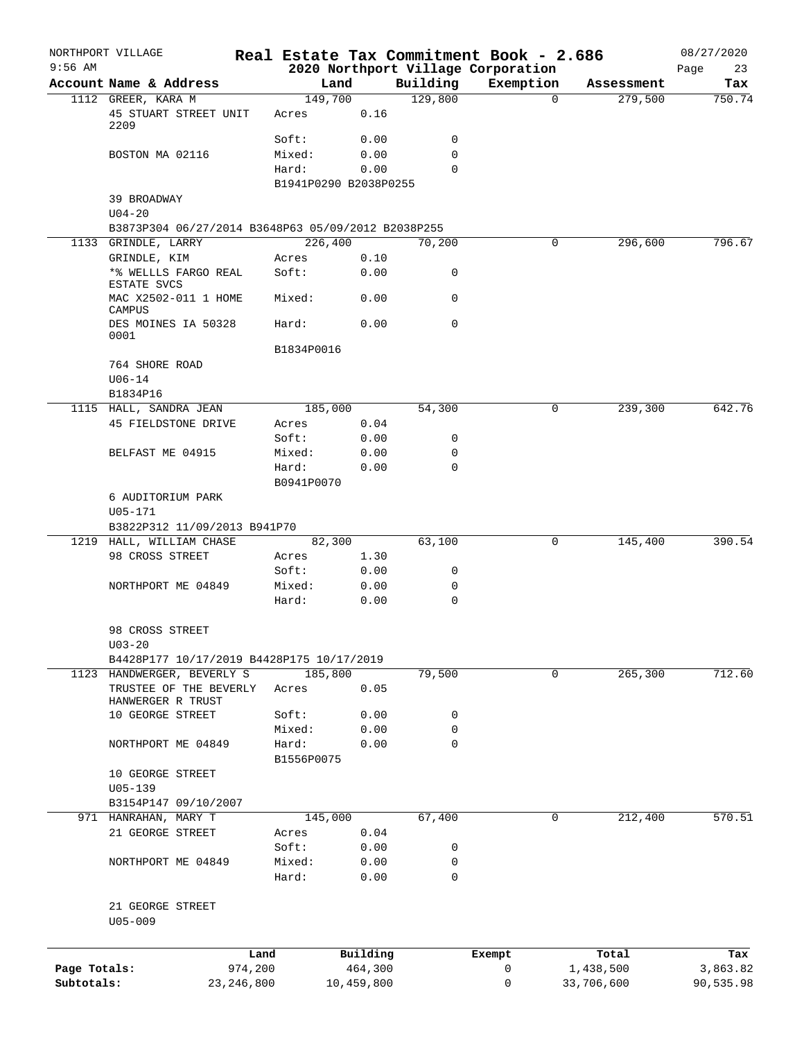|              | NORTHPORT VILLAGE                                   |                     |                       |             | Real Estate Tax Commitment Book - 2.686 |                        | 08/27/2020      |
|--------------|-----------------------------------------------------|---------------------|-----------------------|-------------|-----------------------------------------|------------------------|-----------------|
| $9:56$ AM    |                                                     |                     |                       |             | 2020 Northport Village Corporation      |                        | Page<br>23      |
|              | Account Name & Address                              |                     | Land                  | Building    | Exemption                               | Assessment             | Tax             |
|              | 1112 GREER, KARA M<br>45 STUART STREET UNIT<br>2209 | Acres               | 149,700<br>0.16       | 129,800     |                                         | $\mathbf 0$<br>279,500 | 750.74          |
|              |                                                     | Soft:               | 0.00                  | $\mathbf 0$ |                                         |                        |                 |
|              | BOSTON MA 02116                                     | Mixed:              | 0.00                  | $\mathbf 0$ |                                         |                        |                 |
|              |                                                     | Hard:               | 0.00                  | $\Omega$    |                                         |                        |                 |
|              |                                                     |                     | B1941P0290 B2038P0255 |             |                                         |                        |                 |
|              | 39 BROADWAY                                         |                     |                       |             |                                         |                        |                 |
|              | $U04 - 20$                                          |                     |                       |             |                                         |                        |                 |
|              | B3873P304 06/27/2014 B3648P63 05/09/2012 B2038P255  |                     |                       |             |                                         |                        |                 |
|              | 1133 GRINDLE, LARRY                                 |                     | 226,400               | 70,200      |                                         | 296,600<br>0           | 796.67          |
|              | GRINDLE, KIM                                        | Acres               | 0.10                  |             |                                         |                        |                 |
|              | *% WELLLS FARGO REAL<br>ESTATE SVCS                 | Soft:               | 0.00                  | 0           |                                         |                        |                 |
|              | MAC X2502-011 1 HOME<br>CAMPUS                      | Mixed:              | 0.00                  | 0           |                                         |                        |                 |
|              | DES MOINES IA 50328<br>0001                         | Hard:               | 0.00                  | 0           |                                         |                        |                 |
|              |                                                     | B1834P0016          |                       |             |                                         |                        |                 |
|              | 764 SHORE ROAD                                      |                     |                       |             |                                         |                        |                 |
|              | $U06 - 14$                                          |                     |                       |             |                                         |                        |                 |
|              | B1834P16                                            |                     |                       |             |                                         |                        |                 |
|              | 1115 HALL, SANDRA JEAN                              |                     | 185,000               | 54,300      |                                         | 0<br>239,300           | 642.76          |
|              | 45 FIELDSTONE DRIVE                                 | Acres               | 0.04                  |             |                                         |                        |                 |
|              |                                                     | Soft:               | 0.00                  | 0           |                                         |                        |                 |
|              | BELFAST ME 04915                                    | Mixed:              | 0.00                  | 0           |                                         |                        |                 |
|              |                                                     | Hard:<br>B0941P0070 | 0.00                  | $\mathbf 0$ |                                         |                        |                 |
|              | 6 AUDITORIUM PARK                                   |                     |                       |             |                                         |                        |                 |
|              | $U05 - 171$                                         |                     |                       |             |                                         |                        |                 |
|              | B3822P312 11/09/2013 B941P70                        |                     |                       |             |                                         |                        |                 |
|              | 1219 HALL, WILLIAM CHASE                            |                     | 82,300                | 63,100      |                                         | 145,400<br>0           | 390.54          |
|              | 98 CROSS STREET                                     | Acres               | 1.30                  |             |                                         |                        |                 |
|              |                                                     | Soft:               | 0.00                  | 0           |                                         |                        |                 |
|              | NORTHPORT ME 04849                                  | Mixed:              | 0.00                  | 0           |                                         |                        |                 |
|              |                                                     | Hard:               | 0.00                  | 0           |                                         |                        |                 |
|              | 98 CROSS STREET                                     |                     |                       |             |                                         |                        |                 |
|              | $U03 - 20$                                          |                     |                       |             |                                         |                        |                 |
|              | B4428P177 10/17/2019 B4428P175 10/17/2019           |                     |                       |             |                                         |                        |                 |
|              | 1123 HANDWERGER, BEVERLY S                          |                     | 185,800               | 79,500      |                                         | $\mathbf 0$<br>265,300 | 712.60          |
|              | TRUSTEE OF THE BEVERLY                              | Acres               | 0.05                  |             |                                         |                        |                 |
|              | HANWERGER R TRUST                                   |                     |                       |             |                                         |                        |                 |
|              | 10 GEORGE STREET                                    | Soft:               | 0.00                  | 0           |                                         |                        |                 |
|              |                                                     | Mixed:              | 0.00                  | $\mathbf 0$ |                                         |                        |                 |
|              | NORTHPORT ME 04849                                  | Hard:<br>B1556P0075 | 0.00                  | $\mathbf 0$ |                                         |                        |                 |
|              | 10 GEORGE STREET                                    |                     |                       |             |                                         |                        |                 |
|              | $U05 - 139$                                         |                     |                       |             |                                         |                        |                 |
|              | B3154P147 09/10/2007                                |                     |                       |             |                                         |                        |                 |
|              | 971 HANRAHAN, MARY T                                |                     | 145,000               | 67,400      |                                         | 212,400<br>0           | 570.51          |
|              | 21 GEORGE STREET                                    | Acres               | 0.04                  |             |                                         |                        |                 |
|              |                                                     | Soft:               | 0.00                  | 0           |                                         |                        |                 |
|              | NORTHPORT ME 04849                                  | Mixed:              | 0.00                  | 0           |                                         |                        |                 |
|              |                                                     | Hard:               | 0.00                  | 0           |                                         |                        |                 |
|              | 21 GEORGE STREET                                    |                     |                       |             |                                         |                        |                 |
|              | $U05 - 009$                                         |                     |                       |             |                                         |                        |                 |
|              |                                                     |                     |                       |             |                                         |                        |                 |
| Page Totals: |                                                     | Land<br>974,200     | Building<br>464,300   |             | Exempt<br>$\mathsf{O}$                  | Total<br>1,438,500     | Tax<br>3,863.82 |
| Subtotals:   | 23, 246, 800                                        |                     | 10,459,800            |             | 0                                       | 33,706,600             | 90,535.98       |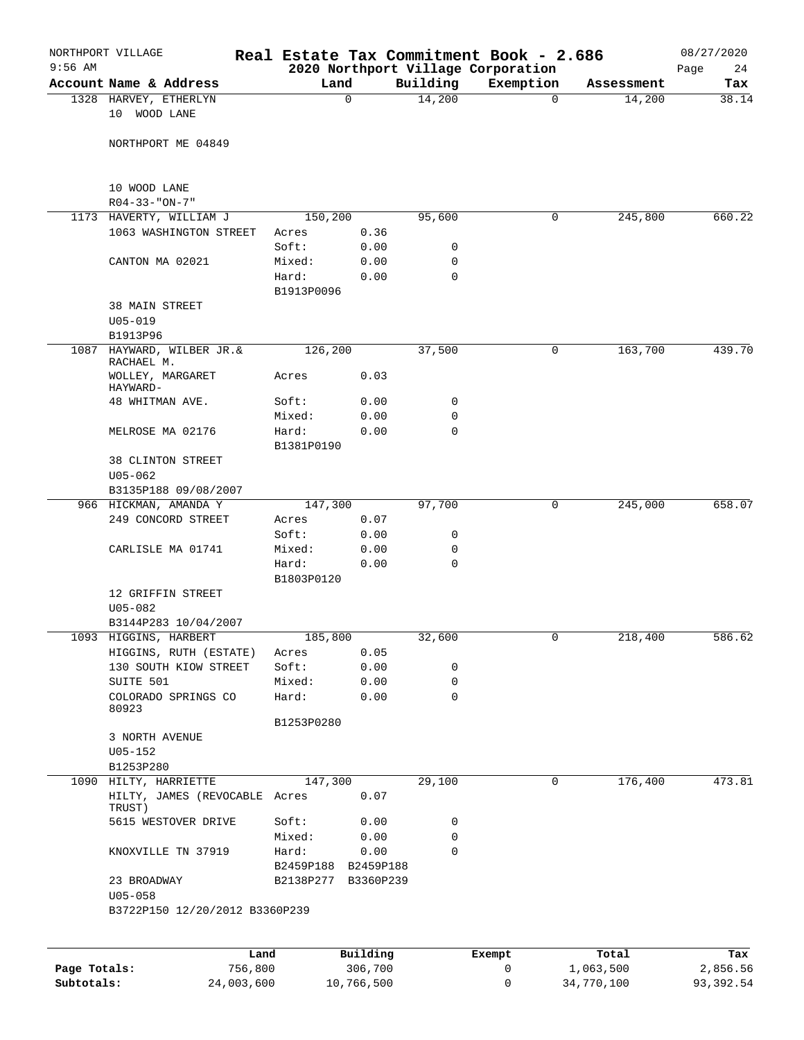| $9:56$ AM    | NORTHPORT VILLAGE                                      |                     |              |             | Real Estate Tax Commitment Book - 2.686<br>2020 Northport Village Corporation |            | 08/27/2020<br>Page<br>24 |
|--------------|--------------------------------------------------------|---------------------|--------------|-------------|-------------------------------------------------------------------------------|------------|--------------------------|
|              | Account Name & Address                                 | Land                |              | Building    | Exemption                                                                     | Assessment | Tax                      |
|              | 1328 HARVEY, ETHERLYN<br>10 WOOD LANE                  |                     | 0            | 14,200      | $\mathbf 0$                                                                   | 14,200     | 38.14                    |
|              | NORTHPORT ME 04849                                     |                     |              |             |                                                                               |            |                          |
|              | 10 WOOD LANE<br>$R04 - 33 - "ON - 7"$                  |                     |              |             |                                                                               |            |                          |
|              | 1173 HAVERTY, WILLIAM J                                | 150,200             |              | 95,600      | 0                                                                             | 245,800    | 660.22                   |
|              | 1063 WASHINGTON STREET                                 | Acres               | 0.36         |             |                                                                               |            |                          |
|              |                                                        | Soft:               | 0.00         | 0           |                                                                               |            |                          |
|              | CANTON MA 02021                                        | Mixed:              | 0.00         | 0           |                                                                               |            |                          |
|              |                                                        | Hard:<br>B1913P0096 | 0.00         | 0           |                                                                               |            |                          |
|              | <b>38 MAIN STREET</b>                                  |                     |              |             |                                                                               |            |                          |
|              | $U05 - 019$                                            |                     |              |             |                                                                               |            |                          |
|              | B1913P96                                               |                     |              |             |                                                                               |            |                          |
| 1087         | HAYWARD, WILBER JR.&<br>RACHAEL M.<br>WOLLEY, MARGARET | 126,200<br>Acres    | 0.03         | 37,500      | 0                                                                             | 163,700    | 439.70                   |
|              | HAYWARD-                                               |                     |              |             |                                                                               |            |                          |
|              | 48 WHITMAN AVE.                                        | Soft:               | 0.00         | 0           |                                                                               |            |                          |
|              |                                                        | Mixed:              | 0.00         | 0           |                                                                               |            |                          |
|              | MELROSE MA 02176                                       | Hard:               | 0.00         | 0           |                                                                               |            |                          |
|              | <b>38 CLINTON STREET</b>                               | B1381P0190          |              |             |                                                                               |            |                          |
|              | $U05 - 062$                                            |                     |              |             |                                                                               |            |                          |
|              | B3135P188 09/08/2007                                   |                     |              |             |                                                                               |            |                          |
|              | 966 HICKMAN, AMANDA Y                                  | 147,300             |              | 97,700      | 0                                                                             | 245,000    | 658.07                   |
|              | 249 CONCORD STREET                                     | Acres               | 0.07         |             |                                                                               |            |                          |
|              |                                                        | Soft:               | 0.00         | 0           |                                                                               |            |                          |
|              | CARLISLE MA 01741                                      | Mixed:              | 0.00         | 0           |                                                                               |            |                          |
|              |                                                        | Hard:               | 0.00         | $\mathbf 0$ |                                                                               |            |                          |
|              |                                                        | B1803P0120          |              |             |                                                                               |            |                          |
|              | 12 GRIFFIN STREET                                      |                     |              |             |                                                                               |            |                          |
|              | $U05 - 082$                                            |                     |              |             |                                                                               |            |                          |
|              | B3144P283 10/04/2007                                   |                     |              |             |                                                                               |            |                          |
|              | 1093 HIGGINS, HARBERT                                  | 185,800             |              | 32,600      | 0                                                                             | 218,400    | 586.62                   |
|              | HIGGINS, RUTH (ESTATE)<br>130 SOUTH KIOW STREET        | Acres<br>Soft:      | 0.05         | 0           |                                                                               |            |                          |
|              | SUITE 501                                              | Mixed:              | 0.00<br>0.00 | 0           |                                                                               |            |                          |
|              | COLORADO SPRINGS CO                                    | Hard:               | 0.00         | 0           |                                                                               |            |                          |
|              | 80923                                                  |                     |              |             |                                                                               |            |                          |
|              |                                                        | B1253P0280          |              |             |                                                                               |            |                          |
|              | 3 NORTH AVENUE                                         |                     |              |             |                                                                               |            |                          |
|              | $U05 - 152$<br>B1253P280                               |                     |              |             |                                                                               |            |                          |
|              | 1090 HILTY, HARRIETTE                                  | 147,300             |              | 29,100      | 0                                                                             | 176,400    | 473.81                   |
|              | HILTY, JAMES (REVOCABLE Acres<br>TRUST)                |                     | 0.07         |             |                                                                               |            |                          |
|              | 5615 WESTOVER DRIVE                                    | Soft:               | 0.00         | 0           |                                                                               |            |                          |
|              |                                                        | Mixed:              | 0.00         | 0           |                                                                               |            |                          |
|              | KNOXVILLE TN 37919                                     | Hard:               | 0.00         | 0           |                                                                               |            |                          |
|              |                                                        | B2459P188 B2459P188 |              |             |                                                                               |            |                          |
|              | 23 BROADWAY<br>$U05 - 058$                             | B2138P277 B3360P239 |              |             |                                                                               |            |                          |
|              | B3722P150 12/20/2012 B3360P239                         |                     |              |             |                                                                               |            |                          |
|              |                                                        |                     |              |             |                                                                               |            |                          |
|              | Land                                                   |                     | Building     |             | Exempt                                                                        | Total      | Tax                      |
| Page Totals: | 756,800                                                |                     | 306,700      |             | 0                                                                             | 1,063,500  | 2,856.56                 |

**Subtotals:** 24,003,600 10,766,500 0 34,770,100 93,392.54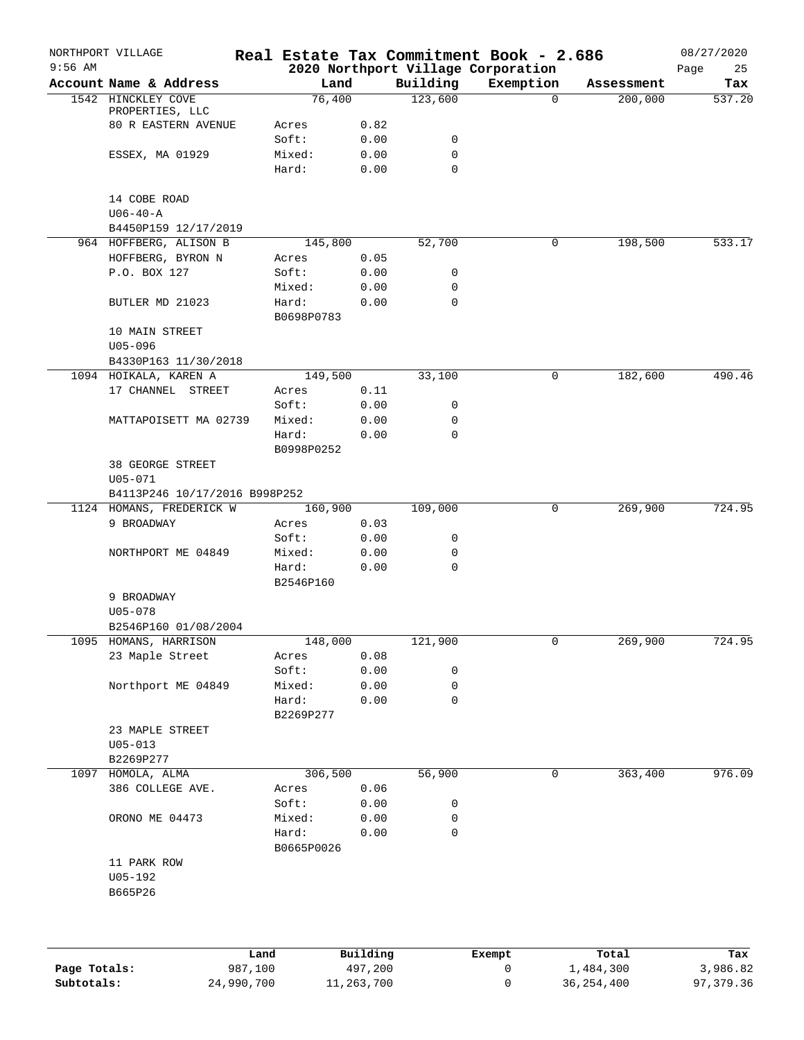|              | NORTHPORT VILLAGE                      |                 |              |                     | Real Estate Tax Commitment Book - 2.686 |                       | 08/27/2020    |
|--------------|----------------------------------------|-----------------|--------------|---------------------|-----------------------------------------|-----------------------|---------------|
| $9:56$ AM    | Account Name & Address                 | Land            |              |                     | 2020 Northport Village Corporation      |                       | 25<br>Page    |
|              | 1542 HINCKLEY COVE                     | 76,400          |              | Building<br>123,600 | Exemption<br>$\Omega$                   | Assessment<br>200,000 | Tax<br>537.20 |
|              | PROPERTIES, LLC                        |                 |              |                     |                                         |                       |               |
|              | <b>80 R EASTERN AVENUE</b>             | Acres           | 0.82         |                     |                                         |                       |               |
|              |                                        | Soft:           | 0.00         | 0                   |                                         |                       |               |
|              | ESSEX, MA 01929                        | Mixed:          | 0.00         | 0                   |                                         |                       |               |
|              |                                        | Hard:           | 0.00         | $\mathbf 0$         |                                         |                       |               |
|              |                                        |                 |              |                     |                                         |                       |               |
|              | 14 COBE ROAD                           |                 |              |                     |                                         |                       |               |
|              | $U06 - 40 - A$<br>B4450P159 12/17/2019 |                 |              |                     |                                         |                       |               |
|              | 964 HOFFBERG, ALISON B                 | 145,800         |              | 52,700              | 0                                       | 198,500               | 533.17        |
|              | HOFFBERG, BYRON N                      | Acres           | 0.05         |                     |                                         |                       |               |
|              | P.O. BOX 127                           | Soft:           | 0.00         | 0                   |                                         |                       |               |
|              |                                        | Mixed:          | 0.00         | 0                   |                                         |                       |               |
|              | BUTLER MD 21023                        | Hard:           | 0.00         | 0                   |                                         |                       |               |
|              |                                        | B0698P0783      |              |                     |                                         |                       |               |
|              | 10 MAIN STREET                         |                 |              |                     |                                         |                       |               |
|              | $U05 - 096$                            |                 |              |                     |                                         |                       |               |
|              | B4330P163 11/30/2018                   |                 |              |                     |                                         |                       |               |
|              | 1094 HOIKALA, KAREN A                  | 149,500         |              | 33,100              | 0                                       | 182,600               | 490.46        |
|              | 17 CHANNEL STREET                      | Acres           | 0.11         |                     |                                         |                       |               |
|              |                                        | Soft:           | 0.00         | 0                   |                                         |                       |               |
|              | MATTAPOISETT MA 02739                  | Mixed:          | 0.00         | 0                   |                                         |                       |               |
|              |                                        | Hard:           | 0.00         | 0                   |                                         |                       |               |
|              |                                        | B0998P0252      |              |                     |                                         |                       |               |
|              | 38 GEORGE STREET                       |                 |              |                     |                                         |                       |               |
|              | $U05 - 071$                            |                 |              |                     |                                         |                       |               |
|              | B4113P246 10/17/2016 B998P252          |                 |              |                     |                                         |                       |               |
|              | 1124 HOMANS, FREDERICK W               | 160,900         |              | 109,000             | 0                                       | 269,900               | 724.95        |
|              | 9 BROADWAY                             | Acres           | 0.03         |                     |                                         |                       |               |
|              |                                        | Soft:           | 0.00         | 0                   |                                         |                       |               |
|              | NORTHPORT ME 04849                     | Mixed:          | 0.00         | 0                   |                                         |                       |               |
|              |                                        | Hard:           | 0.00         | $\mathsf{O}$        |                                         |                       |               |
|              |                                        | B2546P160       |              |                     |                                         |                       |               |
|              | 9 BROADWAY                             |                 |              |                     |                                         |                       |               |
|              | $U05 - 078$                            |                 |              |                     |                                         |                       |               |
|              | B2546P160 01/08/2004                   |                 |              |                     |                                         |                       |               |
|              | 1095 HOMANS, HARRISON                  | 148,000         |              | 121,900             | 0                                       | 269,900               | 724.95        |
|              | 23 Maple Street                        | Acres<br>Soft:  | 0.08         |                     |                                         |                       |               |
|              |                                        |                 | 0.00         | 0<br>0              |                                         |                       |               |
|              | Northport ME 04849                     | Mixed:<br>Hard: | 0.00<br>0.00 | 0                   |                                         |                       |               |
|              |                                        | B2269P277       |              |                     |                                         |                       |               |
|              | 23 MAPLE STREET                        |                 |              |                     |                                         |                       |               |
|              | $U05 - 013$                            |                 |              |                     |                                         |                       |               |
|              | B2269P277                              |                 |              |                     |                                         |                       |               |
|              | 1097 HOMOLA, ALMA                      | 306,500         |              | 56,900              | 0                                       | 363,400               | 976.09        |
|              | 386 COLLEGE AVE.                       | Acres           | 0.06         |                     |                                         |                       |               |
|              |                                        | Soft:           | 0.00         | 0                   |                                         |                       |               |
|              | ORONO ME 04473                         | Mixed:          | 0.00         | 0                   |                                         |                       |               |
|              |                                        | Hard:           | 0.00         | 0                   |                                         |                       |               |
|              |                                        | B0665P0026      |              |                     |                                         |                       |               |
|              | 11 PARK ROW                            |                 |              |                     |                                         |                       |               |
|              | U05-192                                |                 |              |                     |                                         |                       |               |
|              | B665P26                                |                 |              |                     |                                         |                       |               |
|              |                                        |                 |              |                     |                                         |                       |               |
|              |                                        |                 |              |                     |                                         |                       |               |
|              |                                        |                 |              |                     |                                         |                       |               |
|              |                                        | Land            | Building     |                     | Exempt                                  | Total                 | Tax           |
| Page Totals: | 987,100                                |                 | 497,200      |                     | 0                                       | 1,484,300             | 3,986.82      |
|              |                                        |                 |              |                     |                                         |                       |               |

**Subtotals:** 24,990,700 11,263,700 0 36,254,400 97,379.36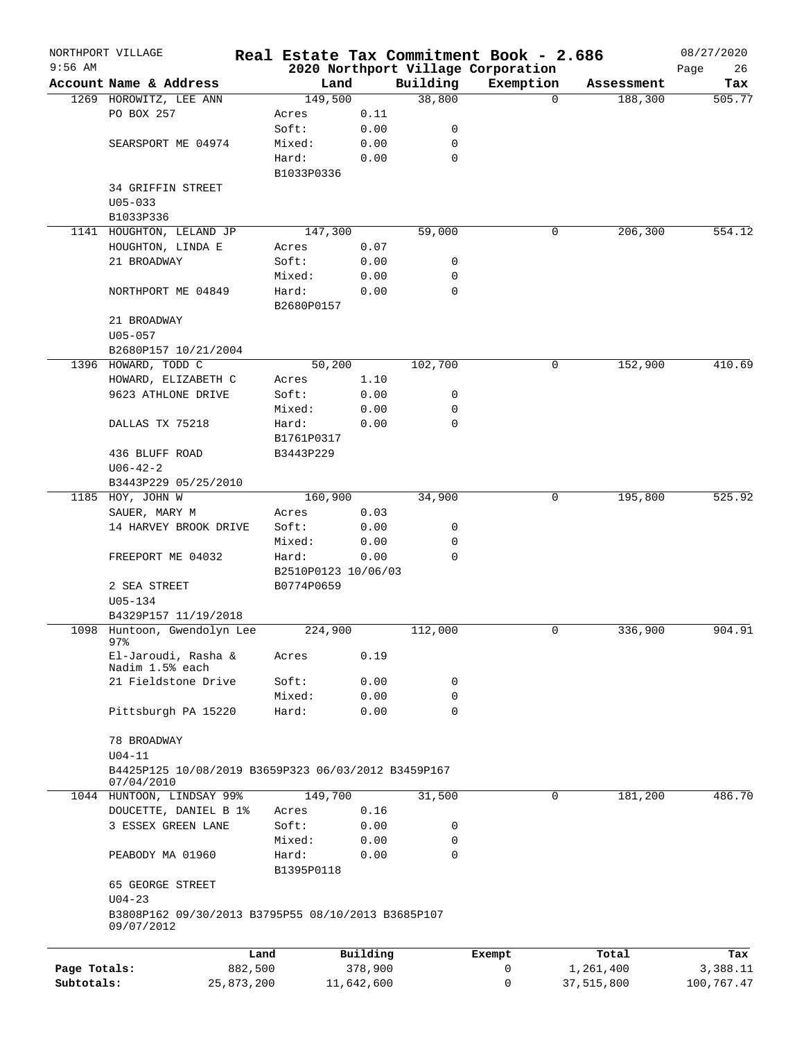|              | NORTHPORT VILLAGE                                                 |                     |            |                  | Real Estate Tax Commitment Book - 2.686 |            | 08/27/2020 |
|--------------|-------------------------------------------------------------------|---------------------|------------|------------------|-----------------------------------------|------------|------------|
| $9:56$ AM    |                                                                   |                     |            |                  | 2020 Northport Village Corporation      |            | Page<br>26 |
|              | Account Name & Address                                            | Land                |            | Building         | Exemption                               | Assessment | Tax        |
|              | 1269 HOROWITZ, LEE ANN                                            | 149,500             |            | 38,800           | $\mathbf 0$                             | 188,300    | 505.77     |
|              | PO BOX 257                                                        | Acres               | 0.11       |                  |                                         |            |            |
|              |                                                                   | Soft:               | 0.00       | 0                |                                         |            |            |
|              | SEARSPORT ME 04974                                                | Mixed:              | 0.00       | 0<br>$\mathbf 0$ |                                         |            |            |
|              |                                                                   | Hard:               | 0.00       |                  |                                         |            |            |
|              | <b>34 GRIFFIN STREET</b>                                          | B1033P0336          |            |                  |                                         |            |            |
|              | $U05 - 033$                                                       |                     |            |                  |                                         |            |            |
|              | B1033P336                                                         |                     |            |                  |                                         |            |            |
|              | 1141 HOUGHTON, LELAND JP                                          | 147,300             |            | 59,000           | 0                                       | 206,300    | 554.12     |
|              | HOUGHTON, LINDA E                                                 | Acres               | 0.07       |                  |                                         |            |            |
|              | 21 BROADWAY                                                       | Soft:               | 0.00       | 0                |                                         |            |            |
|              |                                                                   | Mixed:              | 0.00       | 0                |                                         |            |            |
|              | NORTHPORT ME 04849                                                | Hard:               | 0.00       | $\mathbf 0$      |                                         |            |            |
|              |                                                                   | B2680P0157          |            |                  |                                         |            |            |
|              | 21 BROADWAY                                                       |                     |            |                  |                                         |            |            |
|              | $U05 - 057$                                                       |                     |            |                  |                                         |            |            |
|              | B2680P157 10/21/2004                                              |                     |            |                  |                                         |            |            |
|              | 1396 HOWARD, TODD C                                               | 50,200              |            | 102,700          | 0                                       | 152,900    | 410.69     |
|              | HOWARD, ELIZABETH C                                               | Acres               | 1.10       |                  |                                         |            |            |
|              | 9623 ATHLONE DRIVE                                                | Soft:               | 0.00       | 0                |                                         |            |            |
|              |                                                                   | Mixed:              | 0.00       | 0                |                                         |            |            |
|              | DALLAS TX 75218                                                   | Hard:               | 0.00       | $\mathbf 0$      |                                         |            |            |
|              |                                                                   | B1761P0317          |            |                  |                                         |            |            |
|              | 436 BLUFF ROAD                                                    | B3443P229           |            |                  |                                         |            |            |
|              | $U06 - 42 - 2$                                                    |                     |            |                  |                                         |            |            |
|              | B3443P229 05/25/2010                                              |                     |            |                  |                                         |            |            |
|              | 1185 HOY, JOHN W                                                  | 160,900             |            | 34,900           | 0                                       | 195,800    | 525.92     |
|              | SAUER, MARY M                                                     | Acres               | 0.03       |                  |                                         |            |            |
|              | 14 HARVEY BROOK DRIVE                                             | Soft:               | 0.00       | 0                |                                         |            |            |
|              |                                                                   | Mixed:              | 0.00       | 0                |                                         |            |            |
|              | FREEPORT ME 04032                                                 | Hard:               | 0.00       | $\mathbf 0$      |                                         |            |            |
|              |                                                                   | B2510P0123 10/06/03 |            |                  |                                         |            |            |
|              | 2 SEA STREET                                                      | B0774P0659          |            |                  |                                         |            |            |
|              | U05-134                                                           |                     |            |                  |                                         |            |            |
|              | B4329P157 11/19/2018                                              |                     |            |                  |                                         |            |            |
|              | 1098 Huntoon, Gwendolyn Lee                                       | 224,900             |            | 112,000          | 0                                       | 336,900    | 904.91     |
|              | $97$ $%$                                                          |                     |            |                  |                                         |            |            |
|              | El-Jaroudi, Rasha &                                               | Acres               | 0.19       |                  |                                         |            |            |
|              | Nadim 1.5% each                                                   |                     |            |                  |                                         |            |            |
|              | 21 Fieldstone Drive                                               | Soft:               | 0.00       | 0                |                                         |            |            |
|              |                                                                   | Mixed:              | 0.00       | $\mathbf 0$      |                                         |            |            |
|              | Pittsburgh PA 15220                                               | Hard:               | 0.00       | $\mathbf 0$      |                                         |            |            |
|              |                                                                   |                     |            |                  |                                         |            |            |
|              | 78 BROADWAY                                                       |                     |            |                  |                                         |            |            |
|              | $U04-11$                                                          |                     |            |                  |                                         |            |            |
|              | B4425P125 10/08/2019 B3659P323 06/03/2012 B3459P167<br>07/04/2010 |                     |            |                  |                                         |            |            |
|              | 1044 HUNTOON, LINDSAY 99%                                         | 149,700             |            | 31,500           | 0                                       | 181,200    | 486.70     |
|              | DOUCETTE, DANIEL B 1%                                             | Acres               | 0.16       |                  |                                         |            |            |
|              | 3 ESSEX GREEN LANE                                                | Soft:               | 0.00       | 0                |                                         |            |            |
|              |                                                                   | Mixed:              | 0.00       | $\mathbf 0$      |                                         |            |            |
|              | PEABODY MA 01960                                                  | Hard:               | 0.00       | $\Omega$         |                                         |            |            |
|              |                                                                   | B1395P0118          |            |                  |                                         |            |            |
|              | 65 GEORGE STREET                                                  |                     |            |                  |                                         |            |            |
|              | $U04 - 23$                                                        |                     |            |                  |                                         |            |            |
|              | B3808P162 09/30/2013 B3795P55 08/10/2013 B3685P107                |                     |            |                  |                                         |            |            |
|              | 09/07/2012                                                        |                     |            |                  |                                         |            |            |
|              |                                                                   |                     |            |                  |                                         |            |            |
|              | Land                                                              |                     | Building   |                  | Exempt                                  | Total      | Tax        |
| Page Totals: | 882,500                                                           |                     | 378,900    |                  | 0                                       | 1,261,400  | 3,388.11   |
| Subtotals:   | 25,873,200                                                        |                     | 11,642,600 |                  | 0                                       | 37,515,800 | 100,767.47 |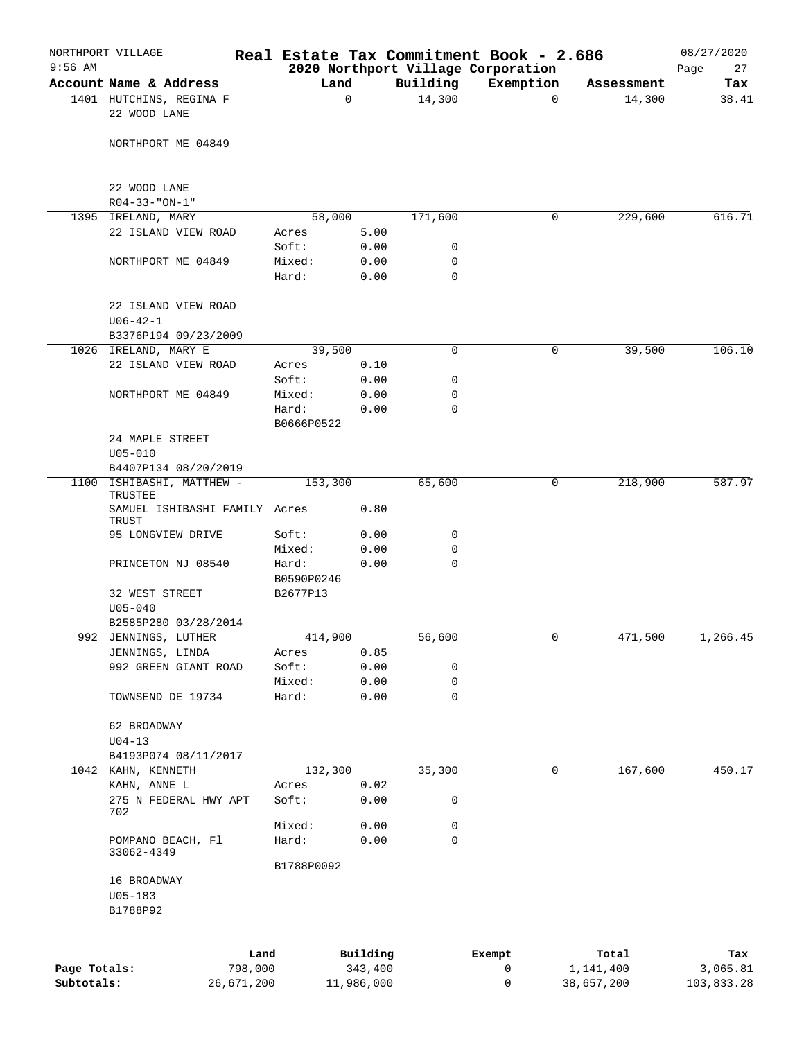| $9:56$ AM    | NORTHPORT VILLAGE                                 |                     |                     |                    | Real Estate Tax Commitment Book - 2.686 |                      | 08/27/2020      |
|--------------|---------------------------------------------------|---------------------|---------------------|--------------------|-----------------------------------------|----------------------|-----------------|
|              |                                                   |                     |                     |                    | 2020 Northport Village Corporation      |                      | Page<br>27      |
|              | Account Name & Address<br>1401 HUTCHINS, REGINA F |                     | Land<br>0           | Building<br>14,300 | Exemption<br>$\mathbf 0$                | Assessment<br>14,300 | Tax<br>38.41    |
|              | 22 WOOD LANE                                      |                     |                     |                    |                                         |                      |                 |
|              | NORTHPORT ME 04849                                |                     |                     |                    |                                         |                      |                 |
|              | 22 WOOD LANE                                      |                     |                     |                    |                                         |                      |                 |
|              | $R04 - 33 - "ON-1"$                               |                     |                     |                    |                                         |                      |                 |
|              | 1395 IRELAND, MARY<br>22 ISLAND VIEW ROAD         | 58,000<br>Acres     |                     | 171,600            | 0                                       | 229,600              | 616.71          |
|              |                                                   | Soft:               | 5.00<br>0.00        | 0                  |                                         |                      |                 |
|              | NORTHPORT ME 04849                                | Mixed:              | 0.00                | 0                  |                                         |                      |                 |
|              |                                                   | Hard:               | 0.00                | $\mathbf 0$        |                                         |                      |                 |
|              | 22 ISLAND VIEW ROAD<br>$U06 - 42 - 1$             |                     |                     |                    |                                         |                      |                 |
|              | B3376P194 09/23/2009                              |                     |                     |                    |                                         |                      |                 |
|              | 1026 IRELAND, MARY E                              | 39,500              |                     | 0                  | 0                                       | 39,500               | 106.10          |
|              | 22 ISLAND VIEW ROAD                               | Acres               | 0.10                |                    |                                         |                      |                 |
|              |                                                   | Soft:               | 0.00                | 0                  |                                         |                      |                 |
|              | NORTHPORT ME 04849                                | Mixed:              | 0.00                | 0                  |                                         |                      |                 |
|              |                                                   | Hard:<br>B0666P0522 | 0.00                | 0                  |                                         |                      |                 |
|              | 24 MAPLE STREET<br>$U05 - 010$                    |                     |                     |                    |                                         |                      |                 |
|              | B4407P134 08/20/2019                              |                     |                     |                    |                                         |                      |                 |
| 1100         | ISHIBASHI, MATTHEW -<br>TRUSTEE                   | 153,300             |                     | 65,600             | 0                                       | 218,900              | 587.97          |
|              | SAMUEL ISHIBASHI FAMILY Acres<br>TRUST            |                     | 0.80                |                    |                                         |                      |                 |
|              | 95 LONGVIEW DRIVE                                 | Soft:               | 0.00                | 0                  |                                         |                      |                 |
|              |                                                   | Mixed:              | 0.00                | 0                  |                                         |                      |                 |
|              | PRINCETON NJ 08540                                | Hard:               | 0.00                | $\mathbf 0$        |                                         |                      |                 |
|              |                                                   | B0590P0246          |                     |                    |                                         |                      |                 |
|              | 32 WEST STREET<br>$U05 - 040$                     | B2677P13            |                     |                    |                                         |                      |                 |
|              | B2585P280 03/28/2014                              |                     |                     |                    |                                         |                      |                 |
|              | 992 JENNINGS, LUTHER                              | 414,900             |                     | 56,600             | 0                                       | 471,500              | 1,266.45        |
|              | JENNINGS, LINDA                                   | Acres               | 0.85                |                    |                                         |                      |                 |
|              | 992 GREEN GIANT ROAD                              | Soft:               | 0.00                | 0                  |                                         |                      |                 |
|              |                                                   | Mixed:              | 0.00                | 0                  |                                         |                      |                 |
|              | TOWNSEND DE 19734                                 | Hard:               | 0.00                | 0                  |                                         |                      |                 |
|              | 62 BROADWAY<br>$U04-13$                           |                     |                     |                    |                                         |                      |                 |
|              | B4193P074 08/11/2017                              |                     |                     |                    |                                         |                      |                 |
|              | 1042 KAHN, KENNETH                                | 132,300             |                     | 35,300             | 0                                       | 167,600              | 450.17          |
|              | KAHN, ANNE L                                      | Acres               | 0.02                |                    |                                         |                      |                 |
|              | 275 N FEDERAL HWY APT<br>702                      | Soft:               | 0.00                | 0                  |                                         |                      |                 |
|              |                                                   | Mixed:              | 0.00                | 0                  |                                         |                      |                 |
|              | POMPANO BEACH, Fl<br>33062-4349                   | Hard:               | 0.00                | $\mathbf 0$        |                                         |                      |                 |
|              |                                                   | B1788P0092          |                     |                    |                                         |                      |                 |
|              | 16 BROADWAY                                       |                     |                     |                    |                                         |                      |                 |
|              | $U05 - 183$<br>B1788P92                           |                     |                     |                    |                                         |                      |                 |
|              |                                                   |                     |                     |                    |                                         |                      |                 |
| Page Totals: | 798,000                                           | Land                | Building<br>343,400 |                    | Exempt<br>0                             | Total<br>1,141,400   | Tax<br>3,065.81 |
| Subtotals:   | 26,671,200                                        |                     | 11,986,000          |                    | 0                                       | 38,657,200           | 103,833.28      |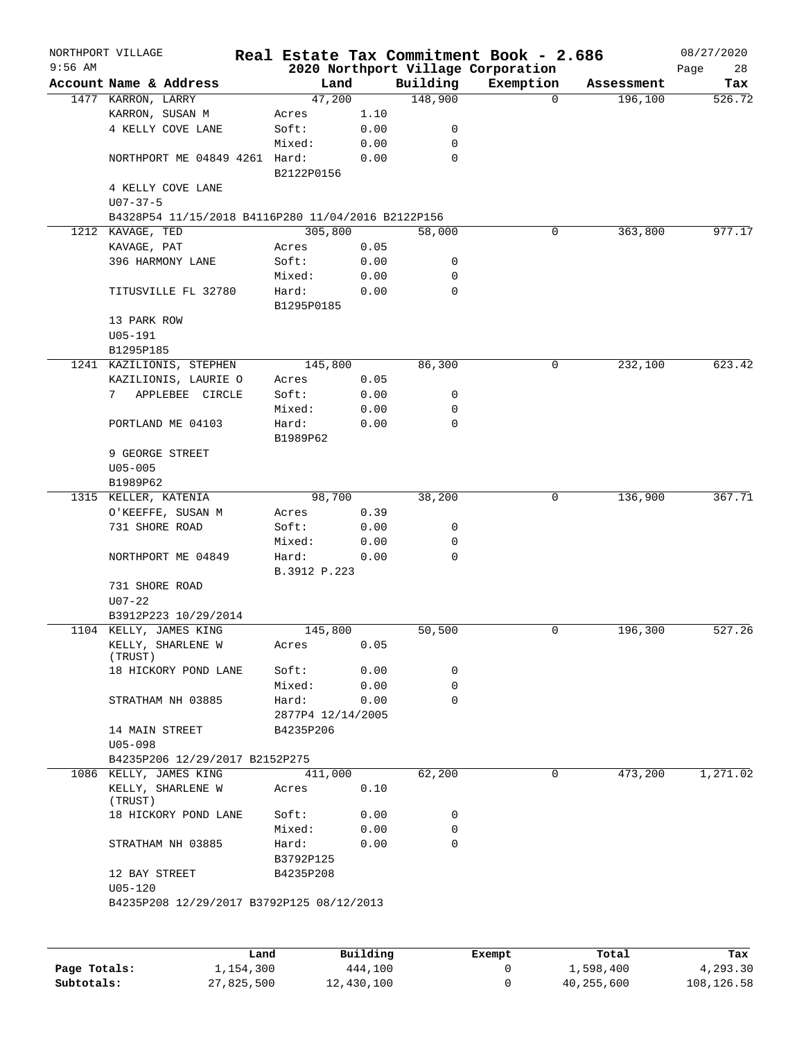| $9:56$ AM | NORTHPORT VILLAGE                                  |                   |          |             | Real Estate Tax Commitment Book - 2.686         |            | 08/27/2020        |
|-----------|----------------------------------------------------|-------------------|----------|-------------|-------------------------------------------------|------------|-------------------|
|           | Account Name & Address                             | Land              |          | Building    | 2020 Northport Village Corporation<br>Exemption | Assessment | Page<br>28<br>Tax |
|           | 1477 KARRON, LARRY                                 | 47,200            |          | 148,900     | $\Omega$                                        | 196,100    | 526.72            |
|           | KARRON, SUSAN M                                    | Acres             | 1.10     |             |                                                 |            |                   |
|           | 4 KELLY COVE LANE                                  | Soft:             | 0.00     | 0           |                                                 |            |                   |
|           |                                                    | Mixed:            | 0.00     | 0           |                                                 |            |                   |
|           | NORTHPORT ME 04849 4261 Hard:                      |                   | 0.00     | 0           |                                                 |            |                   |
|           |                                                    | B2122P0156        |          |             |                                                 |            |                   |
|           | 4 KELLY COVE LANE                                  |                   |          |             |                                                 |            |                   |
|           | $U07 - 37 - 5$                                     |                   |          |             |                                                 |            |                   |
|           | B4328P54 11/15/2018 B4116P280 11/04/2016 B2122P156 |                   |          |             |                                                 |            |                   |
|           | 1212 KAVAGE, TED                                   | 305,800           |          | 58,000      | 0                                               | 363,800    | 977.17            |
|           | KAVAGE, PAT                                        | Acres             | 0.05     |             |                                                 |            |                   |
|           | 396 HARMONY LANE                                   | Soft:             | 0.00     | 0           |                                                 |            |                   |
|           |                                                    | Mixed:            | 0.00     | 0           |                                                 |            |                   |
|           | TITUSVILLE FL 32780                                | Hard:             | 0.00     | 0           |                                                 |            |                   |
|           |                                                    | B1295P0185        |          |             |                                                 |            |                   |
|           | 13 PARK ROW                                        |                   |          |             |                                                 |            |                   |
|           | $U05 - 191$                                        |                   |          |             |                                                 |            |                   |
|           | B1295P185                                          |                   |          |             |                                                 |            |                   |
|           | 1241 KAZILIONIS, STEPHEN                           | 145,800           |          | 86,300      | 0                                               | 232,100    | 623.42            |
|           | KAZILIONIS, LAURIE O                               | Acres             | 0.05     |             |                                                 |            |                   |
|           | APPLEBEE CIRCLE<br>7                               | Soft:             | 0.00     | 0           |                                                 |            |                   |
|           |                                                    | Mixed:            | 0.00     | 0           |                                                 |            |                   |
|           | PORTLAND ME 04103                                  | Hard:             | 0.00     | $\mathbf 0$ |                                                 |            |                   |
|           |                                                    | B1989P62          |          |             |                                                 |            |                   |
|           | 9 GEORGE STREET                                    |                   |          |             |                                                 |            |                   |
|           | $U05 - 005$                                        |                   |          |             |                                                 |            |                   |
|           | B1989P62                                           |                   |          |             |                                                 |            |                   |
|           | 1315 KELLER, KATENIA                               | 98,700            |          | 38,200      | 0                                               | 136,900    | 367.71            |
|           | O'KEEFFE, SUSAN M                                  | Acres             | 0.39     |             |                                                 |            |                   |
|           | 731 SHORE ROAD                                     | Soft:             | 0.00     | 0           |                                                 |            |                   |
|           |                                                    | Mixed:            | 0.00     | 0           |                                                 |            |                   |
|           | NORTHPORT ME 04849                                 | Hard:             | 0.00     | $\Omega$    |                                                 |            |                   |
|           |                                                    | B.3912 P.223      |          |             |                                                 |            |                   |
|           | 731 SHORE ROAD                                     |                   |          |             |                                                 |            |                   |
|           | $U07 - 22$                                         |                   |          |             |                                                 |            |                   |
|           | B3912P223 10/29/2014                               |                   |          |             |                                                 |            |                   |
|           | 1104 KELLY, JAMES KING                             | 145,800           |          | 50,500      | 0                                               | 196,300    | 527.26            |
|           | KELLY, SHARLENE W                                  | Acres             | 0.05     |             |                                                 |            |                   |
|           | (TRUST)                                            |                   |          |             |                                                 |            |                   |
|           | 18 HICKORY POND LANE                               | Soft:             | 0.00     | 0           |                                                 |            |                   |
|           |                                                    | Mixed:            | 0.00     | $\mathbf 0$ |                                                 |            |                   |
|           | STRATHAM NH 03885                                  | Hard:             | 0.00     | $\Omega$    |                                                 |            |                   |
|           |                                                    | 2877P4 12/14/2005 |          |             |                                                 |            |                   |
|           | 14 MAIN STREET                                     | B4235P206         |          |             |                                                 |            |                   |
|           | $U05 - 098$                                        |                   |          |             |                                                 |            |                   |
|           | B4235P206 12/29/2017 B2152P275                     |                   |          |             | 0                                               |            |                   |
|           | 1086 KELLY, JAMES KING                             | 411,000           |          | 62,200      |                                                 | 473,200    | 1,271.02          |
|           | KELLY, SHARLENE W<br>(TRUST)                       | Acres             | 0.10     |             |                                                 |            |                   |
|           | 18 HICKORY POND LANE                               | Soft:             | 0.00     | 0           |                                                 |            |                   |
|           |                                                    | Mixed:            | 0.00     | 0           |                                                 |            |                   |
|           | STRATHAM NH 03885                                  | Hard:             | 0.00     | $\mathbf 0$ |                                                 |            |                   |
|           |                                                    | B3792P125         |          |             |                                                 |            |                   |
|           | 12 BAY STREET                                      | B4235P208         |          |             |                                                 |            |                   |
|           | $U05 - 120$                                        |                   |          |             |                                                 |            |                   |
|           | B4235P208 12/29/2017 B3792P125 08/12/2013          |                   |          |             |                                                 |            |                   |
|           |                                                    |                   |          |             |                                                 |            |                   |
|           |                                                    |                   |          |             |                                                 |            |                   |
|           |                                                    | Land,             | Building |             | <b>Exempt</b>                                   | Total      | Tax               |
|           |                                                    |                   |          |             |                                                 |            |                   |

|              | Land       | Building   | Exempt | Total      | Tax        |
|--------------|------------|------------|--------|------------|------------|
| Page Totals: | 1,154,300  | 444,100    |        | 1,598,400  | 4,293.30   |
| Subtotals:   | 27,825,500 | 12,430,100 |        | 40,255,600 | 108,126.58 |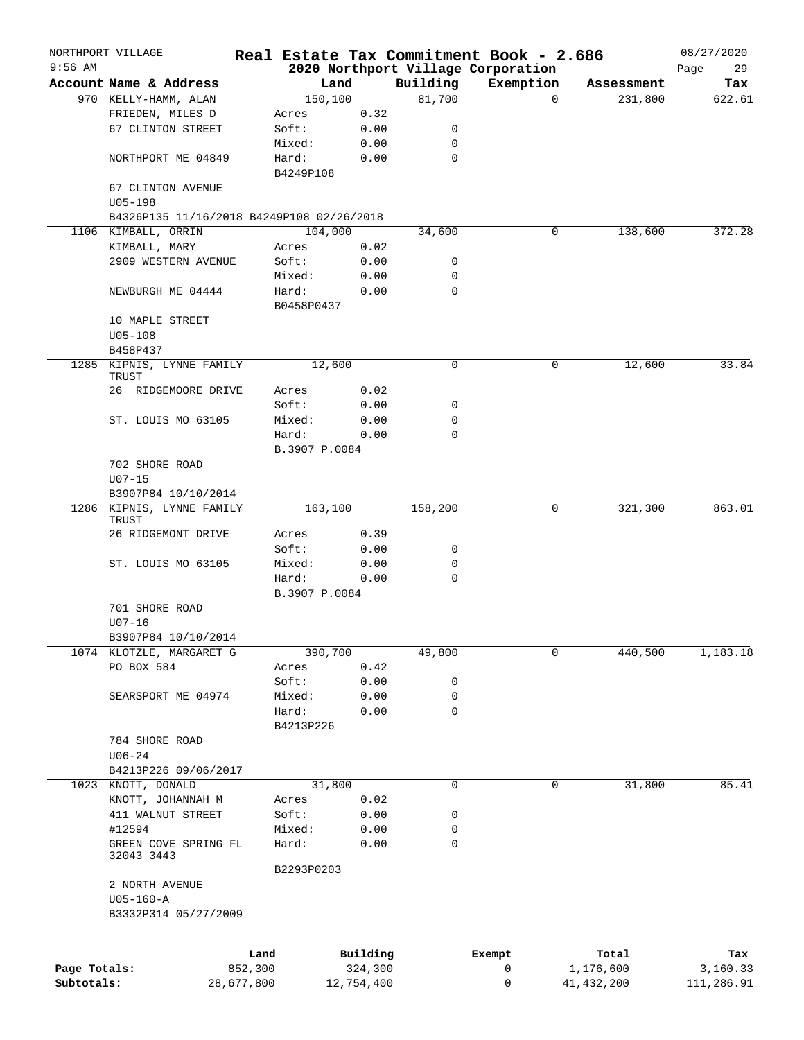|              | NORTHPORT VILLAGE                         |                     |            |             | Real Estate Tax Commitment Book - 2.686 |              | 08/27/2020 |
|--------------|-------------------------------------------|---------------------|------------|-------------|-----------------------------------------|--------------|------------|
| $9:56$ AM    |                                           |                     |            |             | 2020 Northport Village Corporation      |              | Page<br>29 |
|              | Account Name & Address                    |                     | Land       | Building    | Exemption                               | Assessment   | Tax        |
|              | 970 KELLY-HAMM, ALAN                      | 150, 100            |            | 81,700      | $\mathbf 0$                             | 231,800      | 622.61     |
|              | FRIEDEN, MILES D                          | Acres               | 0.32       |             |                                         |              |            |
|              | 67 CLINTON STREET                         | Soft:               | 0.00       | 0           |                                         |              |            |
|              |                                           | Mixed:              | 0.00       | 0           |                                         |              |            |
|              | NORTHPORT ME 04849                        | Hard:<br>B4249P108  | 0.00       | 0           |                                         |              |            |
|              | 67 CLINTON AVENUE                         |                     |            |             |                                         |              |            |
|              | $U05 - 198$                               |                     |            |             |                                         |              |            |
|              | B4326P135 11/16/2018 B4249P108 02/26/2018 |                     |            |             |                                         |              |            |
|              | 1106 KIMBALL, ORRIN                       | 104,000             |            | 34,600      | 0                                       | 138,600      | 372.28     |
|              | KIMBALL, MARY                             | Acres               | 0.02       |             |                                         |              |            |
|              | 2909 WESTERN AVENUE                       | Soft:               | 0.00       | 0           |                                         |              |            |
|              |                                           | Mixed:              | 0.00       | 0           |                                         |              |            |
|              | NEWBURGH ME 04444                         | Hard:<br>B0458P0437 | 0.00       | $\mathbf 0$ |                                         |              |            |
|              | 10 MAPLE STREET                           |                     |            |             |                                         |              |            |
|              | $U05 - 108$                               |                     |            |             |                                         |              |            |
|              | B458P437                                  |                     |            |             |                                         |              |            |
| 1285         | KIPNIS, LYNNE FAMILY<br>TRUST             | 12,600              |            | 0           | 0                                       | 12,600       | 33.84      |
|              | 26 RIDGEMOORE DRIVE                       | Acres               | 0.02       |             |                                         |              |            |
|              |                                           | Soft:               | 0.00       | 0           |                                         |              |            |
|              | ST. LOUIS MO 63105                        | Mixed:              | 0.00       | 0           |                                         |              |            |
|              |                                           | Hard:               | 0.00       | 0           |                                         |              |            |
|              |                                           | B.3907 P.0084       |            |             |                                         |              |            |
|              | 702 SHORE ROAD<br>$U07 - 15$              |                     |            |             |                                         |              |            |
|              | B3907P84 10/10/2014                       |                     |            |             |                                         |              |            |
| 1286         | KIPNIS, LYNNE FAMILY                      | 163,100             |            | 158,200     | 0                                       | 321,300      | 863.01     |
|              | TRUST                                     |                     |            |             |                                         |              |            |
|              | 26 RIDGEMONT DRIVE                        | Acres               | 0.39       |             |                                         |              |            |
|              |                                           | Soft:               | 0.00       | 0           |                                         |              |            |
|              | ST. LOUIS MO 63105                        | Mixed:              | 0.00       | 0           |                                         |              |            |
|              |                                           | Hard:               | 0.00       | $\mathbf 0$ |                                         |              |            |
|              |                                           | B.3907 P.0084       |            |             |                                         |              |            |
|              | 701 SHORE ROAD                            |                     |            |             |                                         |              |            |
|              | $U07 - 16$                                |                     |            |             |                                         |              |            |
|              | B3907P84 10/10/2014                       |                     |            |             |                                         |              |            |
|              |                                           |                     |            |             |                                         |              |            |
|              | 1074 KLOTZLE, MARGARET G                  | 390,700             |            | 49,800      | 0                                       | 440,500      | 1,183.18   |
|              | PO BOX 584                                | Acres               | 0.42       |             |                                         |              |            |
|              |                                           | Soft:               | 0.00       | 0           |                                         |              |            |
|              | SEARSPORT ME 04974                        | Mixed:              | 0.00       | 0           |                                         |              |            |
|              |                                           | Hard:<br>B4213P226  | 0.00       | 0           |                                         |              |            |
|              | 784 SHORE ROAD                            |                     |            |             |                                         |              |            |
|              | $U06 - 24$                                |                     |            |             |                                         |              |            |
|              | B4213P226 09/06/2017                      |                     |            |             |                                         |              |            |
|              | 1023 KNOTT, DONALD                        | 31,800              |            | 0           | 0                                       | 31,800       | 85.41      |
|              | KNOTT, JOHANNAH M                         | Acres               | 0.02       |             |                                         |              |            |
|              | 411 WALNUT STREET                         | Soft:               | 0.00       | 0           |                                         |              |            |
|              | #12594                                    | Mixed:              | 0.00       | 0           |                                         |              |            |
|              | GREEN COVE SPRING FL                      | Hard:               | 0.00       | 0           |                                         |              |            |
|              | 32043 3443                                |                     |            |             |                                         |              |            |
|              |                                           | B2293P0203          |            |             |                                         |              |            |
|              | 2 NORTH AVENUE                            |                     |            |             |                                         |              |            |
|              | $U05 - 160 - A$                           |                     |            |             |                                         |              |            |
|              | B3332P314 05/27/2009                      |                     |            |             |                                         |              |            |
|              |                                           |                     |            |             |                                         |              |            |
|              |                                           | Land                | Building   |             | Exempt                                  | Total        | Tax        |
| Page Totals: |                                           | 852,300             | 324,300    |             | 0                                       | 1,176,600    | 3,160.33   |
| Subtotals:   | 28,677,800                                |                     | 12,754,400 |             | 0                                       | 41, 432, 200 | 111,286.91 |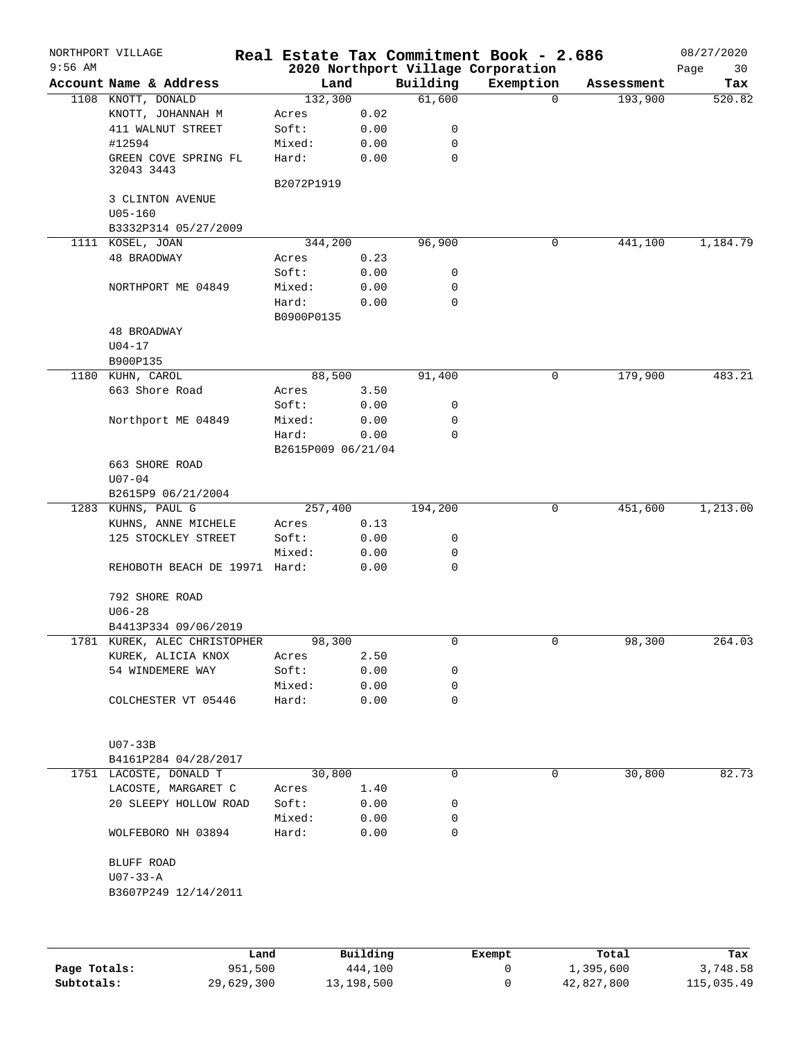| Land<br>Building<br>Exemption<br>Account Name & Address<br>Assessment<br>132,300<br>61,600<br>1108 KNOTT, DONALD<br>$\Omega$<br>193,900<br>0.02<br>KNOTT, JOHANNAH M<br>Acres<br>411 WALNUT STREET<br>Soft:<br>0.00<br>0<br>#12594<br>Mixed:<br>0.00<br>0<br>GREEN COVE SPRING FL<br>Hard:<br>0.00<br>0<br>32043 3443<br>B2072P1919<br>3 CLINTON AVENUE<br>$U05 - 160$<br>B3332P314 05/27/2009<br>1111 KOSEL, JOAN<br>344, 200<br>96,900<br>0<br>441,100<br>48 BRAODWAY<br>0.23<br>Acres<br>0.00<br>Soft:<br>0<br>Mixed:<br>0.00<br>0<br>NORTHPORT ME 04849<br>Hard:<br>0.00<br>0<br>B0900P0135<br>48 BROADWAY<br>$U04 - 17$<br>B900P135<br>88,500<br>179,900<br>1180 KUHN, CAROL<br>91,400<br>0<br>663 Shore Road<br>3.50<br>Acres<br>Soft:<br>0.00<br>0<br>0<br>Northport ME 04849<br>Mixed:<br>0.00<br>Hard:<br>0<br>0.00<br>B2615P009 06/21/04<br>663 SHORE ROAD<br>$U07 - 04$<br>B2615P9 06/21/2004<br>1283 KUHNS, PAUL G<br>0<br>257,400<br>194,200<br>451,600<br>0.13<br>KUHNS, ANNE MICHELE<br>Acres<br>125 STOCKLEY STREET<br>Soft:<br>0.00<br>0<br>Mixed:<br>0.00<br>0<br>0.00<br>0<br>REHOBOTH BEACH DE 19971 Hard:<br>792 SHORE ROAD<br>$U06 - 28$<br>B4413P334 09/06/2019<br>98,300<br>98,300<br>1781 KUREK, ALEC CHRISTOPHER<br>0<br>0<br>KUREK, ALICIA KNOX<br>2.50<br>Acres<br>54 WINDEMERE WAY<br>Soft:<br>0.00<br>0<br>Mixed:<br>0.00<br>0<br>Hard:<br>0.00<br>0<br>COLCHESTER VT 05446<br>$U07-33B$<br>B4161P284 04/28/2017<br>30,800<br>30,800<br>1751 LACOSTE, DONALD T<br>0<br>0<br>LACOSTE, MARGARET C<br>Acres<br>1.40<br>20 SLEEPY HOLLOW ROAD<br>Soft:<br>0.00<br>0<br>Mixed:<br>0.00<br>0<br>WOLFEBORO NH 03894<br>Hard:<br>0.00<br>0<br>BLUFF ROAD<br>U07-33-A<br>B3607P249 12/14/2011 | $9:56$ AM | NORTHPORT VILLAGE |  | Real Estate Tax Commitment Book - 2.686<br>2020 Northport Village Corporation | 08/27/2020<br>Page<br>30 |
|--------------------------------------------------------------------------------------------------------------------------------------------------------------------------------------------------------------------------------------------------------------------------------------------------------------------------------------------------------------------------------------------------------------------------------------------------------------------------------------------------------------------------------------------------------------------------------------------------------------------------------------------------------------------------------------------------------------------------------------------------------------------------------------------------------------------------------------------------------------------------------------------------------------------------------------------------------------------------------------------------------------------------------------------------------------------------------------------------------------------------------------------------------------------------------------------------------------------------------------------------------------------------------------------------------------------------------------------------------------------------------------------------------------------------------------------------------------------------------------------------------------------------------------------------------------------------------------------------------------------------------------------------------------------------------------------------------------------|-----------|-------------------|--|-------------------------------------------------------------------------------|--------------------------|
|                                                                                                                                                                                                                                                                                                                                                                                                                                                                                                                                                                                                                                                                                                                                                                                                                                                                                                                                                                                                                                                                                                                                                                                                                                                                                                                                                                                                                                                                                                                                                                                                                                                                                                                    |           |                   |  |                                                                               | Tax                      |
|                                                                                                                                                                                                                                                                                                                                                                                                                                                                                                                                                                                                                                                                                                                                                                                                                                                                                                                                                                                                                                                                                                                                                                                                                                                                                                                                                                                                                                                                                                                                                                                                                                                                                                                    |           |                   |  |                                                                               | 520.82                   |
| 1,184.79<br>483.21<br>1,213.00<br>264.03<br>82.73                                                                                                                                                                                                                                                                                                                                                                                                                                                                                                                                                                                                                                                                                                                                                                                                                                                                                                                                                                                                                                                                                                                                                                                                                                                                                                                                                                                                                                                                                                                                                                                                                                                                  |           |                   |  |                                                                               |                          |
|                                                                                                                                                                                                                                                                                                                                                                                                                                                                                                                                                                                                                                                                                                                                                                                                                                                                                                                                                                                                                                                                                                                                                                                                                                                                                                                                                                                                                                                                                                                                                                                                                                                                                                                    |           |                   |  |                                                                               |                          |
|                                                                                                                                                                                                                                                                                                                                                                                                                                                                                                                                                                                                                                                                                                                                                                                                                                                                                                                                                                                                                                                                                                                                                                                                                                                                                                                                                                                                                                                                                                                                                                                                                                                                                                                    |           |                   |  |                                                                               |                          |
|                                                                                                                                                                                                                                                                                                                                                                                                                                                                                                                                                                                                                                                                                                                                                                                                                                                                                                                                                                                                                                                                                                                                                                                                                                                                                                                                                                                                                                                                                                                                                                                                                                                                                                                    |           |                   |  |                                                                               |                          |
|                                                                                                                                                                                                                                                                                                                                                                                                                                                                                                                                                                                                                                                                                                                                                                                                                                                                                                                                                                                                                                                                                                                                                                                                                                                                                                                                                                                                                                                                                                                                                                                                                                                                                                                    |           |                   |  |                                                                               |                          |
|                                                                                                                                                                                                                                                                                                                                                                                                                                                                                                                                                                                                                                                                                                                                                                                                                                                                                                                                                                                                                                                                                                                                                                                                                                                                                                                                                                                                                                                                                                                                                                                                                                                                                                                    |           |                   |  |                                                                               |                          |
|                                                                                                                                                                                                                                                                                                                                                                                                                                                                                                                                                                                                                                                                                                                                                                                                                                                                                                                                                                                                                                                                                                                                                                                                                                                                                                                                                                                                                                                                                                                                                                                                                                                                                                                    |           |                   |  |                                                                               |                          |
|                                                                                                                                                                                                                                                                                                                                                                                                                                                                                                                                                                                                                                                                                                                                                                                                                                                                                                                                                                                                                                                                                                                                                                                                                                                                                                                                                                                                                                                                                                                                                                                                                                                                                                                    |           |                   |  |                                                                               |                          |
|                                                                                                                                                                                                                                                                                                                                                                                                                                                                                                                                                                                                                                                                                                                                                                                                                                                                                                                                                                                                                                                                                                                                                                                                                                                                                                                                                                                                                                                                                                                                                                                                                                                                                                                    |           |                   |  |                                                                               |                          |
|                                                                                                                                                                                                                                                                                                                                                                                                                                                                                                                                                                                                                                                                                                                                                                                                                                                                                                                                                                                                                                                                                                                                                                                                                                                                                                                                                                                                                                                                                                                                                                                                                                                                                                                    |           |                   |  |                                                                               |                          |
|                                                                                                                                                                                                                                                                                                                                                                                                                                                                                                                                                                                                                                                                                                                                                                                                                                                                                                                                                                                                                                                                                                                                                                                                                                                                                                                                                                                                                                                                                                                                                                                                                                                                                                                    |           |                   |  |                                                                               |                          |
|                                                                                                                                                                                                                                                                                                                                                                                                                                                                                                                                                                                                                                                                                                                                                                                                                                                                                                                                                                                                                                                                                                                                                                                                                                                                                                                                                                                                                                                                                                                                                                                                                                                                                                                    |           |                   |  |                                                                               |                          |
|                                                                                                                                                                                                                                                                                                                                                                                                                                                                                                                                                                                                                                                                                                                                                                                                                                                                                                                                                                                                                                                                                                                                                                                                                                                                                                                                                                                                                                                                                                                                                                                                                                                                                                                    |           |                   |  |                                                                               |                          |
|                                                                                                                                                                                                                                                                                                                                                                                                                                                                                                                                                                                                                                                                                                                                                                                                                                                                                                                                                                                                                                                                                                                                                                                                                                                                                                                                                                                                                                                                                                                                                                                                                                                                                                                    |           |                   |  |                                                                               |                          |
|                                                                                                                                                                                                                                                                                                                                                                                                                                                                                                                                                                                                                                                                                                                                                                                                                                                                                                                                                                                                                                                                                                                                                                                                                                                                                                                                                                                                                                                                                                                                                                                                                                                                                                                    |           |                   |  |                                                                               |                          |
|                                                                                                                                                                                                                                                                                                                                                                                                                                                                                                                                                                                                                                                                                                                                                                                                                                                                                                                                                                                                                                                                                                                                                                                                                                                                                                                                                                                                                                                                                                                                                                                                                                                                                                                    |           |                   |  |                                                                               |                          |
|                                                                                                                                                                                                                                                                                                                                                                                                                                                                                                                                                                                                                                                                                                                                                                                                                                                                                                                                                                                                                                                                                                                                                                                                                                                                                                                                                                                                                                                                                                                                                                                                                                                                                                                    |           |                   |  |                                                                               |                          |
|                                                                                                                                                                                                                                                                                                                                                                                                                                                                                                                                                                                                                                                                                                                                                                                                                                                                                                                                                                                                                                                                                                                                                                                                                                                                                                                                                                                                                                                                                                                                                                                                                                                                                                                    |           |                   |  |                                                                               |                          |
|                                                                                                                                                                                                                                                                                                                                                                                                                                                                                                                                                                                                                                                                                                                                                                                                                                                                                                                                                                                                                                                                                                                                                                                                                                                                                                                                                                                                                                                                                                                                                                                                                                                                                                                    |           |                   |  |                                                                               |                          |
|                                                                                                                                                                                                                                                                                                                                                                                                                                                                                                                                                                                                                                                                                                                                                                                                                                                                                                                                                                                                                                                                                                                                                                                                                                                                                                                                                                                                                                                                                                                                                                                                                                                                                                                    |           |                   |  |                                                                               |                          |
|                                                                                                                                                                                                                                                                                                                                                                                                                                                                                                                                                                                                                                                                                                                                                                                                                                                                                                                                                                                                                                                                                                                                                                                                                                                                                                                                                                                                                                                                                                                                                                                                                                                                                                                    |           |                   |  |                                                                               |                          |
|                                                                                                                                                                                                                                                                                                                                                                                                                                                                                                                                                                                                                                                                                                                                                                                                                                                                                                                                                                                                                                                                                                                                                                                                                                                                                                                                                                                                                                                                                                                                                                                                                                                                                                                    |           |                   |  |                                                                               |                          |
|                                                                                                                                                                                                                                                                                                                                                                                                                                                                                                                                                                                                                                                                                                                                                                                                                                                                                                                                                                                                                                                                                                                                                                                                                                                                                                                                                                                                                                                                                                                                                                                                                                                                                                                    |           |                   |  |                                                                               |                          |
|                                                                                                                                                                                                                                                                                                                                                                                                                                                                                                                                                                                                                                                                                                                                                                                                                                                                                                                                                                                                                                                                                                                                                                                                                                                                                                                                                                                                                                                                                                                                                                                                                                                                                                                    |           |                   |  |                                                                               |                          |
|                                                                                                                                                                                                                                                                                                                                                                                                                                                                                                                                                                                                                                                                                                                                                                                                                                                                                                                                                                                                                                                                                                                                                                                                                                                                                                                                                                                                                                                                                                                                                                                                                                                                                                                    |           |                   |  |                                                                               |                          |
|                                                                                                                                                                                                                                                                                                                                                                                                                                                                                                                                                                                                                                                                                                                                                                                                                                                                                                                                                                                                                                                                                                                                                                                                                                                                                                                                                                                                                                                                                                                                                                                                                                                                                                                    |           |                   |  |                                                                               |                          |
|                                                                                                                                                                                                                                                                                                                                                                                                                                                                                                                                                                                                                                                                                                                                                                                                                                                                                                                                                                                                                                                                                                                                                                                                                                                                                                                                                                                                                                                                                                                                                                                                                                                                                                                    |           |                   |  |                                                                               |                          |
|                                                                                                                                                                                                                                                                                                                                                                                                                                                                                                                                                                                                                                                                                                                                                                                                                                                                                                                                                                                                                                                                                                                                                                                                                                                                                                                                                                                                                                                                                                                                                                                                                                                                                                                    |           |                   |  |                                                                               |                          |
|                                                                                                                                                                                                                                                                                                                                                                                                                                                                                                                                                                                                                                                                                                                                                                                                                                                                                                                                                                                                                                                                                                                                                                                                                                                                                                                                                                                                                                                                                                                                                                                                                                                                                                                    |           |                   |  |                                                                               |                          |
|                                                                                                                                                                                                                                                                                                                                                                                                                                                                                                                                                                                                                                                                                                                                                                                                                                                                                                                                                                                                                                                                                                                                                                                                                                                                                                                                                                                                                                                                                                                                                                                                                                                                                                                    |           |                   |  |                                                                               |                          |
|                                                                                                                                                                                                                                                                                                                                                                                                                                                                                                                                                                                                                                                                                                                                                                                                                                                                                                                                                                                                                                                                                                                                                                                                                                                                                                                                                                                                                                                                                                                                                                                                                                                                                                                    |           |                   |  |                                                                               |                          |
|                                                                                                                                                                                                                                                                                                                                                                                                                                                                                                                                                                                                                                                                                                                                                                                                                                                                                                                                                                                                                                                                                                                                                                                                                                                                                                                                                                                                                                                                                                                                                                                                                                                                                                                    |           |                   |  |                                                                               |                          |
|                                                                                                                                                                                                                                                                                                                                                                                                                                                                                                                                                                                                                                                                                                                                                                                                                                                                                                                                                                                                                                                                                                                                                                                                                                                                                                                                                                                                                                                                                                                                                                                                                                                                                                                    |           |                   |  |                                                                               |                          |
|                                                                                                                                                                                                                                                                                                                                                                                                                                                                                                                                                                                                                                                                                                                                                                                                                                                                                                                                                                                                                                                                                                                                                                                                                                                                                                                                                                                                                                                                                                                                                                                                                                                                                                                    |           |                   |  |                                                                               |                          |
|                                                                                                                                                                                                                                                                                                                                                                                                                                                                                                                                                                                                                                                                                                                                                                                                                                                                                                                                                                                                                                                                                                                                                                                                                                                                                                                                                                                                                                                                                                                                                                                                                                                                                                                    |           |                   |  |                                                                               |                          |
|                                                                                                                                                                                                                                                                                                                                                                                                                                                                                                                                                                                                                                                                                                                                                                                                                                                                                                                                                                                                                                                                                                                                                                                                                                                                                                                                                                                                                                                                                                                                                                                                                                                                                                                    |           |                   |  |                                                                               |                          |
|                                                                                                                                                                                                                                                                                                                                                                                                                                                                                                                                                                                                                                                                                                                                                                                                                                                                                                                                                                                                                                                                                                                                                                                                                                                                                                                                                                                                                                                                                                                                                                                                                                                                                                                    |           |                   |  |                                                                               |                          |
|                                                                                                                                                                                                                                                                                                                                                                                                                                                                                                                                                                                                                                                                                                                                                                                                                                                                                                                                                                                                                                                                                                                                                                                                                                                                                                                                                                                                                                                                                                                                                                                                                                                                                                                    |           |                   |  |                                                                               |                          |
|                                                                                                                                                                                                                                                                                                                                                                                                                                                                                                                                                                                                                                                                                                                                                                                                                                                                                                                                                                                                                                                                                                                                                                                                                                                                                                                                                                                                                                                                                                                                                                                                                                                                                                                    |           |                   |  |                                                                               |                          |
|                                                                                                                                                                                                                                                                                                                                                                                                                                                                                                                                                                                                                                                                                                                                                                                                                                                                                                                                                                                                                                                                                                                                                                                                                                                                                                                                                                                                                                                                                                                                                                                                                                                                                                                    |           |                   |  |                                                                               |                          |
|                                                                                                                                                                                                                                                                                                                                                                                                                                                                                                                                                                                                                                                                                                                                                                                                                                                                                                                                                                                                                                                                                                                                                                                                                                                                                                                                                                                                                                                                                                                                                                                                                                                                                                                    |           |                   |  |                                                                               |                          |
|                                                                                                                                                                                                                                                                                                                                                                                                                                                                                                                                                                                                                                                                                                                                                                                                                                                                                                                                                                                                                                                                                                                                                                                                                                                                                                                                                                                                                                                                                                                                                                                                                                                                                                                    |           |                   |  |                                                                               |                          |
|                                                                                                                                                                                                                                                                                                                                                                                                                                                                                                                                                                                                                                                                                                                                                                                                                                                                                                                                                                                                                                                                                                                                                                                                                                                                                                                                                                                                                                                                                                                                                                                                                                                                                                                    |           |                   |  |                                                                               |                          |
|                                                                                                                                                                                                                                                                                                                                                                                                                                                                                                                                                                                                                                                                                                                                                                                                                                                                                                                                                                                                                                                                                                                                                                                                                                                                                                                                                                                                                                                                                                                                                                                                                                                                                                                    |           |                   |  |                                                                               |                          |
|                                                                                                                                                                                                                                                                                                                                                                                                                                                                                                                                                                                                                                                                                                                                                                                                                                                                                                                                                                                                                                                                                                                                                                                                                                                                                                                                                                                                                                                                                                                                                                                                                                                                                                                    |           |                   |  |                                                                               |                          |
|                                                                                                                                                                                                                                                                                                                                                                                                                                                                                                                                                                                                                                                                                                                                                                                                                                                                                                                                                                                                                                                                                                                                                                                                                                                                                                                                                                                                                                                                                                                                                                                                                                                                                                                    |           |                   |  |                                                                               |                          |
|                                                                                                                                                                                                                                                                                                                                                                                                                                                                                                                                                                                                                                                                                                                                                                                                                                                                                                                                                                                                                                                                                                                                                                                                                                                                                                                                                                                                                                                                                                                                                                                                                                                                                                                    |           |                   |  |                                                                               |                          |
|                                                                                                                                                                                                                                                                                                                                                                                                                                                                                                                                                                                                                                                                                                                                                                                                                                                                                                                                                                                                                                                                                                                                                                                                                                                                                                                                                                                                                                                                                                                                                                                                                                                                                                                    |           |                   |  |                                                                               |                          |
|                                                                                                                                                                                                                                                                                                                                                                                                                                                                                                                                                                                                                                                                                                                                                                                                                                                                                                                                                                                                                                                                                                                                                                                                                                                                                                                                                                                                                                                                                                                                                                                                                                                                                                                    |           |                   |  |                                                                               |                          |
|                                                                                                                                                                                                                                                                                                                                                                                                                                                                                                                                                                                                                                                                                                                                                                                                                                                                                                                                                                                                                                                                                                                                                                                                                                                                                                                                                                                                                                                                                                                                                                                                                                                                                                                    |           |                   |  |                                                                               |                          |
|                                                                                                                                                                                                                                                                                                                                                                                                                                                                                                                                                                                                                                                                                                                                                                                                                                                                                                                                                                                                                                                                                                                                                                                                                                                                                                                                                                                                                                                                                                                                                                                                                                                                                                                    |           |                   |  |                                                                               |                          |
|                                                                                                                                                                                                                                                                                                                                                                                                                                                                                                                                                                                                                                                                                                                                                                                                                                                                                                                                                                                                                                                                                                                                                                                                                                                                                                                                                                                                                                                                                                                                                                                                                                                                                                                    |           |                   |  |                                                                               |                          |
|                                                                                                                                                                                                                                                                                                                                                                                                                                                                                                                                                                                                                                                                                                                                                                                                                                                                                                                                                                                                                                                                                                                                                                                                                                                                                                                                                                                                                                                                                                                                                                                                                                                                                                                    |           |                   |  |                                                                               |                          |
|                                                                                                                                                                                                                                                                                                                                                                                                                                                                                                                                                                                                                                                                                                                                                                                                                                                                                                                                                                                                                                                                                                                                                                                                                                                                                                                                                                                                                                                                                                                                                                                                                                                                                                                    |           |                   |  |                                                                               |                          |

|              | Land       | Building   | Exempt | Total      | Tax        |
|--------------|------------|------------|--------|------------|------------|
| Page Totals: | 951,500    | 444,100    |        | 1,395,600  | 3,748.58   |
| Subtotals:   | 29,629,300 | 13,198,500 |        | 42,827,800 | 115,035.49 |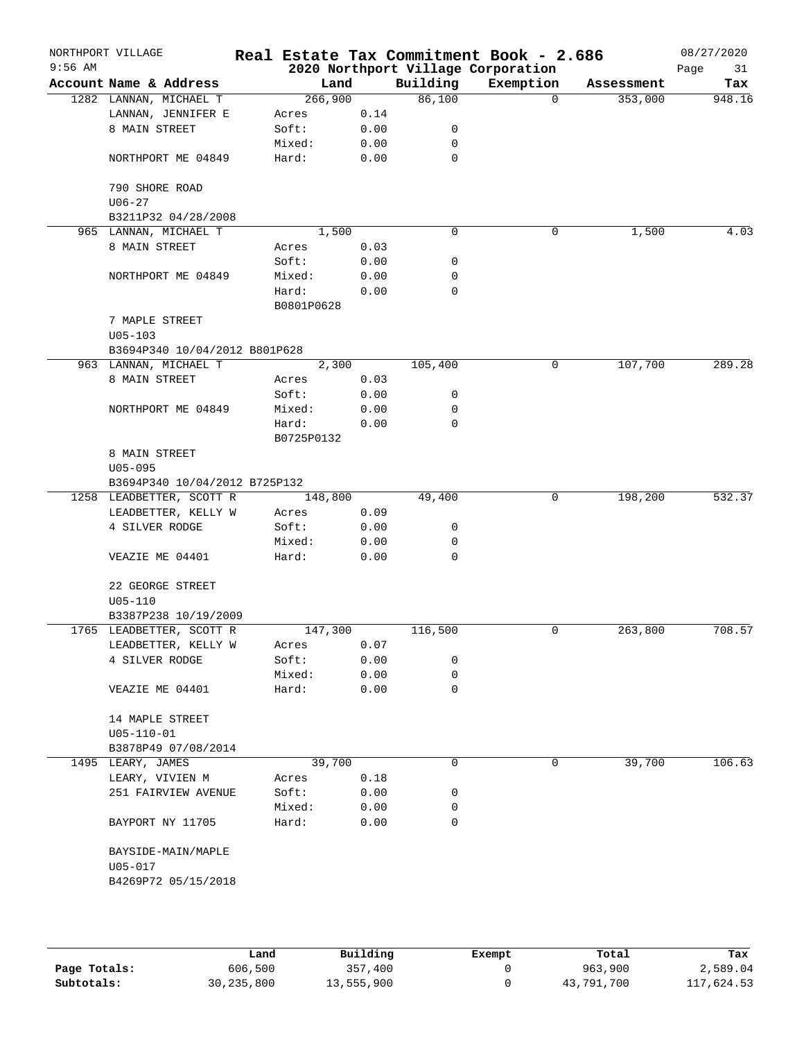| $9:56$ AM | NORTHPORT VILLAGE                                        |                     |      |          | Real Estate Tax Commitment Book - 2.686<br>2020 Northport Village Corporation |            | 08/27/2020<br>Page<br>31 |
|-----------|----------------------------------------------------------|---------------------|------|----------|-------------------------------------------------------------------------------|------------|--------------------------|
|           | Account Name & Address                                   | Land                |      | Building | Exemption                                                                     | Assessment | Tax                      |
|           | 1282 LANNAN, MICHAEL T                                   | 266,900             |      | 86,100   | $\Omega$                                                                      | 353,000    | 948.16                   |
|           | LANNAN, JENNIFER E                                       | Acres               | 0.14 |          |                                                                               |            |                          |
|           | 8 MAIN STREET                                            | Soft:               | 0.00 | 0        |                                                                               |            |                          |
|           |                                                          | Mixed:              | 0.00 | 0        |                                                                               |            |                          |
|           | NORTHPORT ME 04849                                       | Hard:               | 0.00 | 0        |                                                                               |            |                          |
|           | 790 SHORE ROAD                                           |                     |      |          |                                                                               |            |                          |
|           | $U06 - 27$                                               |                     |      |          |                                                                               |            |                          |
|           | B3211P32 04/28/2008                                      |                     |      |          |                                                                               |            |                          |
|           | 965 LANNAN, MICHAEL T                                    | 1,500               |      | 0        | 0                                                                             | 1,500      | 4.03                     |
|           | 8 MAIN STREET                                            | Acres               | 0.03 |          |                                                                               |            |                          |
|           |                                                          | Soft:               | 0.00 | 0        |                                                                               |            |                          |
|           | NORTHPORT ME 04849                                       | Mixed:              | 0.00 | 0        |                                                                               |            |                          |
|           |                                                          | Hard:<br>B0801P0628 | 0.00 | 0        |                                                                               |            |                          |
|           | 7 MAPLE STREET                                           |                     |      |          |                                                                               |            |                          |
|           | $U05 - 103$                                              |                     |      |          |                                                                               |            |                          |
|           | B3694P340 10/04/2012 B801P628                            |                     |      |          |                                                                               |            |                          |
|           | 963 LANNAN, MICHAEL T                                    | 2,300               |      | 105,400  | 0                                                                             | 107,700    | 289.28                   |
|           | 8 MAIN STREET                                            | Acres               | 0.03 |          |                                                                               |            |                          |
|           |                                                          | Soft:               | 0.00 | 0        |                                                                               |            |                          |
|           | NORTHPORT ME 04849                                       | Mixed:              | 0.00 | 0        |                                                                               |            |                          |
|           |                                                          | Hard:               | 0.00 | 0        |                                                                               |            |                          |
|           |                                                          | B0725P0132          |      |          |                                                                               |            |                          |
|           | 8 MAIN STREET                                            |                     |      |          |                                                                               |            |                          |
|           | $U05 - 095$                                              |                     |      |          |                                                                               |            |                          |
|           | B3694P340 10/04/2012 B725P132                            |                     |      |          |                                                                               |            |                          |
|           | 1258 LEADBETTER, SCOTT R                                 | 148,800             |      | 49,400   | 0                                                                             | 198,200    | 532.37                   |
|           | LEADBETTER, KELLY W                                      | Acres               | 0.09 |          |                                                                               |            |                          |
|           | 4 SILVER RODGE                                           | Soft:               | 0.00 | 0        |                                                                               |            |                          |
|           |                                                          | Mixed:              | 0.00 | 0        |                                                                               |            |                          |
|           | VEAZIE ME 04401                                          | Hard:               | 0.00 | $\Omega$ |                                                                               |            |                          |
|           |                                                          |                     |      |          |                                                                               |            |                          |
|           | 22 GEORGE STREET                                         |                     |      |          |                                                                               |            |                          |
|           | $U05 - 110$                                              |                     |      |          |                                                                               |            |                          |
|           | B3387P238 10/19/2009                                     |                     |      |          |                                                                               |            |                          |
|           | 1765 LEADBETTER, SCOTT R                                 | 147,300             |      | 116,500  | 0                                                                             | 263,800    | 708.57                   |
|           | LEADBETTER, KELLY W                                      | Acres               | 0.07 |          |                                                                               |            |                          |
|           | 4 SILVER RODGE                                           | Soft:               | 0.00 | 0        |                                                                               |            |                          |
|           |                                                          | Mixed:              | 0.00 | 0        |                                                                               |            |                          |
|           | VEAZIE ME 04401                                          | Hard:               | 0.00 | 0        |                                                                               |            |                          |
|           |                                                          |                     |      |          |                                                                               |            |                          |
|           | 14 MAPLE STREET                                          |                     |      |          |                                                                               |            |                          |
|           | $U05 - 110 - 01$                                         |                     |      |          |                                                                               |            |                          |
|           | B3878P49 07/08/2014                                      |                     |      |          |                                                                               |            |                          |
|           | 1495 LEARY, JAMES                                        | 39,700              |      | 0        | 0                                                                             | 39,700     | 106.63                   |
|           |                                                          |                     |      |          |                                                                               |            |                          |
|           | LEARY, VIVIEN M                                          | Acres               | 0.18 |          |                                                                               |            |                          |
|           | 251 FAIRVIEW AVENUE                                      | Soft:               | 0.00 | 0        |                                                                               |            |                          |
|           |                                                          | Mixed:              | 0.00 | 0        |                                                                               |            |                          |
|           | BAYPORT NY 11705                                         | Hard:               | 0.00 | 0        |                                                                               |            |                          |
|           | BAYSIDE-MAIN/MAPLE<br>$U05 - 017$<br>B4269P72 05/15/2018 |                     |      |          |                                                                               |            |                          |
|           |                                                          |                     |      |          |                                                                               |            |                          |

|              | Land         | Building   | Exempt | Total      | Tax        |
|--------------|--------------|------------|--------|------------|------------|
| Page Totals: | 606,500      | 357,400    |        | 963,900    | 2,589.04   |
| Subtotals:   | 30, 235, 800 | 13,555,900 |        | 43,791,700 | 117,624.53 |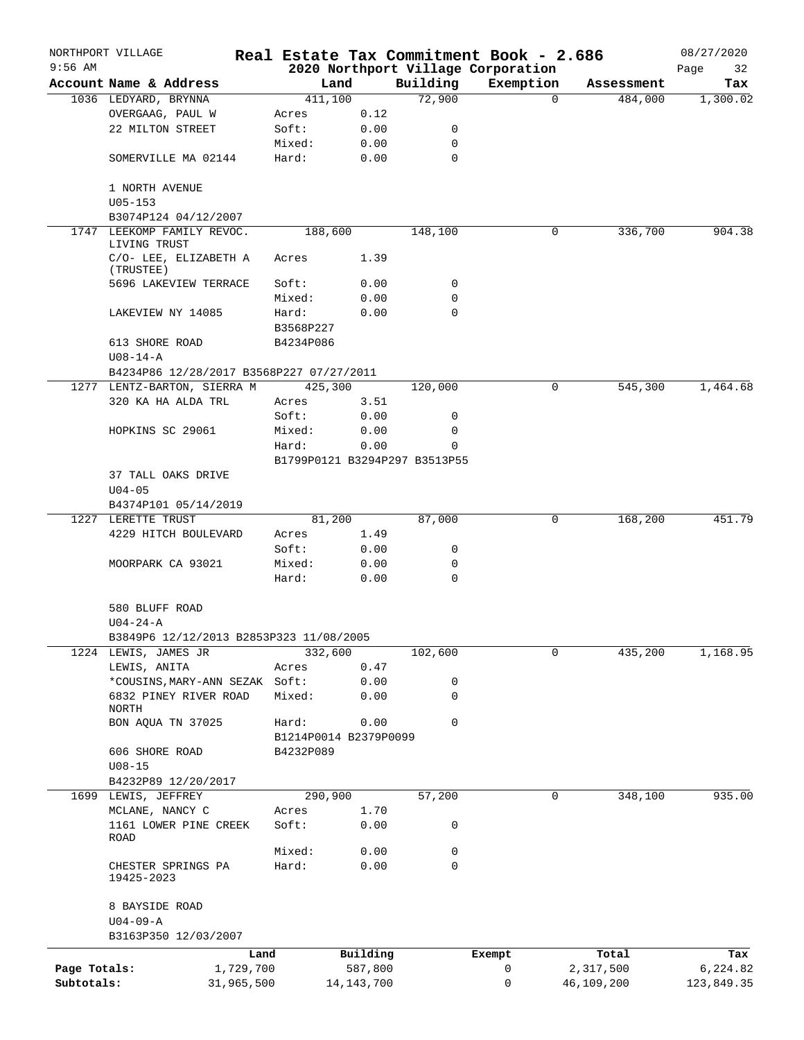|              | NORTHPORT VILLAGE                              |           |                       |                               | Real Estate Tax Commitment Book - 2.686 |                       | 08/27/2020      |
|--------------|------------------------------------------------|-----------|-----------------------|-------------------------------|-----------------------------------------|-----------------------|-----------------|
| $9:56$ AM    |                                                |           |                       | Building                      | 2020 Northport Village Corporation      |                       | Page<br>32      |
|              | Account Name & Address<br>1036 LEDYARD, BRYNNA | 411,100   | Land                  | 72,900                        | Exemption<br>$\Omega$                   | Assessment<br>484,000 | Tax<br>1,300.02 |
|              | OVERGAAG, PAUL W                               | Acres     | 0.12                  |                               |                                         |                       |                 |
|              | 22 MILTON STREET                               | Soft:     | 0.00                  | 0                             |                                         |                       |                 |
|              |                                                | Mixed:    | 0.00                  | 0                             |                                         |                       |                 |
|              | SOMERVILLE MA 02144                            | Hard:     | 0.00                  | 0                             |                                         |                       |                 |
|              | 1 NORTH AVENUE                                 |           |                       |                               |                                         |                       |                 |
|              | $U05 - 153$<br>B3074P124 04/12/2007            |           |                       |                               |                                         |                       |                 |
|              | 1747 LEEKOMP FAMILY REVOC.                     | 188,600   |                       | 148,100                       | 0                                       | 336,700               | 904.38          |
|              | LIVING TRUST                                   |           |                       |                               |                                         |                       |                 |
|              | C/O- LEE, ELIZABETH A<br>(TRUSTEE)             | Acres     | 1.39                  |                               |                                         |                       |                 |
|              | 5696 LAKEVIEW TERRACE                          | Soft:     | 0.00                  | 0                             |                                         |                       |                 |
|              |                                                | Mixed:    | 0.00                  | 0                             |                                         |                       |                 |
|              | LAKEVIEW NY 14085                              | Hard:     | 0.00                  | 0                             |                                         |                       |                 |
|              |                                                | B3568P227 |                       |                               |                                         |                       |                 |
|              | 613 SHORE ROAD                                 | B4234P086 |                       |                               |                                         |                       |                 |
|              | $U08 - 14 - A$                                 |           |                       |                               |                                         |                       |                 |
|              | B4234P86 12/28/2017 B3568P227 07/27/2011       |           |                       |                               |                                         |                       |                 |
|              | 1277 LENTZ-BARTON, SIERRA M                    | 425,300   |                       | 120,000                       | 0                                       | 545,300               | 1,464.68        |
|              | 320 KA HA ALDA TRL                             | Acres     | 3.51                  |                               |                                         |                       |                 |
|              |                                                | Soft:     | 0.00                  | 0                             |                                         |                       |                 |
|              | HOPKINS SC 29061                               | Mixed:    | 0.00                  | 0                             |                                         |                       |                 |
|              |                                                | Hard:     | 0.00                  | $\Omega$                      |                                         |                       |                 |
|              |                                                |           |                       | B1799P0121 B3294P297 B3513P55 |                                         |                       |                 |
|              | 37 TALL OAKS DRIVE                             |           |                       |                               |                                         |                       |                 |
|              | $U04 - 05$                                     |           |                       |                               |                                         |                       |                 |
|              | B4374P101 05/14/2019                           |           |                       |                               |                                         |                       |                 |
|              | 1227 LERETTE TRUST                             | 81,200    |                       | 87,000                        | 0                                       | 168,200               | 451.79          |
|              | 4229 HITCH BOULEVARD                           | Acres     | 1.49                  |                               |                                         |                       |                 |
|              |                                                | Soft:     | 0.00                  | 0                             |                                         |                       |                 |
|              | MOORPARK CA 93021                              | Mixed:    | 0.00                  | 0                             |                                         |                       |                 |
|              |                                                | Hard:     | 0.00                  | $\mathbf 0$                   |                                         |                       |                 |
|              | 580 BLUFF ROAD                                 |           |                       |                               |                                         |                       |                 |
|              | $U04 - 24 - A$                                 |           |                       |                               |                                         |                       |                 |
|              | B3849P6 12/12/2013 B2853P323 11/08/2005        |           |                       |                               |                                         |                       |                 |
|              | 1224 LEWIS, JAMES JR                           | 332,600   |                       | 102,600                       | 0                                       | 435,200               | 1,168.95        |
|              | LEWIS, ANITA                                   | Acres     | 0.47                  |                               |                                         |                       |                 |
|              | *COUSINS, MARY-ANN SEZAK Soft:                 |           | 0.00                  | 0                             |                                         |                       |                 |
|              | 6832 PINEY RIVER ROAD<br>NORTH                 | Mixed:    | 0.00                  | 0                             |                                         |                       |                 |
|              | BON AQUA TN 37025                              | Hard:     | 0.00                  | 0                             |                                         |                       |                 |
|              |                                                |           | B1214P0014 B2379P0099 |                               |                                         |                       |                 |
|              | 606 SHORE ROAD                                 | B4232P089 |                       |                               |                                         |                       |                 |
|              | $U08 - 15$                                     |           |                       |                               |                                         |                       |                 |
|              | B4232P89 12/20/2017                            |           |                       |                               |                                         |                       |                 |
|              | 1699 LEWIS, JEFFREY                            | 290,900   |                       | 57,200                        | 0                                       | 348,100               | 935.00          |
|              | MCLANE, NANCY C                                | Acres     | 1.70                  |                               |                                         |                       |                 |
|              | 1161 LOWER PINE CREEK                          | Soft:     | 0.00                  | 0                             |                                         |                       |                 |
|              | ROAD                                           |           |                       |                               |                                         |                       |                 |
|              |                                                | Mixed:    | 0.00                  | 0                             |                                         |                       |                 |
|              | CHESTER SPRINGS PA<br>19425-2023               | Hard:     | 0.00                  | 0                             |                                         |                       |                 |
|              | 8 BAYSIDE ROAD                                 |           |                       |                               |                                         |                       |                 |
|              | $U04 - 09 - A$                                 |           |                       |                               |                                         |                       |                 |
|              | B3163P350 12/03/2007                           |           |                       |                               |                                         |                       |                 |
|              |                                                |           |                       |                               |                                         |                       |                 |
| Page Totals: | 1,729,700                                      | Land      | Building<br>587,800   |                               | Exempt<br>0                             | Total<br>2,317,500    | Tax<br>6,224.82 |
| Subtotals:   | 31,965,500                                     |           | 14, 143, 700          |                               | 0                                       | 46,109,200            | 123,849.35      |
|              |                                                |           |                       |                               |                                         |                       |                 |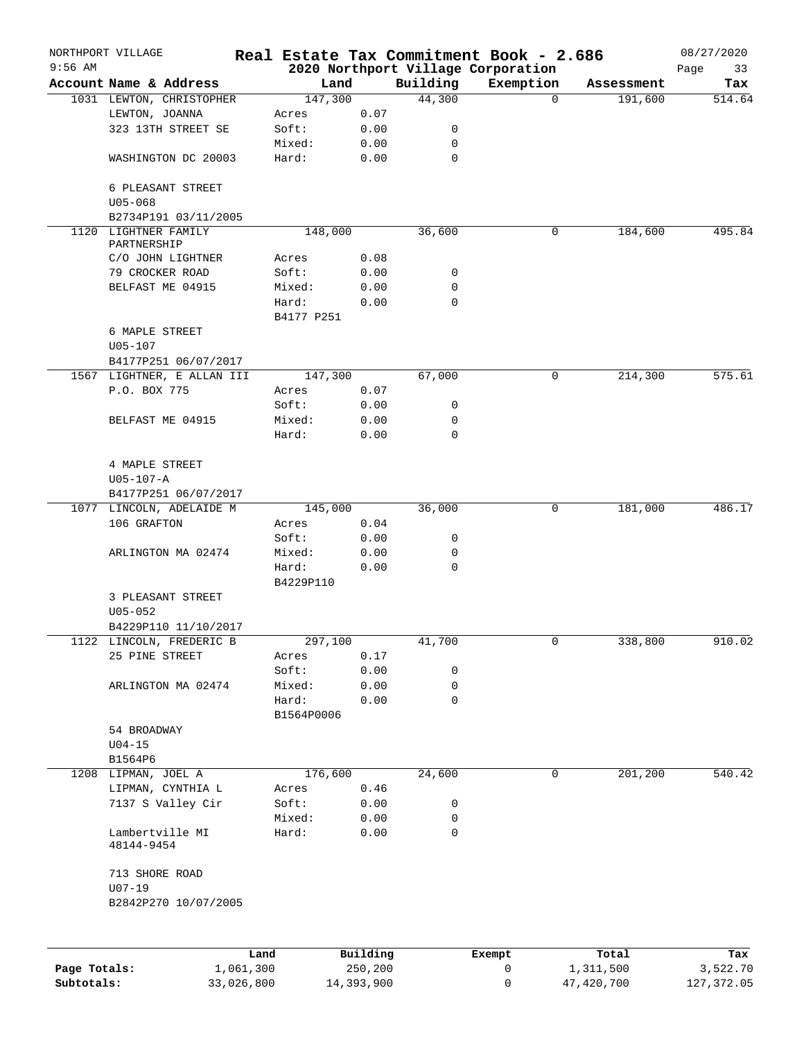|              | NORTHPORT VILLAGE                   |                   |            |                     | Real Estate Tax Commitment Book - 2.686        |             |             |                    | 08/27/2020        |
|--------------|-------------------------------------|-------------------|------------|---------------------|------------------------------------------------|-------------|-------------|--------------------|-------------------|
| $9:56$ AM    | Account Name & Address              |                   |            | Land                | 2020 Northport Village Corporation<br>Building | Exemption   |             | Assessment         | Page<br>33<br>Tax |
|              | 1031 LEWTON, CHRISTOPHER            |                   | 147,300    |                     | 44,300                                         |             | $\mathbf 0$ | 191,600            | 514.64            |
|              | LEWTON, JOANNA                      |                   | Acres      | 0.07                |                                                |             |             |                    |                   |
|              | 323 13TH STREET SE                  |                   | Soft:      | 0.00                | 0                                              |             |             |                    |                   |
|              |                                     |                   | Mixed:     | 0.00                | 0                                              |             |             |                    |                   |
|              | WASHINGTON DC 20003                 |                   | Hard:      | 0.00                | 0                                              |             |             |                    |                   |
|              |                                     |                   |            |                     |                                                |             |             |                    |                   |
|              | 6 PLEASANT STREET                   |                   |            |                     |                                                |             |             |                    |                   |
|              | $U05 - 068$                         |                   |            |                     |                                                |             |             |                    |                   |
|              | B2734P191 03/11/2005                |                   |            |                     |                                                |             |             |                    |                   |
|              | 1120 LIGHTNER FAMILY<br>PARTNERSHIP |                   | 148,000    |                     | 36,600                                         |             | 0           | 184,600            | 495.84            |
|              | C/O JOHN LIGHTNER                   |                   | Acres      | 0.08                |                                                |             |             |                    |                   |
|              | 79 CROCKER ROAD                     |                   | Soft:      | 0.00                | 0                                              |             |             |                    |                   |
|              |                                     |                   |            |                     | 0                                              |             |             |                    |                   |
|              | BELFAST ME 04915                    |                   | Mixed:     | 0.00                |                                                |             |             |                    |                   |
|              |                                     |                   | Hard:      | 0.00                | 0                                              |             |             |                    |                   |
|              |                                     |                   | B4177 P251 |                     |                                                |             |             |                    |                   |
|              | 6 MAPLE STREET                      |                   |            |                     |                                                |             |             |                    |                   |
|              | $U05 - 107$                         |                   |            |                     |                                                |             |             |                    |                   |
|              | B4177P251 06/07/2017                |                   |            |                     |                                                |             |             |                    |                   |
|              | 1567 LIGHTNER, E ALLAN III          |                   | 147,300    |                     | 67,000                                         |             | 0           | 214,300            | 575.61            |
|              | P.O. BOX 775                        |                   | Acres      | 0.07                |                                                |             |             |                    |                   |
|              |                                     |                   | Soft:      | 0.00                | 0                                              |             |             |                    |                   |
|              | BELFAST ME 04915                    |                   | Mixed:     | 0.00                | 0                                              |             |             |                    |                   |
|              |                                     |                   | Hard:      | 0.00                | 0                                              |             |             |                    |                   |
|              |                                     |                   |            |                     |                                                |             |             |                    |                   |
|              | 4 MAPLE STREET                      |                   |            |                     |                                                |             |             |                    |                   |
|              | $U05 - 107 - A$                     |                   |            |                     |                                                |             |             |                    |                   |
|              | B4177P251 06/07/2017                |                   |            |                     |                                                |             |             |                    |                   |
|              | 1077 LINCOLN, ADELAIDE M            |                   | 145,000    |                     | 36,000                                         |             | 0           | 181,000            | 486.17            |
|              | 106 GRAFTON                         |                   | Acres      | 0.04                |                                                |             |             |                    |                   |
|              |                                     |                   | Soft:      | 0.00                | 0                                              |             |             |                    |                   |
|              | ARLINGTON MA 02474                  |                   | Mixed:     | 0.00                | 0                                              |             |             |                    |                   |
|              |                                     |                   | Hard:      | 0.00                | 0                                              |             |             |                    |                   |
|              |                                     |                   | B4229P110  |                     |                                                |             |             |                    |                   |
|              | 3 PLEASANT STREET                   |                   |            |                     |                                                |             |             |                    |                   |
|              | $U05 - 052$                         |                   |            |                     |                                                |             |             |                    |                   |
|              | B4229P110 11/10/2017                |                   |            |                     |                                                |             |             |                    |                   |
|              | 1122 LINCOLN, FREDERIC B            |                   |            |                     |                                                |             | 0           |                    |                   |
|              |                                     |                   | 297,100    |                     | 41,700                                         |             |             | 338,800            | 910.02            |
|              | 25 PINE STREET                      |                   | Acres      | 0.17                |                                                |             |             |                    |                   |
|              |                                     |                   | Soft:      | 0.00                | 0                                              |             |             |                    |                   |
|              | ARLINGTON MA 02474                  |                   | Mixed:     | 0.00                | 0                                              |             |             |                    |                   |
|              |                                     |                   | Hard:      | 0.00                | 0                                              |             |             |                    |                   |
|              |                                     |                   | B1564P0006 |                     |                                                |             |             |                    |                   |
|              | 54 BROADWAY                         |                   |            |                     |                                                |             |             |                    |                   |
|              | $U04-15$                            |                   |            |                     |                                                |             |             |                    |                   |
|              | B1564P6                             |                   |            |                     |                                                |             |             |                    |                   |
|              | 1208 LIPMAN, JOEL A                 |                   | 176,600    |                     | 24,600                                         |             | 0           | 201,200            | 540.42            |
|              | LIPMAN, CYNTHIA L                   |                   | Acres      | 0.46                |                                                |             |             |                    |                   |
|              | 7137 S Valley Cir                   |                   | Soft:      | 0.00                | 0                                              |             |             |                    |                   |
|              |                                     |                   | Mixed:     | 0.00                | 0                                              |             |             |                    |                   |
|              | Lambertville MI<br>48144-9454       |                   | Hard:      | 0.00                | 0                                              |             |             |                    |                   |
|              | 713 SHORE ROAD                      |                   |            |                     |                                                |             |             |                    |                   |
|              |                                     |                   |            |                     |                                                |             |             |                    |                   |
|              | $U07 - 19$                          |                   |            |                     |                                                |             |             |                    |                   |
|              | B2842P270 10/07/2005                |                   |            |                     |                                                |             |             |                    |                   |
|              |                                     |                   |            |                     |                                                |             |             |                    |                   |
| Page Totals: |                                     | Land<br>1,061,300 |            | Building<br>250,200 |                                                | Exempt<br>0 |             | Total<br>1,311,500 | Tax               |
|              |                                     |                   |            |                     |                                                |             |             |                    | 3,522.70          |
| Subtotals:   |                                     | 33,026,800        |            | 14,393,900          |                                                | 0           |             | 47,420,700         | 127,372.05        |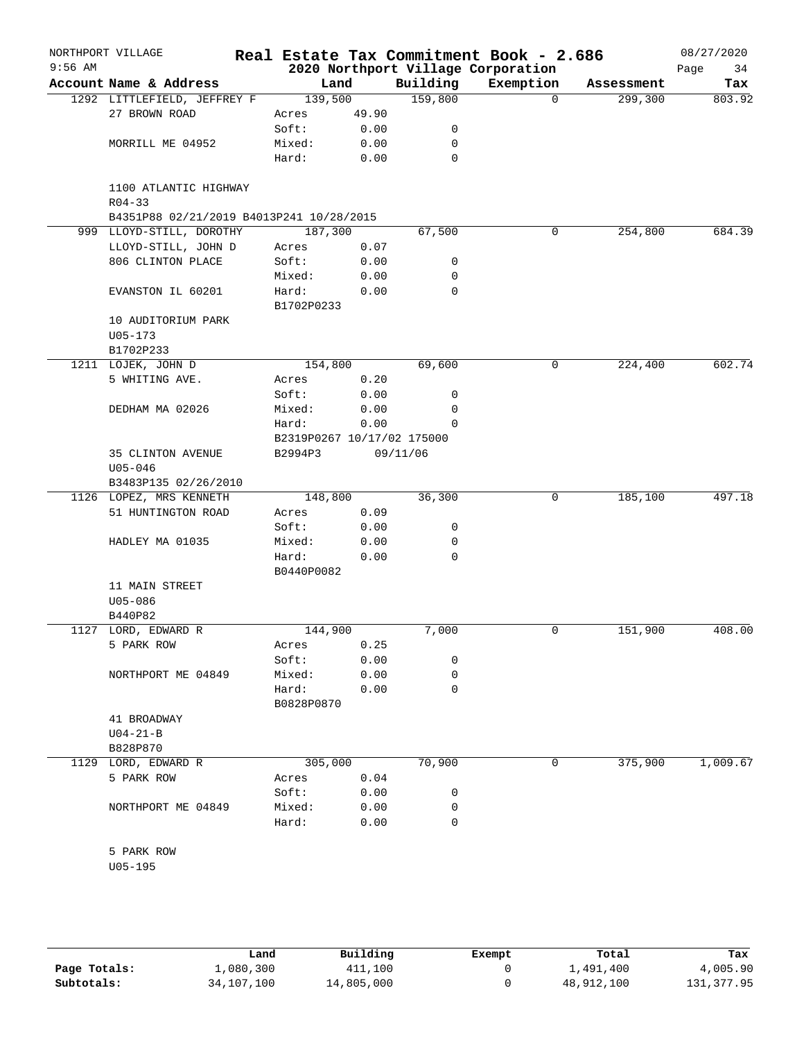| Account Name & Address<br>1292 LITTLEFIELD, JEFFREY F<br>27 BROWN ROAD<br>MORRILL ME 04952<br>1100 ATLANTIC HIGHWAY<br>$R04 - 33$<br>B4351P88 02/21/2019 B4013P241 10/28/2015<br>999 LLOYD-STILL, DOROTHY<br>LLOYD-STILL, JOHN D<br>806 CLINTON PLACE<br>EVANSTON IL 60201<br>10 AUDITORIUM PARK<br>$U05 - 173$<br>B1702P233<br>1211 LOJEK, JOHN D<br>5 WHITING AVE.<br>DEDHAM MA 02026 | 139,500<br>Acres<br>Soft:<br>Mixed:<br>Hard:<br>187,300<br>Acres<br>Soft:<br>Mixed:<br>Hard:<br>B1702P0233<br>154,800<br>Acres<br>Soft: | Land<br>49.90<br>0.00<br>0.00<br>0.00<br>0.07<br>0.00<br>0.00<br>0.00 | Building<br>159,800<br>0<br>0<br>$\mathbf 0$<br>67,500<br>0<br>0<br>$\mathbf 0$ | 2020 Northport Village Corporation<br>Exemption<br>$\Omega$<br>0 | Assessment<br>299,300<br>254,800 | Page<br>34<br>Tax<br>803.92<br>684.39 |
|-----------------------------------------------------------------------------------------------------------------------------------------------------------------------------------------------------------------------------------------------------------------------------------------------------------------------------------------------------------------------------------------|-----------------------------------------------------------------------------------------------------------------------------------------|-----------------------------------------------------------------------|---------------------------------------------------------------------------------|------------------------------------------------------------------|----------------------------------|---------------------------------------|
|                                                                                                                                                                                                                                                                                                                                                                                         |                                                                                                                                         |                                                                       |                                                                                 |                                                                  |                                  |                                       |
|                                                                                                                                                                                                                                                                                                                                                                                         |                                                                                                                                         |                                                                       |                                                                                 |                                                                  |                                  |                                       |
|                                                                                                                                                                                                                                                                                                                                                                                         |                                                                                                                                         |                                                                       |                                                                                 |                                                                  |                                  |                                       |
|                                                                                                                                                                                                                                                                                                                                                                                         |                                                                                                                                         |                                                                       |                                                                                 |                                                                  |                                  |                                       |
|                                                                                                                                                                                                                                                                                                                                                                                         |                                                                                                                                         |                                                                       |                                                                                 |                                                                  |                                  |                                       |
|                                                                                                                                                                                                                                                                                                                                                                                         |                                                                                                                                         |                                                                       |                                                                                 |                                                                  |                                  |                                       |
|                                                                                                                                                                                                                                                                                                                                                                                         |                                                                                                                                         |                                                                       |                                                                                 |                                                                  |                                  |                                       |
|                                                                                                                                                                                                                                                                                                                                                                                         |                                                                                                                                         |                                                                       |                                                                                 |                                                                  |                                  |                                       |
|                                                                                                                                                                                                                                                                                                                                                                                         |                                                                                                                                         |                                                                       |                                                                                 |                                                                  |                                  |                                       |
|                                                                                                                                                                                                                                                                                                                                                                                         |                                                                                                                                         |                                                                       |                                                                                 |                                                                  |                                  |                                       |
|                                                                                                                                                                                                                                                                                                                                                                                         |                                                                                                                                         |                                                                       |                                                                                 |                                                                  |                                  |                                       |
|                                                                                                                                                                                                                                                                                                                                                                                         |                                                                                                                                         |                                                                       |                                                                                 |                                                                  |                                  |                                       |
|                                                                                                                                                                                                                                                                                                                                                                                         |                                                                                                                                         |                                                                       |                                                                                 |                                                                  |                                  |                                       |
|                                                                                                                                                                                                                                                                                                                                                                                         |                                                                                                                                         |                                                                       |                                                                                 |                                                                  |                                  |                                       |
|                                                                                                                                                                                                                                                                                                                                                                                         |                                                                                                                                         |                                                                       |                                                                                 |                                                                  |                                  |                                       |
|                                                                                                                                                                                                                                                                                                                                                                                         |                                                                                                                                         |                                                                       | 69,600                                                                          | 0                                                                | 224,400                          | 602.74                                |
|                                                                                                                                                                                                                                                                                                                                                                                         |                                                                                                                                         | 0.20                                                                  |                                                                                 |                                                                  |                                  |                                       |
|                                                                                                                                                                                                                                                                                                                                                                                         |                                                                                                                                         | 0.00                                                                  | 0                                                                               |                                                                  |                                  |                                       |
|                                                                                                                                                                                                                                                                                                                                                                                         | Mixed:                                                                                                                                  | 0.00                                                                  | 0                                                                               |                                                                  |                                  |                                       |
|                                                                                                                                                                                                                                                                                                                                                                                         | Hard:                                                                                                                                   | 0.00                                                                  | 0                                                                               |                                                                  |                                  |                                       |
|                                                                                                                                                                                                                                                                                                                                                                                         |                                                                                                                                         | B2319P0267 10/17/02 175000                                            |                                                                                 |                                                                  |                                  |                                       |
| 35 CLINTON AVENUE<br>$U05 - 046$                                                                                                                                                                                                                                                                                                                                                        | B2994P3                                                                                                                                 |                                                                       | 09/11/06                                                                        |                                                                  |                                  |                                       |
| B3483P135 02/26/2010                                                                                                                                                                                                                                                                                                                                                                    |                                                                                                                                         |                                                                       |                                                                                 |                                                                  |                                  |                                       |
| 1126 LOPEZ, MRS KENNETH                                                                                                                                                                                                                                                                                                                                                                 | 148,800                                                                                                                                 |                                                                       | 36,300                                                                          | 0                                                                | 185,100                          | 497.18                                |
| 51 HUNTINGTON ROAD                                                                                                                                                                                                                                                                                                                                                                      | Acres                                                                                                                                   | 0.09                                                                  |                                                                                 |                                                                  |                                  |                                       |
|                                                                                                                                                                                                                                                                                                                                                                                         | Soft:                                                                                                                                   | 0.00                                                                  | 0                                                                               |                                                                  |                                  |                                       |
| HADLEY MA 01035                                                                                                                                                                                                                                                                                                                                                                         | Mixed:                                                                                                                                  | 0.00                                                                  | 0                                                                               |                                                                  |                                  |                                       |
|                                                                                                                                                                                                                                                                                                                                                                                         | Hard:                                                                                                                                   | 0.00                                                                  | $\Omega$                                                                        |                                                                  |                                  |                                       |
|                                                                                                                                                                                                                                                                                                                                                                                         | B0440P0082                                                                                                                              |                                                                       |                                                                                 |                                                                  |                                  |                                       |
| 11 MAIN STREET<br>$U05 - 086$                                                                                                                                                                                                                                                                                                                                                           |                                                                                                                                         |                                                                       |                                                                                 |                                                                  |                                  |                                       |
| B440P82                                                                                                                                                                                                                                                                                                                                                                                 | 144,900                                                                                                                                 |                                                                       | 7,000                                                                           | 0                                                                | 151,900                          | 408.00                                |
| 1127 LORD, EDWARD R<br>5 PARK ROW                                                                                                                                                                                                                                                                                                                                                       |                                                                                                                                         | 0.25                                                                  |                                                                                 |                                                                  |                                  |                                       |
|                                                                                                                                                                                                                                                                                                                                                                                         | Acres                                                                                                                                   |                                                                       | 0                                                                               |                                                                  |                                  |                                       |
| NORTHPORT ME 04849                                                                                                                                                                                                                                                                                                                                                                      | Soft:                                                                                                                                   | 0.00<br>0.00                                                          | 0                                                                               |                                                                  |                                  |                                       |
|                                                                                                                                                                                                                                                                                                                                                                                         | Mixed:                                                                                                                                  |                                                                       |                                                                                 |                                                                  |                                  |                                       |
|                                                                                                                                                                                                                                                                                                                                                                                         |                                                                                                                                         |                                                                       |                                                                                 |                                                                  |                                  |                                       |
| 41 BROADWAY                                                                                                                                                                                                                                                                                                                                                                             |                                                                                                                                         |                                                                       |                                                                                 |                                                                  |                                  |                                       |
| $U04 - 21 - B$                                                                                                                                                                                                                                                                                                                                                                          |                                                                                                                                         |                                                                       |                                                                                 |                                                                  |                                  |                                       |
| B828P870                                                                                                                                                                                                                                                                                                                                                                                |                                                                                                                                         |                                                                       |                                                                                 |                                                                  |                                  |                                       |
| 1129 LORD, EDWARD R                                                                                                                                                                                                                                                                                                                                                                     |                                                                                                                                         |                                                                       |                                                                                 | 0                                                                |                                  | 1,009.67                              |
|                                                                                                                                                                                                                                                                                                                                                                                         | Acres                                                                                                                                   | 0.04                                                                  |                                                                                 |                                                                  |                                  |                                       |
|                                                                                                                                                                                                                                                                                                                                                                                         | Soft:                                                                                                                                   | 0.00                                                                  | 0                                                                               |                                                                  |                                  |                                       |
|                                                                                                                                                                                                                                                                                                                                                                                         | Mixed:                                                                                                                                  | 0.00                                                                  | 0                                                                               |                                                                  |                                  |                                       |
| NORTHPORT ME 04849                                                                                                                                                                                                                                                                                                                                                                      | Hard:                                                                                                                                   | 0.00                                                                  | 0                                                                               |                                                                  |                                  |                                       |
|                                                                                                                                                                                                                                                                                                                                                                                         |                                                                                                                                         |                                                                       |                                                                                 |                                                                  |                                  |                                       |
|                                                                                                                                                                                                                                                                                                                                                                                         |                                                                                                                                         |                                                                       |                                                                                 |                                                                  |                                  |                                       |
|                                                                                                                                                                                                                                                                                                                                                                                         | 5 PARK ROW                                                                                                                              | Hard:<br>5 PARK ROW<br>$U05 - 195$                                    | 0.00<br>B0828P0870<br>305,000                                                   | 0<br>70,900                                                      |                                  | 375,900                               |

|              | Land       | Building   | Exempt | Total      | Tax         |
|--------------|------------|------------|--------|------------|-------------|
| Page Totals: | 1,080,300  | 411,100    |        | 1,491,400  | 4,005.90    |
| Subtotals:   | 34,107,100 | 14,805,000 |        | 48,912,100 | 131, 377.95 |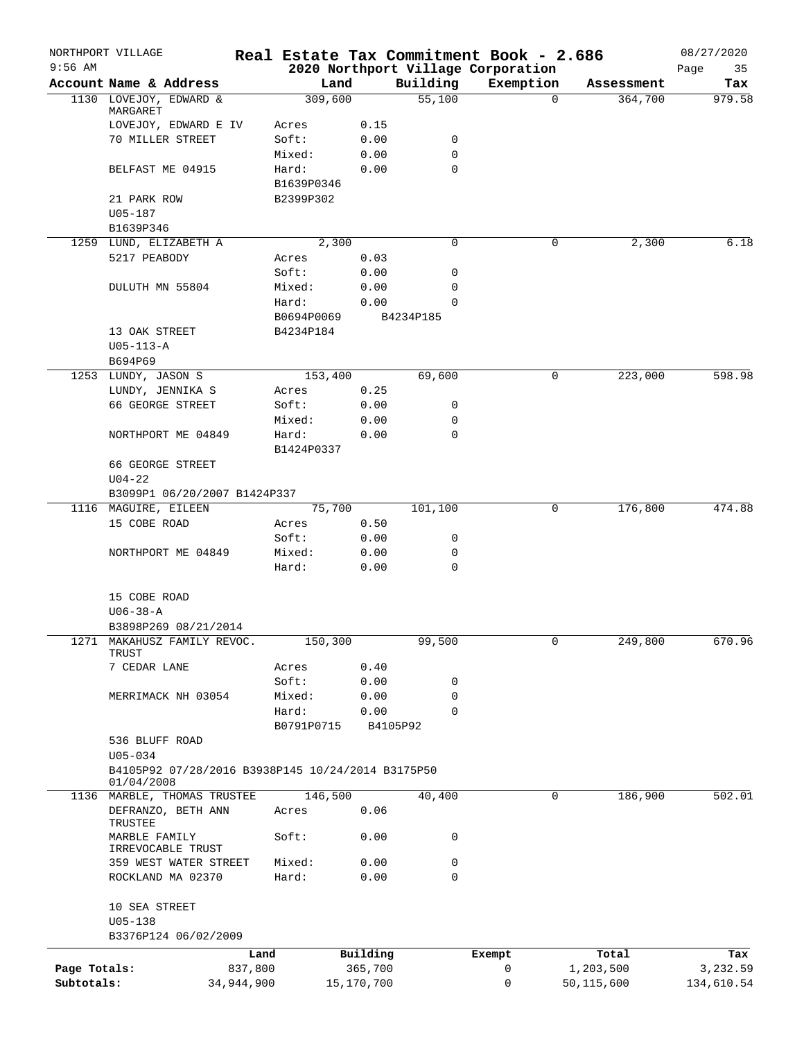| $9:56$ AM    | NORTHPORT VILLAGE                                 |            |                |              |                     | Real Estate Tax Commitment Book - 2.686<br>2020 Northport Village Corporation |                     | 08/27/2020<br>35 |
|--------------|---------------------------------------------------|------------|----------------|--------------|---------------------|-------------------------------------------------------------------------------|---------------------|------------------|
|              | Account Name & Address                            |            | Land           |              | Building            | Exemption                                                                     | Assessment          | Page<br>Tax      |
|              | 1130 LOVEJOY, EDWARD &                            |            | 309,600        |              | $\overline{55,100}$ |                                                                               | $\Omega$<br>364,700 | 979.58           |
|              | MARGARET                                          |            |                |              |                     |                                                                               |                     |                  |
|              | LOVEJOY, EDWARD E IV                              |            | Acres          | 0.15         |                     |                                                                               |                     |                  |
|              | 70 MILLER STREET                                  |            | Soft:          | 0.00         | 0                   |                                                                               |                     |                  |
|              |                                                   |            | Mixed:         | 0.00         | $\mathbf 0$         |                                                                               |                     |                  |
|              | BELFAST ME 04915                                  |            | Hard:          | 0.00         | $\mathbf 0$         |                                                                               |                     |                  |
|              |                                                   |            | B1639P0346     |              |                     |                                                                               |                     |                  |
|              | 21 PARK ROW                                       |            | B2399P302      |              |                     |                                                                               |                     |                  |
|              | $U05 - 187$                                       |            |                |              |                     |                                                                               |                     |                  |
|              | B1639P346                                         |            |                |              |                     |                                                                               |                     |                  |
|              | 1259 LUND, ELIZABETH A                            |            | 2,300          |              | 0                   |                                                                               | 0<br>2,300          | 6.18             |
|              | 5217 PEABODY                                      |            | Acres<br>Soft: | 0.03         | 0                   |                                                                               |                     |                  |
|              |                                                   |            | Mixed:         | 0.00<br>0.00 | 0                   |                                                                               |                     |                  |
|              | DULUTH MN 55804                                   |            | Hard:          | 0.00         | 0                   |                                                                               |                     |                  |
|              |                                                   |            | B0694P0069     |              | B4234P185           |                                                                               |                     |                  |
|              | 13 OAK STREET                                     |            | B4234P184      |              |                     |                                                                               |                     |                  |
|              | $U05 - 113 - A$                                   |            |                |              |                     |                                                                               |                     |                  |
|              | B694P69                                           |            |                |              |                     |                                                                               |                     |                  |
|              | 1253 LUNDY, JASON S                               |            | 153,400        |              | 69,600              |                                                                               | 223,000<br>0        | 598.98           |
|              | LUNDY, JENNIKA S                                  |            | Acres          | 0.25         |                     |                                                                               |                     |                  |
|              | 66 GEORGE STREET                                  |            | Soft:          | 0.00         | 0                   |                                                                               |                     |                  |
|              |                                                   |            | Mixed:         | 0.00         | 0                   |                                                                               |                     |                  |
|              | NORTHPORT ME 04849                                |            | Hard:          | 0.00         | 0                   |                                                                               |                     |                  |
|              |                                                   |            | B1424P0337     |              |                     |                                                                               |                     |                  |
|              | 66 GEORGE STREET                                  |            |                |              |                     |                                                                               |                     |                  |
|              | $U04 - 22$                                        |            |                |              |                     |                                                                               |                     |                  |
|              | B3099P1 06/20/2007 B1424P337                      |            |                |              |                     |                                                                               |                     |                  |
|              | 1116 MAGUIRE, EILEEN                              |            | 75,700         |              | 101,100             |                                                                               | 176,800<br>0        | 474.88           |
|              | 15 COBE ROAD                                      |            | Acres          | 0.50         |                     |                                                                               |                     |                  |
|              |                                                   |            | Soft:          | 0.00         | 0                   |                                                                               |                     |                  |
|              | NORTHPORT ME 04849                                |            | Mixed:         | 0.00         | 0                   |                                                                               |                     |                  |
|              |                                                   |            | Hard:          | 0.00         | 0                   |                                                                               |                     |                  |
|              |                                                   |            |                |              |                     |                                                                               |                     |                  |
|              | 15 COBE ROAD                                      |            |                |              |                     |                                                                               |                     |                  |
|              | $U06 - 38 - A$                                    |            |                |              |                     |                                                                               |                     |                  |
|              | B3898P269 08/21/2014                              |            |                |              |                     |                                                                               |                     |                  |
|              | 1271 MAKAHUSZ FAMILY REVOC.                       |            | 150,300        |              | 99,500              |                                                                               | 249,800<br>0        | 670.96           |
|              | TRUST                                             |            |                |              |                     |                                                                               |                     |                  |
|              | 7 CEDAR LANE                                      |            | Acres          | 0.40         |                     |                                                                               |                     |                  |
|              |                                                   |            | Soft:          | 0.00         | 0                   |                                                                               |                     |                  |
|              | MERRIMACK NH 03054                                |            | Mixed:         | 0.00         | 0                   |                                                                               |                     |                  |
|              |                                                   |            | Hard:          | 0.00         | 0                   |                                                                               |                     |                  |
|              |                                                   |            | B0791P0715     |              | B4105P92            |                                                                               |                     |                  |
|              | 536 BLUFF ROAD<br>$U05 - 034$                     |            |                |              |                     |                                                                               |                     |                  |
|              | B4105P92 07/28/2016 B3938P145 10/24/2014 B3175P50 |            |                |              |                     |                                                                               |                     |                  |
|              | 01/04/2008                                        |            |                |              |                     |                                                                               |                     |                  |
|              | 1136 MARBLE, THOMAS TRUSTEE                       |            | 146,500        |              | 40,400              |                                                                               | 186,900<br>0        | 502.01           |
|              | DEFRANZO, BETH ANN                                |            | Acres          | 0.06         |                     |                                                                               |                     |                  |
|              | TRUSTEE                                           |            |                |              |                     |                                                                               |                     |                  |
|              | MARBLE FAMILY                                     |            | Soft:          | 0.00         | 0                   |                                                                               |                     |                  |
|              | IRREVOCABLE TRUST                                 |            |                |              |                     |                                                                               |                     |                  |
|              | 359 WEST WATER STREET                             |            | Mixed:         | 0.00         | 0                   |                                                                               |                     |                  |
|              | ROCKLAND MA 02370                                 |            | Hard:          | 0.00         | 0                   |                                                                               |                     |                  |
|              |                                                   |            |                |              |                     |                                                                               |                     |                  |
|              | 10 SEA STREET                                     |            |                |              |                     |                                                                               |                     |                  |
|              | $U05 - 138$<br>B3376P124 06/02/2009               |            |                |              |                     |                                                                               |                     |                  |
|              |                                                   |            |                |              |                     |                                                                               |                     |                  |
|              |                                                   | Land       |                | Building     |                     | Exempt                                                                        | Total               | Tax              |
| Page Totals: |                                                   | 837,800    |                | 365,700      |                     | 0                                                                             | 1,203,500           | 3,232.59         |
| Subtotals:   |                                                   | 34,944,900 |                | 15,170,700   |                     | 0                                                                             | 50,115,600          | 134,610.54       |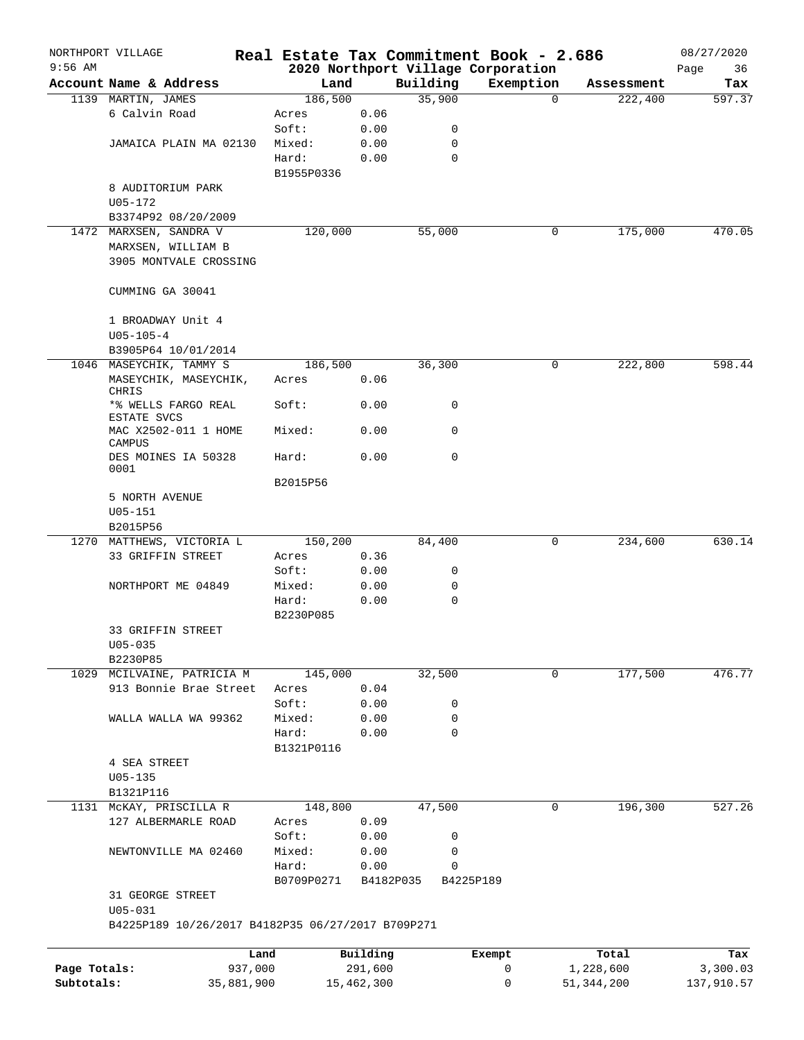|              | NORTHPORT VILLAGE                                    |            | Real Estate Tax Commitment Book - 2.686 |              |           |             |                                                 |             |              | 08/27/2020    |
|--------------|------------------------------------------------------|------------|-----------------------------------------|--------------|-----------|-------------|-------------------------------------------------|-------------|--------------|---------------|
| $9:56$ AM    | Account Name & Address                               |            | Land                                    |              | Building  |             | 2020 Northport Village Corporation<br>Exemption |             | Assessment   | Page<br>36    |
|              | 1139 MARTIN, JAMES                                   |            | 186,500                                 |              |           | 35,900      |                                                 | $\mathbf 0$ | 222,400      | Tax<br>597.37 |
|              | 6 Calvin Road                                        |            |                                         | 0.06         |           |             |                                                 |             |              |               |
|              |                                                      |            | Acres<br>Soft:                          | 0.00         |           | 0           |                                                 |             |              |               |
|              | JAMAICA PLAIN MA 02130                               |            | Mixed:                                  | 0.00         |           | 0           |                                                 |             |              |               |
|              |                                                      |            | Hard:                                   | 0.00         |           | $\mathbf 0$ |                                                 |             |              |               |
|              |                                                      |            | B1955P0336                              |              |           |             |                                                 |             |              |               |
|              | 8 AUDITORIUM PARK                                    |            |                                         |              |           |             |                                                 |             |              |               |
|              | $U05 - 172$                                          |            |                                         |              |           |             |                                                 |             |              |               |
|              | B3374P92 08/20/2009                                  |            |                                         |              |           |             |                                                 |             |              |               |
|              | 1472 MARXSEN, SANDRA V                               |            | 120,000                                 |              |           | 55,000      |                                                 | 0           | 175,000      | 470.05        |
|              | MARXSEN, WILLIAM B                                   |            |                                         |              |           |             |                                                 |             |              |               |
|              | 3905 MONTVALE CROSSING                               |            |                                         |              |           |             |                                                 |             |              |               |
|              |                                                      |            |                                         |              |           |             |                                                 |             |              |               |
|              | CUMMING GA 30041                                     |            |                                         |              |           |             |                                                 |             |              |               |
|              |                                                      |            |                                         |              |           |             |                                                 |             |              |               |
|              | 1 BROADWAY Unit 4                                    |            |                                         |              |           |             |                                                 |             |              |               |
|              | $U05 - 105 - 4$                                      |            |                                         |              |           |             |                                                 |             |              |               |
|              | B3905P64 10/01/2014                                  |            |                                         |              |           |             |                                                 |             |              |               |
|              | 1046 MASEYCHIK, TAMMY S                              |            | 186,500                                 |              |           | 36,300      |                                                 | 0           | 222,800      | 598.44        |
|              | MASEYCHIK, MASEYCHIK,                                |            | Acres                                   | 0.06         |           |             |                                                 |             |              |               |
|              | CHRIS                                                |            |                                         |              |           |             |                                                 |             |              |               |
|              | *% WELLS FARGO REAL                                  |            | Soft:                                   | 0.00         |           | 0           |                                                 |             |              |               |
|              | ESTATE SVCS<br>MAC X2502-011 1 HOME                  |            | Mixed:                                  | 0.00         |           | $\mathbf 0$ |                                                 |             |              |               |
|              | CAMPUS                                               |            |                                         |              |           |             |                                                 |             |              |               |
|              | DES MOINES IA 50328                                  |            | Hard:                                   | 0.00         |           | $\mathbf 0$ |                                                 |             |              |               |
|              | 0001                                                 |            |                                         |              |           |             |                                                 |             |              |               |
|              |                                                      |            | B2015P56                                |              |           |             |                                                 |             |              |               |
|              | 5 NORTH AVENUE                                       |            |                                         |              |           |             |                                                 |             |              |               |
|              | $U05 - 151$                                          |            |                                         |              |           |             |                                                 |             |              |               |
|              | B2015P56                                             |            |                                         |              |           |             |                                                 |             |              |               |
|              | 1270 MATTHEWS, VICTORIA L                            |            | 150,200                                 |              |           | 84,400      |                                                 | 0           | 234,600      | 630.14        |
|              | 33 GRIFFIN STREET                                    |            | Acres                                   | 0.36         |           |             |                                                 |             |              |               |
|              |                                                      |            | Soft:                                   | 0.00         |           | 0           |                                                 |             |              |               |
|              | NORTHPORT ME 04849                                   |            | Mixed:                                  | 0.00         |           | 0           |                                                 |             |              |               |
|              |                                                      |            | Hard:                                   | 0.00         |           | 0           |                                                 |             |              |               |
|              |                                                      |            | B2230P085                               |              |           |             |                                                 |             |              |               |
|              | 33 GRIFFIN STREET                                    |            |                                         |              |           |             |                                                 |             |              |               |
|              | $U05 - 035$                                          |            |                                         |              |           |             |                                                 |             |              |               |
|              | B2230P85                                             |            |                                         |              |           |             |                                                 |             |              |               |
|              | 1029 MCILVAINE, PATRICIA M<br>913 Bonnie Brae Street |            | 145,000                                 |              |           | 32,500      |                                                 | $\mathbf 0$ | 177,500      | 476.77        |
|              |                                                      |            | Acres                                   | 0.04         |           |             |                                                 |             |              |               |
|              | WALLA WALLA WA 99362                                 |            | Soft:<br>Mixed:                         | 0.00<br>0.00 |           | 0<br>0      |                                                 |             |              |               |
|              |                                                      |            | Hard:                                   | 0.00         |           | $\mathbf 0$ |                                                 |             |              |               |
|              |                                                      |            | B1321P0116                              |              |           |             |                                                 |             |              |               |
|              | 4 SEA STREET                                         |            |                                         |              |           |             |                                                 |             |              |               |
|              | $U05 - 135$                                          |            |                                         |              |           |             |                                                 |             |              |               |
|              | B1321P116                                            |            |                                         |              |           |             |                                                 |             |              |               |
| 1131         | MCKAY, PRISCILLA R                                   |            | 148,800                                 |              |           | 47,500      |                                                 | 0           | 196,300      | 527.26        |
|              | 127 ALBERMARLE ROAD                                  |            | Acres                                   | 0.09         |           |             |                                                 |             |              |               |
|              |                                                      |            | Soft:                                   | 0.00         |           | 0           |                                                 |             |              |               |
|              | NEWTONVILLE MA 02460                                 |            | Mixed:                                  | 0.00         |           | 0           |                                                 |             |              |               |
|              |                                                      |            | Hard:                                   | 0.00         |           | $\mathbf 0$ |                                                 |             |              |               |
|              |                                                      |            | B0709P0271                              |              | B4182P035 |             | B4225P189                                       |             |              |               |
|              | 31 GEORGE STREET                                     |            |                                         |              |           |             |                                                 |             |              |               |
|              | $U05 - 031$                                          |            |                                         |              |           |             |                                                 |             |              |               |
|              | B4225P189 10/26/2017 B4182P35 06/27/2017 B709P271    |            |                                         |              |           |             |                                                 |             |              |               |
|              |                                                      | Land       |                                         | Building     |           |             | Exempt                                          |             | Total        | Tax           |
| Page Totals: |                                                      | 937,000    |                                         | 291,600      |           |             | 0                                               |             | 1,228,600    | 3,300.03      |
| Subtotals:   |                                                      | 35,881,900 |                                         | 15,462,300   |           |             | 0                                               |             | 51, 344, 200 | 137,910.57    |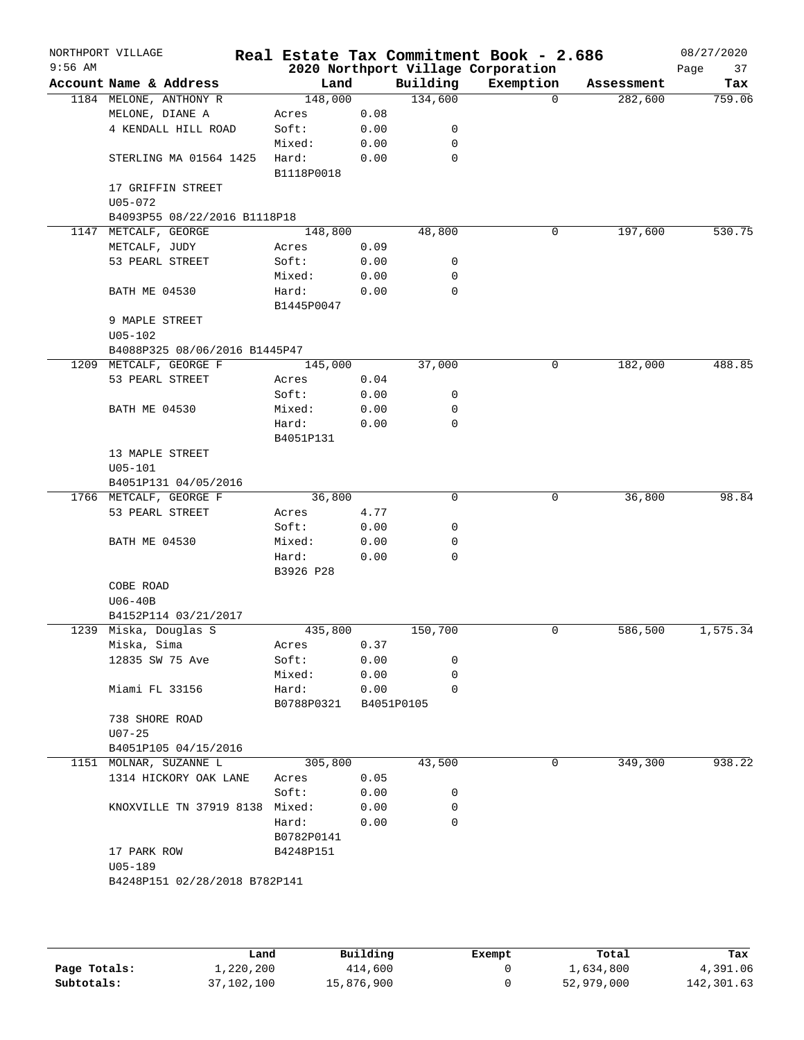| $9:56$ AM | NORTHPORT VILLAGE              |                     |      |            | Real Estate Tax Commitment Book - 2.686<br>2020 Northport Village Corporation |            | 08/27/2020<br>Page<br>37 |
|-----------|--------------------------------|---------------------|------|------------|-------------------------------------------------------------------------------|------------|--------------------------|
|           | Account Name & Address         | Land                |      | Building   | Exemption                                                                     | Assessment | Tax                      |
|           | 1184 MELONE, ANTHONY R         | 148,000             |      | 134,600    | $\Omega$                                                                      | 282,600    | 759.06                   |
|           | MELONE, DIANE A                | Acres               | 0.08 |            |                                                                               |            |                          |
|           | 4 KENDALL HILL ROAD            | Soft:               | 0.00 | 0          |                                                                               |            |                          |
|           |                                | Mixed:              | 0.00 | 0          |                                                                               |            |                          |
|           | STERLING MA 01564 1425         | Hard:<br>B1118P0018 | 0.00 | 0          |                                                                               |            |                          |
|           | 17 GRIFFIN STREET              |                     |      |            |                                                                               |            |                          |
|           | $U05 - 072$                    |                     |      |            |                                                                               |            |                          |
|           | B4093P55 08/22/2016 B1118P18   |                     |      |            |                                                                               |            |                          |
|           | 1147 METCALF, GEORGE           | 148,800             |      | 48,800     | 0                                                                             | 197,600    | 530.75                   |
|           | METCALF, JUDY                  | Acres               | 0.09 |            |                                                                               |            |                          |
|           | 53 PEARL STREET                | Soft:               | 0.00 | 0          |                                                                               |            |                          |
|           |                                | Mixed:              | 0.00 | 0          |                                                                               |            |                          |
|           | <b>BATH ME 04530</b>           | Hard:               | 0.00 | 0          |                                                                               |            |                          |
|           |                                | B1445P0047          |      |            |                                                                               |            |                          |
|           | 9 MAPLE STREET                 |                     |      |            |                                                                               |            |                          |
|           | $U05 - 102$                    |                     |      |            |                                                                               |            |                          |
|           | B4088P325 08/06/2016 B1445P47  |                     |      |            |                                                                               |            |                          |
|           | 1209 METCALF, GEORGE F         | 145,000             |      | 37,000     | 0                                                                             | 182,000    | 488.85                   |
|           | 53 PEARL STREET                | Acres               | 0.04 |            |                                                                               |            |                          |
|           |                                | Soft:               | 0.00 | 0          |                                                                               |            |                          |
|           | <b>BATH ME 04530</b>           | Mixed:              | 0.00 | 0          |                                                                               |            |                          |
|           |                                | Hard:               | 0.00 | 0          |                                                                               |            |                          |
|           |                                | B4051P131           |      |            |                                                                               |            |                          |
|           | 13 MAPLE STREET                |                     |      |            |                                                                               |            |                          |
|           | $U05 - 101$                    |                     |      |            |                                                                               |            |                          |
|           | B4051P131 04/05/2016           |                     |      |            |                                                                               |            |                          |
|           | 1766 METCALF, GEORGE F         | 36,800              |      | 0          | 0                                                                             | 36,800     | 98.84                    |
|           | 53 PEARL STREET                | Acres               | 4.77 |            |                                                                               |            |                          |
|           |                                | Soft:               | 0.00 | 0          |                                                                               |            |                          |
|           | <b>BATH ME 04530</b>           | Mixed:              | 0.00 | 0          |                                                                               |            |                          |
|           |                                | Hard:               | 0.00 | $\Omega$   |                                                                               |            |                          |
|           |                                | B3926 P28           |      |            |                                                                               |            |                          |
|           | COBE ROAD                      |                     |      |            |                                                                               |            |                          |
|           | $U06-40B$                      |                     |      |            |                                                                               |            |                          |
|           | B4152P114 03/21/2017           |                     |      |            |                                                                               |            |                          |
|           | 1239 Miska, Douglas S          | 435,800             |      | 150,700    | 0                                                                             | 586,500    | 1,575.34                 |
|           | Miska, Sima                    | Acres               | 0.37 |            |                                                                               |            |                          |
|           | 12835 SW 75 Ave                | Soft:               | 0.00 | 0          |                                                                               |            |                          |
|           |                                | Mixed:              | 0.00 | 0          |                                                                               |            |                          |
|           | Miami FL 33156                 | Hard:               | 0.00 | 0          |                                                                               |            |                          |
|           |                                | B0788P0321          |      | B4051P0105 |                                                                               |            |                          |
|           | 738 SHORE ROAD                 |                     |      |            |                                                                               |            |                          |
|           | $U07 - 25$                     |                     |      |            |                                                                               |            |                          |
|           | B4051P105 04/15/2016           |                     |      |            |                                                                               |            |                          |
|           | 1151 MOLNAR, SUZANNE L         | 305,800             |      | 43,500     | 0                                                                             | 349,300    | 938.22                   |
|           | 1314 HICKORY OAK LANE          | Acres               | 0.05 |            |                                                                               |            |                          |
|           |                                | Soft:               | 0.00 | 0          |                                                                               |            |                          |
|           | KNOXVILLE TN 37919 8138 Mixed: |                     | 0.00 | 0          |                                                                               |            |                          |
|           |                                | Hard:               | 0.00 | $\Omega$   |                                                                               |            |                          |
|           |                                | B0782P0141          |      |            |                                                                               |            |                          |
|           | 17 PARK ROW                    | B4248P151           |      |            |                                                                               |            |                          |
|           |                                |                     |      |            |                                                                               |            |                          |
|           | $U05 - 189$                    |                     |      |            |                                                                               |            |                          |

|              | Land       | Building   | Exempt | Total      | Tax        |
|--------------|------------|------------|--------|------------|------------|
| Page Totals: | 1,220,200  | 414,600    |        | 1,634,800  | 4,391.06   |
| Subtotals:   | 37,102,100 | 15,876,900 |        | 52,979,000 | 142,301.63 |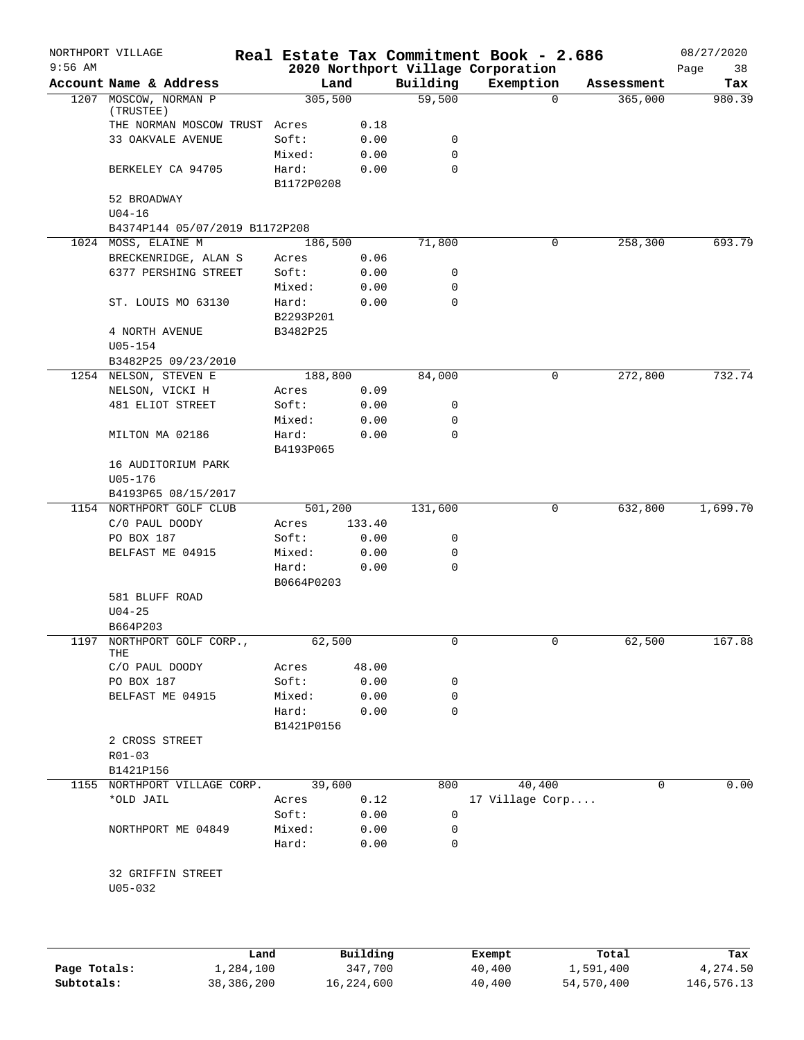|           | NORTHPORT VILLAGE                            |                       |              |             | Real Estate Tax Commitment Book - 2.686         |            | 08/27/2020        |
|-----------|----------------------------------------------|-----------------------|--------------|-------------|-------------------------------------------------|------------|-------------------|
| $9:56$ AM | Account Name & Address                       | Land                  |              | Building    | 2020 Northport Village Corporation<br>Exemption | Assessment | Page<br>38<br>Tax |
| 1207      | MOSCOW, NORMAN P                             | 305,500               |              | 59,500      | $\mathbf 0$                                     | 365,000    | 980.39            |
|           | (TRUSTEE)                                    |                       |              |             |                                                 |            |                   |
|           | THE NORMAN MOSCOW TRUST Acres                |                       | 0.18         |             |                                                 |            |                   |
|           | 33 OAKVALE AVENUE                            | Soft:                 | 0.00         | 0           |                                                 |            |                   |
|           |                                              | Mixed:                | 0.00         | 0           |                                                 |            |                   |
|           | BERKELEY CA 94705                            | Hard:                 | 0.00         | $\mathbf 0$ |                                                 |            |                   |
|           |                                              | B1172P0208            |              |             |                                                 |            |                   |
|           | 52 BROADWAY                                  |                       |              |             |                                                 |            |                   |
|           | $U04-16$                                     |                       |              |             |                                                 |            |                   |
|           | B4374P144 05/07/2019 B1172P208               |                       |              |             |                                                 |            |                   |
|           | 1024 MOSS, ELAINE M                          | 186,500               |              | 71,800      | 0                                               | 258,300    | 693.79            |
|           | BRECKENRIDGE, ALAN S<br>6377 PERSHING STREET | Acres<br>Soft:        | 0.06<br>0.00 | 0           |                                                 |            |                   |
|           |                                              | Mixed:                | 0.00         | 0           |                                                 |            |                   |
|           | ST. LOUIS MO 63130                           | Hard:                 | 0.00         | 0           |                                                 |            |                   |
|           |                                              |                       |              |             |                                                 |            |                   |
|           | 4 NORTH AVENUE                               | B2293P201<br>B3482P25 |              |             |                                                 |            |                   |
|           | $U05 - 154$                                  |                       |              |             |                                                 |            |                   |
|           | B3482P25 09/23/2010                          |                       |              |             |                                                 |            |                   |
|           | 1254 NELSON, STEVEN E                        | 188,800               |              | 84,000      | 0                                               | 272,800    | 732.74            |
|           | NELSON, VICKI H                              | Acres                 | 0.09         |             |                                                 |            |                   |
|           | 481 ELIOT STREET                             | Soft:                 | 0.00         | 0           |                                                 |            |                   |
|           |                                              | Mixed:                | 0.00         | 0           |                                                 |            |                   |
|           | MILTON MA 02186                              | Hard:                 | 0.00         | 0           |                                                 |            |                   |
|           |                                              | B4193P065             |              |             |                                                 |            |                   |
|           | 16 AUDITORIUM PARK                           |                       |              |             |                                                 |            |                   |
|           | $U05 - 176$                                  |                       |              |             |                                                 |            |                   |
|           | B4193P65 08/15/2017                          |                       |              |             |                                                 |            |                   |
|           | 1154 NORTHPORT GOLF CLUB                     | 501,200               |              | 131,600     | 0                                               | 632,800    | 1,699.70          |
|           | C/0 PAUL DOODY                               | Acres                 | 133.40       |             |                                                 |            |                   |
|           | PO BOX 187                                   | Soft:                 | 0.00         | 0           |                                                 |            |                   |
|           | BELFAST ME 04915                             | Mixed:                | 0.00         | 0           |                                                 |            |                   |
|           |                                              | Hard:                 | 0.00         | 0           |                                                 |            |                   |
|           |                                              | B0664P0203            |              |             |                                                 |            |                   |
|           | 581 BLUFF ROAD                               |                       |              |             |                                                 |            |                   |
|           | $U04 - 25$                                   |                       |              |             |                                                 |            |                   |
|           | B664P203                                     |                       |              |             |                                                 |            |                   |
| 1197      | NORTHPORT GOLF CORP.,                        | 62,500                |              | 0           | 0                                               | 62,500     | 167.88            |
|           | THE                                          |                       |              |             |                                                 |            |                   |
|           | C/O PAUL DOODY                               | Acres                 | 48.00        |             |                                                 |            |                   |
|           | PO BOX 187                                   | Soft:                 | 0.00         | 0           |                                                 |            |                   |
|           | BELFAST ME 04915                             | Mixed:                | 0.00         | 0           |                                                 |            |                   |
|           |                                              | Hard:                 | 0.00         | 0           |                                                 |            |                   |
|           |                                              | B1421P0156            |              |             |                                                 |            |                   |
|           | 2 CROSS STREET                               |                       |              |             |                                                 |            |                   |
|           | $R01 - 03$                                   |                       |              |             |                                                 |            |                   |
|           | B1421P156                                    |                       |              |             |                                                 |            |                   |
|           | 1155 NORTHPORT VILLAGE CORP.                 | 39,600                |              | 800         | 40,400                                          | 0          | 0.00              |
|           | *OLD JAIL                                    | Acres                 | 0.12         |             | 17 Village Corp                                 |            |                   |
|           |                                              | Soft:                 | 0.00         | 0           |                                                 |            |                   |
|           | NORTHPORT ME 04849                           | Mixed:                | 0.00         | 0           |                                                 |            |                   |
|           |                                              | Hard:                 | 0.00         | 0           |                                                 |            |                   |
|           |                                              |                       |              |             |                                                 |            |                   |
|           | 32 GRIFFIN STREET                            |                       |              |             |                                                 |            |                   |
|           | $U05 - 032$                                  |                       |              |             |                                                 |            |                   |
|           |                                              |                       |              |             |                                                 |            |                   |
|           |                                              |                       |              |             |                                                 |            |                   |
|           |                                              |                       |              |             |                                                 |            |                   |
|           |                                              |                       |              |             |                                                 |            |                   |

|              | Land       | Building   | Exempt | Total      | Tax        |
|--------------|------------|------------|--------|------------|------------|
| Page Totals: | 1,284,100  | 347,700    | 40,400 | 1,591,400  | 4,274.50   |
| Subtotals:   | 38,386,200 | 16,224,600 | 40,400 | 54,570,400 | 146,576.13 |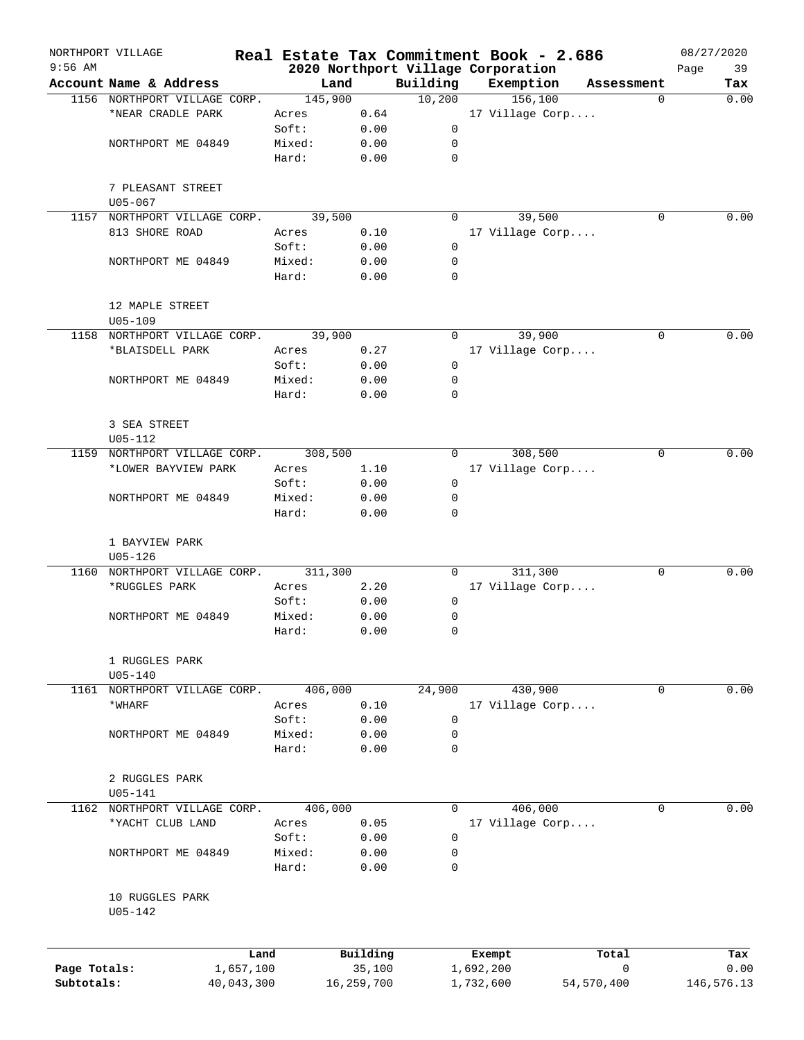| $9:56$ AM    | NORTHPORT VILLAGE              |                 |              |                                    |           | Real Estate Tax Commitment Book - 2.686 |            | 08/27/2020 |
|--------------|--------------------------------|-----------------|--------------|------------------------------------|-----------|-----------------------------------------|------------|------------|
|              | Account Name & Address         |                 |              | 2020 Northport Village Corporation |           |                                         |            | 39<br>Page |
|              |                                |                 | Land         | Building                           | Exemption |                                         | Assessment | Tax        |
|              | 1156 NORTHPORT VILLAGE CORP.   |                 | 145,900      | 10,200                             |           | 156,100                                 | $\Omega$   | 0.00       |
|              | *NEAR CRADLE PARK              | Acres           | 0.64         |                                    |           | 17 Village Corp                         |            |            |
|              |                                | Soft:           | 0.00         | 0                                  |           |                                         |            |            |
|              | NORTHPORT ME 04849             | Mixed:          | 0.00         | 0                                  |           |                                         |            |            |
|              |                                | Hard:           | 0.00         | 0                                  |           |                                         |            |            |
|              | 7 PLEASANT STREET              |                 |              |                                    |           |                                         |            |            |
|              | $U05 - 067$                    |                 |              |                                    |           |                                         |            |            |
| 1157         | NORTHPORT VILLAGE CORP.        |                 | 39,500       | 0                                  |           | 39,500                                  | $\Omega$   | 0.00       |
|              | 813 SHORE ROAD                 | Acres           | 0.10         |                                    |           | 17 Village Corp                         |            |            |
|              |                                | Soft:           | 0.00         | $\mathbf 0$                        |           |                                         |            |            |
|              | NORTHPORT ME 04849             | Mixed:          | 0.00         | 0                                  |           |                                         |            |            |
|              |                                | Hard:           | 0.00         | 0                                  |           |                                         |            |            |
|              | 12 MAPLE STREET                |                 |              |                                    |           |                                         |            |            |
|              | $U05 - 109$                    |                 |              |                                    |           |                                         |            |            |
|              | 1158 NORTHPORT VILLAGE CORP.   |                 | 39,900       | 0                                  |           | 39,900                                  | $\Omega$   | 0.00       |
|              | *BLAISDELL PARK                | Acres           | 0.27         |                                    |           | 17 Village Corp                         |            |            |
|              |                                | Soft:           | 0.00         | 0                                  |           |                                         |            |            |
|              | NORTHPORT ME 04849             | Mixed:          | 0.00         | 0                                  |           |                                         |            |            |
|              |                                | Hard:           | 0.00         | 0                                  |           |                                         |            |            |
|              | 3 SEA STREET                   |                 |              |                                    |           |                                         |            |            |
|              | $U05 - 112$                    |                 |              |                                    |           |                                         |            |            |
| 1159         | NORTHPORT VILLAGE CORP.        |                 | 308,500      | 0                                  |           | 308,500                                 | 0          | 0.00       |
|              | *LOWER BAYVIEW PARK            | Acres           | 1.10         |                                    |           | 17 Village Corp                         |            |            |
|              |                                | Soft:           | 0.00         | 0                                  |           |                                         |            |            |
|              | NORTHPORT ME 04849             | Mixed:          | 0.00         | 0                                  |           |                                         |            |            |
|              |                                | Hard:           | 0.00         | 0                                  |           |                                         |            |            |
|              | 1 BAYVIEW PARK                 |                 |              |                                    |           |                                         |            |            |
|              | $U05 - 126$                    |                 |              |                                    |           |                                         |            |            |
| 1160         | NORTHPORT VILLAGE CORP.        |                 | 311,300      | $\Omega$                           |           | 311,300                                 | 0          | 0.00       |
|              | *RUGGLES PARK                  | Acres           | 2.20         |                                    |           | 17 Village Corp                         |            |            |
|              |                                | Soft:           | 0.00         | 0                                  |           |                                         |            |            |
|              | NORTHPORT ME 04849             | Mixed:          | 0.00         | 0                                  |           |                                         |            |            |
|              |                                | Hard:           | 0.00         | 0                                  |           |                                         |            |            |
|              | 1 RUGGLES PARK                 |                 |              |                                    |           |                                         |            |            |
|              | $U05 - 140$                    |                 |              |                                    |           |                                         |            |            |
|              | 1161 NORTHPORT VILLAGE CORP.   |                 | 406,000      | 24,900                             |           | 430,900                                 | 0          | 0.00       |
|              | *WHARF                         | Acres           | 0.10         |                                    |           | 17 Village Corp                         |            |            |
|              |                                | Soft:           | 0.00         | 0                                  |           |                                         |            |            |
|              | NORTHPORT ME 04849             | Mixed:          | 0.00         | 0                                  |           |                                         |            |            |
|              |                                | Hard:           | 0.00         | 0                                  |           |                                         |            |            |
|              |                                |                 |              |                                    |           |                                         |            |            |
|              | 2 RUGGLES PARK<br>$U05 - 141$  |                 |              |                                    |           |                                         |            |            |
|              | 1162 NORTHPORT VILLAGE CORP.   |                 | 406,000      | $\mathbf 0$                        |           | 406,000                                 | 0          | 0.00       |
|              | *YACHT CLUB LAND               | Acres           | 0.05         |                                    |           | 17 Village Corp                         |            |            |
|              |                                |                 |              |                                    |           |                                         |            |            |
|              |                                | Soft:           | 0.00         | 0                                  |           |                                         |            |            |
|              | NORTHPORT ME 04849             | Mixed:<br>Hard: | 0.00<br>0.00 | 0<br>0                             |           |                                         |            |            |
|              |                                |                 |              |                                    |           |                                         |            |            |
|              | 10 RUGGLES PARK<br>$U05 - 142$ |                 |              |                                    |           |                                         |            |            |
|              |                                | Land            | Building     |                                    | Exempt    | Total                                   |            | Tax        |
| Page Totals: | 1,657,100                      |                 | 35,100       |                                    | 1,692,200 |                                         | 0          | 0.00       |
| Subtotals:   | 40,043,300                     |                 | 16,259,700   |                                    | 1,732,600 | 54, 570, 400                            |            | 146,576.13 |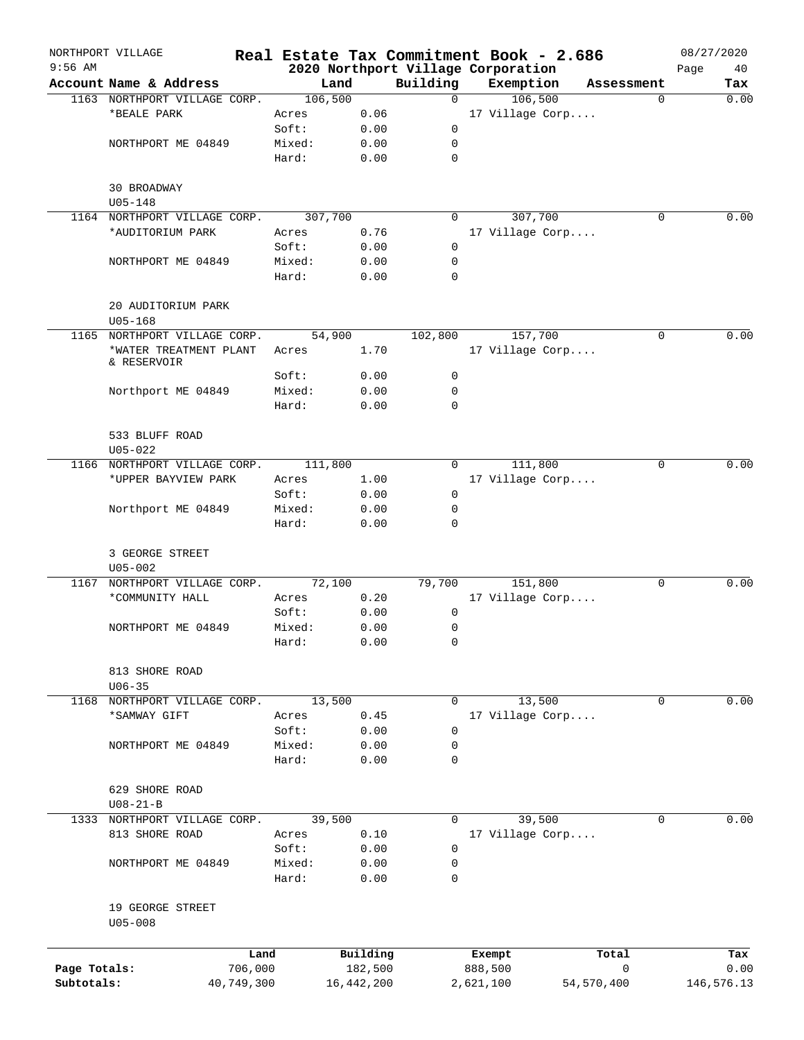| $9:56$ AM    | NORTHPORT VILLAGE            |                 |                 |                     |             | Real Estate Tax Commitment Book - 2.686         |              | 08/27/2020        |
|--------------|------------------------------|-----------------|-----------------|---------------------|-------------|-------------------------------------------------|--------------|-------------------|
|              | Account Name & Address       |                 |                 | Land                | Building    | 2020 Northport Village Corporation<br>Exemption |              | Page<br>40<br>Tax |
|              | 1163 NORTHPORT VILLAGE CORP. |                 | 106,500         |                     | $\Omega$    | 106,500                                         | Assessment   | 0.00<br>$\Omega$  |
|              | *BEALE PARK                  |                 | Acres           | 0.06                |             | 17 Village Corp                                 |              |                   |
|              |                              |                 | Soft:           | 0.00                | 0           |                                                 |              |                   |
|              | NORTHPORT ME 04849           |                 | Mixed:          | 0.00                | 0           |                                                 |              |                   |
|              |                              |                 | Hard:           | 0.00                | 0           |                                                 |              |                   |
|              |                              |                 |                 |                     |             |                                                 |              |                   |
|              | 30 BROADWAY                  |                 |                 |                     |             |                                                 |              |                   |
|              | $U05 - 148$                  |                 |                 |                     |             |                                                 |              |                   |
|              | 1164 NORTHPORT VILLAGE CORP. |                 | 307,700         |                     | 0           | 307,700                                         |              | 0.00<br>0         |
|              | *AUDITORIUM PARK             |                 | Acres           | 0.76                |             | 17 Village Corp                                 |              |                   |
|              |                              |                 | Soft:           | 0.00                | 0           |                                                 |              |                   |
|              | NORTHPORT ME 04849           |                 | Mixed:<br>Hard: | 0.00<br>0.00        | 0<br>0      |                                                 |              |                   |
|              |                              |                 |                 |                     |             |                                                 |              |                   |
|              | 20 AUDITORIUM PARK           |                 |                 |                     |             |                                                 |              |                   |
|              | $U05 - 168$                  |                 |                 |                     |             |                                                 |              |                   |
| 1165         | NORTHPORT VILLAGE CORP.      |                 | 54,900          |                     | 102,800     | 157,700                                         |              | 0.00<br>0         |
|              | *WATER TREATMENT PLANT       |                 | Acres           | 1.70                |             | 17 Village Corp                                 |              |                   |
|              | & RESERVOIR                  |                 |                 |                     |             |                                                 |              |                   |
|              |                              |                 | Soft:           | 0.00                | 0           |                                                 |              |                   |
|              | Northport ME 04849           |                 | Mixed:          | 0.00                | 0           |                                                 |              |                   |
|              |                              |                 | Hard:           | 0.00                | 0           |                                                 |              |                   |
|              | 533 BLUFF ROAD               |                 |                 |                     |             |                                                 |              |                   |
|              | $U05 - 022$                  |                 |                 |                     |             |                                                 |              |                   |
|              | 1166 NORTHPORT VILLAGE CORP. |                 | 111,800         |                     | $\Omega$    | 111,800                                         |              | 0.00<br>0         |
|              | *UPPER BAYVIEW PARK          |                 | Acres           | 1.00                |             | 17 Village Corp                                 |              |                   |
|              |                              |                 | Soft:           | 0.00                | 0           |                                                 |              |                   |
|              | Northport ME 04849           |                 | Mixed:          | 0.00                | $\mathbf 0$ |                                                 |              |                   |
|              |                              |                 | Hard:           | 0.00                | 0           |                                                 |              |                   |
|              |                              |                 |                 |                     |             |                                                 |              |                   |
|              | 3 GEORGE STREET              |                 |                 |                     |             |                                                 |              |                   |
|              | $U05 - 002$                  |                 |                 |                     |             |                                                 |              |                   |
| 1167         | NORTHPORT VILLAGE CORP.      |                 | 72,100          |                     | 79,700      | 151,800                                         |              | 0.00<br>0         |
|              | *COMMUNITY HALL              |                 | Acres           | 0.20                |             | 17 Village Corp                                 |              |                   |
|              |                              |                 | Soft:           | 0.00                | 0           |                                                 |              |                   |
|              | NORTHPORT ME 04849           |                 | Mixed:          | 0.00                | 0           |                                                 |              |                   |
|              |                              |                 | Hard:           | 0.00                | 0           |                                                 |              |                   |
|              |                              |                 |                 |                     |             |                                                 |              |                   |
|              | 813 SHORE ROAD<br>$U06 - 35$ |                 |                 |                     |             |                                                 |              |                   |
|              | 1168 NORTHPORT VILLAGE CORP. |                 |                 |                     | 0           | 13,500                                          |              | 0.00<br>0         |
|              | *SAMWAY GIFT                 |                 | 13,500          |                     |             | 17 Village Corp                                 |              |                   |
|              |                              |                 | Acres<br>Soft:  | 0.45                | 0           |                                                 |              |                   |
|              | NORTHPORT ME 04849           |                 | Mixed:          | 0.00<br>0.00        | 0           |                                                 |              |                   |
|              |                              |                 | Hard:           | 0.00                | 0           |                                                 |              |                   |
|              |                              |                 |                 |                     |             |                                                 |              |                   |
|              | 629 SHORE ROAD               |                 |                 |                     |             |                                                 |              |                   |
|              | $U08 - 21 - B$               |                 |                 |                     |             |                                                 |              |                   |
|              | 1333 NORTHPORT VILLAGE CORP. |                 | 39,500          |                     | $\mathbf 0$ | 39,500                                          |              | 0.00<br>0         |
|              | 813 SHORE ROAD               |                 | Acres           | 0.10                |             | 17 Village Corp                                 |              |                   |
|              |                              |                 | Soft:           | 0.00                | 0           |                                                 |              |                   |
|              | NORTHPORT ME 04849           |                 | Mixed:          | 0.00                | $\mathbf 0$ |                                                 |              |                   |
|              |                              |                 | Hard:           | 0.00                | 0           |                                                 |              |                   |
|              |                              |                 |                 |                     |             |                                                 |              |                   |
|              | 19 GEORGE STREET             |                 |                 |                     |             |                                                 |              |                   |
|              | $U05 - 008$                  |                 |                 |                     |             |                                                 |              |                   |
|              |                              |                 |                 |                     |             |                                                 |              |                   |
| Page Totals: |                              | Land<br>706,000 |                 | Building<br>182,500 |             | Exempt<br>888,500                               | Total<br>0   | Tax<br>0.00       |
| Subtotals:   |                              | 40,749,300      |                 | 16, 442, 200        |             | 2,621,100                                       | 54, 570, 400 | 146,576.13        |
|              |                              |                 |                 |                     |             |                                                 |              |                   |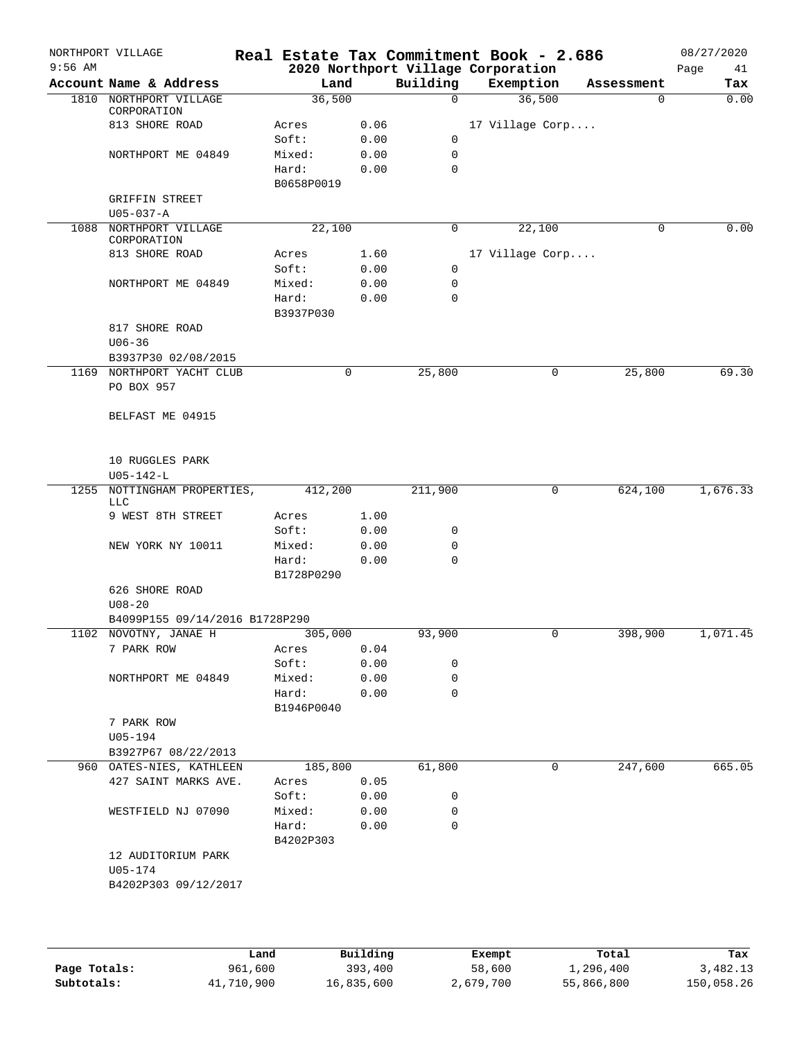|           | NORTHPORT VILLAGE                     |                     |      |             | Real Estate Tax Commitment Book - 2.686 |            | 08/27/2020 |
|-----------|---------------------------------------|---------------------|------|-------------|-----------------------------------------|------------|------------|
| $9:56$ AM |                                       |                     |      |             | 2020 Northport Village Corporation      |            | Page<br>41 |
|           | Account Name & Address                | Land                |      | Building    | Exemption                               | Assessment | Tax        |
|           | 1810 NORTHPORT VILLAGE<br>CORPORATION | 36,500              |      | $\Omega$    | 36,500                                  | $\Omega$   | 0.00       |
|           | 813 SHORE ROAD                        | Acres               | 0.06 |             | 17 Village Corp                         |            |            |
|           |                                       | Soft:               | 0.00 | 0           |                                         |            |            |
|           | NORTHPORT ME 04849                    | Mixed:              | 0.00 | 0           |                                         |            |            |
|           |                                       | Hard:               | 0.00 | $\mathbf 0$ |                                         |            |            |
|           |                                       | B0658P0019          |      |             |                                         |            |            |
|           | <b>GRIFFIN STREET</b>                 |                     |      |             |                                         |            |            |
|           | $U05 - 037 - A$                       |                     |      |             |                                         |            |            |
|           | 1088 NORTHPORT VILLAGE<br>CORPORATION | 22,100              |      | 0           | 22,100                                  | 0          | 0.00       |
|           | 813 SHORE ROAD                        | Acres               | 1.60 |             | 17 Village Corp                         |            |            |
|           |                                       | Soft:               | 0.00 | 0           |                                         |            |            |
|           | NORTHPORT ME 04849                    | Mixed:              | 0.00 | 0           |                                         |            |            |
|           |                                       | Hard:               | 0.00 | 0           |                                         |            |            |
|           |                                       | B3937P030           |      |             |                                         |            |            |
|           | 817 SHORE ROAD                        |                     |      |             |                                         |            |            |
|           | $U06 - 36$                            |                     |      |             |                                         |            |            |
|           | B3937P30 02/08/2015                   |                     |      |             |                                         |            |            |
|           | 1169 NORTHPORT YACHT CLUB             |                     | 0    | 25,800      | 0                                       | 25,800     | 69.30      |
|           | PO BOX 957                            |                     |      |             |                                         |            |            |
|           | BELFAST ME 04915                      |                     |      |             |                                         |            |            |
|           |                                       |                     |      |             |                                         |            |            |
|           | 10 RUGGLES PARK                       |                     |      |             |                                         |            |            |
| 1255      | $U05 - 142 - L$                       |                     |      |             | 0                                       |            | 1,676.33   |
|           | NOTTINGHAM PROPERTIES,<br><b>LLC</b>  | 412,200             |      | 211,900     |                                         | 624,100    |            |
|           | 9 WEST 8TH STREET                     | Acres               | 1.00 |             |                                         |            |            |
|           |                                       | Soft:               | 0.00 | 0           |                                         |            |            |
|           | NEW YORK NY 10011                     | Mixed:              | 0.00 | 0           |                                         |            |            |
|           |                                       | Hard:<br>B1728P0290 | 0.00 | 0           |                                         |            |            |
|           | 626 SHORE ROAD                        |                     |      |             |                                         |            |            |
|           | $U08 - 20$                            |                     |      |             |                                         |            |            |
|           | B4099P155 09/14/2016 B1728P290        |                     |      |             |                                         |            |            |
|           | 1102 NOVOTNY, JANAE H                 | 305,000             |      | 93,900      | 0                                       | 398,900    | 1,071.45   |
|           | 7 PARK ROW                            | Acres               | 0.04 |             |                                         |            |            |
|           |                                       | Soft:               | 0.00 | 0           |                                         |            |            |
|           | NORTHPORT ME 04849                    | Mixed:              | 0.00 | 0           |                                         |            |            |
|           |                                       | Hard:               | 0.00 | 0           |                                         |            |            |
|           |                                       | B1946P0040          |      |             |                                         |            |            |
|           | 7 PARK ROW                            |                     |      |             |                                         |            |            |
|           | $U05 - 194$                           |                     |      |             |                                         |            |            |
|           | B3927P67 08/22/2013                   |                     |      |             |                                         |            |            |
|           | 960 OATES-NIES, KATHLEEN              | 185,800             |      | 61,800      | 0                                       | 247,600    | 665.05     |
|           | 427 SAINT MARKS AVE.                  | Acres               | 0.05 |             |                                         |            |            |
|           |                                       | Soft:               | 0.00 | 0           |                                         |            |            |
|           | WESTFIELD NJ 07090                    | Mixed:              | 0.00 | 0           |                                         |            |            |
|           |                                       | Hard:<br>B4202P303  | 0.00 | 0           |                                         |            |            |
|           | 12 AUDITORIUM PARK                    |                     |      |             |                                         |            |            |
|           | U05-174                               |                     |      |             |                                         |            |            |
|           | B4202P303 09/12/2017                  |                     |      |             |                                         |            |            |
|           |                                       |                     |      |             |                                         |            |            |
|           |                                       |                     |      |             |                                         |            |            |
|           |                                       |                     |      |             |                                         |            |            |
|           |                                       |                     |      |             |                                         |            |            |

|              | Land       | Building   | Exempt    | Total      | Tax        |
|--------------|------------|------------|-----------|------------|------------|
| Page Totals: | 961,600    | 393,400    | 58,600    | 1,296,400  | 3,482.13   |
| Subtotals:   | 41,710,900 | 16,835,600 | 2,679,700 | 55,866,800 | 150,058.26 |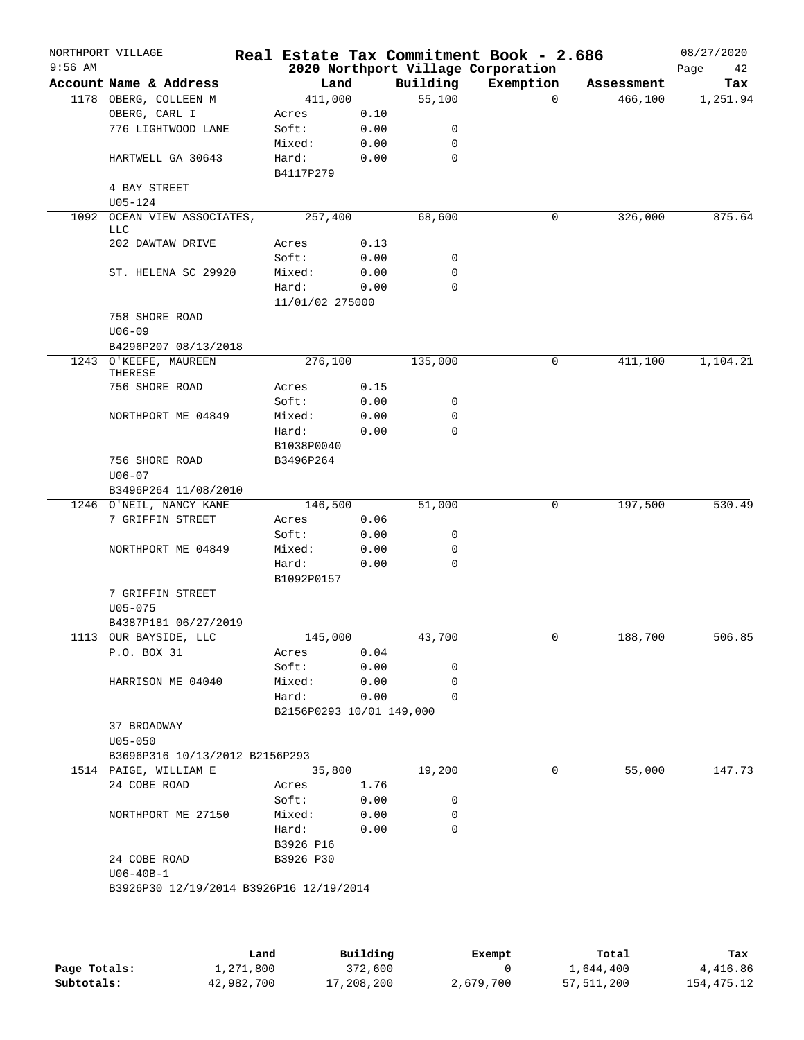|           | NORTHPORT VILLAGE                       |                          |      |                    | Real Estate Tax Commitment Book - 2.686 |            | 08/27/2020 |
|-----------|-----------------------------------------|--------------------------|------|--------------------|-----------------------------------------|------------|------------|
| $9:56$ AM |                                         |                          |      |                    | 2020 Northport Village Corporation      |            | Page<br>42 |
|           | Account Name & Address                  | Land                     |      | Building<br>55,100 | Exemption<br>$\Omega$                   | Assessment | Tax        |
|           | 1178 OBERG, COLLEEN M<br>OBERG, CARL I  | 411,000<br>Acres         | 0.10 |                    |                                         | 466,100    | 1,251.94   |
|           | 776 LIGHTWOOD LANE                      | Soft:                    | 0.00 | 0                  |                                         |            |            |
|           |                                         | Mixed:                   | 0.00 | 0                  |                                         |            |            |
|           | HARTWELL GA 30643                       | Hard:                    | 0.00 | $\mathbf 0$        |                                         |            |            |
|           |                                         | B4117P279                |      |                    |                                         |            |            |
|           | 4 BAY STREET                            |                          |      |                    |                                         |            |            |
|           | $U05 - 124$                             |                          |      |                    |                                         |            |            |
| 1092      | OCEAN VIEW ASSOCIATES,<br><b>LLC</b>    | 257,400                  |      | 68,600             | 0                                       | 326,000    | 875.64     |
|           | 202 DAWTAW DRIVE                        | Acres                    | 0.13 |                    |                                         |            |            |
|           |                                         | Soft:                    | 0.00 | 0                  |                                         |            |            |
|           | ST. HELENA SC 29920                     | Mixed:                   | 0.00 | 0                  |                                         |            |            |
|           |                                         | Hard:                    | 0.00 | 0                  |                                         |            |            |
|           |                                         | 11/01/02 275000          |      |                    |                                         |            |            |
|           | 758 SHORE ROAD<br>$U06 - 09$            |                          |      |                    |                                         |            |            |
|           | B4296P207 08/13/2018                    |                          |      |                    |                                         |            |            |
|           | 1243 O'KEEFE, MAUREEN<br>THERESE        | 276,100                  |      | 135,000            | 0                                       | 411,100    | 1,104.21   |
|           | 756 SHORE ROAD                          | Acres                    | 0.15 |                    |                                         |            |            |
|           |                                         | Soft:                    | 0.00 | 0                  |                                         |            |            |
|           | NORTHPORT ME 04849                      | Mixed:                   | 0.00 | 0                  |                                         |            |            |
|           |                                         | Hard:                    | 0.00 | $\Omega$           |                                         |            |            |
|           |                                         | B1038P0040               |      |                    |                                         |            |            |
|           | 756 SHORE ROAD                          | B3496P264                |      |                    |                                         |            |            |
|           | $U06 - 07$                              |                          |      |                    |                                         |            |            |
|           | B3496P264 11/08/2010                    |                          |      |                    |                                         |            |            |
|           | 1246 O'NEIL, NANCY KANE                 | 146,500                  |      | 51,000             | 0                                       | 197,500    | 530.49     |
|           | 7 GRIFFIN STREET                        | Acres                    | 0.06 |                    |                                         |            |            |
|           |                                         | Soft:                    | 0.00 | 0                  |                                         |            |            |
|           | NORTHPORT ME 04849                      | Mixed:                   | 0.00 | 0                  |                                         |            |            |
|           |                                         | Hard:                    | 0.00 | $\mathbf 0$        |                                         |            |            |
|           |                                         | B1092P0157               |      |                    |                                         |            |            |
|           | 7 GRIFFIN STREET                        |                          |      |                    |                                         |            |            |
|           | $U05 - 075$                             |                          |      |                    |                                         |            |            |
|           | B4387P181 06/27/2019                    |                          |      |                    |                                         |            |            |
|           | 1113 OUR BAYSIDE, LLC                   | 145,000                  |      | 43,700             |                                         | 188,700    | 506.85     |
|           | P.O. BOX 31                             | Acres                    | 0.04 |                    |                                         |            |            |
|           |                                         | Soft:                    | 0.00 | 0<br>0             |                                         |            |            |
|           | HARRISON ME 04040                       | Mixed:                   | 0.00 | $\Omega$           |                                         |            |            |
|           |                                         | Hard:                    | 0.00 |                    |                                         |            |            |
|           | 37 BROADWAY                             | B2156P0293 10/01 149,000 |      |                    |                                         |            |            |
|           | $U05 - 050$                             |                          |      |                    |                                         |            |            |
|           | B3696P316 10/13/2012 B2156P293          |                          |      |                    |                                         |            |            |
|           | 1514 PAIGE, WILLIAM E                   | 35,800                   |      | 19,200             | 0                                       | 55,000     | 147.73     |
|           | 24 COBE ROAD                            | Acres                    | 1.76 |                    |                                         |            |            |
|           |                                         | Soft:                    | 0.00 | 0                  |                                         |            |            |
|           | NORTHPORT ME 27150                      | Mixed:                   | 0.00 | 0                  |                                         |            |            |
|           |                                         | Hard:                    | 0.00 | 0                  |                                         |            |            |
|           |                                         | B3926 P16                |      |                    |                                         |            |            |
|           | 24 COBE ROAD                            | B3926 P30                |      |                    |                                         |            |            |
|           | $U06 - 40B - 1$                         |                          |      |                    |                                         |            |            |
|           |                                         |                          |      |                    |                                         |            |            |
|           | B3926P30 12/19/2014 B3926P16 12/19/2014 |                          |      |                    |                                         |            |            |

|              | Land       | Building   | Exempt    | Total      | Tax        |
|--------------|------------|------------|-----------|------------|------------|
| Page Totals: | 1,271,800  | 372,600    |           | 1,644,400  | 4,416.86   |
| Subtotals:   | 42,982,700 | 17,208,200 | 2,679,700 | 57,511,200 | 154,475.12 |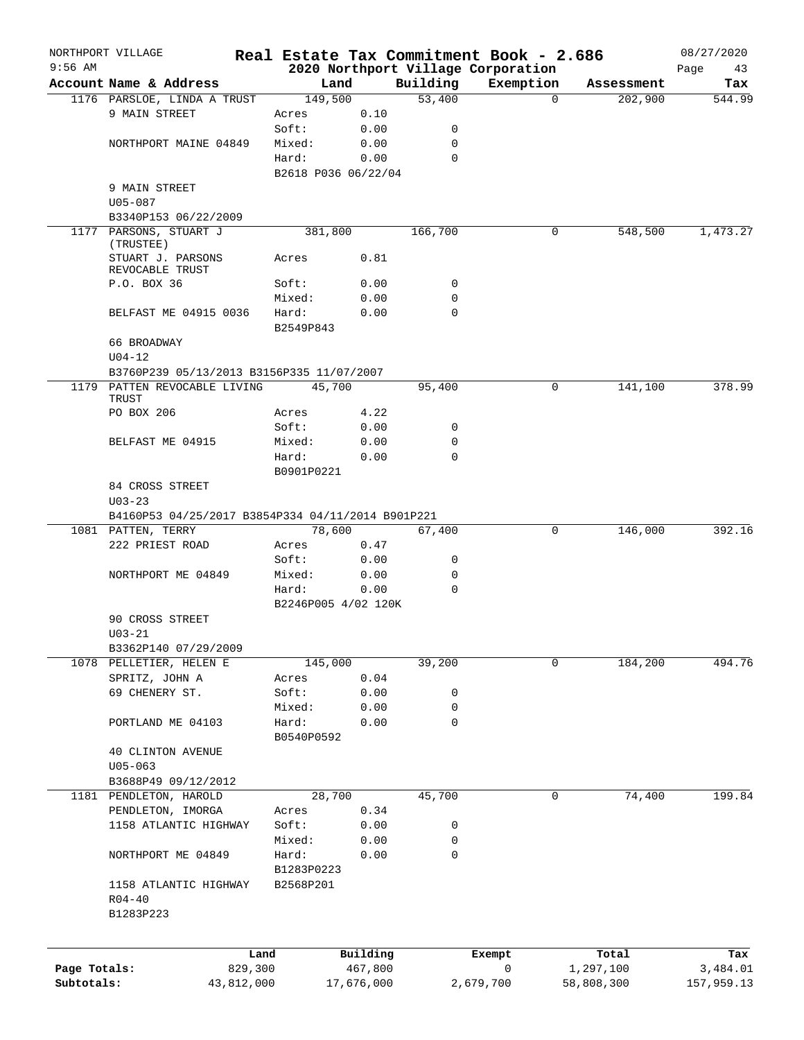|              | NORTHPORT VILLAGE                                 |                 |                             |                         | Real Estate Tax Commitment Book - 2.686 |                     | 08/27/2020      |
|--------------|---------------------------------------------------|-----------------|-----------------------------|-------------------------|-----------------------------------------|---------------------|-----------------|
| $9:56$ AM    |                                                   |                 |                             |                         | 2020 Northport Village Corporation      |                     | Page<br>43      |
|              | Account Name & Address                            |                 | Land                        | Building                | Exemption                               | Assessment          | Tax             |
|              | 1176 PARSLOE, LINDA A TRUST                       |                 | 149,500                     | 53,400                  |                                         | $\Omega$<br>202,900 | 544.99          |
|              | 9 MAIN STREET                                     | Acres           | 0.10                        |                         |                                         |                     |                 |
|              |                                                   | Soft:<br>Mixed: | 0.00                        | $\mathbf 0$             |                                         |                     |                 |
|              | NORTHPORT MAINE 04849                             |                 | 0.00                        | $\mathbf 0$<br>$\Omega$ |                                         |                     |                 |
|              |                                                   | Hard:           | 0.00<br>B2618 P036 06/22/04 |                         |                                         |                     |                 |
|              | 9 MAIN STREET                                     |                 |                             |                         |                                         |                     |                 |
|              | $U05 - 087$                                       |                 |                             |                         |                                         |                     |                 |
|              | B3340P153 06/22/2009                              |                 |                             |                         |                                         |                     |                 |
|              | 1177 PARSONS, STUART J                            |                 | 381,800                     | 166,700                 |                                         | 548,500<br>0        | 1,473.27        |
|              | (TRUSTEE)                                         |                 |                             |                         |                                         |                     |                 |
|              | STUART J. PARSONS                                 | Acres           | 0.81                        |                         |                                         |                     |                 |
|              | REVOCABLE TRUST                                   |                 |                             |                         |                                         |                     |                 |
|              | P.O. BOX 36                                       | Soft:           | 0.00                        | 0                       |                                         |                     |                 |
|              |                                                   | Mixed:          | 0.00                        | $\mathbf 0$             |                                         |                     |                 |
|              | BELFAST ME 04915 0036                             | Hard:           | 0.00                        | $\mathbf 0$             |                                         |                     |                 |
|              |                                                   | B2549P843       |                             |                         |                                         |                     |                 |
|              | 66 BROADWAY                                       |                 |                             |                         |                                         |                     |                 |
|              | $U04 - 12$                                        |                 |                             |                         |                                         |                     |                 |
|              | B3760P239 05/13/2013 B3156P335 11/07/2007         |                 |                             |                         |                                         |                     |                 |
|              | 1179 PATTEN REVOCABLE LIVING<br>TRUST             |                 | 45,700                      | 95,400                  |                                         | 0<br>141,100        | 378.99          |
|              | PO BOX 206                                        | Acres           | 4.22                        |                         |                                         |                     |                 |
|              |                                                   | Soft:           | 0.00                        | 0                       |                                         |                     |                 |
|              | BELFAST ME 04915                                  | Mixed:          | 0.00                        | 0                       |                                         |                     |                 |
|              |                                                   | Hard:           | 0.00                        | $\mathbf 0$             |                                         |                     |                 |
|              |                                                   | B0901P0221      |                             |                         |                                         |                     |                 |
|              | 84 CROSS STREET                                   |                 |                             |                         |                                         |                     |                 |
|              | $U03 - 23$                                        |                 |                             |                         |                                         |                     |                 |
|              | B4160P53 04/25/2017 B3854P334 04/11/2014 B901P221 |                 |                             |                         |                                         |                     |                 |
|              | 1081 PATTEN, TERRY                                |                 | 78,600                      | 67,400                  |                                         | 0<br>146,000        | 392.16          |
|              | 222 PRIEST ROAD                                   | Acres           | 0.47                        |                         |                                         |                     |                 |
|              |                                                   | Soft:           | 0.00                        | 0                       |                                         |                     |                 |
|              | NORTHPORT ME 04849                                | Mixed:          | 0.00                        | $\mathbf 0$             |                                         |                     |                 |
|              |                                                   | Hard:           | 0.00                        | 0                       |                                         |                     |                 |
|              |                                                   |                 | B2246P005 4/02 120K         |                         |                                         |                     |                 |
|              | 90 CROSS STREET                                   |                 |                             |                         |                                         |                     |                 |
|              | $U03 - 21$                                        |                 |                             |                         |                                         |                     |                 |
|              | B3362P140 07/29/2009                              |                 |                             |                         |                                         |                     |                 |
|              | 1078 PELLETIER, HELEN E                           |                 | 145,000                     | 39,200                  |                                         | 184,200<br>0        | 494.76          |
|              | SPRITZ, JOHN A                                    | Acres           | 0.04                        |                         |                                         |                     |                 |
|              | 69 CHENERY ST.                                    | Soft:           | 0.00                        | 0                       |                                         |                     |                 |
|              |                                                   | Mixed:          | 0.00                        | 0                       |                                         |                     |                 |
|              | PORTLAND ME 04103                                 | Hard:           | 0.00                        | 0                       |                                         |                     |                 |
|              |                                                   | B0540P0592      |                             |                         |                                         |                     |                 |
|              | <b>40 CLINTON AVENUE</b>                          |                 |                             |                         |                                         |                     |                 |
|              | $U05 - 063$                                       |                 |                             |                         |                                         |                     |                 |
|              | B3688P49 09/12/2012                               |                 |                             |                         |                                         |                     |                 |
|              | 1181 PENDLETON, HAROLD                            |                 | 28,700                      | 45,700                  |                                         | 0<br>74,400         | 199.84          |
|              | PENDLETON, IMORGA                                 | Acres           | 0.34                        |                         |                                         |                     |                 |
|              | 1158 ATLANTIC HIGHWAY                             | Soft:           | 0.00                        | 0                       |                                         |                     |                 |
|              |                                                   | Mixed:          | 0.00                        | 0                       |                                         |                     |                 |
|              | NORTHPORT ME 04849                                | Hard:           | 0.00                        | 0                       |                                         |                     |                 |
|              |                                                   | B1283P0223      |                             |                         |                                         |                     |                 |
|              | 1158 ATLANTIC HIGHWAY                             | B2568P201       |                             |                         |                                         |                     |                 |
|              | $R04 - 40$                                        |                 |                             |                         |                                         |                     |                 |
|              | B1283P223                                         |                 |                             |                         |                                         |                     |                 |
|              |                                                   |                 |                             |                         |                                         |                     |                 |
|              |                                                   |                 |                             |                         |                                         |                     |                 |
| Page Totals: | 829,300                                           | Land            | Building<br>467,800         |                         | Exempt<br>0                             | Total<br>1,297,100  | Tax<br>3,484.01 |
| Subtotals:   | 43,812,000                                        |                 | 17,676,000                  |                         | 2,679,700                               | 58,808,300          | 157,959.13      |
|              |                                                   |                 |                             |                         |                                         |                     |                 |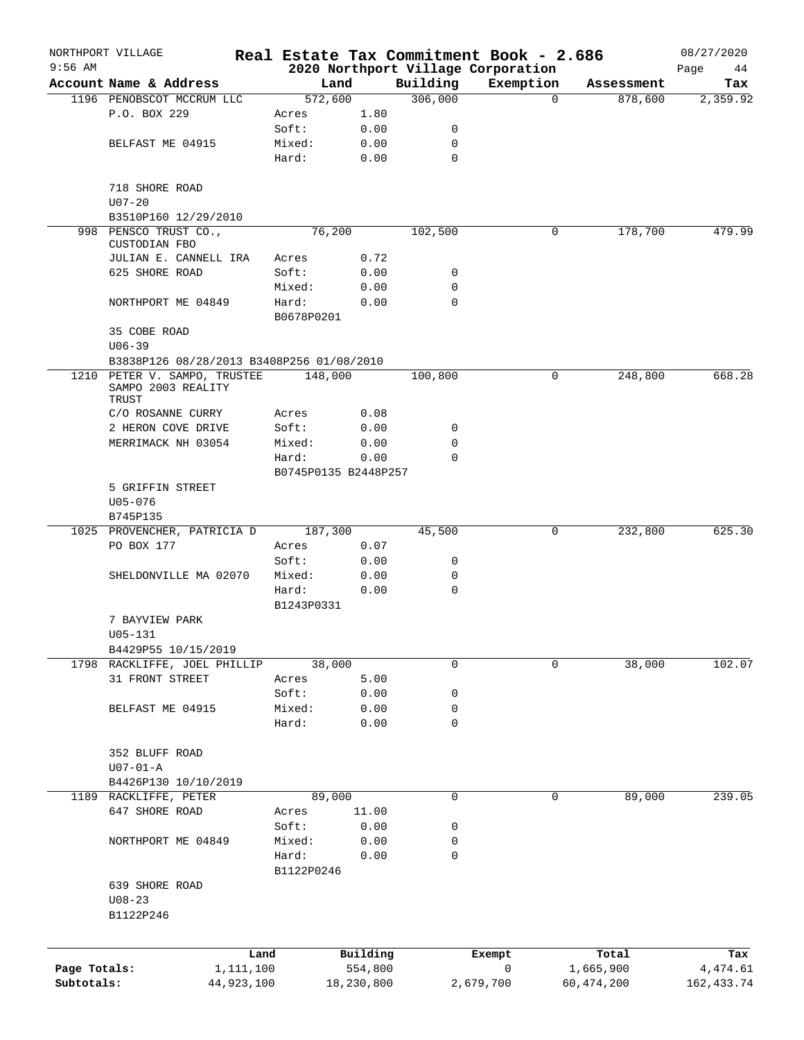|                            | NORTHPORT VILLAGE                         |                      |                       |                     | Real Estate Tax Commitment Book - 2.686 |                           | 08/27/2020              |
|----------------------------|-------------------------------------------|----------------------|-----------------------|---------------------|-----------------------------------------|---------------------------|-------------------------|
| $9:56$ AM                  |                                           |                      |                       |                     | 2020 Northport Village Corporation      |                           | Page<br>44              |
|                            | Account Name & Address                    |                      | Land                  | Building<br>306,000 | Exemption<br>$\Omega$                   | Assessment                | Tax                     |
|                            | 1196 PENOBSCOT MCCRUM LLC<br>P.O. BOX 229 | 572,600<br>Acres     | 1.80                  |                     |                                         | 878,600                   | 2,359.92                |
|                            |                                           | Soft:                | 0.00                  | 0                   |                                         |                           |                         |
|                            | BELFAST ME 04915                          | Mixed:               | 0.00                  | 0                   |                                         |                           |                         |
|                            |                                           | Hard:                | 0.00                  | $\mathbf 0$         |                                         |                           |                         |
|                            |                                           |                      |                       |                     |                                         |                           |                         |
|                            | 718 SHORE ROAD                            |                      |                       |                     |                                         |                           |                         |
|                            | $U07 - 20$                                |                      |                       |                     |                                         |                           |                         |
|                            | B3510P160 12/29/2010                      |                      |                       |                     |                                         |                           |                         |
|                            | 998 PENSCO TRUST CO.,                     | 76,200               |                       | 102,500             | 0                                       | 178,700                   | 479.99                  |
|                            | CUSTODIAN FBO                             |                      |                       |                     |                                         |                           |                         |
|                            | JULIAN E. CANNELL IRA                     | Acres                | 0.72                  |                     |                                         |                           |                         |
|                            | 625 SHORE ROAD                            | Soft:                | 0.00                  | 0                   |                                         |                           |                         |
|                            |                                           | Mixed:               | 0.00                  | 0                   |                                         |                           |                         |
|                            | NORTHPORT ME 04849                        | Hard:                | 0.00                  | $\mathbf 0$         |                                         |                           |                         |
|                            |                                           | B0678P0201           |                       |                     |                                         |                           |                         |
|                            | 35 COBE ROAD                              |                      |                       |                     |                                         |                           |                         |
|                            | $U06 - 39$                                |                      |                       |                     |                                         |                           |                         |
|                            | B3838P126 08/28/2013 B3408P256 01/08/2010 |                      |                       |                     |                                         |                           |                         |
| 1210                       | PETER V. SAMPO, TRUSTEE                   | 148,000              |                       | 100,800             | 0                                       | 248,800                   | 668.28                  |
|                            | SAMPO 2003 REALITY<br>TRUST               |                      |                       |                     |                                         |                           |                         |
|                            | C/O ROSANNE CURRY                         | Acres                | 0.08                  |                     |                                         |                           |                         |
|                            | 2 HERON COVE DRIVE                        | Soft:                | 0.00                  | 0                   |                                         |                           |                         |
|                            | MERRIMACK NH 03054                        | Mixed:               | 0.00                  | 0                   |                                         |                           |                         |
|                            |                                           | Hard:                | 0.00                  | 0                   |                                         |                           |                         |
|                            |                                           | B0745P0135 B2448P257 |                       |                     |                                         |                           |                         |
|                            | 5 GRIFFIN STREET                          |                      |                       |                     |                                         |                           |                         |
|                            | U05-076                                   |                      |                       |                     |                                         |                           |                         |
|                            | B745P135                                  |                      |                       |                     |                                         |                           |                         |
|                            | 1025 PROVENCHER, PATRICIA D               | 187,300              |                       | 45,500              | 0                                       | 232,800                   | 625.30                  |
|                            | PO BOX 177                                | Acres                | 0.07                  |                     |                                         |                           |                         |
|                            |                                           | Soft:                | 0.00                  | 0                   |                                         |                           |                         |
|                            | SHELDONVILLE MA 02070                     | Mixed:               | 0.00                  | 0                   |                                         |                           |                         |
|                            |                                           | Hard:                | 0.00                  | 0                   |                                         |                           |                         |
|                            |                                           | B1243P0331           |                       |                     |                                         |                           |                         |
|                            | 7 BAYVIEW PARK                            |                      |                       |                     |                                         |                           |                         |
|                            | U05-131                                   |                      |                       |                     |                                         |                           |                         |
|                            | B4429P55 10/15/2019                       |                      |                       |                     |                                         |                           |                         |
|                            | 1798 RACKLIFFE, JOEL PHILLIP              | 38,000               |                       | 0                   | 0                                       | 38,000                    | 102.07                  |
|                            | 31 FRONT STREET                           | Acres                | 5.00                  |                     |                                         |                           |                         |
|                            |                                           | Soft:                | 0.00                  | 0                   |                                         |                           |                         |
|                            | BELFAST ME 04915                          | Mixed:               | 0.00                  | 0                   |                                         |                           |                         |
|                            |                                           | Hard:                | 0.00                  | 0                   |                                         |                           |                         |
|                            |                                           |                      |                       |                     |                                         |                           |                         |
|                            | 352 BLUFF ROAD                            |                      |                       |                     |                                         |                           |                         |
|                            | $U07 - 01 - A$                            |                      |                       |                     |                                         |                           |                         |
|                            | B4426P130 10/10/2019                      |                      |                       |                     |                                         |                           |                         |
|                            | 1189 RACKLIFFE, PETER                     | 89,000               |                       | 0                   | 0                                       | 89,000                    | 239.05                  |
|                            | 647 SHORE ROAD                            | Acres                | 11.00                 |                     |                                         |                           |                         |
|                            |                                           | Soft:                | 0.00                  | 0                   |                                         |                           |                         |
|                            | NORTHPORT ME 04849                        | Mixed:               | 0.00                  | 0                   |                                         |                           |                         |
|                            |                                           | Hard:                | 0.00                  | 0                   |                                         |                           |                         |
|                            |                                           | B1122P0246           |                       |                     |                                         |                           |                         |
|                            | 639 SHORE ROAD                            |                      |                       |                     |                                         |                           |                         |
|                            | $U08 - 23$                                |                      |                       |                     |                                         |                           |                         |
|                            | B1122P246                                 |                      |                       |                     |                                         |                           |                         |
|                            |                                           |                      |                       |                     |                                         |                           |                         |
|                            |                                           |                      |                       |                     |                                         |                           |                         |
|                            |                                           | Land                 | Building              |                     | Exempt                                  | Total                     | Tax                     |
| Page Totals:<br>Subtotals: | 1,111,100<br>44,923,100                   |                      | 554,800<br>18,230,800 |                     | 0                                       | 1,665,900<br>60, 474, 200 | 4,474.61<br>162, 433.74 |
|                            |                                           |                      |                       |                     | 2,679,700                               |                           |                         |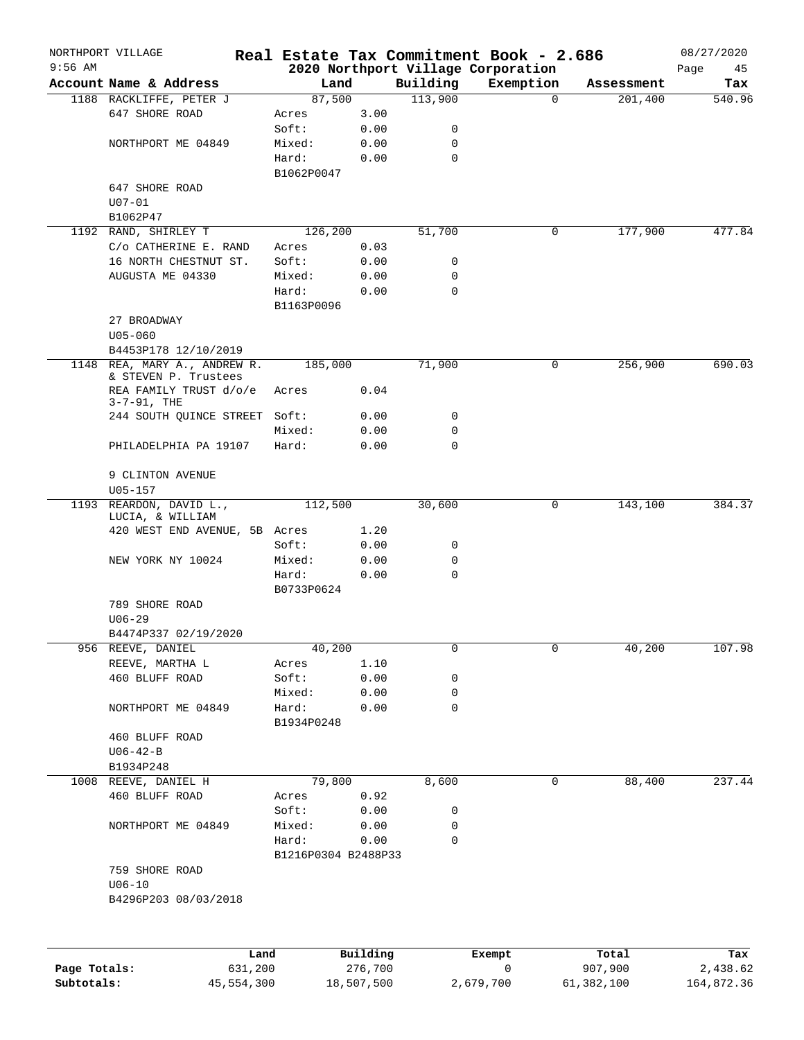|              | NORTHPORT VILLAGE                            |                     |          |          | Real Estate Tax Commitment Book - 2.686         |            | 08/27/2020        |
|--------------|----------------------------------------------|---------------------|----------|----------|-------------------------------------------------|------------|-------------------|
| $9:56$ AM    | Account Name & Address                       | Land                |          | Building | 2020 Northport Village Corporation<br>Exemption | Assessment | Page<br>45<br>Tax |
|              | 1188 RACKLIFFE, PETER J                      | 87,500              |          | 113,900  | $\Omega$                                        | 201,400    | 540.96            |
|              | 647 SHORE ROAD                               | Acres               | 3.00     |          |                                                 |            |                   |
|              |                                              | Soft:               | 0.00     | 0        |                                                 |            |                   |
|              | NORTHPORT ME 04849                           | Mixed:              | 0.00     | 0        |                                                 |            |                   |
|              |                                              | Hard:               | 0.00     | 0        |                                                 |            |                   |
|              |                                              | B1062P0047          |          |          |                                                 |            |                   |
|              | 647 SHORE ROAD                               |                     |          |          |                                                 |            |                   |
|              | $U07 - 01$                                   |                     |          |          |                                                 |            |                   |
|              | B1062P47                                     |                     |          |          |                                                 |            |                   |
|              | 1192 RAND, SHIRLEY T                         | 126,200             |          | 51,700   | 0                                               | 177,900    | 477.84            |
|              | C/o CATHERINE E. RAND                        | Acres               | 0.03     |          |                                                 |            |                   |
|              | 16 NORTH CHESTNUT ST.                        | Soft:               | 0.00     | 0        |                                                 |            |                   |
|              | AUGUSTA ME 04330                             | Mixed:              | 0.00     | 0        |                                                 |            |                   |
|              |                                              | Hard:               | 0.00     | 0        |                                                 |            |                   |
|              |                                              | B1163P0096          |          |          |                                                 |            |                   |
|              | 27 BROADWAY                                  |                     |          |          |                                                 |            |                   |
|              | $U05 - 060$                                  |                     |          |          |                                                 |            |                   |
|              | B4453P178 12/10/2019                         |                     |          |          |                                                 |            |                   |
|              | 1148 REA, MARY A., ANDREW R.                 | 185,000             |          | 71,900   | 0                                               | 256,900    | 690.03            |
|              | & STEVEN P. Trustees                         |                     |          |          |                                                 |            |                   |
|              | REA FAMILY TRUST d/o/e<br>$3 - 7 - 91$ , THE | Acres               | 0.04     |          |                                                 |            |                   |
|              | 244 SOUTH QUINCE STREET Soft:                |                     | 0.00     | 0        |                                                 |            |                   |
|              |                                              | Mixed:              | 0.00     | 0        |                                                 |            |                   |
|              | PHILADELPHIA PA 19107                        | Hard:               | 0.00     | $\Omega$ |                                                 |            |                   |
|              |                                              |                     |          |          |                                                 |            |                   |
|              | 9 CLINTON AVENUE                             |                     |          |          |                                                 |            |                   |
|              | $U05 - 157$                                  |                     |          |          |                                                 |            |                   |
|              | 1193 REARDON, DAVID L.,                      | 112,500             |          | 30,600   | 0                                               | 143,100    | 384.37            |
|              | LUCIA, & WILLIAM                             |                     |          |          |                                                 |            |                   |
|              | 420 WEST END AVENUE, 5B Acres                |                     | 1.20     |          |                                                 |            |                   |
|              |                                              | Soft:               | 0.00     | 0        |                                                 |            |                   |
|              | NEW YORK NY 10024                            | Mixed:              | 0.00     | 0        |                                                 |            |                   |
|              |                                              | Hard:               | 0.00     | 0        |                                                 |            |                   |
|              |                                              | B0733P0624          |          |          |                                                 |            |                   |
|              | 789 SHORE ROAD                               |                     |          |          |                                                 |            |                   |
|              | $U06 - 29$                                   |                     |          |          |                                                 |            |                   |
|              | B4474P337 02/19/2020                         |                     |          |          |                                                 |            |                   |
| 956          | REEVE, DANIEL                                | 40,200              |          | 0        | 0                                               | 40,200     | 107.98            |
|              | REEVE, MARTHA L                              | Acres               | 1.10     |          |                                                 |            |                   |
|              | 460 BLUFF ROAD                               | Soft:               | 0.00     | 0        |                                                 |            |                   |
|              | NORTHPORT ME 04849                           | Mixed:<br>Hard:     | 0.00     | 0<br>0   |                                                 |            |                   |
|              |                                              | B1934P0248          | 0.00     |          |                                                 |            |                   |
|              |                                              |                     |          |          |                                                 |            |                   |
|              | 460 BLUFF ROAD<br>$U06 - 42 - B$             |                     |          |          |                                                 |            |                   |
|              | B1934P248                                    |                     |          |          |                                                 |            |                   |
|              | 1008 REEVE, DANIEL H                         | 79,800              |          | 8,600    | 0                                               | 88,400     | 237.44            |
|              | 460 BLUFF ROAD                               | Acres               | 0.92     |          |                                                 |            |                   |
|              |                                              | Soft:               | 0.00     | 0        |                                                 |            |                   |
|              | NORTHPORT ME 04849                           | Mixed:              | 0.00     | 0        |                                                 |            |                   |
|              |                                              | Hard:               | 0.00     | 0        |                                                 |            |                   |
|              |                                              | B1216P0304 B2488P33 |          |          |                                                 |            |                   |
|              | 759 SHORE ROAD                               |                     |          |          |                                                 |            |                   |
|              | $U06 - 10$                                   |                     |          |          |                                                 |            |                   |
|              | B4296P203 08/03/2018                         |                     |          |          |                                                 |            |                   |
|              |                                              |                     |          |          |                                                 |            |                   |
|              |                                              |                     |          |          |                                                 |            |                   |
|              |                                              |                     |          |          |                                                 |            |                   |
|              | Land                                         |                     | Building |          | Exempt                                          | Total      | Tax               |
| Page Totals: | 631,200                                      |                     | 276,700  |          | 0                                               | 907,900    | 2,438.62          |

**Subtotals:** 45,554,300 18,507,500 2,679,700 61,382,100 164,872.36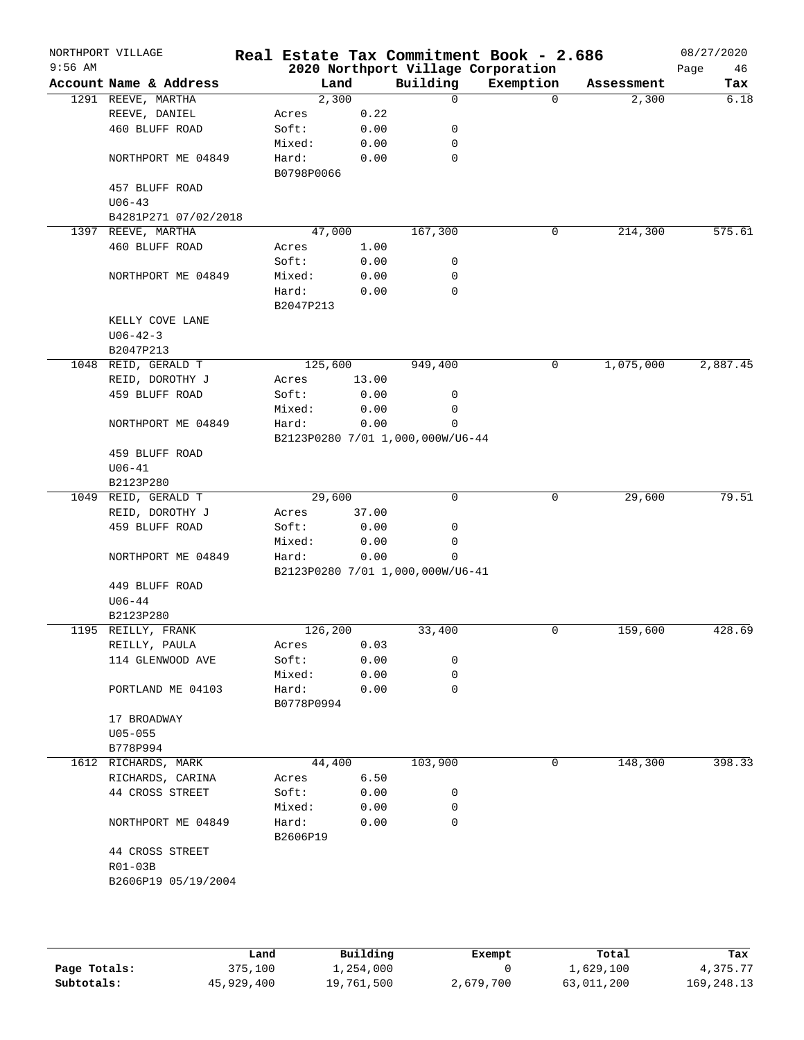| $9:56$ AM | NORTHPORT VILLAGE                 |                     |              |                                  | Real Estate Tax Commitment Book - 2.686         |            | 08/27/2020        |
|-----------|-----------------------------------|---------------------|--------------|----------------------------------|-------------------------------------------------|------------|-------------------|
|           | Account Name & Address            | Land                |              | Building                         | 2020 Northport Village Corporation<br>Exemption | Assessment | Page<br>46<br>Tax |
|           | 1291 REEVE, MARTHA                | 2,300               |              | $\mathbf 0$                      | $\Omega$                                        | 2,300      | 6.18              |
|           | REEVE, DANIEL                     | Acres               | 0.22         |                                  |                                                 |            |                   |
|           | 460 BLUFF ROAD                    | Soft:               | 0.00         | 0                                |                                                 |            |                   |
|           |                                   | Mixed:              | 0.00         | 0                                |                                                 |            |                   |
|           | NORTHPORT ME 04849                | Hard:               | 0.00         | 0                                |                                                 |            |                   |
|           |                                   | B0798P0066          |              |                                  |                                                 |            |                   |
|           | 457 BLUFF ROAD                    |                     |              |                                  |                                                 |            |                   |
|           | $U06 - 43$                        |                     |              |                                  |                                                 |            |                   |
|           | B4281P271 07/02/2018              |                     |              |                                  |                                                 |            |                   |
|           | 1397 REEVE, MARTHA                | 47,000              |              | 167,300                          | 0                                               | 214,300    | 575.61            |
|           | 460 BLUFF ROAD                    | Acres               | 1.00         |                                  |                                                 |            |                   |
|           |                                   | Soft:               | 0.00         | 0                                |                                                 |            |                   |
|           | NORTHPORT ME 04849                | Mixed:              | 0.00         | 0                                |                                                 |            |                   |
|           |                                   | Hard:               | 0.00         | 0                                |                                                 |            |                   |
|           |                                   | B2047P213           |              |                                  |                                                 |            |                   |
|           | KELLY COVE LANE                   |                     |              |                                  |                                                 |            |                   |
|           | $U06 - 42 - 3$                    |                     |              |                                  |                                                 |            |                   |
|           | B2047P213                         |                     |              |                                  |                                                 |            |                   |
|           | 1048 REID, GERALD T               | 125,600             |              | 949,400                          | 0                                               | 1,075,000  | 2,887.45          |
|           | REID, DOROTHY J                   | Acres               | 13.00        |                                  |                                                 |            |                   |
|           | 459 BLUFF ROAD                    | Soft:               | 0.00         | 0                                |                                                 |            |                   |
|           |                                   | Mixed:              | 0.00         | 0                                |                                                 |            |                   |
|           | NORTHPORT ME 04849                | Hard:               | 0.00         | 0                                |                                                 |            |                   |
|           |                                   |                     |              | B2123P0280 7/01 1,000,000W/U6-44 |                                                 |            |                   |
|           | 459 BLUFF ROAD                    |                     |              |                                  |                                                 |            |                   |
|           | $U06 - 41$                        |                     |              |                                  |                                                 |            |                   |
|           | B2123P280                         |                     |              |                                  |                                                 |            |                   |
|           | 1049 REID, GERALD T               | 29,600              |              | 0                                | 0                                               | 29,600     | 79.51             |
|           | REID, DOROTHY J                   | Acres               | 37.00        |                                  |                                                 |            |                   |
|           | 459 BLUFF ROAD                    | Soft:               | 0.00         | 0                                |                                                 |            |                   |
|           |                                   |                     |              | 0                                |                                                 |            |                   |
|           | NORTHPORT ME 04849                | Mixed:<br>Hard:     | 0.00<br>0.00 | $\mathbf 0$                      |                                                 |            |                   |
|           |                                   |                     |              |                                  |                                                 |            |                   |
|           |                                   |                     |              | B2123P0280 7/01 1,000,000W/U6-41 |                                                 |            |                   |
|           | 449 BLUFF ROAD<br>$U06 - 44$      |                     |              |                                  |                                                 |            |                   |
|           | B2123P280                         |                     |              |                                  |                                                 |            |                   |
|           | 1195 REILLY, FRANK                | 126,200             |              | 33,400                           | 0                                               | 159,600    | 428.69            |
|           |                                   |                     |              |                                  |                                                 |            |                   |
|           | REILLY, PAULA<br>114 GLENWOOD AVE | Acres<br>Soft:      | 0.03<br>0.00 | 0                                |                                                 |            |                   |
|           |                                   |                     |              |                                  |                                                 |            |                   |
|           |                                   | Mixed:              | 0.00         | 0<br>$\mathbf 0$                 |                                                 |            |                   |
|           | PORTLAND ME 04103                 | Hard:<br>B0778P0994 | 0.00         |                                  |                                                 |            |                   |
|           |                                   |                     |              |                                  |                                                 |            |                   |
|           | 17 BROADWAY                       |                     |              |                                  |                                                 |            |                   |
|           | $U05 - 055$                       |                     |              |                                  |                                                 |            |                   |
|           | B778P994                          |                     |              |                                  |                                                 |            |                   |
|           | 1612 RICHARDS, MARK               | 44,400              |              | 103,900                          | 0                                               | 148,300    | 398.33            |
|           | RICHARDS, CARINA                  | Acres               | 6.50         |                                  |                                                 |            |                   |
|           | 44 CROSS STREET                   | Soft:               | 0.00         | 0                                |                                                 |            |                   |
|           |                                   | Mixed:              | 0.00         | 0                                |                                                 |            |                   |
|           | NORTHPORT ME 04849                | Hard:               | 0.00         | 0                                |                                                 |            |                   |
|           |                                   | B2606P19            |              |                                  |                                                 |            |                   |
|           | 44 CROSS STREET                   |                     |              |                                  |                                                 |            |                   |
|           | $R01-03B$                         |                     |              |                                  |                                                 |            |                   |
|           | B2606P19 05/19/2004               |                     |              |                                  |                                                 |            |                   |
|           |                                   |                     |              |                                  |                                                 |            |                   |
|           |                                   |                     |              |                                  |                                                 |            |                   |
|           |                                   |                     |              |                                  |                                                 |            |                   |

|              | Land       | Building   | Exempt    | Total      | Tax          |
|--------------|------------|------------|-----------|------------|--------------|
| Page Totals: | 375,100    | 1,254,000  |           | 1,629,100  | 4,375.77     |
| Subtotals:   | 45,929,400 | 19,761,500 | 2,679,700 | 63,011,200 | 169, 248. 13 |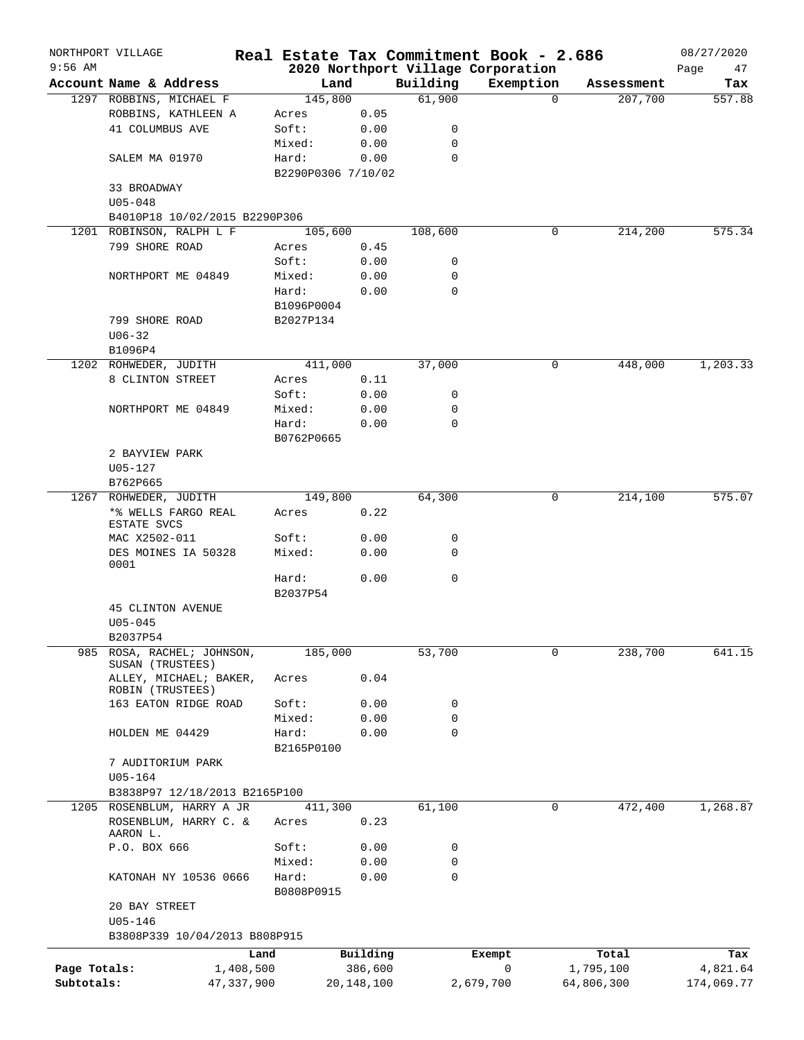|              | NORTHPORT VILLAGE     |                                            |                             |              |                    | Real Estate Tax Commitment Book - 2.686 |            | 08/27/2020 |
|--------------|-----------------------|--------------------------------------------|-----------------------------|--------------|--------------------|-----------------------------------------|------------|------------|
| $9:56$ AM    |                       |                                            |                             |              |                    | 2020 Northport Village Corporation      |            | Page<br>47 |
|              |                       | Account Name & Address                     | Land                        |              | Building<br>61,900 | Exemption                               | Assessment | Tax        |
|              |                       | 1297 ROBBINS, MICHAEL F                    | 145,800                     |              |                    | $\Omega$                                | 207,700    | 557.88     |
|              |                       | ROBBINS, KATHLEEN A                        | Acres                       | 0.05         |                    |                                         |            |            |
|              | 41 COLUMBUS AVE       |                                            | Soft:                       | 0.00         | 0                  |                                         |            |            |
|              |                       |                                            | Mixed:                      | 0.00         | 0                  |                                         |            |            |
|              | SALEM MA 01970        |                                            | Hard:<br>B2290P0306 7/10/02 | 0.00         | 0                  |                                         |            |            |
|              | 33 BROADWAY           |                                            |                             |              |                    |                                         |            |            |
|              | $U05 - 048$           |                                            |                             |              |                    |                                         |            |            |
|              |                       | B4010P18 10/02/2015 B2290P306              |                             |              |                    |                                         |            |            |
|              |                       | 1201 ROBINSON, RALPH L F                   | 105,600                     |              | 108,600            | 0                                       | 214,200    | 575.34     |
|              | 799 SHORE ROAD        |                                            | Acres                       | 0.45         |                    |                                         |            |            |
|              |                       |                                            | Soft:                       | 0.00         | 0                  |                                         |            |            |
|              |                       | NORTHPORT ME 04849                         | Mixed:                      | 0.00         | 0                  |                                         |            |            |
|              |                       |                                            | Hard:                       | 0.00         | 0                  |                                         |            |            |
|              |                       |                                            | B1096P0004                  |              |                    |                                         |            |            |
|              | 799 SHORE ROAD        |                                            | B2027P134                   |              |                    |                                         |            |            |
|              | $U06 - 32$            |                                            |                             |              |                    |                                         |            |            |
|              | B1096P4               |                                            |                             |              |                    |                                         |            |            |
|              | 1202 ROHWEDER, JUDITH |                                            | 411,000                     |              | 37,000             | 0                                       | 448,000    | 1, 203.33  |
|              |                       | 8 CLINTON STREET                           | Acres                       | 0.11         |                    |                                         |            |            |
|              |                       |                                            | Soft:                       | 0.00         | 0                  |                                         |            |            |
|              |                       | NORTHPORT ME 04849                         | Mixed:                      | 0.00         | 0                  |                                         |            |            |
|              |                       |                                            | Hard:                       | 0.00         | $\mathbf 0$        |                                         |            |            |
|              |                       |                                            | B0762P0665                  |              |                    |                                         |            |            |
|              | 2 BAYVIEW PARK        |                                            |                             |              |                    |                                         |            |            |
|              | $U05 - 127$           |                                            |                             |              |                    |                                         |            |            |
|              | B762P665              |                                            |                             |              |                    |                                         |            |            |
|              | 1267 ROHWEDER, JUDITH |                                            | 149,800                     |              | 64,300             | 0                                       | 214,100    | 575.07     |
|              |                       | *% WELLS FARGO REAL                        | Acres                       | 0.22         |                    |                                         |            |            |
|              | <b>ESTATE SVCS</b>    |                                            |                             |              |                    |                                         |            |            |
|              | MAC X2502-011         |                                            | Soft:                       | 0.00         | 0                  |                                         |            |            |
|              |                       | DES MOINES IA 50328                        | Mixed:                      | 0.00         | 0                  |                                         |            |            |
|              | 0001                  |                                            |                             |              |                    |                                         |            |            |
|              |                       |                                            | Hard:                       | 0.00         | $\mathbf 0$        |                                         |            |            |
|              |                       |                                            | B2037P54                    |              |                    |                                         |            |            |
|              |                       | <b>45 CLINTON AVENUE</b>                   |                             |              |                    |                                         |            |            |
|              | $U05 - 045$           |                                            |                             |              |                    |                                         |            |            |
|              | B2037P54              |                                            |                             |              |                    |                                         |            |            |
| 985          |                       | ROSA, RACHEL; JOHNSON,<br>SUSAN (TRUSTEES) | 185,000                     |              | 53,700             | 0                                       | 238,700    | 641.15     |
|              |                       | ALLEY, MICHAEL; BAKER,                     | Acres                       | 0.04         |                    |                                         |            |            |
|              |                       | ROBIN (TRUSTEES)                           |                             |              |                    |                                         |            |            |
|              |                       | 163 EATON RIDGE ROAD                       | Soft:                       | 0.00         | 0                  |                                         |            |            |
|              |                       |                                            | Mixed:                      | 0.00         | 0                  |                                         |            |            |
|              | HOLDEN ME 04429       |                                            | Hard:                       | 0.00         | $\mathbf 0$        |                                         |            |            |
|              |                       |                                            | B2165P0100                  |              |                    |                                         |            |            |
|              |                       | 7 AUDITORIUM PARK                          |                             |              |                    |                                         |            |            |
|              | $U05 - 164$           |                                            |                             |              |                    |                                         |            |            |
|              |                       | B3838P97 12/18/2013 B2165P100              |                             |              |                    |                                         |            |            |
|              |                       | 1205 ROSENBLUM, HARRY A JR                 | 411,300                     |              | 61,100             | 0                                       | 472,400    | 1,268.87   |
|              | AARON L.              | ROSENBLUM, HARRY C. &                      | Acres                       | 0.23         |                    |                                         |            |            |
|              | P.O. BOX 666          |                                            | Soft:                       | 0.00         | 0                  |                                         |            |            |
|              |                       |                                            | Mixed:                      | 0.00         | 0                  |                                         |            |            |
|              |                       | KATONAH NY 10536 0666                      | Hard:<br>B0808P0915         | 0.00         | 0                  |                                         |            |            |
|              | 20 BAY STREET         |                                            |                             |              |                    |                                         |            |            |
|              | $U05 - 146$           |                                            |                             |              |                    |                                         |            |            |
|              |                       | B3808P339 10/04/2013 B808P915              |                             |              |                    |                                         |            |            |
|              |                       |                                            | Land                        | Building     |                    | Exempt                                  | Total      | Tax        |
| Page Totals: |                       | 1,408,500                                  |                             | 386,600      |                    | 0                                       | 1,795,100  | 4,821.64   |
| Subtotals:   |                       | 47,337,900                                 |                             | 20, 148, 100 |                    | 2,679,700                               | 64,806,300 | 174,069.77 |
|              |                       |                                            |                             |              |                    |                                         |            |            |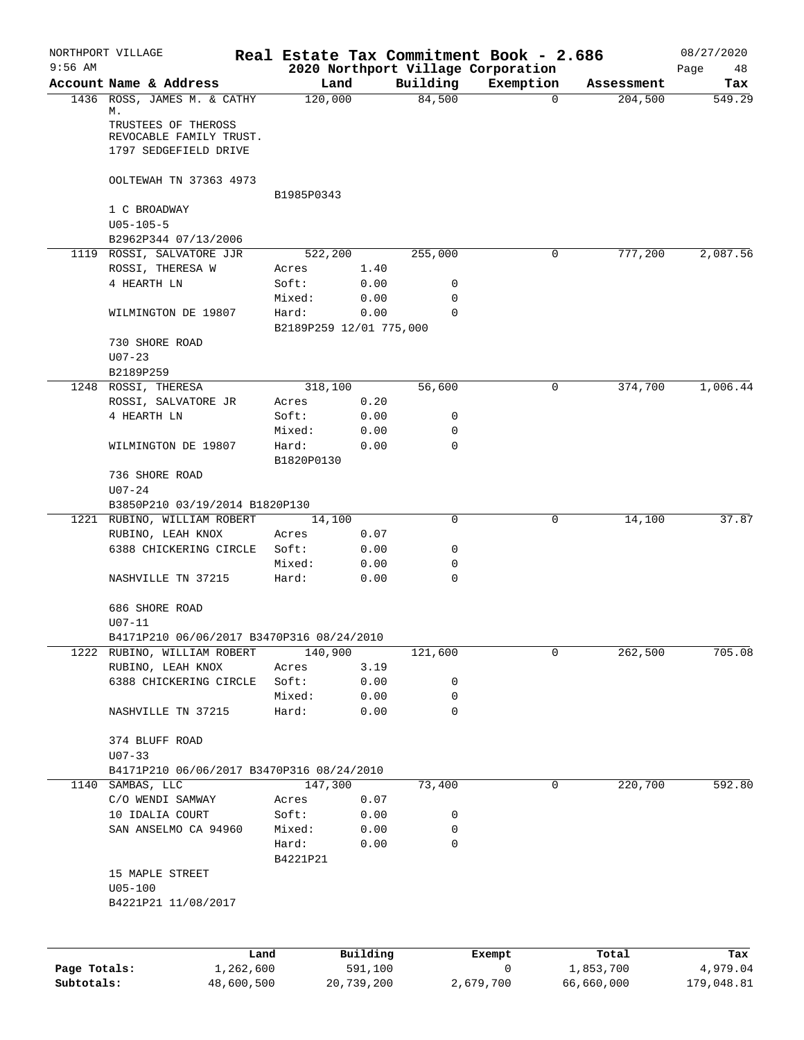|              | NORTHPORT VILLAGE                              |                         |          |             | Real Estate Tax Commitment Book - 2.686         |            | 08/27/2020        |
|--------------|------------------------------------------------|-------------------------|----------|-------------|-------------------------------------------------|------------|-------------------|
| $9:56$ AM    | Account Name & Address                         | Land                    |          | Building    | 2020 Northport Village Corporation<br>Exemption | Assessment | Page<br>48<br>Tax |
|              | 1436 ROSS, JAMES M. & CATHY                    | 120,000                 |          | 84,500      | $\mathbf 0$                                     | 204,500    | 549.29            |
|              | М.                                             |                         |          |             |                                                 |            |                   |
|              | TRUSTEES OF THEROSS<br>REVOCABLE FAMILY TRUST. |                         |          |             |                                                 |            |                   |
|              | 1797 SEDGEFIELD DRIVE                          |                         |          |             |                                                 |            |                   |
|              |                                                |                         |          |             |                                                 |            |                   |
|              | OOLTEWAH TN 37363 4973                         |                         |          |             |                                                 |            |                   |
|              |                                                | B1985P0343              |          |             |                                                 |            |                   |
|              | 1 C BROADWAY                                   |                         |          |             |                                                 |            |                   |
|              | $U05 - 105 - 5$                                |                         |          |             |                                                 |            |                   |
|              | B2962P344 07/13/2006                           |                         |          |             |                                                 |            |                   |
|              | 1119 ROSSI, SALVATORE JJR                      | 522,200                 |          | 255,000     | 0                                               | 777,200    | 2,087.56          |
|              | ROSSI, THERESA W                               | Acres                   | 1.40     |             |                                                 |            |                   |
|              | 4 HEARTH LN                                    | Soft:                   | 0.00     | 0           |                                                 |            |                   |
|              |                                                | Mixed:                  | 0.00     | $\mathbf 0$ |                                                 |            |                   |
|              | WILMINGTON DE 19807                            | Hard:                   | 0.00     | $\Omega$    |                                                 |            |                   |
|              | 730 SHORE ROAD                                 | B2189P259 12/01 775,000 |          |             |                                                 |            |                   |
|              | $U07 - 23$                                     |                         |          |             |                                                 |            |                   |
|              | B2189P259                                      |                         |          |             |                                                 |            |                   |
|              | 1248 ROSSI, THERESA                            | 318,100                 |          | 56,600      | 0                                               | 374,700    | 1,006.44          |
|              | ROSSI, SALVATORE JR                            | Acres                   | 0.20     |             |                                                 |            |                   |
|              | 4 HEARTH LN                                    | Soft:                   | 0.00     | 0           |                                                 |            |                   |
|              |                                                | Mixed:                  | 0.00     | $\mathbf 0$ |                                                 |            |                   |
|              | WILMINGTON DE 19807                            | Hard:                   | 0.00     | $\mathbf 0$ |                                                 |            |                   |
|              |                                                | B1820P0130              |          |             |                                                 |            |                   |
|              | 736 SHORE ROAD                                 |                         |          |             |                                                 |            |                   |
|              | $U07 - 24$                                     |                         |          |             |                                                 |            |                   |
|              | B3850P210 03/19/2014 B1820P130                 |                         |          |             |                                                 |            |                   |
|              | 1221 RUBINO, WILLIAM ROBERT                    | 14,100                  |          | $\mathbf 0$ | 0                                               | 14,100     | 37.87             |
|              | RUBINO, LEAH KNOX                              | Acres                   | 0.07     |             |                                                 |            |                   |
|              | 6388 CHICKERING CIRCLE                         | Soft:                   | 0.00     | 0           |                                                 |            |                   |
|              |                                                | Mixed:                  | 0.00     | 0           |                                                 |            |                   |
|              | NASHVILLE TN 37215                             | Hard:                   | 0.00     | $\mathbf 0$ |                                                 |            |                   |
|              | 686 SHORE ROAD                                 |                         |          |             |                                                 |            |                   |
|              | $U07 - 11$                                     |                         |          |             |                                                 |            |                   |
|              | B4171P210 06/06/2017 B3470P316 08/24/2010      |                         |          |             |                                                 |            |                   |
|              | 1222 RUBINO, WILLIAM ROBERT                    | 140,900                 |          | 121,600     | 0                                               | 262,500    | 705.08            |
|              | RUBINO, LEAH KNOX                              | Acres                   | 3.19     |             |                                                 |            |                   |
|              | 6388 CHICKERING CIRCLE                         | Soft:                   | 0.00     | 0           |                                                 |            |                   |
|              |                                                | Mixed:                  | 0.00     | 0           |                                                 |            |                   |
|              | NASHVILLE TN 37215                             | Hard:                   | 0.00     | $\mathbf 0$ |                                                 |            |                   |
|              |                                                |                         |          |             |                                                 |            |                   |
|              | 374 BLUFF ROAD                                 |                         |          |             |                                                 |            |                   |
|              | $U07 - 33$                                     |                         |          |             |                                                 |            |                   |
|              | B4171P210 06/06/2017 B3470P316 08/24/2010      |                         |          |             |                                                 |            |                   |
| 1140         | SAMBAS, LLC                                    | 147,300                 |          | 73,400      | 0                                               | 220,700    | 592.80            |
|              | C/O WENDI SAMWAY                               | Acres                   | 0.07     |             |                                                 |            |                   |
|              | 10 IDALIA COURT                                | Soft:                   | 0.00     | 0           |                                                 |            |                   |
|              | SAN ANSELMO CA 94960                           | Mixed:                  | 0.00     | 0           |                                                 |            |                   |
|              |                                                | Hard:                   | 0.00     | 0           |                                                 |            |                   |
|              | 15 MAPLE STREET                                | B4221P21                |          |             |                                                 |            |                   |
|              | $U05 - 100$                                    |                         |          |             |                                                 |            |                   |
|              | B4221P21 11/08/2017                            |                         |          |             |                                                 |            |                   |
|              |                                                |                         |          |             |                                                 |            |                   |
|              |                                                |                         |          |             |                                                 |            |                   |
|              |                                                |                         |          |             |                                                 |            |                   |
|              | Land                                           |                         | Building |             | Exempt<br>0                                     | Total      | Tax               |
| Page Totals: | 1,262,600                                      |                         | 591,100  |             |                                                 | 1,853,700  | 4,979.04          |

**Subtotals:** 48,600,500 20,739,200 2,679,700 66,660,000 179,048.81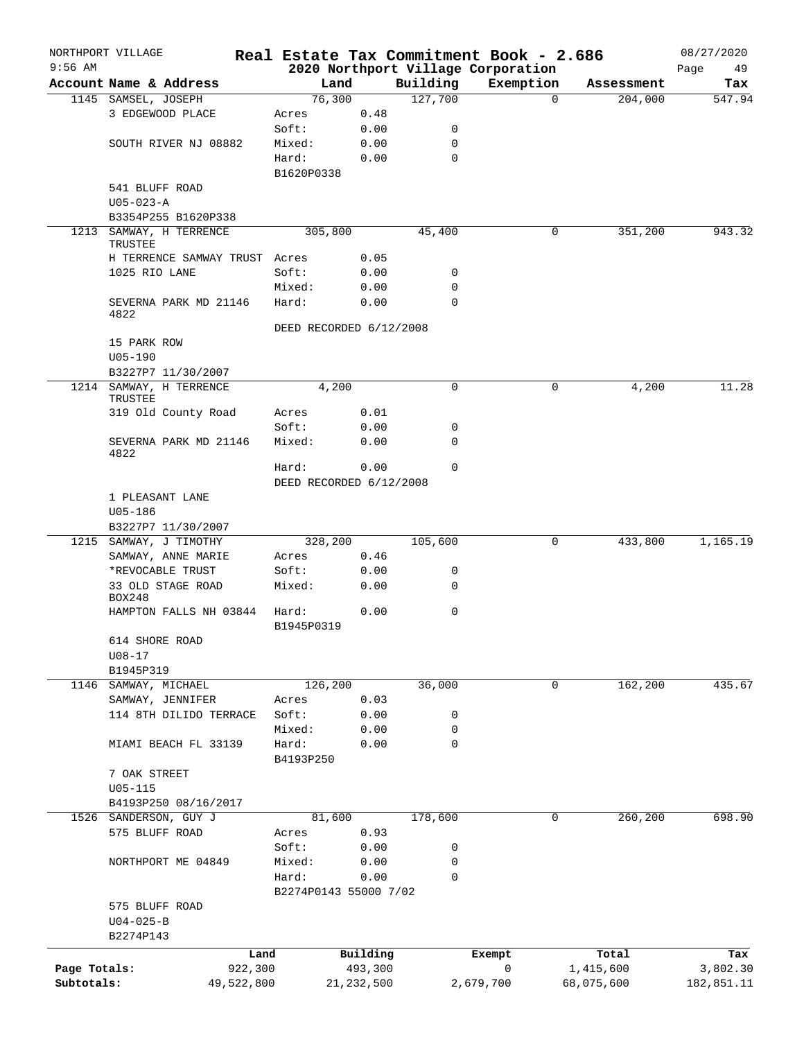|              | NORTHPORT VILLAGE                       | Real Estate Tax Commitment Book - 2.686 |              |             |                                    |          |            | 08/27/2020 |
|--------------|-----------------------------------------|-----------------------------------------|--------------|-------------|------------------------------------|----------|------------|------------|
| $9:56$ AM    |                                         |                                         |              |             | 2020 Northport Village Corporation |          |            | Page<br>49 |
|              | Account Name & Address                  | Land                                    |              | Building    | Exemption                          | $\Omega$ | Assessment | Tax        |
|              | 1145 SAMSEL, JOSEPH<br>3 EDGEWOOD PLACE | 76,300<br>Acres                         | 0.48         | 127,700     |                                    |          | 204,000    | 547.94     |
|              |                                         | Soft:                                   | 0.00         | 0           |                                    |          |            |            |
|              | SOUTH RIVER NJ 08882                    | Mixed:                                  | 0.00         | $\mathbf 0$ |                                    |          |            |            |
|              |                                         | Hard:                                   | 0.00         | $\mathbf 0$ |                                    |          |            |            |
|              |                                         | B1620P0338                              |              |             |                                    |          |            |            |
|              | 541 BLUFF ROAD                          |                                         |              |             |                                    |          |            |            |
|              | $U05 - 023 - A$                         |                                         |              |             |                                    |          |            |            |
|              | B3354P255 B1620P338                     |                                         |              |             |                                    |          |            |            |
| 1213         | SAMWAY, H TERRENCE                      | 305,800                                 |              | 45,400      |                                    | 0        | 351,200    | 943.32     |
|              | TRUSTEE                                 |                                         |              |             |                                    |          |            |            |
|              | H TERRENCE SAMWAY TRUST Acres           |                                         | 0.05         |             |                                    |          |            |            |
|              | 1025 RIO LANE                           | Soft:                                   | 0.00         | 0           |                                    |          |            |            |
|              |                                         | Mixed:                                  | 0.00         | $\mathbf 0$ |                                    |          |            |            |
|              | SEVERNA PARK MD 21146                   | Hard:                                   | 0.00         | $\Omega$    |                                    |          |            |            |
|              | 4822                                    |                                         |              |             |                                    |          |            |            |
|              |                                         | DEED RECORDED 6/12/2008                 |              |             |                                    |          |            |            |
|              | 15 PARK ROW                             |                                         |              |             |                                    |          |            |            |
|              | $U05 - 190$                             |                                         |              |             |                                    |          |            |            |
|              | B3227P7 11/30/2007                      |                                         |              |             |                                    |          |            |            |
|              | 1214 SAMWAY, H TERRENCE<br>TRUSTEE      | 4,200                                   |              | $\mathbf 0$ |                                    | 0        | 4,200      | 11.28      |
|              | 319 Old County Road                     | Acres                                   | 0.01         |             |                                    |          |            |            |
|              |                                         | Soft:                                   | 0.00         | 0           |                                    |          |            |            |
|              | SEVERNA PARK MD 21146<br>4822           | Mixed:                                  | 0.00         | $\mathbf 0$ |                                    |          |            |            |
|              |                                         | Hard:                                   | 0.00         | $\mathbf 0$ |                                    |          |            |            |
|              |                                         | DEED RECORDED 6/12/2008                 |              |             |                                    |          |            |            |
|              | 1 PLEASANT LANE                         |                                         |              |             |                                    |          |            |            |
|              | U05-186                                 |                                         |              |             |                                    |          |            |            |
|              | B3227P7 11/30/2007                      |                                         |              |             |                                    |          |            |            |
|              | 1215 SAMWAY, J TIMOTHY                  | 328,200                                 |              | 105,600     |                                    | 0        | 433,800    | 1,165.19   |
|              | SAMWAY, ANNE MARIE                      | Acres                                   | 0.46         |             |                                    |          |            |            |
|              | *REVOCABLE TRUST                        | Soft:                                   | 0.00         | 0           |                                    |          |            |            |
|              | 33 OLD STAGE ROAD<br>BOX248             | Mixed:                                  | 0.00         | $\mathbf 0$ |                                    |          |            |            |
|              | HAMPTON FALLS NH 03844                  | Hard:<br>B1945P0319                     | 0.00         | 0           |                                    |          |            |            |
|              | 614 SHORE ROAD                          |                                         |              |             |                                    |          |            |            |
|              | $U08 - 17$                              |                                         |              |             |                                    |          |            |            |
|              | B1945P319                               |                                         |              |             |                                    |          |            |            |
|              | 1146 SAMWAY, MICHAEL                    | 126,200                                 |              | 36,000      |                                    | 0        | 162,200    | 435.67     |
|              | SAMWAY, JENNIFER                        | Acres                                   | 0.03         |             |                                    |          |            |            |
|              | 114 8TH DILIDO TERRACE                  | Soft:                                   | 0.00         | 0           |                                    |          |            |            |
|              |                                         | Mixed:                                  | 0.00         | 0           |                                    |          |            |            |
|              | MIAMI BEACH FL 33139                    | Hard:                                   | 0.00         | $\mathbf 0$ |                                    |          |            |            |
|              |                                         | B4193P250                               |              |             |                                    |          |            |            |
|              | 7 OAK STREET                            |                                         |              |             |                                    |          |            |            |
|              | $U05 - 115$                             |                                         |              |             |                                    |          |            |            |
|              | B4193P250 08/16/2017                    |                                         |              |             |                                    |          |            |            |
|              | 1526 SANDERSON, GUY J                   | 81,600                                  |              | 178,600     |                                    | 0        | 260,200    | 698.90     |
|              | 575 BLUFF ROAD                          | Acres                                   | 0.93         |             |                                    |          |            |            |
|              |                                         | Soft:                                   | 0.00         | 0           |                                    |          |            |            |
|              | NORTHPORT ME 04849                      | Mixed:                                  | 0.00         | 0           |                                    |          |            |            |
|              |                                         | Hard:                                   | 0.00         | $\mathbf 0$ |                                    |          |            |            |
|              |                                         | B2274P0143 55000 7/02                   |              |             |                                    |          |            |            |
|              | 575 BLUFF ROAD                          |                                         |              |             |                                    |          |            |            |
|              | $U04 - 025 - B$                         |                                         |              |             |                                    |          |            |            |
|              | B2274P143                               |                                         |              |             |                                    |          |            |            |
|              | Land                                    |                                         | Building     |             | Exempt                             |          | Total      | Tax        |
| Page Totals: | 922,300                                 |                                         | 493,300      |             | 0                                  |          | 1,415,600  | 3,802.30   |
| Subtotals:   | 49,522,800                              |                                         | 21, 232, 500 |             | 2,679,700                          |          | 68,075,600 | 182,851.11 |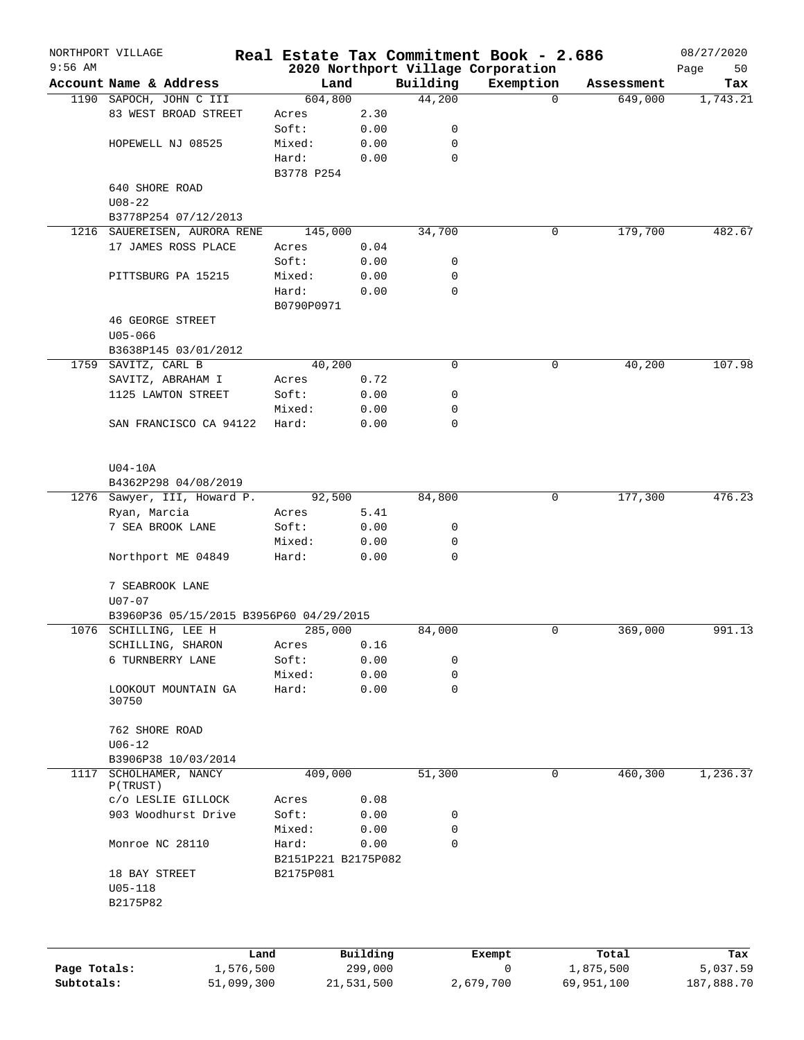|              | NORTHPORT VILLAGE                       |                     |            |             | Real Estate Tax Commitment Book - 2.686 |            | 08/27/2020 |
|--------------|-----------------------------------------|---------------------|------------|-------------|-----------------------------------------|------------|------------|
| $9:56$ AM    |                                         |                     |            |             | 2020 Northport Village Corporation      |            | Page<br>50 |
|              | Account Name & Address                  | Land                |            | Building    | Exemption                               | Assessment | Tax        |
|              | 1190 SAPOCH, JOHN C III                 | 604,800             |            | 44,200      | $\Omega$                                | 649,000    | 1,743.21   |
|              | 83 WEST BROAD STREET                    | Acres               | 2.30       |             |                                         |            |            |
|              |                                         | Soft:               | 0.00       | 0           |                                         |            |            |
|              | HOPEWELL NJ 08525                       | Mixed:              | 0.00       | 0           |                                         |            |            |
|              |                                         | Hard:               | 0.00       | 0           |                                         |            |            |
|              |                                         | B3778 P254          |            |             |                                         |            |            |
|              | 640 SHORE ROAD                          |                     |            |             |                                         |            |            |
|              | $U08 - 22$                              |                     |            |             |                                         |            |            |
|              | B3778P254 07/12/2013                    |                     |            |             |                                         |            |            |
|              | 1216 SAUEREISEN, AURORA RENE            | 145,000             |            | 34,700      | 0                                       | 179,700    | 482.67     |
|              | 17 JAMES ROSS PLACE                     | Acres               | 0.04       |             |                                         |            |            |
|              |                                         | Soft:               | 0.00       | 0           |                                         |            |            |
|              | PITTSBURG PA 15215                      | Mixed:              | 0.00       | 0           |                                         |            |            |
|              |                                         | Hard:               | 0.00       | 0           |                                         |            |            |
|              |                                         | B0790P0971          |            |             |                                         |            |            |
|              | <b>46 GEORGE STREET</b>                 |                     |            |             |                                         |            |            |
|              | $U05 - 066$                             |                     |            |             |                                         |            |            |
|              | B3638P145 03/01/2012                    |                     |            |             |                                         |            |            |
|              | 1759 SAVITZ, CARL B                     | 40,200              |            | 0           | 0                                       | 40,200     | 107.98     |
|              | SAVITZ, ABRAHAM I                       | Acres               | 0.72       |             |                                         |            |            |
|              | 1125 LAWTON STREET                      | Soft:               | 0.00       | 0           |                                         |            |            |
|              |                                         | Mixed:              | 0.00       | 0           |                                         |            |            |
|              | SAN FRANCISCO CA 94122                  | Hard:               | 0.00       | 0           |                                         |            |            |
|              |                                         |                     |            |             |                                         |            |            |
|              | $U04-10A$                               |                     |            |             |                                         |            |            |
|              | B4362P298 04/08/2019                    |                     |            |             |                                         |            |            |
|              | 1276 Sawyer, III, Howard P.             | 92,500              |            | 84,800      | 0                                       | 177,300    | 476.23     |
|              | Ryan, Marcia                            | Acres               | 5.41       |             |                                         |            |            |
|              | 7 SEA BROOK LANE                        | Soft:               | 0.00       | 0           |                                         |            |            |
|              |                                         | Mixed:              | 0.00       | 0           |                                         |            |            |
|              | Northport ME 04849                      | Hard:               | 0.00       | $\mathbf 0$ |                                         |            |            |
|              | 7 SEABROOK LANE                         |                     |            |             |                                         |            |            |
|              | $U07 - 07$                              |                     |            |             |                                         |            |            |
|              | B3960P36 05/15/2015 B3956P60 04/29/2015 |                     |            |             |                                         |            |            |
|              | 1076 SCHILLING, LEE H                   | 285,000             |            | 84,000      | 0                                       | 369,000    | 991.13     |
|              | SCHILLING, SHARON                       | Acres               | 0.16       |             |                                         |            |            |
|              | 6 TURNBERRY LANE                        | Soft:               | 0.00       | 0           |                                         |            |            |
|              |                                         | Mixed:              | 0.00       | 0           |                                         |            |            |
|              | LOOKOUT MOUNTAIN GA                     | Hard:               | 0.00       | 0           |                                         |            |            |
|              | 30750                                   |                     |            |             |                                         |            |            |
|              | 762 SHORE ROAD                          |                     |            |             |                                         |            |            |
|              | $U06 - 12$                              |                     |            |             |                                         |            |            |
|              | B3906P38 10/03/2014                     |                     |            |             |                                         |            |            |
| 1117         | SCHOLHAMER, NANCY                       | 409,000             |            | 51,300      | 0                                       | 460,300    | 1,236.37   |
|              | P(TRUST)                                |                     |            |             |                                         |            |            |
|              | c/o LESLIE GILLOCK                      | Acres               | 0.08       |             |                                         |            |            |
|              | 903 Woodhurst Drive                     | Soft:               | 0.00       | 0           |                                         |            |            |
|              |                                         | Mixed:              | 0.00       | 0           |                                         |            |            |
|              | Monroe NC 28110                         | Hard:               | 0.00       | 0           |                                         |            |            |
|              |                                         | B2151P221 B2175P082 |            |             |                                         |            |            |
|              | 18 BAY STREET                           | B2175P081           |            |             |                                         |            |            |
|              | $U05 - 118$                             |                     |            |             |                                         |            |            |
|              | B2175P82                                |                     |            |             |                                         |            |            |
|              |                                         |                     |            |             |                                         |            |            |
|              | Land                                    |                     | Building   |             | Exempt                                  | Total      | Tax        |
| Page Totals: | 1,576,500                               |                     | 299,000    |             | 0                                       | 1,875,500  | 5,037.59   |
| Subtotals:   | 51,099,300                              |                     | 21,531,500 |             | 2,679,700                               | 69,951,100 | 187,888.70 |
|              |                                         |                     |            |             |                                         |            |            |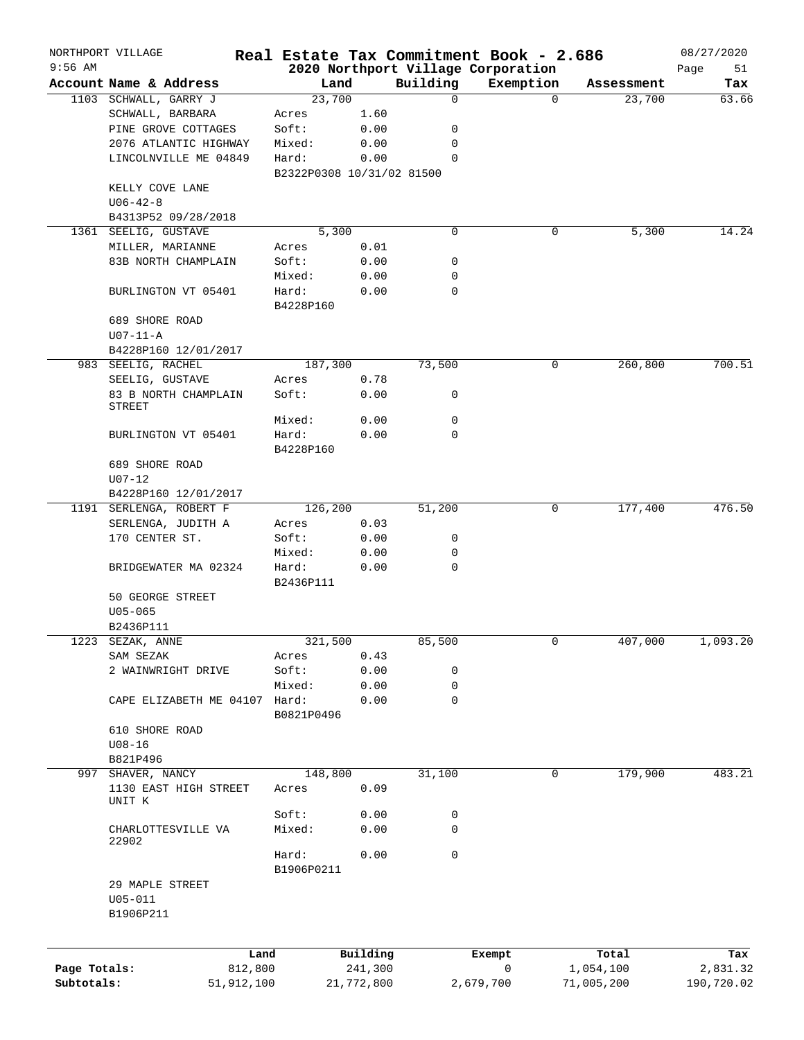|              | NORTHPORT VILLAGE               |            |                                    |            |          | Real Estate Tax Commitment Book - 2.686         |            | 08/27/2020        |
|--------------|---------------------------------|------------|------------------------------------|------------|----------|-------------------------------------------------|------------|-------------------|
| $9:56$ AM    | Account Name & Address          |            | Land                               |            | Building | 2020 Northport Village Corporation<br>Exemption | Assessment | Page<br>51<br>Tax |
|              | 1103 SCHWALL, GARRY J           |            | 23,700                             |            | 0        | $\Omega$                                        | 23,700     | 63.66             |
|              | SCHWALL, BARBARA                |            | Acres                              | 1.60       |          |                                                 |            |                   |
|              | PINE GROVE COTTAGES             |            |                                    |            |          |                                                 |            |                   |
|              |                                 |            | Soft:                              | 0.00       | 0        |                                                 |            |                   |
|              | 2076 ATLANTIC HIGHWAY           |            | Mixed:                             | 0.00       | 0        |                                                 |            |                   |
|              | LINCOLNVILLE ME 04849           |            | Hard:<br>B2322P0308 10/31/02 81500 | 0.00       | 0        |                                                 |            |                   |
|              | KELLY COVE LANE                 |            |                                    |            |          |                                                 |            |                   |
|              | $U06 - 42 - 8$                  |            |                                    |            |          |                                                 |            |                   |
|              |                                 |            |                                    |            |          |                                                 |            |                   |
|              | B4313P52 09/28/2018             |            | 5,300                              |            | 0        | 0                                               |            | 14.24             |
| 1361         | SEELIG, GUSTAVE                 |            |                                    |            |          |                                                 | 5,300      |                   |
|              | MILLER, MARIANNE                |            | Acres                              | 0.01       |          |                                                 |            |                   |
|              | 83B NORTH CHAMPLAIN             |            | Soft:                              | 0.00       | 0        |                                                 |            |                   |
|              |                                 |            | Mixed:                             | 0.00       | 0        |                                                 |            |                   |
|              | BURLINGTON VT 05401             |            | Hard:                              | 0.00       | 0        |                                                 |            |                   |
|              |                                 |            | B4228P160                          |            |          |                                                 |            |                   |
|              | 689 SHORE ROAD                  |            |                                    |            |          |                                                 |            |                   |
|              | $U07-11-A$                      |            |                                    |            |          |                                                 |            |                   |
|              | B4228P160 12/01/2017            |            |                                    |            |          |                                                 |            |                   |
|              | 983 SEELIG, RACHEL              |            | 187,300                            |            | 73,500   | 0                                               | 260,800    | 700.51            |
|              | SEELIG, GUSTAVE                 |            | Acres                              | 0.78       |          |                                                 |            |                   |
|              | 83 B NORTH CHAMPLAIN            |            | Soft:                              | 0.00       | 0        |                                                 |            |                   |
|              | STREET                          |            |                                    |            |          |                                                 |            |                   |
|              |                                 |            | Mixed:                             | 0.00       | 0        |                                                 |            |                   |
|              | BURLINGTON VT 05401             |            | Hard:                              | 0.00       | 0        |                                                 |            |                   |
|              |                                 |            | B4228P160                          |            |          |                                                 |            |                   |
|              | 689 SHORE ROAD                  |            |                                    |            |          |                                                 |            |                   |
|              | $U07 - 12$                      |            |                                    |            |          |                                                 |            |                   |
|              | B4228P160 12/01/2017            |            |                                    |            |          |                                                 |            |                   |
| 1191         | SERLENGA, ROBERT F              |            | 126,200                            |            | 51,200   | 0                                               | 177,400    | 476.50            |
|              | SERLENGA, JUDITH A              |            | Acres                              | 0.03       |          |                                                 |            |                   |
|              | 170 CENTER ST.                  |            | Soft:                              | 0.00       | 0        |                                                 |            |                   |
|              |                                 |            | Mixed:                             | 0.00       | 0        |                                                 |            |                   |
|              | BRIDGEWATER MA 02324            |            | Hard:                              | 0.00       | 0        |                                                 |            |                   |
|              |                                 |            | B2436P111                          |            |          |                                                 |            |                   |
|              | 50 GEORGE STREET                |            |                                    |            |          |                                                 |            |                   |
|              | $U05 - 065$                     |            |                                    |            |          |                                                 |            |                   |
|              | B2436P111                       |            |                                    |            |          |                                                 |            |                   |
| 1223         | SEZAK, ANNE                     |            | 321,500                            |            | 85,500   | 0                                               | 407,000    | 1,093.20          |
|              | SAM SEZAK                       |            | Acres                              | 0.43       |          |                                                 |            |                   |
|              | 2 WAINWRIGHT DRIVE              |            | Soft:                              | 0.00       | 0        |                                                 |            |                   |
|              |                                 |            | Mixed:                             | 0.00       | 0        |                                                 |            |                   |
|              | CAPE ELIZABETH ME 04107         |            | Hard:                              | 0.00       | 0        |                                                 |            |                   |
|              |                                 |            | B0821P0496                         |            |          |                                                 |            |                   |
|              | 610 SHORE ROAD                  |            |                                    |            |          |                                                 |            |                   |
|              | $U08 - 16$                      |            |                                    |            |          |                                                 |            |                   |
|              | B821P496                        |            |                                    |            |          |                                                 |            |                   |
| 997          | SHAVER, NANCY                   |            | 148,800                            |            | 31,100   | $\mathbf 0$                                     | 179,900    | 483.21            |
|              | 1130 EAST HIGH STREET<br>UNIT K |            | Acres                              | 0.09       |          |                                                 |            |                   |
|              |                                 |            | Soft:                              | 0.00       | 0        |                                                 |            |                   |
|              | CHARLOTTESVILLE VA              |            | Mixed:                             | 0.00       | 0        |                                                 |            |                   |
|              | 22902                           |            |                                    |            |          |                                                 |            |                   |
|              |                                 |            | Hard:                              | 0.00       | 0        |                                                 |            |                   |
|              |                                 |            | B1906P0211                         |            |          |                                                 |            |                   |
|              | 29 MAPLE STREET                 |            |                                    |            |          |                                                 |            |                   |
|              | $U05 - 011$                     |            |                                    |            |          |                                                 |            |                   |
|              | B1906P211                       |            |                                    |            |          |                                                 |            |                   |
|              |                                 |            |                                    |            |          |                                                 |            |                   |
|              |                                 |            |                                    |            |          |                                                 |            |                   |
|              |                                 | Land       |                                    | Building   |          | Exempt                                          | Total      | Tax               |
| Page Totals: |                                 | 812,800    |                                    | 241,300    |          | 0                                               | 1,054,100  | 2,831.32          |
| Subtotals:   |                                 | 51,912,100 |                                    | 21,772,800 |          | 2,679,700                                       | 71,005,200 | 190,720.02        |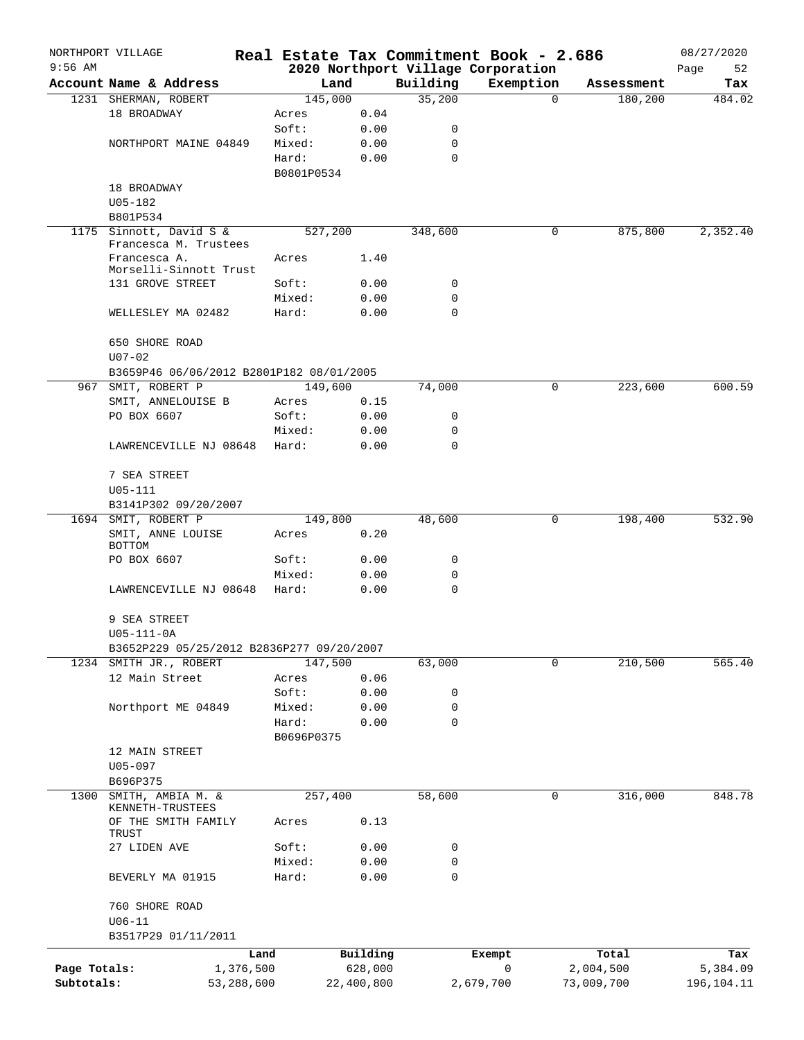|              | NORTHPORT VILLAGE                         |            |                |              |               | Real Estate Tax Commitment Book - 2.686 |          |            | 08/27/2020 |
|--------------|-------------------------------------------|------------|----------------|--------------|---------------|-----------------------------------------|----------|------------|------------|
| $9:56$ AM    |                                           |            |                |              |               | 2020 Northport Village Corporation      |          |            | Page<br>52 |
|              | Account Name & Address                    |            | Land           |              | Building      | Exemption                               |          | Assessment | Tax        |
|              | 1231 SHERMAN, ROBERT                      |            | 145,000        |              | 35,200        |                                         | $\Omega$ | 180,200    | 484.02     |
|              | 18 BROADWAY                               |            | Acres          | 0.04         |               |                                         |          |            |            |
|              |                                           |            | Soft:          | 0.00         | 0             |                                         |          |            |            |
|              | NORTHPORT MAINE 04849                     |            | Mixed:         | 0.00         | 0<br>$\Omega$ |                                         |          |            |            |
|              |                                           |            | Hard:          | 0.00         |               |                                         |          |            |            |
|              | 18 BROADWAY                               |            | B0801P0534     |              |               |                                         |          |            |            |
|              | $U05 - 182$                               |            |                |              |               |                                         |          |            |            |
|              | B801P534                                  |            |                |              |               |                                         |          |            |            |
|              | 1175 Sinnott, David S &                   |            | 527,200        |              | 348,600       |                                         | 0        | 875,800    | 2,352.40   |
|              | Francesca M. Trustees                     |            |                |              |               |                                         |          |            |            |
|              | Francesca A.                              |            | Acres          | 1.40         |               |                                         |          |            |            |
|              | Morselli-Sinnott Trust                    |            |                |              |               |                                         |          |            |            |
|              | 131 GROVE STREET                          |            | Soft:          | 0.00         | 0             |                                         |          |            |            |
|              |                                           |            | Mixed:         | 0.00         | 0             |                                         |          |            |            |
|              | WELLESLEY MA 02482                        |            | Hard:          | 0.00         | 0             |                                         |          |            |            |
|              |                                           |            |                |              |               |                                         |          |            |            |
|              | 650 SHORE ROAD                            |            |                |              |               |                                         |          |            |            |
|              | $U07 - 02$                                |            |                |              |               |                                         |          |            |            |
|              | B3659P46 06/06/2012 B2801P182 08/01/2005  |            |                |              |               |                                         |          |            |            |
| 967          | SMIT, ROBERT P                            |            | 149,600        |              | 74,000        |                                         | 0        | 223,600    | 600.59     |
|              | SMIT, ANNELOUISE B<br>PO BOX 6607         |            | Acres<br>Soft: | 0.15         | 0             |                                         |          |            |            |
|              |                                           |            | Mixed:         | 0.00<br>0.00 | 0             |                                         |          |            |            |
|              | LAWRENCEVILLE NJ 08648                    |            | Hard:          | 0.00         | $\Omega$      |                                         |          |            |            |
|              |                                           |            |                |              |               |                                         |          |            |            |
|              | 7 SEA STREET                              |            |                |              |               |                                         |          |            |            |
|              | $U05 - 111$                               |            |                |              |               |                                         |          |            |            |
|              | B3141P302 09/20/2007                      |            |                |              |               |                                         |          |            |            |
|              | 1694 SMIT, ROBERT P                       |            | 149,800        |              | 48,600        |                                         | 0        | 198,400    | 532.90     |
|              | SMIT, ANNE LOUISE                         |            | Acres          | 0.20         |               |                                         |          |            |            |
|              | BOTTOM                                    |            |                |              |               |                                         |          |            |            |
|              | PO BOX 6607                               |            | Soft:          | 0.00         | 0             |                                         |          |            |            |
|              |                                           |            | Mixed:         | 0.00         | 0             |                                         |          |            |            |
|              | LAWRENCEVILLE NJ 08648                    |            | Hard:          | 0.00         | $\mathbf 0$   |                                         |          |            |            |
|              |                                           |            |                |              |               |                                         |          |            |            |
|              | 9 SEA STREET                              |            |                |              |               |                                         |          |            |            |
|              | $U05 - 111 - 0A$                          |            |                |              |               |                                         |          |            |            |
|              | B3652P229 05/25/2012 B2836P277 09/20/2007 |            |                |              |               |                                         |          |            |            |
| 1234         | SMITH JR., ROBERT                         |            | 147,500        |              | 63,000        |                                         | 0        | 210,500    | 565.40     |
|              | 12 Main Street                            |            | Acres          | 0.06         |               |                                         |          |            |            |
|              |                                           |            | Soft:          | 0.00         | 0             |                                         |          |            |            |
|              | Northport ME 04849                        |            | Mixed:         | 0.00         | 0             |                                         |          |            |            |
|              |                                           |            | Hard:          | 0.00         | 0             |                                         |          |            |            |
|              |                                           |            | B0696P0375     |              |               |                                         |          |            |            |
|              | 12 MAIN STREET                            |            |                |              |               |                                         |          |            |            |
|              | $U05 - 097$                               |            |                |              |               |                                         |          |            |            |
|              | B696P375                                  |            |                |              |               |                                         |          |            |            |
| 1300         | SMITH, AMBIA M. &<br>KENNETH-TRUSTEES     |            | 257,400        |              | 58,600        |                                         | 0        | 316,000    | 848.78     |
|              | OF THE SMITH FAMILY                       |            | Acres          | 0.13         |               |                                         |          |            |            |
|              | TRUST                                     |            |                |              |               |                                         |          |            |            |
|              | 27 LIDEN AVE                              |            | Soft:          | 0.00         | 0             |                                         |          |            |            |
|              |                                           |            | Mixed:         | 0.00         | 0             |                                         |          |            |            |
|              | BEVERLY MA 01915                          |            | Hard:          | 0.00         | 0             |                                         |          |            |            |
|              |                                           |            |                |              |               |                                         |          |            |            |
|              | 760 SHORE ROAD                            |            |                |              |               |                                         |          |            |            |
|              | $U06 - 11$                                |            |                |              |               |                                         |          |            |            |
|              | B3517P29 01/11/2011                       |            |                |              |               |                                         |          |            |            |
|              |                                           | Land       |                | Building     |               | Exempt                                  |          | Total      | Tax        |
| Page Totals: |                                           | 1,376,500  |                | 628,000      |               | 0                                       |          | 2,004,500  | 5,384.09   |
| Subtotals:   |                                           | 53,288,600 |                | 22,400,800   |               | 2,679,700                               |          | 73,009,700 | 196,104.11 |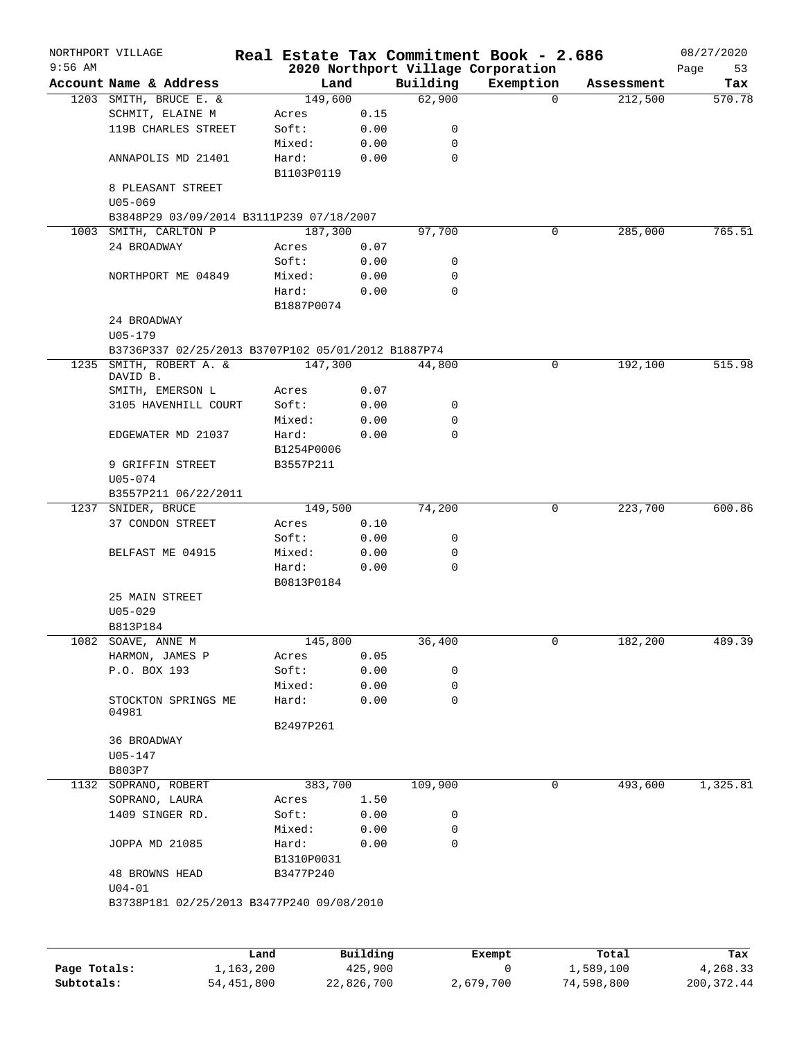|           | NORTHPORT VILLAGE                                  |            |          |             | Real Estate Tax Commitment Book - 2.686 |            | 08/27/2020 |
|-----------|----------------------------------------------------|------------|----------|-------------|-----------------------------------------|------------|------------|
| $9:56$ AM |                                                    |            |          |             | 2020 Northport Village Corporation      |            | Page<br>53 |
|           | Account Name & Address                             |            | Land     | Building    | Exemption                               | Assessment | Tax        |
|           | 1203 SMITH, BRUCE E. &                             |            | 149,600  | 62,900      | $\Omega$                                | 212,500    | 570.78     |
|           | SCHMIT, ELAINE M                                   | Acres      | 0.15     |             |                                         |            |            |
|           | 119B CHARLES STREET                                | Soft:      | 0.00     | 0           |                                         |            |            |
|           |                                                    | Mixed:     | 0.00     | 0           |                                         |            |            |
|           | ANNAPOLIS MD 21401                                 | Hard:      | 0.00     | $\mathbf 0$ |                                         |            |            |
|           |                                                    | B1103P0119 |          |             |                                         |            |            |
|           | 8 PLEASANT STREET                                  |            |          |             |                                         |            |            |
|           | $U05 - 069$                                        |            |          |             |                                         |            |            |
|           | B3848P29 03/09/2014 B3111P239 07/18/2007           |            |          |             |                                         |            |            |
|           | 1003 SMITH, CARLTON P                              |            | 187,300  | 97,700      | 0                                       | 285,000    | 765.51     |
|           | 24 BROADWAY                                        | Acres      | 0.07     |             |                                         |            |            |
|           |                                                    | Soft:      | 0.00     | 0           |                                         |            |            |
|           | NORTHPORT ME 04849                                 | Mixed:     | 0.00     | 0           |                                         |            |            |
|           |                                                    | Hard:      | 0.00     | $\mathbf 0$ |                                         |            |            |
|           |                                                    | B1887P0074 |          |             |                                         |            |            |
|           | 24 BROADWAY                                        |            |          |             |                                         |            |            |
|           | $U05 - 179$                                        |            |          |             |                                         |            |            |
|           | B3736P337 02/25/2013 B3707P102 05/01/2012 B1887P74 |            |          |             |                                         |            |            |
| 1235      | SMITH, ROBERT A. &                                 |            | 147,300  | 44,800      | 0                                       | 192,100    | 515.98     |
|           | DAVID B.                                           |            |          |             |                                         |            |            |
|           | SMITH, EMERSON L                                   | Acres      | 0.07     |             |                                         |            |            |
|           | 3105 HAVENHILL COURT                               | Soft:      | 0.00     | 0           |                                         |            |            |
|           |                                                    | Mixed:     | 0.00     | 0           |                                         |            |            |
|           | EDGEWATER MD 21037                                 | Hard:      | 0.00     | 0           |                                         |            |            |
|           |                                                    | B1254P0006 |          |             |                                         |            |            |
|           | 9 GRIFFIN STREET                                   | B3557P211  |          |             |                                         |            |            |
|           | $U05 - 074$                                        |            |          |             |                                         |            |            |
|           | B3557P211 06/22/2011                               |            |          |             |                                         |            |            |
| 1237      | SNIDER, BRUCE                                      |            | 149,500  | 74,200      | 0                                       | 223,700    | 600.86     |
|           | 37 CONDON STREET                                   | Acres      | 0.10     |             |                                         |            |            |
|           |                                                    | Soft:      | 0.00     | 0           |                                         |            |            |
|           | BELFAST ME 04915                                   | Mixed:     | 0.00     | 0           |                                         |            |            |
|           |                                                    | Hard:      | 0.00     | $\mathbf 0$ |                                         |            |            |
|           |                                                    | B0813P0184 |          |             |                                         |            |            |
|           | 25 MAIN STREET                                     |            |          |             |                                         |            |            |
|           | $U05 - 029$                                        |            |          |             |                                         |            |            |
|           | B813P184                                           |            |          |             |                                         |            |            |
| 1082      | SOAVE, ANNE M                                      |            | 145,800  | 36,400      | 0                                       | 182,200    | 489.39     |
|           | HARMON, JAMES P                                    | Acres      | 0.05     |             |                                         |            |            |
|           | P.O. BOX 193                                       | Soft:      | 0.00     | 0           |                                         |            |            |
|           |                                                    | Mixed:     | 0.00     | 0           |                                         |            |            |
|           | STOCKTON SPRINGS ME                                | Hard:      | 0.00     | $\mathbf 0$ |                                         |            |            |
|           | 04981                                              |            |          |             |                                         |            |            |
|           |                                                    | B2497P261  |          |             |                                         |            |            |
|           | 36 BROADWAY                                        |            |          |             |                                         |            |            |
|           | U05-147                                            |            |          |             |                                         |            |            |
|           | B803P7                                             |            |          |             |                                         |            |            |
| 1132      | SOPRANO, ROBERT                                    |            | 383,700  | 109,900     | 0                                       | 493,600    | 1,325.81   |
|           | SOPRANO, LAURA                                     | Acres      | 1.50     |             |                                         |            |            |
|           | 1409 SINGER RD.                                    | Soft:      | 0.00     | 0           |                                         |            |            |
|           |                                                    | Mixed:     | 0.00     | 0           |                                         |            |            |
|           | JOPPA MD 21085                                     | Hard:      | 0.00     | 0           |                                         |            |            |
|           |                                                    | B1310P0031 |          |             |                                         |            |            |
|           | <b>48 BROWNS HEAD</b>                              | B3477P240  |          |             |                                         |            |            |
|           | $U04 - 01$                                         |            |          |             |                                         |            |            |
|           | B3738P181 02/25/2013 B3477P240 09/08/2010          |            |          |             |                                         |            |            |
|           |                                                    |            |          |             |                                         |            |            |
|           |                                                    |            |          |             |                                         |            |            |
|           |                                                    | Land       | Building |             | Exempt                                  | Total      | Tax        |
|           |                                                    |            |          |             |                                         |            |            |

|              | <b>Land</b> | <b>Building</b> | вхешрс    | IOCAL      | 1 ax       |
|--------------|-------------|-----------------|-----------|------------|------------|
| Page Totals: | 1,163,200   | 425,900         |           | 1,589,100  | 4,268.33   |
| Subtotals:   | 54,451,800  | 22,826,700      | 2,679,700 | 74,598,800 | 200,372.44 |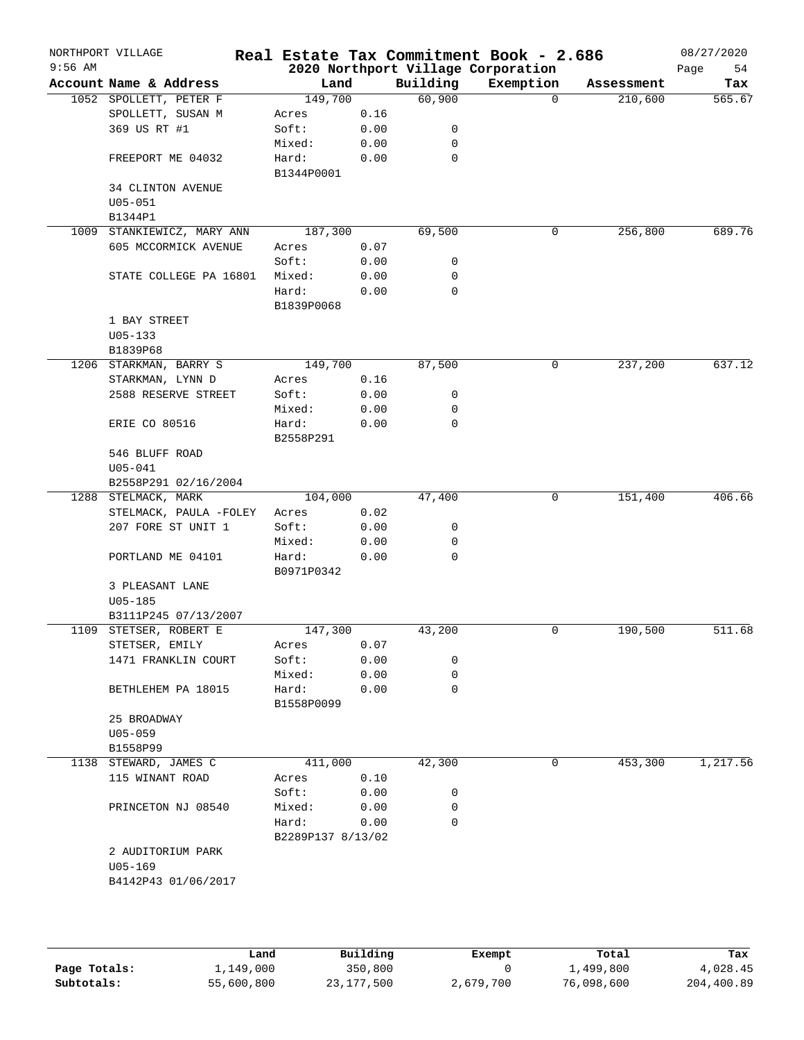|           | NORTHPORT VILLAGE                       |                   |              |             | Real Estate Tax Commitment Book - 2.686 |            | 08/27/2020 |
|-----------|-----------------------------------------|-------------------|--------------|-------------|-----------------------------------------|------------|------------|
| $9:56$ AM |                                         |                   |              |             | 2020 Northport Village Corporation      |            | Page<br>54 |
|           | Account Name & Address                  | Land              |              | Building    | Exemption                               | Assessment | Tax        |
|           | 1052 SPOLLETT, PETER F                  | 149,700           |              | 60,900      | $\Omega$                                | 210,600    | 565.67     |
|           | SPOLLETT, SUSAN M                       | Acres             | 0.16         |             |                                         |            |            |
|           | 369 US RT #1                            | Soft:             | 0.00         | 0           |                                         |            |            |
|           |                                         | Mixed:            | 0.00         | 0           |                                         |            |            |
|           | FREEPORT ME 04032                       | Hard:             | 0.00         | 0           |                                         |            |            |
|           |                                         | B1344P0001        |              |             |                                         |            |            |
|           | <b>34 CLINTON AVENUE</b>                |                   |              |             |                                         |            |            |
|           | $U05 - 051$                             |                   |              |             |                                         |            |            |
|           | B1344P1                                 |                   |              |             |                                         |            |            |
|           | 1009 STANKIEWICZ, MARY ANN              | 187,300           |              | 69,500      | 0                                       | 256,800    | 689.76     |
|           | 605 MCCORMICK AVENUE                    | Acres             | 0.07         |             |                                         |            |            |
|           |                                         | Soft:             | 0.00         | 0           |                                         |            |            |
|           | STATE COLLEGE PA 16801                  | Mixed:            | 0.00         | 0           |                                         |            |            |
|           |                                         | Hard:             | 0.00         | 0           |                                         |            |            |
|           |                                         | B1839P0068        |              |             |                                         |            |            |
|           | 1 BAY STREET                            |                   |              |             |                                         |            |            |
|           | $U05 - 133$                             |                   |              |             |                                         |            |            |
|           | B1839P68<br>1206 STARKMAN, BARRY S      | 149,700           |              | 87,500      | 0                                       | 237,200    | 637.12     |
|           |                                         |                   | 0.16         |             |                                         |            |            |
|           | STARKMAN, LYNN D<br>2588 RESERVE STREET | Acres<br>Soft:    | 0.00         | 0           |                                         |            |            |
|           |                                         |                   |              | 0           |                                         |            |            |
|           | <b>ERIE CO 80516</b>                    | Mixed:<br>Hard:   | 0.00<br>0.00 | 0           |                                         |            |            |
|           |                                         | B2558P291         |              |             |                                         |            |            |
|           | 546 BLUFF ROAD                          |                   |              |             |                                         |            |            |
|           | $U05 - 041$                             |                   |              |             |                                         |            |            |
|           | B2558P291 02/16/2004                    |                   |              |             |                                         |            |            |
|           | 1288 STELMACK, MARK                     | 104,000           |              | 47,400      | 0                                       | 151,400    | 406.66     |
|           | STELMACK, PAULA -FOLEY                  | Acres             | 0.02         |             |                                         |            |            |
|           | 207 FORE ST UNIT 1                      | Soft:             | 0.00         | 0           |                                         |            |            |
|           |                                         | Mixed:            | 0.00         | 0           |                                         |            |            |
|           | PORTLAND ME 04101                       | Hard:             | 0.00         | $\mathbf 0$ |                                         |            |            |
|           |                                         | B0971P0342        |              |             |                                         |            |            |
|           | 3 PLEASANT LANE                         |                   |              |             |                                         |            |            |
|           | $U05 - 185$                             |                   |              |             |                                         |            |            |
|           | B3111P245 07/13/2007                    |                   |              |             |                                         |            |            |
| 1109      | STETSER, ROBERT E                       | 147,300           |              | 43,200      | 0                                       | 190,500    | 511.68     |
|           | STETSER, EMILY                          | Acres             | 0.07         |             |                                         |            |            |
|           | 1471 FRANKLIN COURT                     | Soft:             | 0.00         | 0           |                                         |            |            |
|           |                                         | Mixed:            | 0.00         | 0           |                                         |            |            |
|           | BETHLEHEM PA 18015                      | Hard:             | 0.00         | $\mathbf 0$ |                                         |            |            |
|           |                                         | B1558P0099        |              |             |                                         |            |            |
|           | 25 BROADWAY                             |                   |              |             |                                         |            |            |
|           | $U05 - 059$                             |                   |              |             |                                         |            |            |
|           | B1558P99                                |                   |              |             |                                         |            |            |
|           | 1138 STEWARD, JAMES C                   | 411,000           |              | 42,300      | 0                                       | 453,300    | 1,217.56   |
|           | 115 WINANT ROAD                         | Acres             | 0.10         |             |                                         |            |            |
|           |                                         | Soft:             | 0.00         | 0           |                                         |            |            |
|           | PRINCETON NJ 08540                      | Mixed:            | 0.00         | 0           |                                         |            |            |
|           |                                         | Hard:             | 0.00         | $\mathbf 0$ |                                         |            |            |
|           |                                         | B2289P137 8/13/02 |              |             |                                         |            |            |
|           | 2 AUDITORIUM PARK                       |                   |              |             |                                         |            |            |
|           | $U05 - 169$                             |                   |              |             |                                         |            |            |
|           |                                         |                   |              |             |                                         |            |            |

|              | Land       | Building   | Exempt    | Total      | Tax        |
|--------------|------------|------------|-----------|------------|------------|
| Page Totals: | 1,149,000  | 350,800    |           | 1,499,800  | 4,028.45   |
| Subtotals:   | 55,600,800 | 23,177,500 | 2,679,700 | 76,098,600 | 204,400.89 |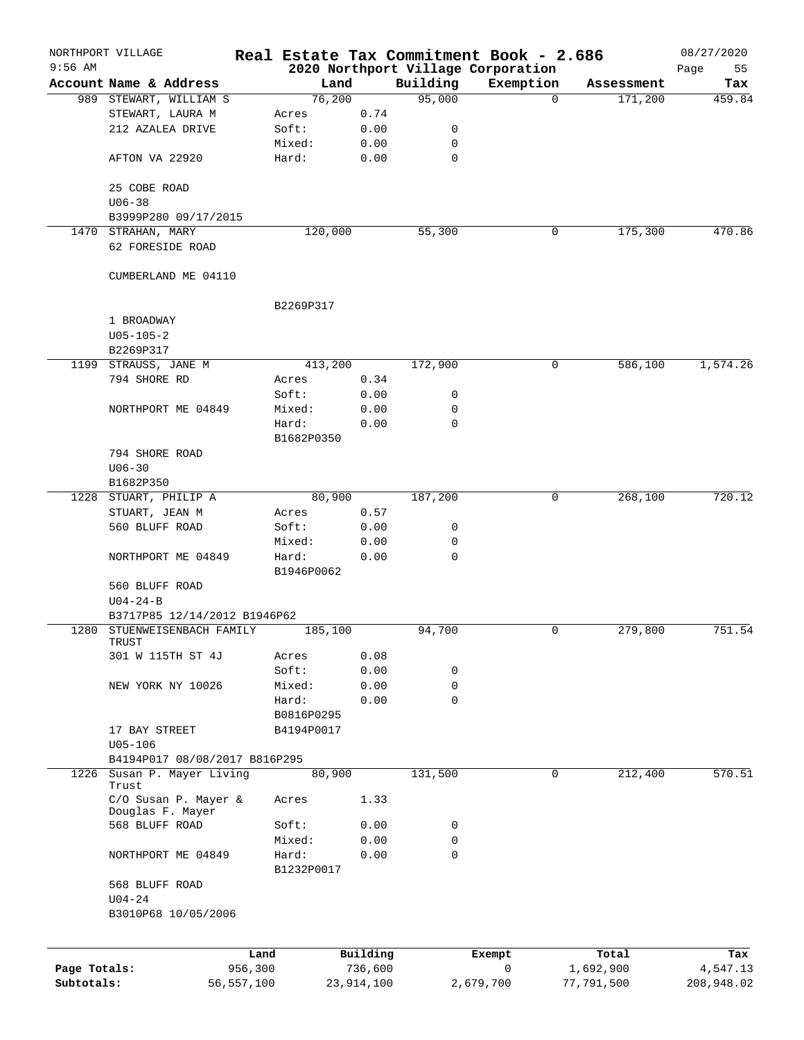|              | NORTHPORT VILLAGE                        |            |                     |              |             | Real Estate Tax Commitment Book - 2.686         |          |            | 08/27/2020        |
|--------------|------------------------------------------|------------|---------------------|--------------|-------------|-------------------------------------------------|----------|------------|-------------------|
| $9:56$ AM    | Account Name & Address                   |            | Land                |              | Building    | 2020 Northport Village Corporation<br>Exemption |          | Assessment | Page<br>55<br>Tax |
|              | 989 STEWART, WILLIAM S                   |            | 76,200              |              | 95,000      |                                                 | $\Omega$ | 171,200    | 459.84            |
|              | STEWART, LAURA M                         |            | Acres               | 0.74         |             |                                                 |          |            |                   |
|              | 212 AZALEA DRIVE                         |            | Soft:               | 0.00         | 0           |                                                 |          |            |                   |
|              |                                          |            | Mixed:              | 0.00         | $\mathbf 0$ |                                                 |          |            |                   |
|              | AFTON VA 22920                           |            | Hard:               | 0.00         | $\mathbf 0$ |                                                 |          |            |                   |
|              | 25 COBE ROAD                             |            |                     |              |             |                                                 |          |            |                   |
|              | $U06 - 38$                               |            |                     |              |             |                                                 |          |            |                   |
|              | B3999P280 09/17/2015                     |            |                     |              |             |                                                 |          |            |                   |
|              | 1470 STRAHAN, MARY<br>62 FORESIDE ROAD   |            | 120,000             |              | 55,300      |                                                 | 0        | 175,300    | 470.86            |
|              | CUMBERLAND ME 04110                      |            |                     |              |             |                                                 |          |            |                   |
|              |                                          |            | B2269P317           |              |             |                                                 |          |            |                   |
|              | 1 BROADWAY                               |            |                     |              |             |                                                 |          |            |                   |
|              | $U05 - 105 - 2$                          |            |                     |              |             |                                                 |          |            |                   |
|              | B2269P317                                |            |                     |              |             |                                                 |          |            |                   |
|              | 1199 STRAUSS, JANE M                     |            | 413,200             |              | 172,900     |                                                 | 0        | 586,100    | 1,574.26          |
|              | 794 SHORE RD                             |            | Acres               | 0.34         |             |                                                 |          |            |                   |
|              |                                          |            | Soft:               | 0.00         | 0           |                                                 |          |            |                   |
|              | NORTHPORT ME 04849                       |            | Mixed:              | 0.00         | 0           |                                                 |          |            |                   |
|              |                                          |            | Hard:<br>B1682P0350 | 0.00         | $\mathbf 0$ |                                                 |          |            |                   |
|              | 794 SHORE ROAD                           |            |                     |              |             |                                                 |          |            |                   |
|              | $U06 - 30$                               |            |                     |              |             |                                                 |          |            |                   |
|              | B1682P350                                |            |                     |              |             |                                                 |          |            |                   |
|              | 1228 STUART, PHILIP A                    |            | 80,900              |              | 187,200     |                                                 | 0        | 268,100    | 720.12            |
|              | STUART, JEAN M                           |            | Acres               | 0.57         |             |                                                 |          |            |                   |
|              | 560 BLUFF ROAD                           |            | Soft:               | 0.00         | 0           |                                                 |          |            |                   |
|              |                                          |            | Mixed:              | 0.00         | 0           |                                                 |          |            |                   |
|              | NORTHPORT ME 04849                       |            | Hard:               | 0.00         | $\mathbf 0$ |                                                 |          |            |                   |
|              |                                          |            | B1946P0062          |              |             |                                                 |          |            |                   |
|              | 560 BLUFF ROAD                           |            |                     |              |             |                                                 |          |            |                   |
|              | $U04 - 24 - B$                           |            |                     |              |             |                                                 |          |            |                   |
|              | B3717P85 12/14/2012 B1946P62             |            |                     |              |             |                                                 |          |            |                   |
| 1280         | STUENWEISENBACH FAMILY<br>TRUST          |            | 185,100             |              | 94,700      |                                                 | 0        | 279,800    | 751.54            |
|              | 301 W 115TH ST 4J                        |            | Acres               | 0.08         |             |                                                 |          |            |                   |
|              |                                          |            | Soft:               | 0.00         | 0           |                                                 |          |            |                   |
|              | NEW YORK NY 10026                        |            | Mixed:              | 0.00         | 0           |                                                 |          |            |                   |
|              |                                          |            | Hard:               | 0.00         | $\mathbf 0$ |                                                 |          |            |                   |
|              |                                          |            | B0816P0295          |              |             |                                                 |          |            |                   |
|              | 17 BAY STREET                            |            | B4194P0017          |              |             |                                                 |          |            |                   |
|              | $U05 - 106$                              |            |                     |              |             |                                                 |          |            |                   |
|              | B4194P017 08/08/2017 B816P295            |            |                     |              |             |                                                 |          |            |                   |
| 1226         | Susan P. Mayer Living<br>Trust           |            | 80,900              |              | 131,500     |                                                 | 0        | 212,400    | 570.51            |
|              | C/O Susan P. Mayer &<br>Douglas F. Mayer |            | Acres               | 1.33         |             |                                                 |          |            |                   |
|              | 568 BLUFF ROAD                           |            | Soft:               | 0.00         | 0           |                                                 |          |            |                   |
|              |                                          |            | Mixed:              | 0.00         | $\mathbf 0$ |                                                 |          |            |                   |
|              | NORTHPORT ME 04849                       |            | Hard:<br>B1232P0017 | 0.00         | $\mathbf 0$ |                                                 |          |            |                   |
|              | 568 BLUFF ROAD                           |            |                     |              |             |                                                 |          |            |                   |
|              | $U04 - 24$<br>B3010P68 10/05/2006        |            |                     |              |             |                                                 |          |            |                   |
|              |                                          |            |                     |              |             |                                                 |          |            |                   |
|              |                                          | Land       |                     | Building     |             | Exempt                                          |          | Total      | Tax               |
| Page Totals: |                                          | 956,300    |                     | 736,600      |             | 0                                               |          | 1,692,900  | 4,547.13          |
| Subtotals:   |                                          | 56,557,100 |                     | 23, 914, 100 |             | 2,679,700                                       |          | 77,791,500 | 208,948.02        |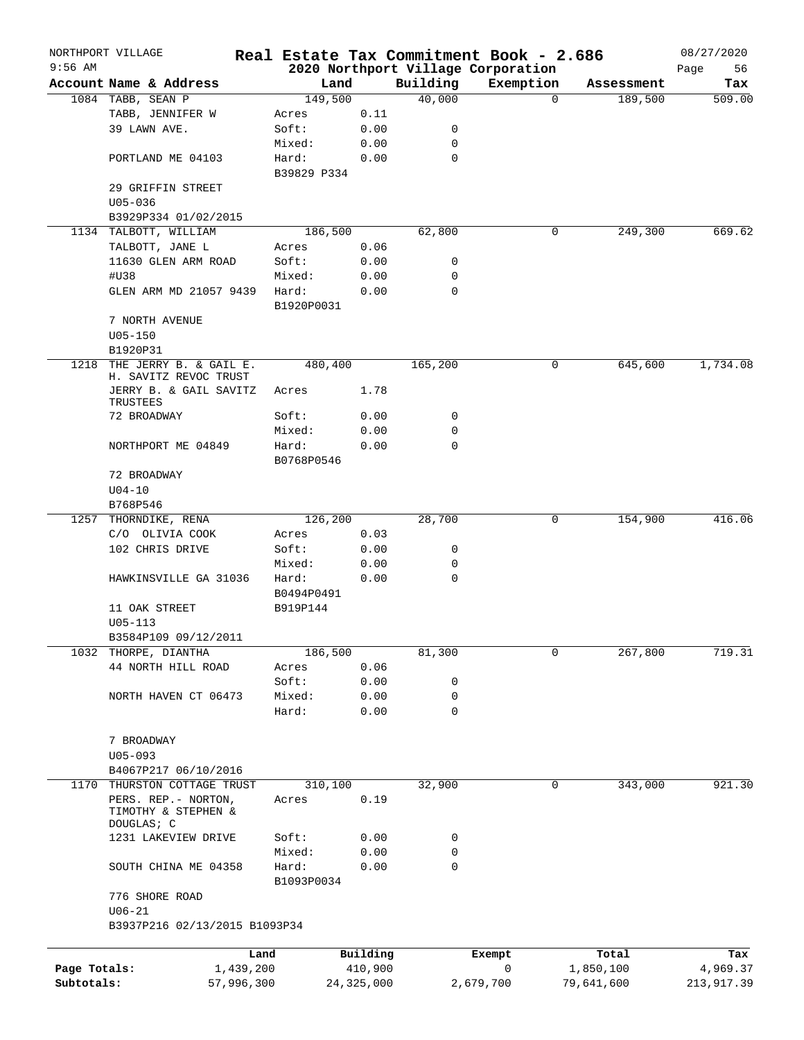|              | NORTHPORT VILLAGE                                         |            |                      |              |                            | Real Estate Tax Commitment Book - 2.686 |                        | 08/27/2020 |
|--------------|-----------------------------------------------------------|------------|----------------------|--------------|----------------------------|-----------------------------------------|------------------------|------------|
| $9:56$ AM    |                                                           |            |                      |              |                            | 2020 Northport Village Corporation      |                        | Page<br>56 |
|              | Account Name & Address                                    |            | Land                 |              | Building                   | Exemption                               | Assessment             | Tax        |
|              | 1084 TABB, SEAN P                                         |            | 149,500              |              | 40,000                     |                                         | $\mathbf 0$<br>189,500 | 509.00     |
|              | TABB, JENNIFER W<br>39 LAWN AVE.                          |            | Acres                | 0.11         |                            |                                         |                        |            |
|              |                                                           |            | Soft:                | 0.00         | 0                          |                                         |                        |            |
|              |                                                           |            | Mixed:               | 0.00         | $\mathbf 0$<br>$\mathbf 0$ |                                         |                        |            |
|              | PORTLAND ME 04103                                         |            | Hard:<br>B39829 P334 | 0.00         |                            |                                         |                        |            |
|              | 29 GRIFFIN STREET<br>$U05 - 036$                          |            |                      |              |                            |                                         |                        |            |
|              | B3929P334 01/02/2015                                      |            |                      |              |                            |                                         |                        |            |
|              | 1134 TALBOTT, WILLIAM                                     |            | 186,500              |              | 62,800                     |                                         | 0<br>249,300           | 669.62     |
|              | TALBOTT, JANE L                                           |            | Acres                | 0.06         |                            |                                         |                        |            |
|              | 11630 GLEN ARM ROAD                                       |            | Soft:                | 0.00         | 0                          |                                         |                        |            |
|              | #U38                                                      |            | Mixed:               | 0.00         | 0                          |                                         |                        |            |
|              | GLEN ARM MD 21057 9439                                    |            | Hard:                | 0.00         | 0                          |                                         |                        |            |
|              |                                                           |            | B1920P0031           |              |                            |                                         |                        |            |
|              | 7 NORTH AVENUE                                            |            |                      |              |                            |                                         |                        |            |
|              | $U05 - 150$<br>B1920P31                                   |            |                      |              |                            |                                         |                        |            |
| 1218         | THE JERRY B. & GAIL E.<br>H. SAVITZ REVOC TRUST           |            | 480,400              |              | 165,200                    |                                         | 0<br>645,600           | 1,734.08   |
|              | JERRY B. & GAIL SAVITZ<br>TRUSTEES                        |            | Acres                | 1.78         |                            |                                         |                        |            |
|              | 72 BROADWAY                                               |            | Soft:                | 0.00         | 0                          |                                         |                        |            |
|              |                                                           |            | Mixed:               | 0.00         | 0                          |                                         |                        |            |
|              | NORTHPORT ME 04849                                        |            | Hard:                | 0.00         | 0                          |                                         |                        |            |
|              |                                                           |            | B0768P0546           |              |                            |                                         |                        |            |
|              | 72 BROADWAY                                               |            |                      |              |                            |                                         |                        |            |
|              | $U04 - 10$                                                |            |                      |              |                            |                                         |                        |            |
| 1257         | B768P546<br>THORNDIKE, RENA                               |            | 126,200              |              | 28,700                     |                                         | 0<br>154,900           | 416.06     |
|              |                                                           |            |                      | 0.03         |                            |                                         |                        |            |
|              | C/O OLIVIA COOK                                           |            | Acres<br>Soft:       |              |                            |                                         |                        |            |
|              | 102 CHRIS DRIVE                                           |            |                      | 0.00         | 0<br>0                     |                                         |                        |            |
|              |                                                           |            | Mixed:               | 0.00         | 0                          |                                         |                        |            |
|              | HAWKINSVILLE GA 31036                                     |            | Hard:<br>B0494P0491  | 0.00         |                            |                                         |                        |            |
|              | 11 OAK STREET                                             |            | B919P144             |              |                            |                                         |                        |            |
|              | $U05 - 113$                                               |            |                      |              |                            |                                         |                        |            |
|              | B3584P109 09/12/2011                                      |            |                      |              |                            |                                         |                        |            |
| 1032         | THORPE, DIANTHA                                           |            | 186,500              |              | 81,300                     |                                         | 267,800<br>0           | 719.31     |
|              | 44 NORTH HILL ROAD                                        |            | Acres                | 0.06         |                            |                                         |                        |            |
|              |                                                           |            | Soft:                | 0.00         | 0                          |                                         |                        |            |
|              | NORTH HAVEN CT 06473                                      |            | Mixed:               | 0.00         | 0                          |                                         |                        |            |
|              |                                                           |            | Hard:                | 0.00         | 0                          |                                         |                        |            |
|              | 7 BROADWAY                                                |            |                      |              |                            |                                         |                        |            |
|              | $U05 - 093$                                               |            |                      |              |                            |                                         |                        |            |
|              | B4067P217 06/10/2016                                      |            |                      |              |                            |                                         |                        |            |
| 1170         | THURSTON COTTAGE TRUST                                    |            | 310,100              |              | 32,900                     |                                         | 0<br>343,000           | 921.30     |
|              | PERS. REP. - NORTON,<br>TIMOTHY & STEPHEN &<br>DOUGLAS; C |            | Acres                | 0.19         |                            |                                         |                        |            |
|              | 1231 LAKEVIEW DRIVE                                       |            | Soft:                | 0.00         | 0                          |                                         |                        |            |
|              |                                                           |            | Mixed:               | 0.00         | 0                          |                                         |                        |            |
|              | SOUTH CHINA ME 04358                                      |            | Hard:                | 0.00         | 0                          |                                         |                        |            |
|              | 776 SHORE ROAD                                            |            | B1093P0034           |              |                            |                                         |                        |            |
|              | $U06 - 21$<br>B3937P216 02/13/2015 B1093P34               |            |                      |              |                            |                                         |                        |            |
|              |                                                           | Land       |                      | Building     |                            | Exempt                                  | Total                  | Tax        |
| Page Totals: |                                                           | 1,439,200  |                      | 410,900      |                            | $\mathsf{O}$                            | 1,850,100              | 4,969.37   |
| Subtotals:   |                                                           | 57,996,300 |                      | 24, 325, 000 |                            | 2,679,700                               | 79,641,600             | 213,917.39 |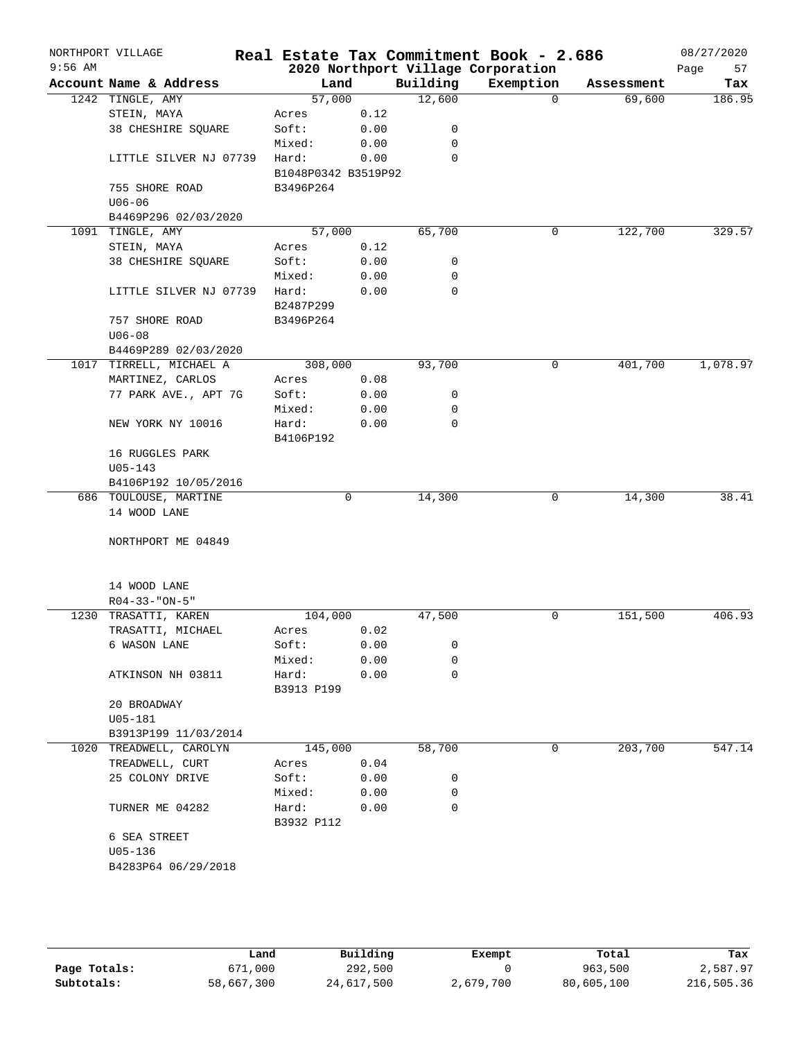| $9:56$ AM | NORTHPORT VILLAGE       |                     |      |          | Real Estate Tax Commitment Book - 2.686<br>2020 Northport Village Corporation |            | 08/27/2020<br>Page<br>57 |
|-----------|-------------------------|---------------------|------|----------|-------------------------------------------------------------------------------|------------|--------------------------|
|           | Account Name & Address  | Land                |      | Building | Exemption                                                                     | Assessment | Tax                      |
|           | 1242 TINGLE, AMY        | 57,000              |      | 12,600   | $\Omega$                                                                      | 69,600     | 186.95                   |
|           | STEIN, MAYA             | Acres               | 0.12 |          |                                                                               |            |                          |
|           | 38 CHESHIRE SOUARE      | Soft:               | 0.00 | 0        |                                                                               |            |                          |
|           |                         | Mixed:              | 0.00 | 0        |                                                                               |            |                          |
|           | LITTLE SILVER NJ 07739  | Hard:               | 0.00 | 0        |                                                                               |            |                          |
|           |                         | B1048P0342 B3519P92 |      |          |                                                                               |            |                          |
|           | 755 SHORE ROAD          |                     |      |          |                                                                               |            |                          |
|           | $U06 - 06$              | B3496P264           |      |          |                                                                               |            |                          |
|           |                         |                     |      |          |                                                                               |            |                          |
|           | B4469P296 02/03/2020    | 57,000              |      | 65,700   |                                                                               |            | 329.57                   |
|           | 1091 TINGLE, AMY        |                     |      |          | 0                                                                             | 122,700    |                          |
|           | STEIN, MAYA             | Acres               | 0.12 |          |                                                                               |            |                          |
|           | 38 CHESHIRE SQUARE      | Soft:               | 0.00 | 0        |                                                                               |            |                          |
|           |                         | Mixed:              | 0.00 | 0        |                                                                               |            |                          |
|           | LITTLE SILVER NJ 07739  | Hard:               | 0.00 | $\Omega$ |                                                                               |            |                          |
|           |                         | B2487P299           |      |          |                                                                               |            |                          |
|           | 757 SHORE ROAD          | B3496P264           |      |          |                                                                               |            |                          |
|           | $U06 - 08$              |                     |      |          |                                                                               |            |                          |
|           | B4469P289 02/03/2020    |                     |      |          |                                                                               |            |                          |
| 1017      | TIRRELL, MICHAEL A      | 308,000             |      | 93,700   | 0                                                                             | 401,700    | 1,078.97                 |
|           | MARTINEZ, CARLOS        | Acres               | 0.08 |          |                                                                               |            |                          |
|           | 77 PARK AVE., APT 7G    | Soft:               | 0.00 | 0        |                                                                               |            |                          |
|           |                         | Mixed:              | 0.00 | 0        |                                                                               |            |                          |
|           | NEW YORK NY 10016       | Hard:               | 0.00 | 0        |                                                                               |            |                          |
|           |                         | B4106P192           |      |          |                                                                               |            |                          |
|           | 16 RUGGLES PARK         |                     |      |          |                                                                               |            |                          |
|           | $U05 - 143$             |                     |      |          |                                                                               |            |                          |
|           | B4106P192 10/05/2016    |                     |      |          |                                                                               |            |                          |
|           | 686 TOULOUSE, MARTINE   |                     | 0    | 14,300   | 0                                                                             | 14,300     | 38.41                    |
|           | 14 WOOD LANE            |                     |      |          |                                                                               |            |                          |
|           |                         |                     |      |          |                                                                               |            |                          |
|           | NORTHPORT ME 04849      |                     |      |          |                                                                               |            |                          |
|           |                         |                     |      |          |                                                                               |            |                          |
|           | 14 WOOD LANE            |                     |      |          |                                                                               |            |                          |
|           | $R04 - 33 - "ON - 5"$   |                     |      |          |                                                                               |            |                          |
| 1230      | TRASATTI, KAREN         | 104,000             |      | 47,500   | 0                                                                             | 151,500    | 406.93                   |
|           | TRASATTI, MICHAEL       | Acres               | 0.02 |          |                                                                               |            |                          |
|           | 6 WASON LANE            | Soft:               | 0.00 | 0        |                                                                               |            |                          |
|           |                         | Mixed:              | 0.00 | 0        |                                                                               |            |                          |
|           | ATKINSON NH 03811       | Hard:               | 0.00 | 0        |                                                                               |            |                          |
|           |                         | B3913 P199          |      |          |                                                                               |            |                          |
|           | 20 BROADWAY             |                     |      |          |                                                                               |            |                          |
|           | $U05 - 181$             |                     |      |          |                                                                               |            |                          |
|           | B3913P199 11/03/2014    |                     |      |          |                                                                               |            |                          |
|           | 1020 TREADWELL, CAROLYN | 145,000             |      | 58,700   | 0                                                                             | 203,700    | 547.14                   |
|           | TREADWELL, CURT         | Acres               | 0.04 |          |                                                                               |            |                          |
|           | 25 COLONY DRIVE         | Soft:               | 0.00 | 0        |                                                                               |            |                          |
|           |                         | Mixed:              | 0.00 | 0        |                                                                               |            |                          |
|           | TURNER ME 04282         | Hard:               | 0.00 | 0        |                                                                               |            |                          |
|           |                         |                     |      |          |                                                                               |            |                          |
|           |                         | B3932 P112          |      |          |                                                                               |            |                          |
|           | 6 SEA STREET            |                     |      |          |                                                                               |            |                          |
|           | $U05 - 136$             |                     |      |          |                                                                               |            |                          |
|           | B4283P64 06/29/2018     |                     |      |          |                                                                               |            |                          |
|           |                         |                     |      |          |                                                                               |            |                          |
|           |                         |                     |      |          |                                                                               |            |                          |

|              | Land       | Building   | Exempt    | Total      | Tax        |
|--------------|------------|------------|-----------|------------|------------|
| Page Totals: | 671,000    | 292,500    |           | 963,500    | 2,587.97   |
| Subtotals:   | 58,667,300 | 24,617,500 | 2,679,700 | 80,605,100 | 216,505.36 |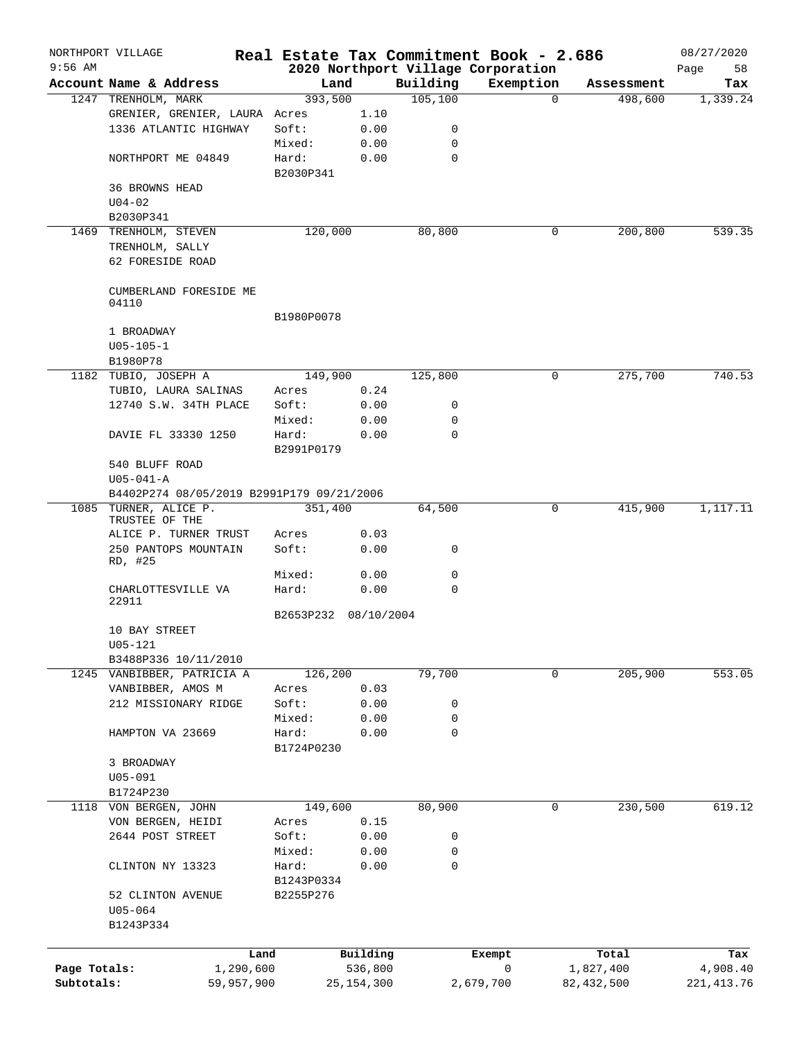|              | NORTHPORT VILLAGE                                            |            |              |          | Real Estate Tax Commitment Book - 2.686 |                     | 08/27/2020  |
|--------------|--------------------------------------------------------------|------------|--------------|----------|-----------------------------------------|---------------------|-------------|
| $9:56$ AM    |                                                              |            |              |          | 2020 Northport Village Corporation      |                     | Page<br>58  |
|              | Account Name & Address                                       | Land       |              | Building | Exemption                               | Assessment          | Tax         |
|              | 1247 TRENHOLM, MARK                                          | 393,500    |              | 105, 100 |                                         | $\Omega$<br>498,600 | 1,339.24    |
|              | GRENIER, GRENIER, LAURA Acres                                |            | 1.10         |          |                                         |                     |             |
|              | 1336 ATLANTIC HIGHWAY                                        | Soft:      | 0.00         | 0        |                                         |                     |             |
|              |                                                              | Mixed:     | 0.00         | 0        |                                         |                     |             |
|              | NORTHPORT ME 04849                                           | Hard:      | 0.00         | 0        |                                         |                     |             |
|              | <b>36 BROWNS HEAD</b>                                        | B2030P341  |              |          |                                         |                     |             |
|              | $U04 - 02$                                                   |            |              |          |                                         |                     |             |
|              | B2030P341                                                    |            |              |          |                                         |                     |             |
|              | 1469 TRENHOLM, STEVEN                                        | 120,000    |              | 80,800   |                                         | 200,800<br>0        | 539.35      |
|              | TRENHOLM, SALLY                                              |            |              |          |                                         |                     |             |
|              | 62 FORESIDE ROAD                                             |            |              |          |                                         |                     |             |
|              |                                                              |            |              |          |                                         |                     |             |
|              | CUMBERLAND FORESIDE ME                                       |            |              |          |                                         |                     |             |
|              | 04110                                                        |            |              |          |                                         |                     |             |
|              |                                                              | B1980P0078 |              |          |                                         |                     |             |
|              | 1 BROADWAY                                                   |            |              |          |                                         |                     |             |
|              | $U05 - 105 - 1$                                              |            |              |          |                                         |                     |             |
|              | B1980P78                                                     |            |              |          |                                         |                     |             |
|              | 1182 TUBIO, JOSEPH A                                         | 149,900    |              | 125,800  |                                         | 275,700<br>0        | 740.53      |
|              | TUBIO, LAURA SALINAS                                         | Acres      | 0.24         |          |                                         |                     |             |
|              | 12740 S.W. 34TH PLACE                                        | Soft:      | 0.00         | 0        |                                         |                     |             |
|              |                                                              | Mixed:     | 0.00         | 0        |                                         |                     |             |
|              | DAVIE FL 33330 1250                                          | Hard:      | 0.00         | $\Omega$ |                                         |                     |             |
|              |                                                              | B2991P0179 |              |          |                                         |                     |             |
|              | 540 BLUFF ROAD                                               |            |              |          |                                         |                     |             |
|              | $U05 - 041 - A$<br>B4402P274 08/05/2019 B2991P179 09/21/2006 |            |              |          |                                         |                     |             |
|              |                                                              |            |              |          |                                         |                     |             |
|              | 1085 TURNER, ALICE P.<br>TRUSTEE OF THE                      | 351,400    |              | 64,500   |                                         | 0<br>415,900        | 1,117.11    |
|              | ALICE P. TURNER TRUST                                        | Acres      | 0.03         |          |                                         |                     |             |
|              | 250 PANTOPS MOUNTAIN                                         | Soft:      | 0.00         | 0        |                                         |                     |             |
|              | RD, #25                                                      |            |              |          |                                         |                     |             |
|              |                                                              | Mixed:     | 0.00         | 0        |                                         |                     |             |
|              | CHARLOTTESVILLE VA                                           | Hard:      | 0.00         | 0        |                                         |                     |             |
|              | 22911                                                        | B2653P232  |              |          |                                         |                     |             |
|              | 10 BAY STREET                                                |            | 08/10/2004   |          |                                         |                     |             |
|              | $U05 - 121$                                                  |            |              |          |                                         |                     |             |
|              | B3488P336 10/11/2010                                         |            |              |          |                                         |                     |             |
|              | 1245 VANBIBBER, PATRICIA A                                   | 126,200    |              | 79,700   |                                         | 205,900<br>0        | 553.05      |
|              | VANBIBBER, AMOS M                                            | Acres      | 0.03         |          |                                         |                     |             |
|              | 212 MISSIONARY RIDGE                                         | Soft:      | 0.00         | 0        |                                         |                     |             |
|              |                                                              | Mixed:     | 0.00         | 0        |                                         |                     |             |
|              | HAMPTON VA 23669                                             | Hard:      | 0.00         | 0        |                                         |                     |             |
|              |                                                              | B1724P0230 |              |          |                                         |                     |             |
|              | 3 BROADWAY                                                   |            |              |          |                                         |                     |             |
|              | $U05 - 091$                                                  |            |              |          |                                         |                     |             |
|              | B1724P230                                                    |            |              |          |                                         |                     |             |
| 1118         | VON BERGEN, JOHN                                             | 149,600    |              | 80,900   |                                         | 230,500<br>0        | 619.12      |
|              | VON BERGEN, HEIDI                                            | Acres      | 0.15         |          |                                         |                     |             |
|              | 2644 POST STREET                                             | Soft:      | 0.00         | 0        |                                         |                     |             |
|              |                                                              | Mixed:     | 0.00         | 0        |                                         |                     |             |
|              | CLINTON NY 13323                                             | Hard:      | 0.00         | 0        |                                         |                     |             |
|              |                                                              | B1243P0334 |              |          |                                         |                     |             |
|              | 52 CLINTON AVENUE                                            | B2255P276  |              |          |                                         |                     |             |
|              | $U05 - 064$                                                  |            |              |          |                                         |                     |             |
|              | B1243P334                                                    |            |              |          |                                         |                     |             |
|              |                                                              |            |              |          |                                         |                     |             |
|              | Land                                                         |            | Building     |          | Exempt                                  | Total               | Tax         |
| Page Totals: | 1,290,600                                                    |            | 536,800      |          | 0                                       | 1,827,400           | 4,908.40    |
| Subtotals:   | 59,957,900                                                   |            | 25, 154, 300 |          | 2,679,700                               | 82, 432, 500        | 221, 413.76 |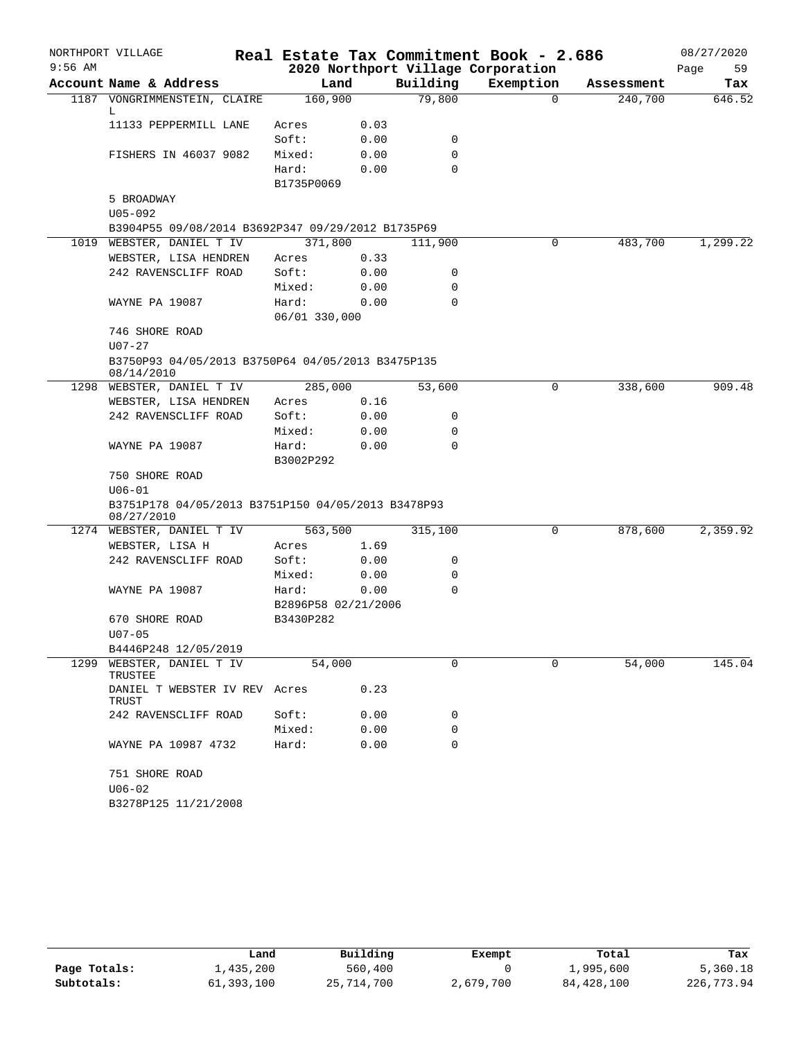|           | NORTHPORT VILLAGE                                                |                     |      |          | Real Estate Tax Commitment Book - 2.686 |            | 08/27/2020 |
|-----------|------------------------------------------------------------------|---------------------|------|----------|-----------------------------------------|------------|------------|
| $9:56$ AM |                                                                  |                     |      |          | 2020 Northport Village Corporation      |            | Page<br>59 |
|           | Account Name & Address                                           | Land                |      | Building | Exemption                               | Assessment | Tax        |
|           | 1187 VONGRIMMENSTEIN, CLAIRE<br>L                                | 160,900             |      | 79,800   | $\Omega$                                | 240,700    | 646.52     |
|           | 11133 PEPPERMILL LANE                                            | Acres               | 0.03 |          |                                         |            |            |
|           |                                                                  | Soft:               | 0.00 | 0        |                                         |            |            |
|           | FISHERS IN 46037 9082                                            | Mixed:              | 0.00 | 0        |                                         |            |            |
|           |                                                                  | Hard:               | 0.00 | $\Omega$ |                                         |            |            |
|           |                                                                  | B1735P0069          |      |          |                                         |            |            |
|           | 5 BROADWAY                                                       |                     |      |          |                                         |            |            |
|           | $U05 - 092$                                                      |                     |      |          |                                         |            |            |
|           | B3904P55 09/08/2014 B3692P347 09/29/2012 B1735P69                |                     |      |          |                                         |            |            |
|           | 1019 WEBSTER, DANIEL T IV                                        | 371,800             |      | 111,900  | 0                                       | 483,700    | 1,299.22   |
|           | WEBSTER, LISA HENDREN                                            | Acres               | 0.33 |          |                                         |            |            |
|           | 242 RAVENSCLIFF ROAD                                             | Soft:               | 0.00 | 0        |                                         |            |            |
|           |                                                                  | Mixed:              | 0.00 | 0        |                                         |            |            |
|           | WAYNE PA 19087                                                   | Hard:               | 0.00 | $\Omega$ |                                         |            |            |
|           |                                                                  | 06/01 330,000       |      |          |                                         |            |            |
|           | 746 SHORE ROAD                                                   |                     |      |          |                                         |            |            |
|           | $U07 - 27$                                                       |                     |      |          |                                         |            |            |
|           | B3750P93 04/05/2013 B3750P64 04/05/2013 B3475P135<br>08/14/2010  |                     |      |          |                                         |            |            |
|           | 1298 WEBSTER, DANIEL T IV                                        | 285,000             |      | 53,600   | 0                                       | 338,600    | 909.48     |
|           | WEBSTER, LISA HENDREN                                            | Acres               | 0.16 |          |                                         |            |            |
|           | 242 RAVENSCLIFF ROAD                                             | Soft:               | 0.00 | 0        |                                         |            |            |
|           |                                                                  | Mixed:              | 0.00 | 0        |                                         |            |            |
|           | WAYNE PA 19087                                                   | Hard:<br>B3002P292  | 0.00 | $\Omega$ |                                         |            |            |
|           | 750 SHORE ROAD                                                   |                     |      |          |                                         |            |            |
|           | $U06 - 01$                                                       |                     |      |          |                                         |            |            |
|           | B3751P178 04/05/2013 B3751P150 04/05/2013 B3478P93<br>08/27/2010 |                     |      |          |                                         |            |            |
|           | 1274 WEBSTER, DANIEL T IV                                        | 563,500             |      | 315,100  | 0                                       | 878,600    | 2,359.92   |
|           | WEBSTER, LISA H                                                  | Acres               | 1.69 |          |                                         |            |            |
|           | 242 RAVENSCLIFF ROAD                                             | Soft:               | 0.00 | 0        |                                         |            |            |
|           |                                                                  | Mixed:              | 0.00 | 0        |                                         |            |            |
|           | WAYNE PA 19087                                                   | Hard:               | 0.00 | 0        |                                         |            |            |
|           |                                                                  | B2896P58 02/21/2006 |      |          |                                         |            |            |
|           | 670 SHORE ROAD<br>$U07 - 05$                                     | B3430P282           |      |          |                                         |            |            |
|           | B4446P248 12/05/2019                                             |                     |      |          |                                         |            |            |
| 1299      | WEBSTER, DANIEL T IV<br>TRUSTEE                                  | 54,000              |      | 0        | 0                                       | 54,000     | 145.04     |
|           | DANIEL T WEBSTER IV REV Acres<br>TRUST                           |                     | 0.23 |          |                                         |            |            |
|           | 242 RAVENSCLIFF ROAD                                             | Soft:               | 0.00 | 0        |                                         |            |            |
|           |                                                                  | Mixed:              | 0.00 | 0        |                                         |            |            |
|           | WAYNE PA 10987 4732                                              | Hard:               | 0.00 | $\Omega$ |                                         |            |            |
|           | 751 SHORE ROAD                                                   |                     |      |          |                                         |            |            |
|           | $U06 - 02$                                                       |                     |      |          |                                         |            |            |
|           | B3278P125 11/21/2008                                             |                     |      |          |                                         |            |            |

|              | úand       | Building   | Exempt    | Total      | Tax        |
|--------------|------------|------------|-----------|------------|------------|
| Page Totals: | 1,435,200  | 560,400    |           | 1,995,600  | 5,360.18   |
| Subtotals:   | 61,393,100 | 25,714,700 | 2,679,700 | 84,428,100 | 226,773.94 |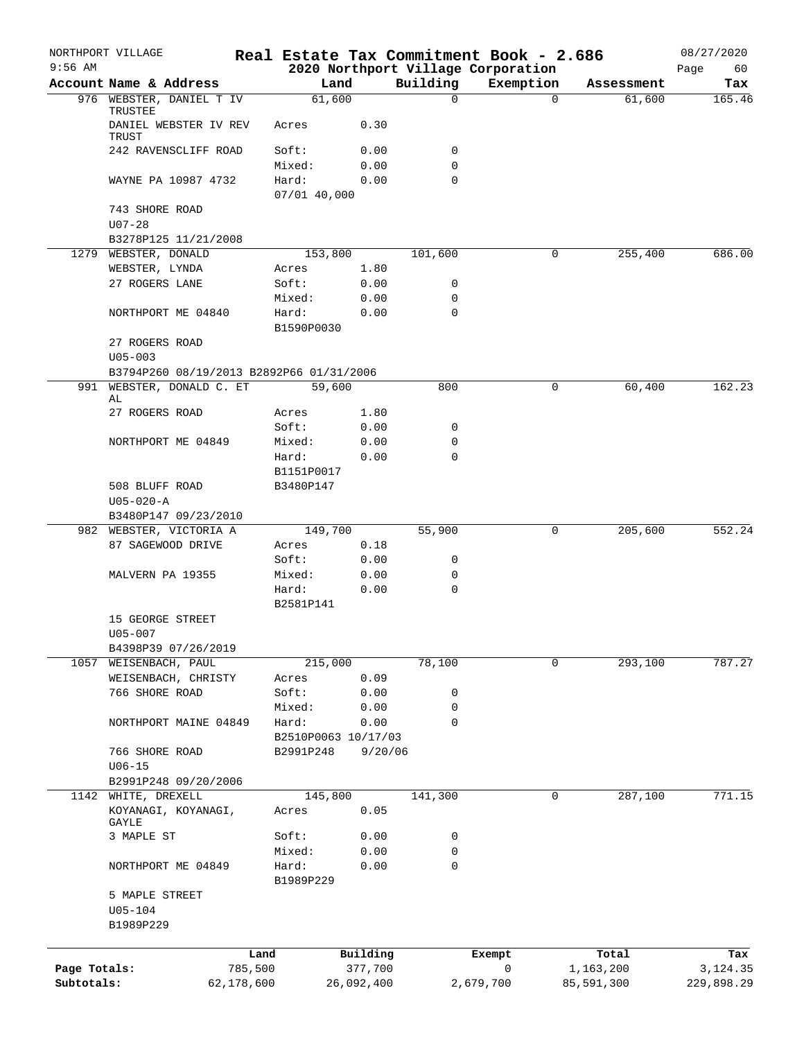|              | NORTHPORT VILLAGE                        |            |                     |              | Real Estate Tax Commitment Book - 2.686        |              |             |            | 08/27/2020    |
|--------------|------------------------------------------|------------|---------------------|--------------|------------------------------------------------|--------------|-------------|------------|---------------|
| $9:56$ AM    | Account Name & Address                   |            | Land                |              | 2020 Northport Village Corporation<br>Building | Exemption    |             | Assessment | Page<br>60    |
| 976          | WEBSTER, DANIEL T IV                     |            | 61,600              |              | $\mathbf 0$                                    |              | $\mathbf 0$ | 61,600     | Tax<br>165.46 |
|              | TRUSTEE                                  |            |                     |              |                                                |              |             |            |               |
|              | DANIEL WEBSTER IV REV<br><b>TRUST</b>    |            | Acres               | 0.30         |                                                |              |             |            |               |
|              | 242 RAVENSCLIFF ROAD                     |            | Soft:               | 0.00         | 0                                              |              |             |            |               |
|              |                                          |            | Mixed:              | 0.00         | $\mathbf 0$                                    |              |             |            |               |
|              | WAYNE PA 10987 4732                      |            | Hard:               | 0.00         | $\mathbf 0$                                    |              |             |            |               |
|              |                                          |            | 07/01 40,000        |              |                                                |              |             |            |               |
|              | 743 SHORE ROAD                           |            |                     |              |                                                |              |             |            |               |
|              | $U07 - 28$                               |            |                     |              |                                                |              |             |            |               |
|              | B3278P125 11/21/2008                     |            |                     |              |                                                |              |             |            |               |
|              | 1279 WEBSTER, DONALD                     |            | 153,800             |              | 101,600                                        |              | 0           | 255,400    | 686.00        |
|              | WEBSTER, LYNDA                           |            | Acres               | 1.80         |                                                |              |             |            |               |
|              | 27 ROGERS LANE                           |            | Soft:               | 0.00         | 0                                              |              |             |            |               |
|              |                                          |            | Mixed:              | 0.00         | 0<br>$\mathbf 0$                               |              |             |            |               |
|              | NORTHPORT ME 04840                       |            | Hard:<br>B1590P0030 | 0.00         |                                                |              |             |            |               |
|              | 27 ROGERS ROAD                           |            |                     |              |                                                |              |             |            |               |
|              | $U05 - 003$                              |            |                     |              |                                                |              |             |            |               |
|              | B3794P260 08/19/2013 B2892P66 01/31/2006 |            |                     |              |                                                |              |             |            |               |
|              | 991 WEBSTER, DONALD C. ET                |            | 59,600              |              | 800                                            |              | 0           | 60,400     | 162.23        |
|              | AL                                       |            |                     |              |                                                |              |             |            |               |
|              | 27 ROGERS ROAD                           |            | Acres               | 1.80         |                                                |              |             |            |               |
|              |                                          |            | Soft:               | 0.00         | 0                                              |              |             |            |               |
|              | NORTHPORT ME 04849                       |            | Mixed:              | 0.00         | 0                                              |              |             |            |               |
|              |                                          |            | Hard:               | 0.00         | $\mathbf 0$                                    |              |             |            |               |
|              |                                          |            | B1151P0017          |              |                                                |              |             |            |               |
|              | 508 BLUFF ROAD                           |            | B3480P147           |              |                                                |              |             |            |               |
|              | $U05 - 020 - A$                          |            |                     |              |                                                |              |             |            |               |
|              | B3480P147 09/23/2010                     |            |                     |              |                                                |              |             |            |               |
|              | 982 WEBSTER, VICTORIA A                  |            | 149,700             |              | 55,900                                         |              | 0           | 205,600    | 552.24        |
|              | 87 SAGEWOOD DRIVE                        |            | Acres               | 0.18         |                                                |              |             |            |               |
|              |                                          |            | Soft:               | 0.00         | 0                                              |              |             |            |               |
|              | MALVERN PA 19355                         |            | Mixed:<br>Hard:     | 0.00<br>0.00 | 0<br>$\mathbf 0$                               |              |             |            |               |
|              |                                          |            | B2581P141           |              |                                                |              |             |            |               |
|              | 15 GEORGE STREET                         |            |                     |              |                                                |              |             |            |               |
|              | U05-007                                  |            |                     |              |                                                |              |             |            |               |
|              | B4398P39 07/26/2019                      |            |                     |              |                                                |              |             |            |               |
|              | 1057 WEISENBACH, PAUL                    |            | 215,000             |              | 78,100                                         |              | 0           | 293,100    | 787.27        |
|              | WEISENBACH, CHRISTY                      |            | Acres               | 0.09         |                                                |              |             |            |               |
|              | 766 SHORE ROAD                           |            | Soft:               | 0.00         | 0                                              |              |             |            |               |
|              |                                          |            | Mixed:              | 0.00         | $\mathbf 0$                                    |              |             |            |               |
|              | NORTHPORT MAINE 04849                    |            | Hard:               | 0.00         | $\mathbf 0$                                    |              |             |            |               |
|              |                                          |            | B2510P0063 10/17/03 |              |                                                |              |             |            |               |
|              | 766 SHORE ROAD                           |            | B2991P248           | 9/20/06      |                                                |              |             |            |               |
|              | $U06 - 15$                               |            |                     |              |                                                |              |             |            |               |
|              | B2991P248 09/20/2006                     |            |                     |              |                                                |              |             |            |               |
|              | 1142 WHITE, DREXELL                      |            | 145,800             |              | 141,300                                        |              | 0           | 287,100    | 771.15        |
|              | KOYANAGI, KOYANAGI,                      |            | Acres               | 0.05         |                                                |              |             |            |               |
|              | GAYLE<br>3 MAPLE ST                      |            | Soft:               | 0.00         | 0                                              |              |             |            |               |
|              |                                          |            | Mixed:              | 0.00         | 0                                              |              |             |            |               |
|              | NORTHPORT ME 04849                       |            | Hard:               | 0.00         | $\mathbf 0$                                    |              |             |            |               |
|              |                                          |            | B1989P229           |              |                                                |              |             |            |               |
|              | 5 MAPLE STREET                           |            |                     |              |                                                |              |             |            |               |
|              | $U05 - 104$                              |            |                     |              |                                                |              |             |            |               |
|              | B1989P229                                |            |                     |              |                                                |              |             |            |               |
|              |                                          |            |                     |              |                                                |              |             |            |               |
|              |                                          | Land       |                     | Building     |                                                | Exempt       |             | Total      | Tax           |
| Page Totals: |                                          | 785,500    |                     | 377,700      |                                                | $\mathsf{O}$ |             | 1,163,200  | 3,124.35      |
| Subtotals:   |                                          | 62,178,600 |                     | 26,092,400   |                                                | 2,679,700    |             | 85,591,300 | 229,898.29    |
|              |                                          |            |                     |              |                                                |              |             |            |               |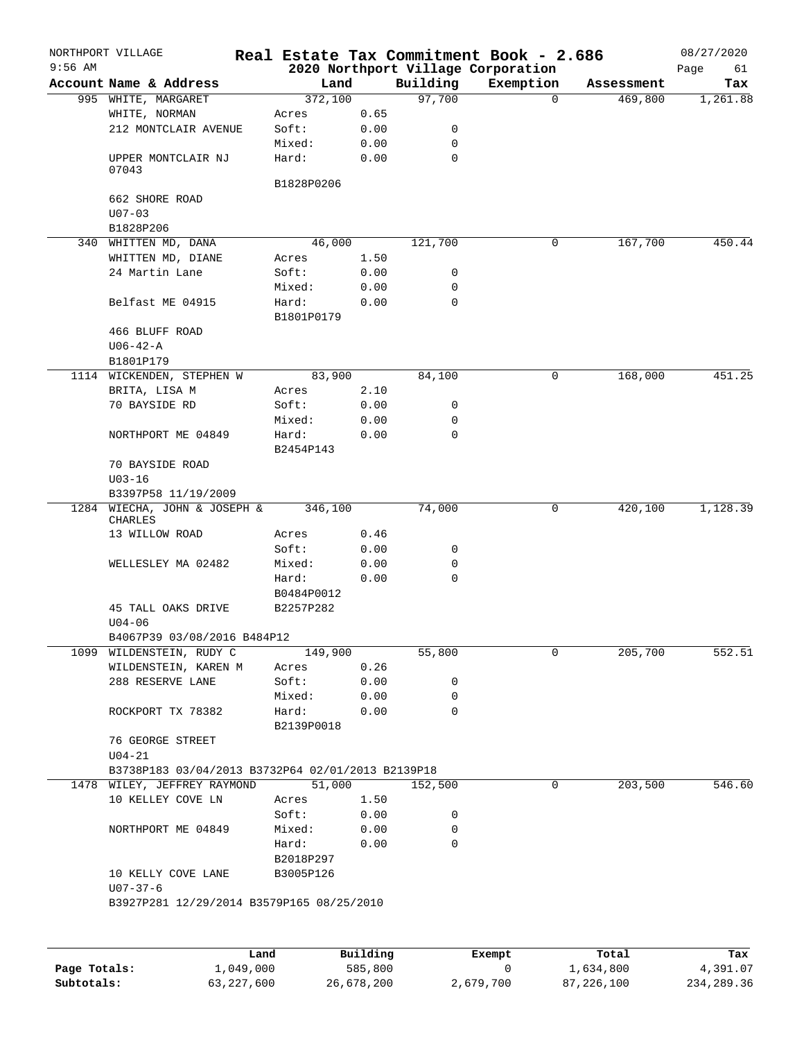|              | NORTHPORT VILLAGE                                 |                     |              |             | Real Estate Tax Commitment Book - 2.686 |            | 08/27/2020 |
|--------------|---------------------------------------------------|---------------------|--------------|-------------|-----------------------------------------|------------|------------|
| $9:56$ AM    |                                                   |                     |              |             | 2020 Northport Village Corporation      |            | Page<br>61 |
|              | Account Name & Address                            | Land                |              | Building    | Exemption<br>$\Omega$                   | Assessment | Tax        |
|              | 995 WHITE, MARGARET                               | 372,100             |              | 97,700      |                                         | 469,800    | 1,261.88   |
|              | WHITE, NORMAN<br>212 MONTCLAIR AVENUE             | Acres<br>Soft:      | 0.65<br>0.00 | 0           |                                         |            |            |
|              |                                                   | Mixed:              | 0.00         | 0           |                                         |            |            |
|              | UPPER MONTCLAIR NJ<br>07043                       | Hard:               | 0.00         | 0           |                                         |            |            |
|              |                                                   | B1828P0206          |              |             |                                         |            |            |
|              | 662 SHORE ROAD                                    |                     |              |             |                                         |            |            |
|              | $U07 - 03$                                        |                     |              |             |                                         |            |            |
|              | B1828P206                                         |                     |              |             |                                         |            |            |
|              | 340 WHITTEN MD, DANA                              | 46,000              |              | 121,700     | 0                                       | 167,700    | 450.44     |
|              | WHITTEN MD, DIANE                                 | Acres               | 1.50         |             |                                         |            |            |
|              | 24 Martin Lane                                    | Soft:               | 0.00         | 0           |                                         |            |            |
|              |                                                   | Mixed:              | 0.00         | 0           |                                         |            |            |
|              | Belfast ME 04915                                  | Hard:               | 0.00         | 0           |                                         |            |            |
|              |                                                   | B1801P0179          |              |             |                                         |            |            |
|              | 466 BLUFF ROAD                                    |                     |              |             |                                         |            |            |
|              | $U06 - 42 - A$                                    |                     |              |             |                                         |            |            |
|              | B1801P179                                         |                     |              |             |                                         |            |            |
|              | 1114 WICKENDEN, STEPHEN W                         | 83,900              |              | 84,100      | 0                                       | 168,000    | 451.25     |
|              | BRITA, LISA M                                     | Acres               | 2.10         |             |                                         |            |            |
|              | 70 BAYSIDE RD                                     | Soft:               | 0.00         | 0           |                                         |            |            |
|              |                                                   | Mixed:              | 0.00         | 0           |                                         |            |            |
|              | NORTHPORT ME 04849                                | Hard:<br>B2454P143  | 0.00         | $\Omega$    |                                         |            |            |
|              | 70 BAYSIDE ROAD<br>$U03 - 16$                     |                     |              |             |                                         |            |            |
|              | B3397P58 11/19/2009                               |                     |              |             |                                         |            |            |
|              | 1284 WIECHA, JOHN & JOSEPH &<br>CHARLES           | 346,100             |              | 74,000      | 0                                       | 420,100    | 1,128.39   |
|              | 13 WILLOW ROAD                                    | Acres               | 0.46         |             |                                         |            |            |
|              |                                                   | Soft:               | 0.00         | 0           |                                         |            |            |
|              | WELLESLEY MA 02482                                | Mixed:              | 0.00         | 0           |                                         |            |            |
|              |                                                   | Hard:               | 0.00         | $\mathbf 0$ |                                         |            |            |
|              |                                                   | B0484P0012          |              |             |                                         |            |            |
|              | 45 TALL OAKS DRIVE<br>$U04 - 06$                  | B2257P282           |              |             |                                         |            |            |
|              | B4067P39 03/08/2016 B484P12                       |                     |              |             |                                         |            |            |
|              | 1099 WILDENSTEIN, RUDY C                          | 149,900             |              | 55,800      | 0                                       | 205,700    | 552.51     |
|              | WILDENSTEIN, KAREN M                              | Acres               | 0.26         |             |                                         |            |            |
|              | 288 RESERVE LANE                                  | Soft:               | 0.00         | 0           |                                         |            |            |
|              |                                                   | Mixed:              | 0.00         | 0           |                                         |            |            |
|              | ROCKPORT TX 78382                                 | Hard:<br>B2139P0018 | 0.00         | 0           |                                         |            |            |
|              | 76 GEORGE STREET                                  |                     |              |             |                                         |            |            |
|              | $U04 - 21$                                        |                     |              |             |                                         |            |            |
|              | B3738P183 03/04/2013 B3732P64 02/01/2013 B2139P18 |                     |              |             |                                         |            |            |
|              | 1478 WILEY, JEFFREY RAYMOND                       | 51,000              |              | 152,500     | 0                                       | 203,500    | 546.60     |
|              | 10 KELLEY COVE LN                                 | Acres               | 1.50         |             |                                         |            |            |
|              |                                                   | Soft:               | 0.00         | 0           |                                         |            |            |
|              | NORTHPORT ME 04849                                | Mixed:              | 0.00         | 0           |                                         |            |            |
|              |                                                   | Hard:<br>B2018P297  | 0.00         | 0           |                                         |            |            |
|              | 10 KELLY COVE LANE<br>$U07 - 37 - 6$              | B3005P126           |              |             |                                         |            |            |
|              | B3927P281 12/29/2014 B3579P165 08/25/2010         |                     |              |             |                                         |            |            |
|              |                                                   |                     |              |             |                                         |            |            |
|              |                                                   | Land                | Building     |             | Exempt                                  | Total      | Tax        |
| Page Totals: | 1,049,000                                         |                     | 585,800      |             | 0                                       | 1,634,800  | 4,391.07   |

**Subtotals:** 63,227,600 26,678,200 2,679,700 87,226,100 234,289.36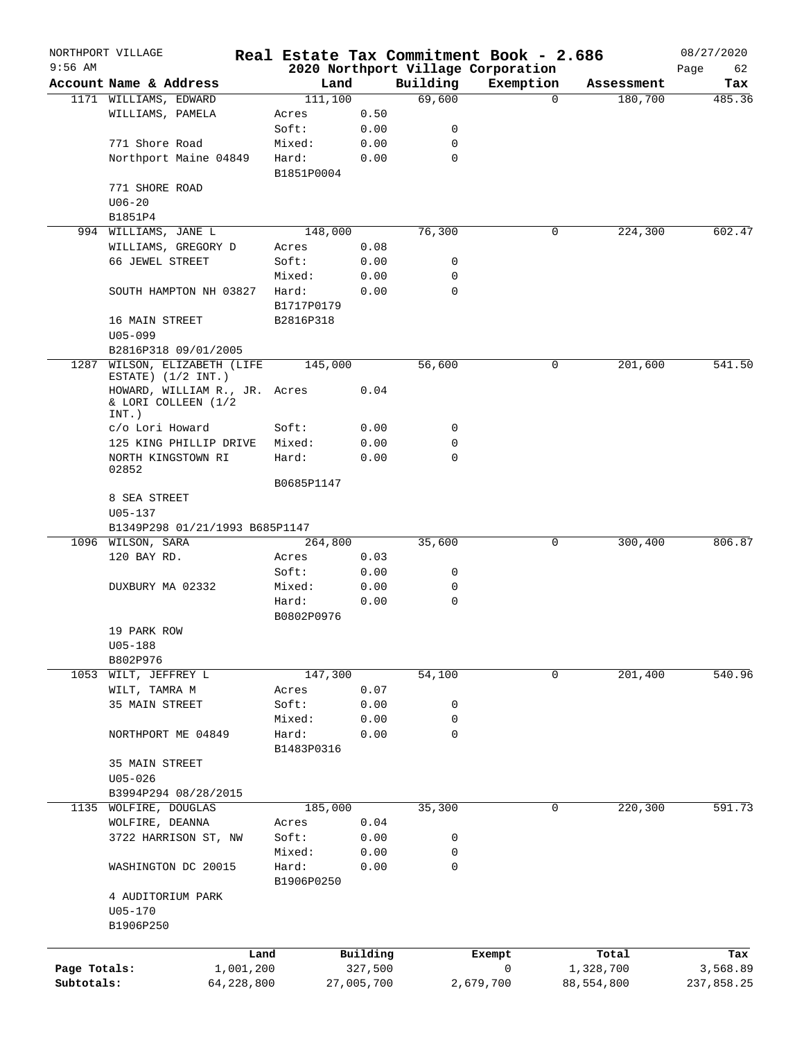|              | NORTHPORT VILLAGE                                                |            |                     |            |             | Real Estate Tax Commitment Book - 2.686 |          |            | 08/27/2020 |
|--------------|------------------------------------------------------------------|------------|---------------------|------------|-------------|-----------------------------------------|----------|------------|------------|
| $9:56$ AM    | Account Name & Address                                           |            |                     |            | Building    | 2020 Northport Village Corporation      |          | Assessment | Page<br>62 |
|              |                                                                  |            | Land                |            |             | Exemption                               | $\Omega$ |            | Tax        |
|              | 1171 WILLIAMS, EDWARD<br>WILLIAMS, PAMELA                        |            | 111,100<br>Acres    | 0.50       | 69,600      |                                         |          | 180,700    | 485.36     |
|              |                                                                  |            | Soft:               | 0.00       | 0           |                                         |          |            |            |
|              | 771 Shore Road                                                   |            | Mixed:              | 0.00       | $\mathbf 0$ |                                         |          |            |            |
|              | Northport Maine 04849                                            |            | Hard:               | 0.00       | $\mathbf 0$ |                                         |          |            |            |
|              |                                                                  |            | B1851P0004          |            |             |                                         |          |            |            |
|              | 771 SHORE ROAD                                                   |            |                     |            |             |                                         |          |            |            |
|              | $U06 - 20$                                                       |            |                     |            |             |                                         |          |            |            |
|              | B1851P4                                                          |            |                     |            |             |                                         |          |            |            |
|              | 994 WILLIAMS, JANE L                                             |            | 148,000             |            | 76,300      |                                         | 0        | 224,300    | 602.47     |
|              | WILLIAMS, GREGORY D                                              |            | Acres               | 0.08       |             |                                         |          |            |            |
|              | 66 JEWEL STREET                                                  |            | Soft:               | 0.00       | 0           |                                         |          |            |            |
|              |                                                                  |            | Mixed:              | 0.00       | 0           |                                         |          |            |            |
|              | SOUTH HAMPTON NH 03827                                           |            | Hard:               | 0.00       | $\mathbf 0$ |                                         |          |            |            |
|              |                                                                  |            | B1717P0179          |            |             |                                         |          |            |            |
|              | 16 MAIN STREET                                                   |            | B2816P318           |            |             |                                         |          |            |            |
|              | $U05 - 099$                                                      |            |                     |            |             |                                         |          |            |            |
|              | B2816P318 09/01/2005                                             |            |                     |            |             |                                         |          |            |            |
| 1287         | WILSON, ELIZABETH (LIFE<br>ESTATE) $(1/2$ INT.)                  |            | 145,000             |            | 56,600      |                                         | 0        | 201,600    | 541.50     |
|              | HOWARD, WILLIAM R., JR. Acres<br>& LORI COLLEEN (1/2<br>$INT.$ ) |            |                     | 0.04       |             |                                         |          |            |            |
|              | c/o Lori Howard                                                  |            | Soft:               | 0.00       | 0           |                                         |          |            |            |
|              | 125 KING PHILLIP DRIVE                                           |            | Mixed:              | 0.00       | 0           |                                         |          |            |            |
|              | NORTH KINGSTOWN RI                                               |            | Hard:               | 0.00       | $\mathbf 0$ |                                         |          |            |            |
|              | 02852                                                            |            | B0685P1147          |            |             |                                         |          |            |            |
|              | 8 SEA STREET                                                     |            |                     |            |             |                                         |          |            |            |
|              | $U05 - 137$                                                      |            |                     |            |             |                                         |          |            |            |
|              | B1349P298 01/21/1993 B685P1147                                   |            |                     |            |             |                                         |          |            |            |
|              | 1096 WILSON, SARA                                                |            | 264,800             |            | 35,600      |                                         | 0        | 300,400    | 806.87     |
|              | 120 BAY RD.                                                      |            | Acres               | 0.03       |             |                                         |          |            |            |
|              |                                                                  |            | Soft:               | 0.00       | 0           |                                         |          |            |            |
|              | DUXBURY MA 02332                                                 |            | Mixed:              | 0.00       | 0           |                                         |          |            |            |
|              |                                                                  |            | Hard:<br>B0802P0976 | 0.00       | $\mathbf 0$ |                                         |          |            |            |
|              | 19 PARK ROW                                                      |            |                     |            |             |                                         |          |            |            |
|              | $U05 - 188$                                                      |            |                     |            |             |                                         |          |            |            |
|              | B802P976                                                         |            |                     |            |             |                                         |          |            |            |
|              | 1053 WILT, JEFFREY L                                             |            | 147,300             |            | 54,100      |                                         | 0        | 201,400    | 540.96     |
|              | WILT, TAMRA M                                                    |            | Acres               | 0.07       |             |                                         |          |            |            |
|              | 35 MAIN STREET                                                   |            | Soft:               | 0.00       | 0           |                                         |          |            |            |
|              |                                                                  |            | Mixed:              | 0.00       | 0           |                                         |          |            |            |
|              | NORTHPORT ME 04849                                               |            | Hard:               | 0.00       | 0           |                                         |          |            |            |
|              |                                                                  |            | B1483P0316          |            |             |                                         |          |            |            |
|              | 35 MAIN STREET                                                   |            |                     |            |             |                                         |          |            |            |
|              | $U05 - 026$                                                      |            |                     |            |             |                                         |          |            |            |
|              | B3994P294 08/28/2015                                             |            |                     |            |             |                                         |          |            |            |
| 1135         | WOLFIRE, DOUGLAS                                                 |            | 185,000             |            | 35,300      |                                         | 0        | 220,300    | 591.73     |
|              | WOLFIRE, DEANNA                                                  |            | Acres               | 0.04       |             |                                         |          |            |            |
|              | 3722 HARRISON ST, NW                                             |            | Soft:               | 0.00       | 0           |                                         |          |            |            |
|              |                                                                  |            | Mixed:              | 0.00       | 0           |                                         |          |            |            |
|              | WASHINGTON DC 20015                                              |            | Hard:<br>B1906P0250 | 0.00       | $\mathbf 0$ |                                         |          |            |            |
|              | 4 AUDITORIUM PARK                                                |            |                     |            |             |                                         |          |            |            |
|              | $U05 - 170$                                                      |            |                     |            |             |                                         |          |            |            |
|              | B1906P250                                                        |            |                     |            |             |                                         |          |            |            |
|              |                                                                  | Land       |                     | Building   |             | Exempt                                  |          | Total      | Tax        |
| Page Totals: |                                                                  | 1,001,200  |                     | 327,500    |             | 0                                       |          | 1,328,700  | 3,568.89   |
| Subtotals:   |                                                                  | 64,228,800 |                     | 27,005,700 |             | 2,679,700                               |          | 88,554,800 | 237,858.25 |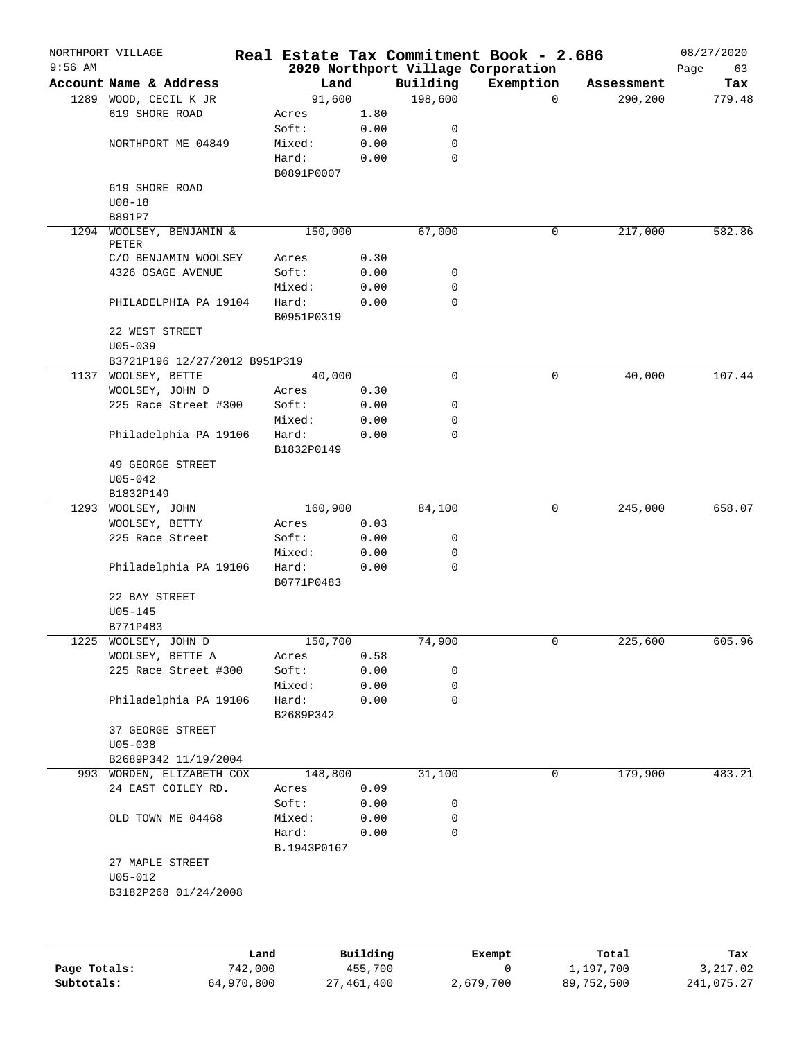| $9:56$ AM | NORTHPORT VILLAGE                         |      |                |              |             | Real Estate Tax Commitment Book - 2.686         |          |            | 08/27/2020        |
|-----------|-------------------------------------------|------|----------------|--------------|-------------|-------------------------------------------------|----------|------------|-------------------|
|           | Account Name & Address                    |      | Land           |              | Building    | 2020 Northport Village Corporation<br>Exemption |          | Assessment | Page<br>63<br>Tax |
|           | 1289 WOOD, CECIL K JR                     |      | 91,600         |              | 198,600     |                                                 | $\Omega$ | 290,200    | 779.48            |
|           | 619 SHORE ROAD                            |      | Acres          | 1.80         |             |                                                 |          |            |                   |
|           |                                           |      | Soft:          | 0.00         | 0           |                                                 |          |            |                   |
|           | NORTHPORT ME 04849                        |      | Mixed:         | 0.00         | 0           |                                                 |          |            |                   |
|           |                                           |      | Hard:          | 0.00         | $\mathbf 0$ |                                                 |          |            |                   |
|           |                                           |      | B0891P0007     |              |             |                                                 |          |            |                   |
|           | 619 SHORE ROAD                            |      |                |              |             |                                                 |          |            |                   |
|           | $U08 - 18$                                |      |                |              |             |                                                 |          |            |                   |
|           | B891P7                                    |      |                |              |             |                                                 |          |            |                   |
| 1294      | WOOLSEY, BENJAMIN &                       |      | 150,000        |              | 67,000      |                                                 | 0        | 217,000    | 582.86            |
|           | PETER                                     |      |                |              |             |                                                 |          |            |                   |
|           | C/O BENJAMIN WOOLSEY<br>4326 OSAGE AVENUE |      | Acres<br>Soft: | 0.30<br>0.00 | 0           |                                                 |          |            |                   |
|           |                                           |      | Mixed:         | 0.00         | 0           |                                                 |          |            |                   |
|           | PHILADELPHIA PA 19104                     |      | Hard:          | 0.00         | $\mathbf 0$ |                                                 |          |            |                   |
|           |                                           |      | B0951P0319     |              |             |                                                 |          |            |                   |
|           | 22 WEST STREET                            |      |                |              |             |                                                 |          |            |                   |
|           | $U05 - 039$                               |      |                |              |             |                                                 |          |            |                   |
|           | B3721P196 12/27/2012 B951P319             |      |                |              |             |                                                 |          |            |                   |
|           | 1137 WOOLSEY, BETTE                       |      | 40,000         |              | $\mathbf 0$ |                                                 | 0        | 40,000     | 107.44            |
|           | WOOLSEY, JOHN D                           |      | Acres          | 0.30         |             |                                                 |          |            |                   |
|           | 225 Race Street #300                      |      | Soft:          | 0.00         | 0           |                                                 |          |            |                   |
|           |                                           |      | Mixed:         | 0.00         | 0           |                                                 |          |            |                   |
|           | Philadelphia PA 19106                     |      | Hard:          | 0.00         | $\mathbf 0$ |                                                 |          |            |                   |
|           |                                           |      | B1832P0149     |              |             |                                                 |          |            |                   |
|           | 49 GEORGE STREET                          |      |                |              |             |                                                 |          |            |                   |
|           | $U05 - 042$                               |      |                |              |             |                                                 |          |            |                   |
|           | B1832P149                                 |      |                |              |             |                                                 |          |            |                   |
|           | 1293 WOOLSEY, JOHN                        |      | 160,900        |              | 84,100      |                                                 | 0        | 245,000    | 658.07            |
|           | WOOLSEY, BETTY                            |      | Acres          | 0.03         |             |                                                 |          |            |                   |
|           | 225 Race Street                           |      | Soft:          | 0.00         | 0           |                                                 |          |            |                   |
|           |                                           |      | Mixed:         | 0.00         | 0           |                                                 |          |            |                   |
|           | Philadelphia PA 19106                     |      | Hard:          | 0.00         | $\mathbf 0$ |                                                 |          |            |                   |
|           |                                           |      | B0771P0483     |              |             |                                                 |          |            |                   |
|           | 22 BAY STREET                             |      |                |              |             |                                                 |          |            |                   |
|           | $U05 - 145$<br>B771P483                   |      |                |              |             |                                                 |          |            |                   |
| 1225      | WOOLSEY, JOHN D                           |      | 150,700        |              | 74,900      |                                                 | 0        | 225,600    | 605.96            |
|           | WOOLSEY, BETTE A                          |      | Acres          | 0.58         |             |                                                 |          |            |                   |
|           | 225 Race Street #300                      |      | Soft:          | 0.00         | 0           |                                                 |          |            |                   |
|           |                                           |      | Mixed:         | 0.00         | 0           |                                                 |          |            |                   |
|           | Philadelphia PA 19106                     |      | Hard:          | 0.00         | $\mathbf 0$ |                                                 |          |            |                   |
|           |                                           |      | B2689P342      |              |             |                                                 |          |            |                   |
|           | 37 GEORGE STREET                          |      |                |              |             |                                                 |          |            |                   |
|           | $U05 - 038$                               |      |                |              |             |                                                 |          |            |                   |
|           | B2689P342 11/19/2004                      |      |                |              |             |                                                 |          |            |                   |
|           | 993 WORDEN, ELIZABETH COX                 |      | 148,800        |              | 31,100      |                                                 | 0        | 179,900    | 483.21            |
|           | 24 EAST COILEY RD.                        |      | Acres          | 0.09         |             |                                                 |          |            |                   |
|           |                                           |      | Soft:          | 0.00         | 0           |                                                 |          |            |                   |
|           | OLD TOWN ME 04468                         |      | Mixed:         | 0.00         | 0           |                                                 |          |            |                   |
|           |                                           |      | Hard:          | 0.00         | $\mathbf 0$ |                                                 |          |            |                   |
|           |                                           |      | B.1943P0167    |              |             |                                                 |          |            |                   |
|           | 27 MAPLE STREET                           |      |                |              |             |                                                 |          |            |                   |
|           | $U05 - 012$                               |      |                |              |             |                                                 |          |            |                   |
|           | B3182P268 01/24/2008                      |      |                |              |             |                                                 |          |            |                   |
|           |                                           |      |                |              |             |                                                 |          |            |                   |
|           |                                           |      |                |              |             |                                                 |          |            |                   |
|           |                                           |      |                |              |             |                                                 |          |            |                   |
|           |                                           | Land |                | Building     |             | Exempt                                          |          | Total      | Tax               |

|              | Land       | Building   | Exempt    | Total      | тах        |
|--------------|------------|------------|-----------|------------|------------|
| Page Totals: | 742,000    | 455,700    |           | 1,197,700  | 3,217.02   |
| Subtotals:   | 64,970,800 | 27,461,400 | 2,679,700 | 89,752,500 | 241,075.27 |